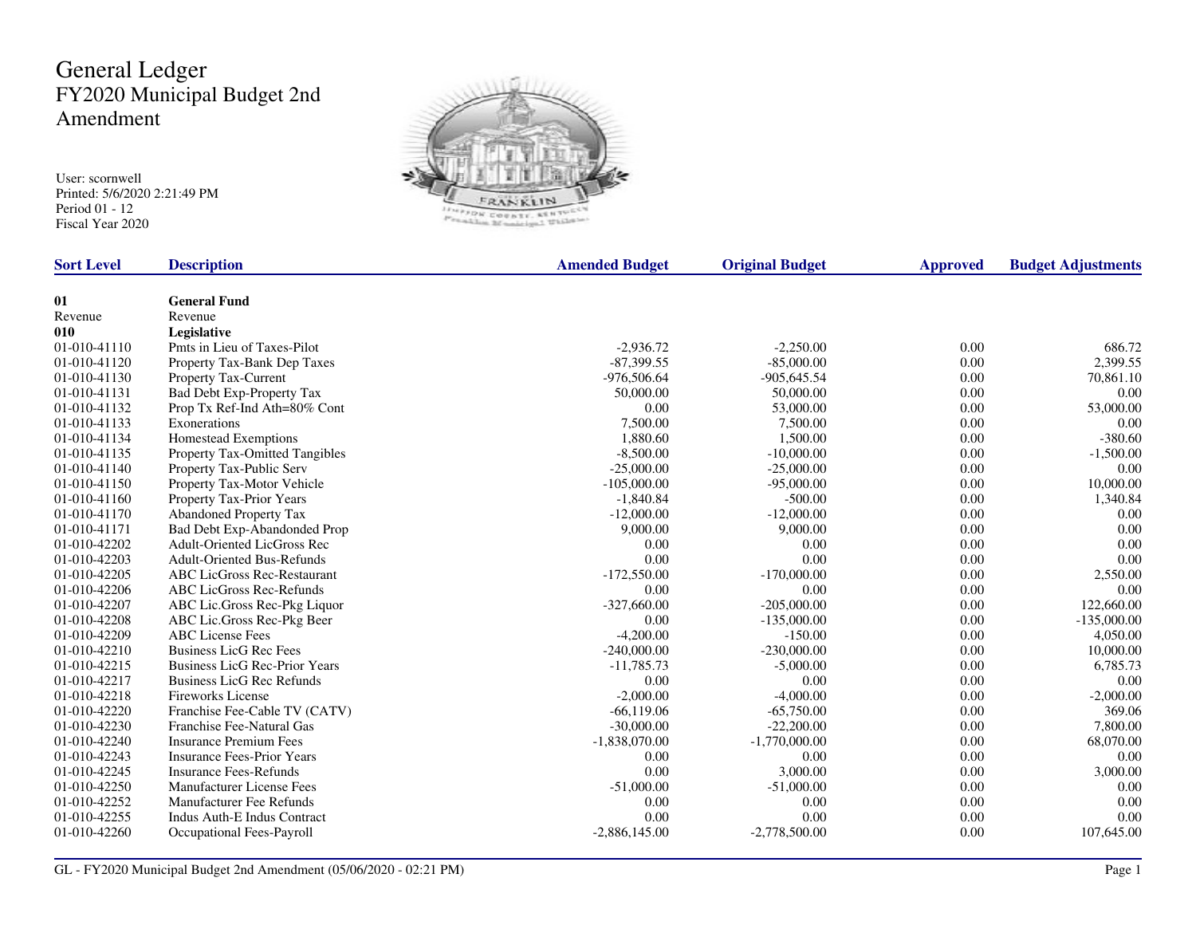## General Ledger FY2020 Municipal Budget 2nd Amendment

User: scornwell Printed: 5/6/2020 2:21:49 PM Period 01 - 12 Fiscal Year 2020



| <b>Sort Level</b> | <b>Description</b>                   | <b>Amended Budget</b> | <b>Original Budget</b> | <b>Approved</b> | <b>Budget Adjustments</b> |
|-------------------|--------------------------------------|-----------------------|------------------------|-----------------|---------------------------|
|                   |                                      |                       |                        |                 |                           |
| 01                | <b>General Fund</b>                  |                       |                        |                 |                           |
| Revenue           | Revenue                              |                       |                        |                 |                           |
| 010               | Legislative                          |                       |                        |                 |                           |
| 01-010-41110      | Pmts in Lieu of Taxes-Pilot          | $-2,936.72$           | $-2,250.00$            | 0.00            | 686.72                    |
| 01-010-41120      | Property Tax-Bank Dep Taxes          | $-87,399.55$          | $-85,000.00$           | 0.00            | 2,399.55                  |
| 01-010-41130      | Property Tax-Current                 | -976,506.64           | $-905,645.54$          | 0.00            | 70,861.10                 |
| 01-010-41131      | Bad Debt Exp-Property Tax            | 50,000.00             | 50,000.00              | 0.00            | 0.00                      |
| 01-010-41132      | Prop Tx Ref-Ind Ath=80% Cont         | 0.00                  | 53,000.00              | 0.00            | 53,000.00                 |
| 01-010-41133      | Exonerations                         | 7,500.00              | 7,500.00               | 0.00            | 0.00                      |
| 01-010-41134      | Homestead Exemptions                 | 1.880.60              | 1,500.00               | 0.00            | $-380.60$                 |
| 01-010-41135      | Property Tax-Omitted Tangibles       | $-8,500.00$           | $-10,000.00$           | 0.00            | $-1,500.00$               |
| 01-010-41140      | Property Tax-Public Serv             | $-25,000.00$          | $-25,000.00$           | 0.00            | 0.00                      |
| 01-010-41150      | Property Tax-Motor Vehicle           | $-105,000.00$         | $-95,000.00$           | 0.00            | 10,000.00                 |
| 01-010-41160      | Property Tax-Prior Years             | $-1,840.84$           | $-500.00$              | 0.00            | 1,340.84                  |
| 01-010-41170      | Abandoned Property Tax               | $-12,000.00$          | $-12,000.00$           | 0.00            | 0.00                      |
| 01-010-41171      | Bad Debt Exp-Abandonded Prop         | 9,000.00              | 9,000.00               | 0.00            | 0.00                      |
| 01-010-42202      | <b>Adult-Oriented LicGross Rec</b>   | 0.00                  | 0.00                   | 0.00            | 0.00                      |
| 01-010-42203      | <b>Adult-Oriented Bus-Refunds</b>    | 0.00                  | 0.00                   | 0.00            | 0.00                      |
| 01-010-42205      | <b>ABC LicGross Rec-Restaurant</b>   | $-172,550.00$         | $-170,000.00$          | 0.00            | 2,550.00                  |
| 01-010-42206      | <b>ABC LicGross Rec-Refunds</b>      | 0.00                  | 0.00                   | 0.00            | 0.00                      |
| 01-010-42207      | ABC Lic.Gross Rec-Pkg Liquor         | $-327,660.00$         | $-205,000.00$          | 0.00            | 122,660.00                |
| 01-010-42208      | ABC Lic.Gross Rec-Pkg Beer           | 0.00                  | $-135,000.00$          | 0.00            | $-135,000.00$             |
| 01-010-42209      | <b>ABC</b> License Fees              | $-4,200.00$           | $-150.00$              | 0.00            | 4.050.00                  |
| 01-010-42210      | <b>Business LicG Rec Fees</b>        | $-240,000.00$         | $-230,000.00$          | 0.00            | 10,000.00                 |
| 01-010-42215      | <b>Business LicG Rec-Prior Years</b> | $-11,785.73$          | $-5,000.00$            | 0.00            | 6,785.73                  |
| 01-010-42217      | <b>Business LicG Rec Refunds</b>     | 0.00                  | 0.00                   | 0.00            | 0.00                      |
| 01-010-42218      | <b>Fireworks License</b>             | $-2,000.00$           | $-4,000.00$            | 0.00            | $-2,000.00$               |
| 01-010-42220      | Franchise Fee-Cable TV (CATV)        | $-66,119.06$          | $-65,750.00$           | 0.00            | 369.06                    |
| 01-010-42230      | Franchise Fee-Natural Gas            | $-30,000.00$          | $-22,200.00$           | 0.00            | 7,800.00                  |
| 01-010-42240      | <b>Insurance Premium Fees</b>        | $-1,838,070.00$       | $-1,770,000.00$        | 0.00            | 68,070.00                 |
| 01-010-42243      | <b>Insurance Fees-Prior Years</b>    | 0.00                  | 0.00                   | 0.00            | 0.00                      |
| 01-010-42245      | <b>Insurance Fees-Refunds</b>        | 0.00                  | 3,000.00               | 0.00            | 3,000.00                  |
| 01-010-42250      | Manufacturer License Fees            | $-51,000.00$          | $-51,000.00$           | 0.00            | 0.00                      |
| 01-010-42252      | Manufacturer Fee Refunds             | 0.00                  | 0.00                   | 0.00            | 0.00                      |
| 01-010-42255      | <b>Indus Auth-E Indus Contract</b>   | 0.00                  | 0.00                   | 0.00            | 0.00                      |
| 01-010-42260      | Occupational Fees-Payroll            | $-2,886,145.00$       | $-2,778,500.00$        | 0.00            | 107,645.00                |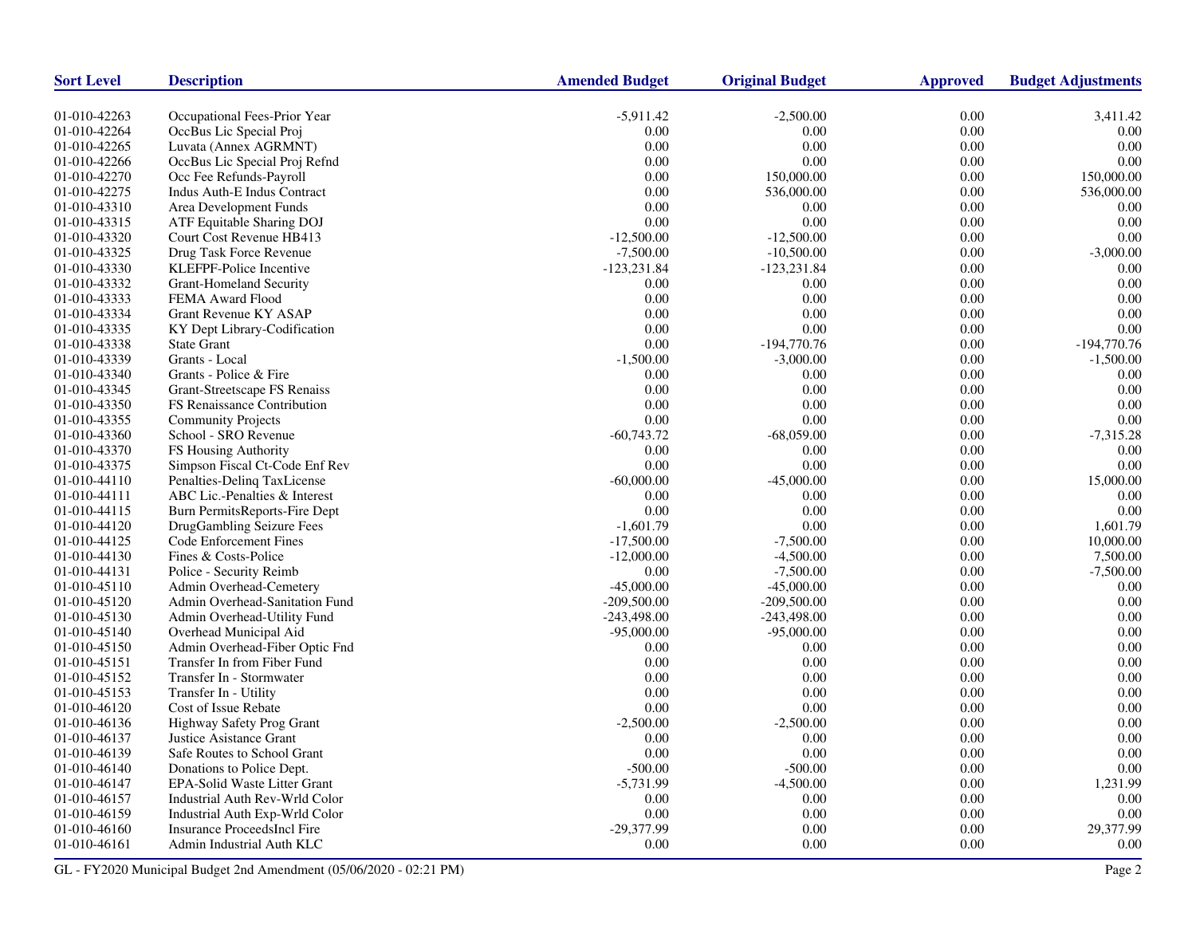| <b>Sort Level</b> | <b>Description</b>             | <b>Amended Budget</b> | <b>Original Budget</b> | <b>Approved</b> | <b>Budget Adjustments</b> |
|-------------------|--------------------------------|-----------------------|------------------------|-----------------|---------------------------|
| 01-010-42263      | Occupational Fees-Prior Year   | $-5,911.42$           | $-2,500.00$            | 0.00            | 3,411.42                  |
| 01-010-42264      | OccBus Lic Special Proj        | 0.00                  | 0.00                   | 0.00            | 0.00                      |
| 01-010-42265      | Luvata (Annex AGRMNT)          | 0.00                  | 0.00                   | $0.00\,$        | 0.00                      |
| 01-010-42266      | OccBus Lic Special Proj Refnd  | 0.00                  | 0.00                   | 0.00            | 0.00                      |
| 01-010-42270      | Occ Fee Refunds-Payroll        | 0.00                  | 150,000.00             | 0.00            | 150,000.00                |
| 01-010-42275      | Indus Auth-E Indus Contract    | 0.00                  | 536,000.00             | 0.00            | 536,000.00                |
| 01-010-43310      | Area Development Funds         | 0.00                  | 0.00                   | 0.00            | 0.00                      |
| 01-010-43315      | ATF Equitable Sharing DOJ      | 0.00                  | 0.00                   | 0.00            | 0.00                      |
| 01-010-43320      | Court Cost Revenue HB413       | $-12,500.00$          | $-12,500.00$           | 0.00            | 0.00                      |
| 01-010-43325      | Drug Task Force Revenue        | $-7,500.00$           | $-10,500.00$           | 0.00            | $-3,000.00$               |
| 01-010-43330      | KLEFPF-Police Incentive        | $-123,231.84$         | $-123,231.84$          | 0.00            | 0.00                      |
| 01-010-43332      | <b>Grant-Homeland Security</b> | 0.00                  | 0.00                   | 0.00            | 0.00                      |
| 01-010-43333      | FEMA Award Flood               | 0.00                  | 0.00                   | 0.00            | 0.00                      |
| 01-010-43334      | <b>Grant Revenue KY ASAP</b>   | 0.00                  | 0.00                   | 0.00            | 0.00                      |
| 01-010-43335      | KY Dept Library-Codification   | 0.00                  | 0.00                   | 0.00            | 0.00                      |
| 01-010-43338      | <b>State Grant</b>             | 0.00                  | $-194,770.76$          | $0.00\,$        | $-194,770.76$             |
| 01-010-43339      | Grants - Local                 | $-1,500.00$           | $-3,000.00$            | 0.00            | $-1,500.00$               |
| 01-010-43340      | Grants - Police & Fire         | 0.00                  | 0.00                   | 0.00            | 0.00                      |
| 01-010-43345      | Grant-Streetscape FS Renaiss   | 0.00                  | 0.00                   | 0.00            | 0.00                      |
| 01-010-43350      | FS Renaissance Contribution    | 0.00                  | 0.00                   | 0.00            | 0.00                      |
| 01-010-43355      | <b>Community Projects</b>      | 0.00                  | 0.00                   | 0.00            | 0.00                      |
| 01-010-43360      | School - SRO Revenue           | $-60,743.72$          | $-68,059.00$           | 0.00            | $-7,315.28$               |
| 01-010-43370      | FS Housing Authority           | 0.00                  | 0.00                   | 0.00            | 0.00                      |
| 01-010-43375      | Simpson Fiscal Ct-Code Enf Rev | 0.00                  | 0.00                   | 0.00            | 0.00                      |
| 01-010-44110      | Penalties-Deling TaxLicense    | $-60,000.00$          | $-45,000.00$           | 0.00            | 15,000.00                 |
| 01-010-44111      | ABC Lic.-Penalties & Interest  | 0.00                  | 0.00                   | 0.00            | 0.00                      |
| 01-010-44115      | Burn PermitsReports-Fire Dept  | 0.00                  | 0.00                   | 0.00            | 0.00                      |
| 01-010-44120      | DrugGambling Seizure Fees      | $-1,601.79$           | 0.00                   | 0.00            | 1,601.79                  |
| 01-010-44125      | Code Enforcement Fines         | $-17,500.00$          | $-7,500.00$            | 0.00            | 10,000.00                 |
| 01-010-44130      | Fines & Costs-Police           | $-12,000.00$          | $-4,500.00$            | 0.00            | 7,500.00                  |
| 01-010-44131      | Police - Security Reimb        | 0.00                  | $-7,500.00$            | 0.00            | $-7,500.00$               |
| 01-010-45110      | Admin Overhead-Cemetery        | $-45,000.00$          | $-45,000.00$           | 0.00            | 0.00                      |
| 01-010-45120      | Admin Overhead-Sanitation Fund | $-209,500.00$         | $-209,500.00$          | 0.00            | 0.00                      |
| 01-010-45130      | Admin Overhead-Utility Fund    | $-243,498.00$         | $-243,498.00$          | 0.00            | 0.00                      |
| 01-010-45140      | Overhead Municipal Aid         | $-95,000.00$          | $-95,000.00$           | 0.00            | 0.00                      |
| 01-010-45150      | Admin Overhead-Fiber Optic Fnd | 0.00                  | 0.00                   | 0.00            | 0.00                      |
| 01-010-45151      | Transfer In from Fiber Fund    | 0.00                  | 0.00                   | 0.00            | 0.00                      |
| 01-010-45152      | Transfer In - Stormwater       | 0.00                  | 0.00                   | 0.00            | 0.00                      |
| 01-010-45153      | Transfer In - Utility          | 0.00                  | 0.00                   | 0.00            | 0.00                      |
| 01-010-46120      | Cost of Issue Rebate           | 0.00                  | 0.00                   | 0.00            | 0.00                      |
| 01-010-46136      | Highway Safety Prog Grant      | $-2,500.00$           | $-2,500.00$            | 0.00            | 0.00                      |
| 01-010-46137      | Justice Asistance Grant        | 0.00                  | 0.00                   | 0.00            | 0.00                      |
| 01-010-46139      | Safe Routes to School Grant    | 0.00                  | 0.00                   | 0.00            | 0.00                      |
| 01-010-46140      | Donations to Police Dept.      | $-500.00$             | $-500.00$              | 0.00            | 0.00                      |
| 01-010-46147      | EPA-Solid Waste Litter Grant   | $-5,731.99$           | $-4,500.00$            | 0.00            | 1,231.99                  |
| 01-010-46157      | Industrial Auth Rev-Wrld Color | 0.00                  | 0.00                   | 0.00            | 0.00                      |
| 01-010-46159      | Industrial Auth Exp-Wrld Color | 0.00                  | 0.00                   | 0.00            | 0.00                      |
| 01-010-46160      | Insurance ProceedsIncl Fire    | -29,377.99            | 0.00                   | 0.00            | 29,377.99                 |
| 01-010-46161      | Admin Industrial Auth KLC      | 0.00                  | 0.00                   | 0.00            | 0.00                      |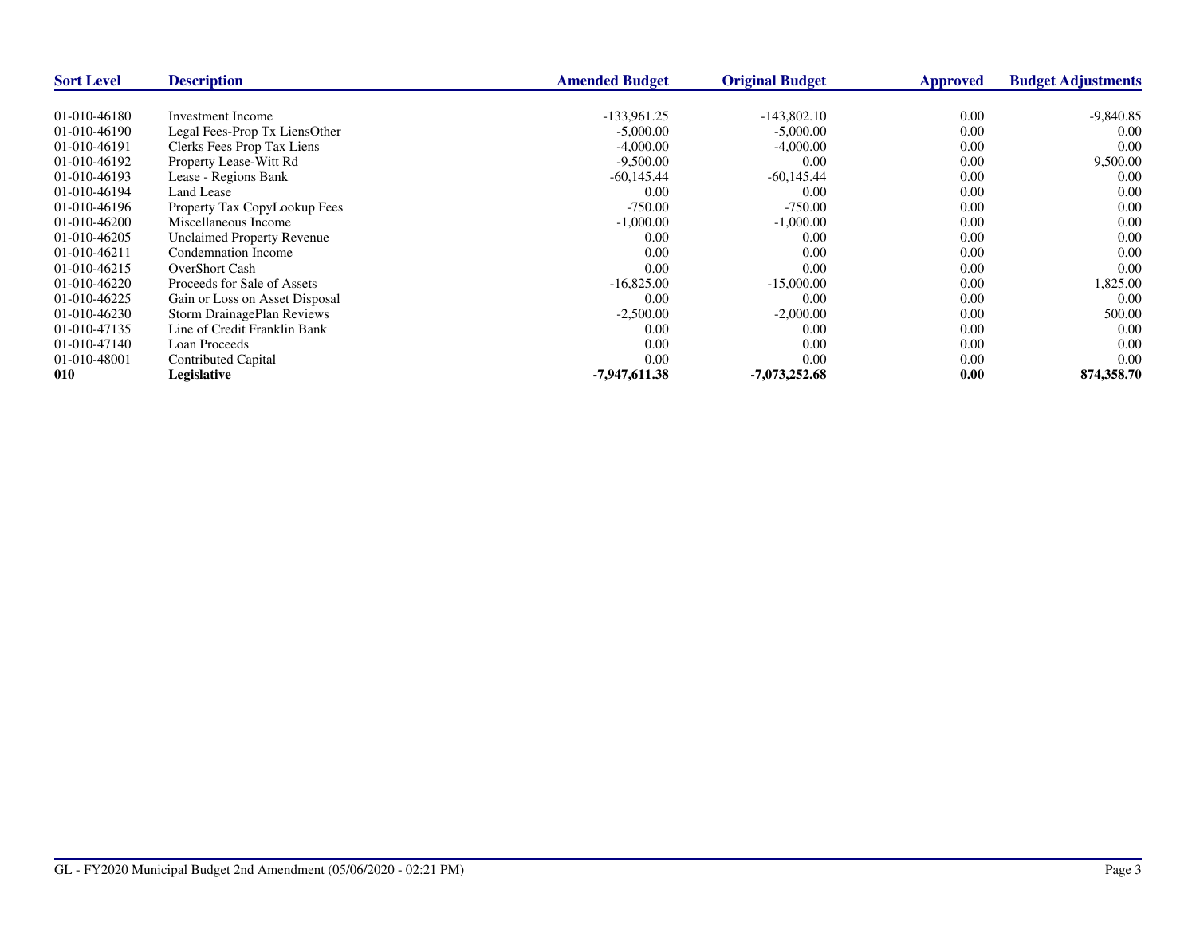| <b>Sort Level</b> | <b>Description</b>                | <b>Amended Budget</b> | <b>Original Budget</b> | <b>Approved</b> | <b>Budget Adjustments</b> |
|-------------------|-----------------------------------|-----------------------|------------------------|-----------------|---------------------------|
|                   |                                   |                       |                        |                 |                           |
| 01-010-46180      | Investment Income                 | $-133.961.25$         | $-143,802.10$          | 0.00            | $-9,840.85$               |
| 01-010-46190      | Legal Fees-Prop Tx LiensOther     | $-5,000.00$           | $-5,000.00$            | 0.00            | 0.00                      |
| 01-010-46191      | Clerks Fees Prop Tax Liens        | $-4,000.00$           | $-4,000.00$            | 0.00            | 0.00                      |
| 01-010-46192      | Property Lease-Witt Rd            | $-9,500.00$           | 0.00                   | 0.00            | 9,500.00                  |
| 01-010-46193      | Lease - Regions Bank              | $-60,145.44$          | $-60,145.44$           | 0.00            | 0.00                      |
| 01-010-46194      | Land Lease                        | 0.00                  | 0.00                   | 0.00            | 0.00                      |
| 01-010-46196      | Property Tax CopyLookup Fees      | $-750.00$             | $-750.00$              | 0.00            | 0.00                      |
| 01-010-46200      | Miscellaneous Income              | $-1,000.00$           | $-1,000.00$            | 0.00            | 0.00                      |
| 01-010-46205      | <b>Unclaimed Property Revenue</b> | 0.00                  | 0.00                   | 0.00            | 0.00                      |
| 01-010-46211      | Condemnation Income               | 0.00                  | 0.00                   | 0.00            | 0.00                      |
| 01-010-46215      | <b>OverShort Cash</b>             | 0.00                  | 0.00                   | 0.00            | 0.00                      |
| 01-010-46220      | Proceeds for Sale of Assets       | $-16,825.00$          | $-15,000.00$           | 0.00            | 1,825.00                  |
| 01-010-46225      | Gain or Loss on Asset Disposal    | 0.00                  | 0.00                   | 0.00            | 0.00                      |
| 01-010-46230      | <b>Storm DrainagePlan Reviews</b> | $-2,500.00$           | $-2,000.00$            | 0.00            | 500.00                    |
| 01-010-47135      | Line of Credit Franklin Bank      | 0.00                  | 0.00                   | 0.00            | 0.00                      |
| 01-010-47140      | Loan Proceeds                     | 0.00                  | 0.00                   | 0.00            | 0.00                      |
| 01-010-48001      | Contributed Capital               | 0.00                  | 0.00                   | 0.00            | 0.00                      |
| 010               | Legislative                       | $-7,947,611.38$       | -7,073,252.68          | 0.00            | 874,358.70                |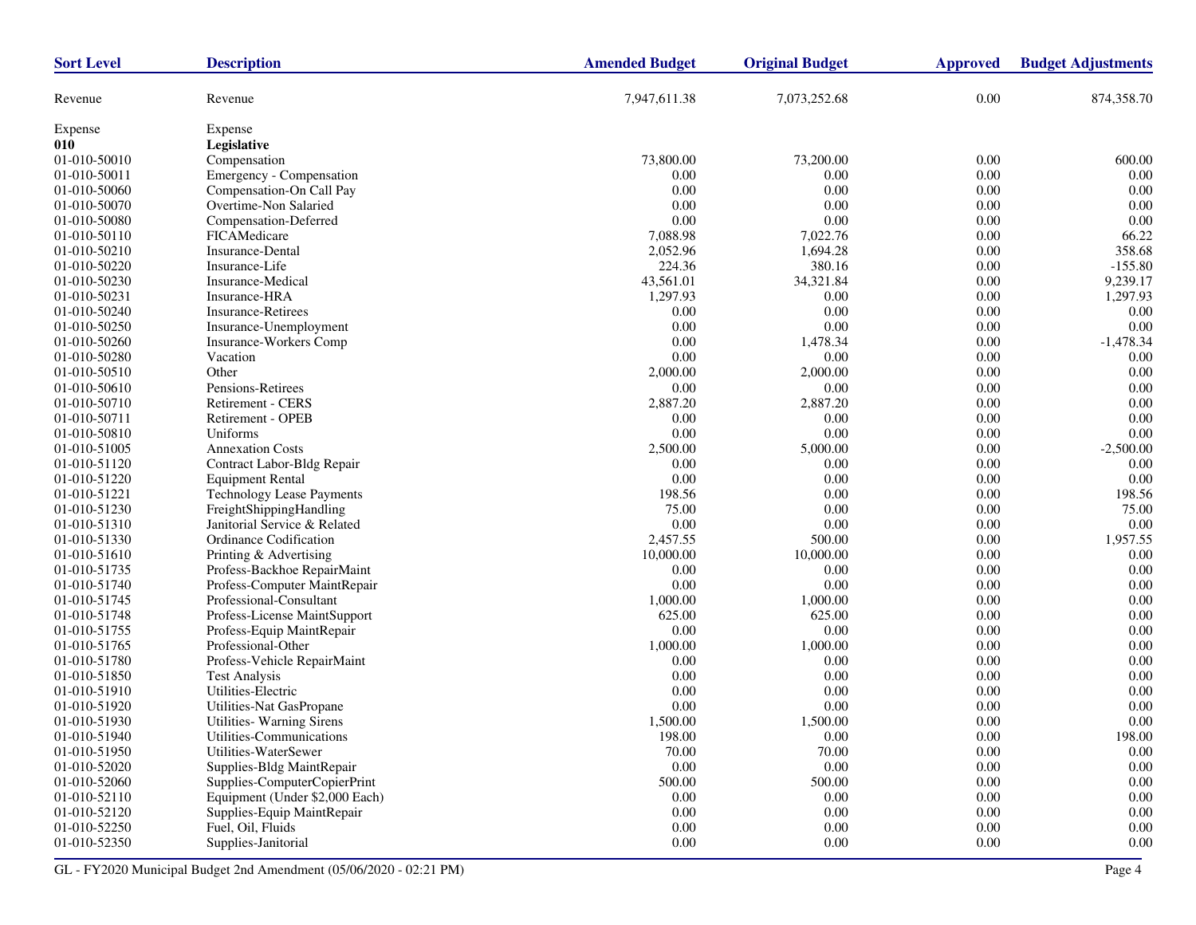| <b>Sort Level</b> | <b>Description</b>               | <b>Amended Budget</b> | <b>Original Budget</b> | <b>Approved</b> | <b>Budget Adjustments</b> |
|-------------------|----------------------------------|-----------------------|------------------------|-----------------|---------------------------|
| Revenue           | Revenue                          | 7,947,611.38          | 7,073,252.68           | 0.00            | 874,358.70                |
| Expense           | Expense                          |                       |                        |                 |                           |
| 010               | Legislative                      |                       |                        |                 |                           |
| 01-010-50010      | Compensation                     | 73,800.00             | 73,200.00              | 0.00            | 600.00                    |
| 01-010-50011      | Emergency - Compensation         | 0.00                  | 0.00                   | 0.00            | 0.00                      |
| 01-010-50060      | Compensation-On Call Pay         | 0.00                  | 0.00                   | 0.00            | 0.00                      |
| 01-010-50070      | Overtime-Non Salaried            | 0.00                  | 0.00                   | 0.00            | 0.00                      |
| 01-010-50080      | Compensation-Deferred            | 0.00                  | 0.00                   | 0.00            | 0.00                      |
| 01-010-50110      | FICAMedicare                     | 7,088.98              | 7,022.76               | 0.00            | 66.22                     |
| 01-010-50210      | <b>Insurance-Dental</b>          | 2,052.96              | 1,694.28               | 0.00            | 358.68                    |
| 01-010-50220      | Insurance-Life                   | 224.36                | 380.16                 | 0.00            | $-155.80$                 |
| 01-010-50230      | Insurance-Medical                | 43,561.01             | 34,321.84              | 0.00            | 9,239.17                  |
| 01-010-50231      | Insurance-HRA                    | 1,297.93              | 0.00                   | 0.00            | 1,297.93                  |
| 01-010-50240      | <b>Insurance-Retirees</b>        | 0.00                  | 0.00                   | 0.00            | 0.00                      |
| 01-010-50250      | Insurance-Unemployment           | 0.00                  | 0.00                   | 0.00            | 0.00                      |
| 01-010-50260      | Insurance-Workers Comp           | 0.00                  | 1,478.34               | 0.00            | $-1,478.34$               |
| 01-010-50280      | Vacation                         | 0.00                  | 0.00                   | 0.00            | 0.00                      |
| 01-010-50510      | Other                            | 2,000.00              | 2,000.00               | 0.00            | 0.00                      |
| 01-010-50610      | Pensions-Retirees                | 0.00                  | 0.00                   | 0.00            | 0.00                      |
| 01-010-50710      | <b>Retirement - CERS</b>         | 2,887.20              | 2,887.20               | 0.00            | 0.00                      |
| 01-010-50711      | Retirement - OPEB                | 0.00                  | 0.00                   | 0.00            | 0.00                      |
| 01-010-50810      | Uniforms                         | 0.00                  | 0.00                   | 0.00            | 0.00                      |
| 01-010-51005      | <b>Annexation Costs</b>          | 2,500.00              | 5,000.00               | 0.00            | $-2,500.00$               |
| 01-010-51120      | Contract Labor-Bldg Repair       | 0.00                  | 0.00                   | 0.00            | 0.00                      |
| 01-010-51220      | <b>Equipment Rental</b>          | 0.00                  | 0.00                   | 0.00            | 0.00                      |
| 01-010-51221      | <b>Technology Lease Payments</b> | 198.56                | 0.00                   | 0.00            | 198.56                    |
| 01-010-51230      | FreightShippingHandling          | 75.00                 | 0.00                   | 0.00            | 75.00                     |
| 01-010-51310      | Janitorial Service & Related     | 0.00                  | 0.00                   | 0.00            | 0.00                      |
| 01-010-51330      | Ordinance Codification           | 2,457.55              | 500.00                 | 0.00            | 1,957.55                  |
| 01-010-51610      | Printing & Advertising           | 10,000.00             | 10,000.00              | 0.00            | 0.00                      |
| 01-010-51735      | Profess-Backhoe RepairMaint      | 0.00                  | 0.00                   | 0.00            | 0.00                      |
| 01-010-51740      | Profess-Computer MaintRepair     | 0.00                  | 0.00                   | 0.00            | 0.00                      |
| 01-010-51745      | Professional-Consultant          | 1,000.00              | 1,000.00               | 0.00            | 0.00                      |
| 01-010-51748      | Profess-License MaintSupport     | 625.00                | 625.00                 | 0.00            | 0.00                      |
| 01-010-51755      | Profess-Equip MaintRepair        | 0.00                  | 0.00                   | 0.00            | 0.00                      |
| 01-010-51765      | Professional-Other               | 1,000.00              | 1,000.00               | 0.00            | 0.00                      |
| 01-010-51780      | Profess-Vehicle RepairMaint      | 0.00                  | 0.00                   | 0.00            | 0.00                      |
| 01-010-51850      | <b>Test Analysis</b>             | 0.00                  | 0.00                   | 0.00            | 0.00                      |
| 01-010-51910      | Utilities-Electric               | 0.00                  | 0.00                   | 0.00            | 0.00                      |
| 01-010-51920      | Utilities-Nat GasPropane         | 0.00                  | 0.00                   | 0.00            | 0.00                      |
| 01-010-51930      | Utilities-Warning Sirens         | 1,500.00              | 1,500.00               | 0.00            | 0.00                      |
| 01-010-51940      | Utilities-Communications         | 198.00                | 0.00                   | 0.00            | 198.00                    |
| 01-010-51950      | Utilities-WaterSewer             | 70.00                 | 70.00                  | 0.00            | $0.00\,$                  |
| 01-010-52020      | Supplies-Bldg MaintRepair        | $0.00\,$              | 0.00                   | 0.00            | $0.00\,$                  |
| 01-010-52060      | Supplies-ComputerCopierPrint     | 500.00                | 500.00                 | 0.00            | 0.00                      |
| 01-010-52110      | Equipment (Under \$2,000 Each)   | $0.00\,$              | $0.00\,$               | 0.00            | 0.00                      |
| 01-010-52120      | Supplies-Equip MaintRepair       | 0.00                  | 0.00                   | 0.00            | $0.00\,$                  |
| 01-010-52250      | Fuel, Oil, Fluids                | 0.00                  | $0.00\,$               | 0.00            | 0.00                      |
| 01-010-52350      | Supplies-Janitorial              | $0.00\,$              | 0.00                   | 0.00            | $0.00\,$                  |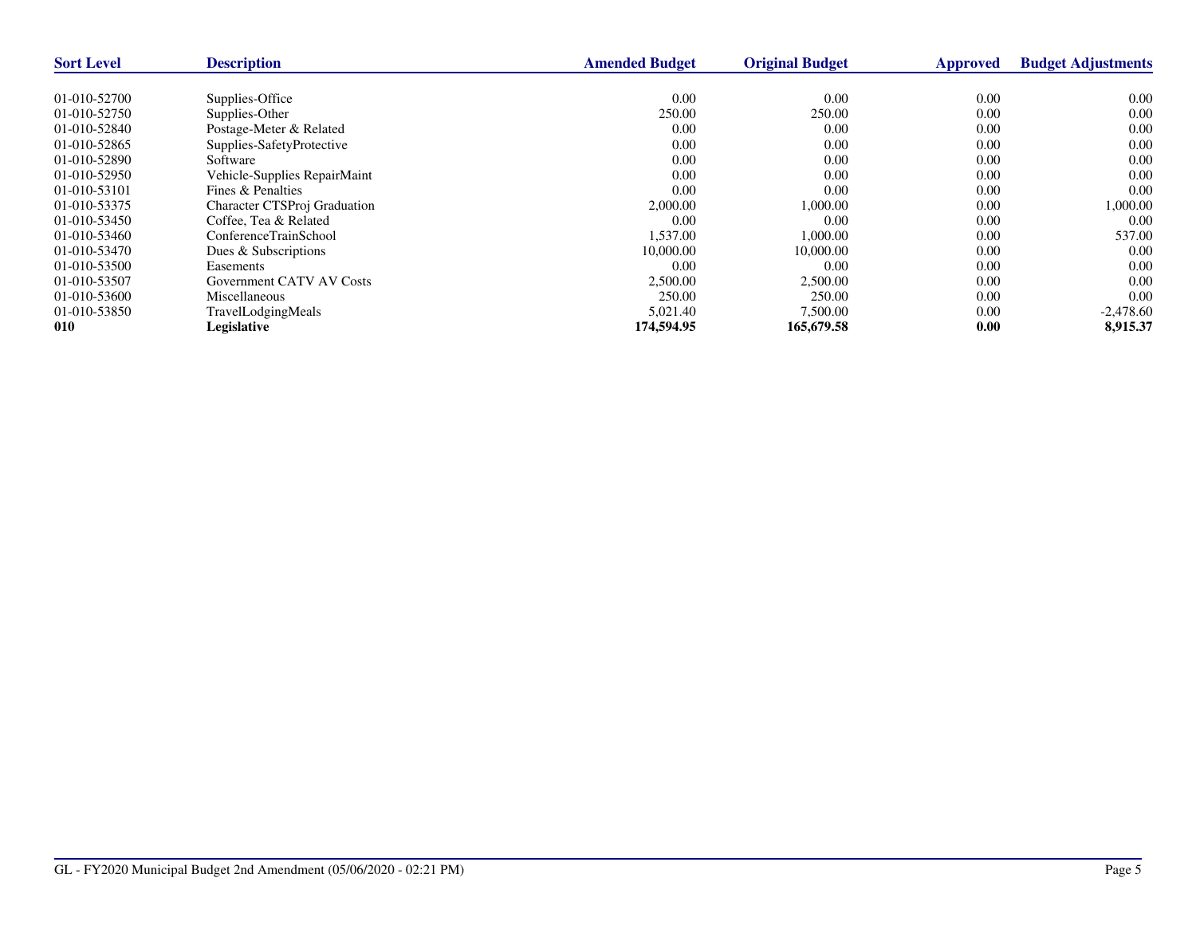| <b>Sort Level</b> | <b>Description</b>              | <b>Amended Budget</b> | <b>Original Budget</b> | <b>Approved</b> | <b>Budget Adjustments</b> |
|-------------------|---------------------------------|-----------------------|------------------------|-----------------|---------------------------|
|                   |                                 |                       |                        |                 |                           |
| 01-010-52700      | Supplies-Office                 | 0.00                  | 0.00                   | 0.00            | 0.00                      |
| 01-010-52750      | Supplies-Other                  | 250.00                | 250.00                 | 0.00            | 0.00                      |
| $01-010-52840$    | Postage-Meter & Related         | 0.00                  | 0.00                   | 0.00            | 0.00                      |
| 01-010-52865      | Supplies-SafetyProtective       | 0.00                  | 0.00                   | 0.00            | 0.00                      |
| 01-010-52890      | Software                        | 0.00                  | 0.00                   | 0.00            | 0.00                      |
| 01-010-52950      | Vehicle-Supplies RepairMaint    | 0.00                  | 0.00                   | 0.00            | 0.00                      |
| 01-010-53101      | Fines & Penalties               | 0.00                  | 0.00                   | 0.00            | 0.00                      |
| 01-010-53375      | Character CTSProj Graduation    | 2,000.00              | 1,000.00               | 0.00            | 1,000.00                  |
| 01-010-53450      | Coffee, Tea & Related           | 0.00                  | 0.00                   | 0.00            | 0.00                      |
| 01-010-53460      | ConferenceTrainSchool           | 1.537.00              | 1.000.00               | 0.00            | 537.00                    |
| 01-010-53470      | Dues & Subscriptions            | 10,000.00             | 10,000.00              | 0.00            | 0.00                      |
| 01-010-53500      | Easements                       | 0.00                  | 0.00                   | 0.00            | 0.00                      |
| 01-010-53507      | <b>Government CATV AV Costs</b> | 2,500.00              | 2,500.00               | 0.00            | 0.00                      |
| 01-010-53600      | Miscellaneous                   | 250.00                | 250.00                 | 0.00            | 0.00                      |
| 01-010-53850      | TravelLodgingMeals              | 5,021.40              | 7,500.00               | 0.00            | $-2,478.60$               |
| 010               | Legislative                     | 174,594.95            | 165,679.58             | 0.00            | 8,915.37                  |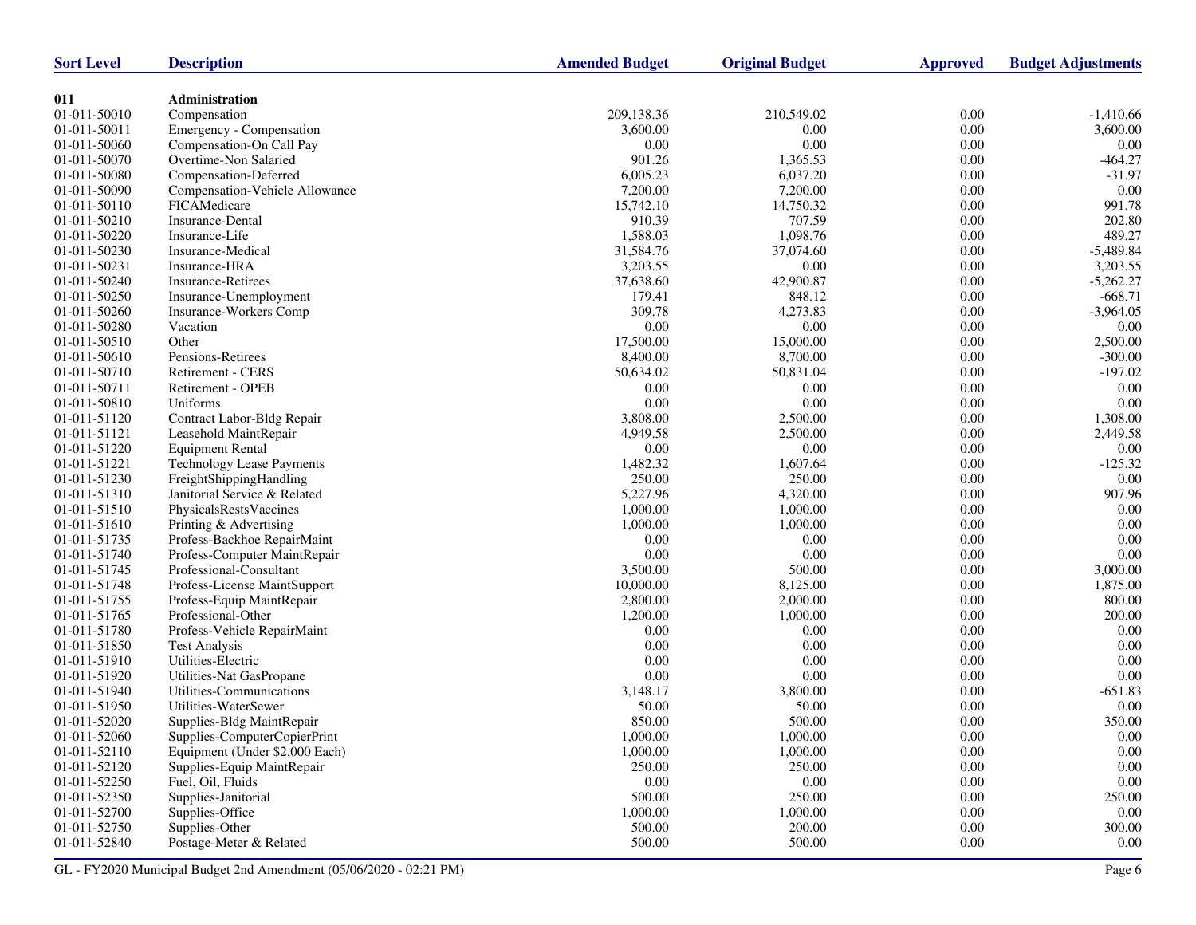| Administration<br>011<br>01-011-50010<br>Compensation<br>209,138.36<br>210,549.02<br>0.00<br>$-1,410.66$<br>$0.00\,$<br>01-011-50011<br>0.00<br>3,600.00<br>Emergency - Compensation<br>3,600.00<br>0.00<br>0.00<br>0.00<br>0.00<br>01-011-50060<br>Compensation-On Call Pay<br>901.26<br>$-464.27$<br>01-011-50070<br>1,365.53<br>0.00<br>Overtime-Non Salaried<br>$0.00\,$<br>$-31.97$<br>01-011-50080<br>6,005.23<br>6,037.20<br>Compensation-Deferred<br>0.00<br>01-011-50090<br>7,200.00<br>7,200.00<br>0.00<br>Compensation-Vehicle Allowance<br>991.78<br>01-011-50110<br>FICAMedicare<br>15,742.10<br>14,750.32<br>0.00<br>910.39<br>707.59<br>$0.00\,$<br>Insurance-Dental<br>202.80<br>01-011-50210<br>489.27<br>01-011-50220<br>Insurance-Life<br>1,588.03<br>1,098.76<br>0.00<br>31,584.76<br>01-011-50230<br>Insurance-Medical<br>37,074.60<br>0.00<br>$-5,489.84$<br>01-011-50231<br>3,203.55<br>0.00<br>0.00<br>3,203.55<br>Insurance-HRA<br>01-011-50240<br>Insurance-Retirees<br>37,638.60<br>42,900.87<br>0.00<br>$-5,262.27$<br>179.41<br>01-011-50250<br>Insurance-Unemployment<br>848.12<br>0.00<br>$-668.71$<br>309.78<br>4,273.83<br>0.00<br>$-3,964.05$<br>Insurance-Workers Comp<br>0.00<br>0.00<br>$0.00\,$<br>Vacation<br>0.00<br>2,500.00<br>01-011-50510<br>Other<br>17,500.00<br>15,000.00<br>0.00<br>Pensions-Retirees<br>$0.00\,$<br>8,400.00<br>8,700.00<br>$-300.00$<br>$0.00\,$<br>Retirement - CERS<br>50,634.02<br>50,831.04<br>$-197.02$<br>Retirement - OPEB<br>0.00<br>0.00<br>0.00<br>0.00<br>0.00<br>0.00<br>0.00<br>0.00<br>Uniforms<br>$0.00\,$<br>Contract Labor-Bldg Repair<br>3,808.00<br>2,500.00<br>1,308.00<br>4,949.58<br>2,500.00<br>0.00<br>2,449.58<br>Leasehold MaintRepair<br>0.00<br>0.00<br>0.00<br><b>Equipment Rental</b><br>0.00<br>$0.00\,$<br><b>Technology Lease Payments</b><br>1,482.32<br>1,607.64<br>$-125.32$<br>250.00<br>250.00<br>0.00<br>0.00<br>FreightShippingHandling<br>5,227.96<br>4,320.00<br>0.00<br>907.96<br>Janitorial Service & Related<br>1,000.00<br>1,000.00<br>$0.00\,$<br>0.00<br>PhysicalsRestsVaccines<br>$0.00\,$<br>1,000.00<br>1,000.00<br>0.00<br>Printing & Advertising<br>0.00<br>0.00<br>0.00<br>0.00<br>01-011-51735<br>Profess-Backhoe RepairMaint<br>0.00<br>0.00<br>$0.00\,$<br>0.00<br>Profess-Computer MaintRepair<br>Professional-Consultant<br>3,500.00<br>500.00<br>0.00<br>3,000.00<br>01-011-51748<br>10,000.00<br>8,125.00<br>0.00<br>1,875.00<br>Profess-License MaintSupport<br>$0.00\,$<br>800.00<br>2,800.00<br>2,000.00<br>Profess-Equip MaintRepair<br>1,200.00<br>1,000.00<br>0.00<br>200.00<br>Professional-Other<br>0.00<br>0.00<br>0.00<br>0.00<br>Profess-Vehicle RepairMaint<br>0.00<br>0.00<br>$0.00\,$<br>$0.00\,$<br><b>Test Analysis</b><br>0.00<br>0.00<br>0.00<br>Utilities-Electric<br>0.00<br>0.00<br>0.00<br>01-011-51920<br>0.00<br>0.00<br>Utilities-Nat GasPropane<br>Utilities-Communications<br>3,800.00<br>0.00<br>$-651.83$<br>3,148.17<br>Utilities-WaterSewer<br>50.00<br>50.00<br>0.00<br>0.00<br>850.00<br>01-011-52020<br>500.00<br>0.00<br>350.00<br>Supplies-Bldg MaintRepair<br>1,000.00<br>$0.00\,$<br>$0.00\,$<br>1,000.00<br>01-011-52060<br>Supplies-ComputerCopierPrint<br>Equipment (Under \$2,000 Each)<br>1,000.00<br>1,000.00<br>$0.00\,$<br>0.00<br>01-011-52110<br>250.00<br>Supplies-Equip MaintRepair<br>250.00<br>0.00<br>0.00<br>$0.00\,$<br>0.00<br>$0.00\,$<br>Fuel, Oil, Fluids<br>$0.00\,$<br>Supplies-Janitorial<br>250.00<br>01-011-52350<br>500.00<br>0.00<br>250.00<br>Supplies-Office<br>1,000.00<br>1,000.00<br>0.00<br>0.00<br>500.00<br>200.00<br>Supplies-Other<br>$0.00\,$<br>300.00<br>Postage-Meter & Related<br>01-011-52840<br>500.00<br>500.00<br>0.00<br>0.00 | <b>Sort Level</b> | <b>Description</b> | <b>Amended Budget</b> | <b>Original Budget</b> | <b>Approved</b> | <b>Budget Adjustments</b> |
|----------------------------------------------------------------------------------------------------------------------------------------------------------------------------------------------------------------------------------------------------------------------------------------------------------------------------------------------------------------------------------------------------------------------------------------------------------------------------------------------------------------------------------------------------------------------------------------------------------------------------------------------------------------------------------------------------------------------------------------------------------------------------------------------------------------------------------------------------------------------------------------------------------------------------------------------------------------------------------------------------------------------------------------------------------------------------------------------------------------------------------------------------------------------------------------------------------------------------------------------------------------------------------------------------------------------------------------------------------------------------------------------------------------------------------------------------------------------------------------------------------------------------------------------------------------------------------------------------------------------------------------------------------------------------------------------------------------------------------------------------------------------------------------------------------------------------------------------------------------------------------------------------------------------------------------------------------------------------------------------------------------------------------------------------------------------------------------------------------------------------------------------------------------------------------------------------------------------------------------------------------------------------------------------------------------------------------------------------------------------------------------------------------------------------------------------------------------------------------------------------------------------------------------------------------------------------------------------------------------------------------------------------------------------------------------------------------------------------------------------------------------------------------------------------------------------------------------------------------------------------------------------------------------------------------------------------------------------------------------------------------------------------------------------------------------------------------------------------------------------------------------------------------------------------------------------------------------------------------------------------------------------------------------------------------------------------------------------------------------------------------------------------------------------------------------------------------------------------------------------------------------------------------------------------------------------------------------------------------------------------------------------------------------------------------------------------------------------------------------------------|-------------------|--------------------|-----------------------|------------------------|-----------------|---------------------------|
|                                                                                                                                                                                                                                                                                                                                                                                                                                                                                                                                                                                                                                                                                                                                                                                                                                                                                                                                                                                                                                                                                                                                                                                                                                                                                                                                                                                                                                                                                                                                                                                                                                                                                                                                                                                                                                                                                                                                                                                                                                                                                                                                                                                                                                                                                                                                                                                                                                                                                                                                                                                                                                                                                                                                                                                                                                                                                                                                                                                                                                                                                                                                                                                                                                                                                                                                                                                                                                                                                                                                                                                                                                                                                                                                                    |                   |                    |                       |                        |                 |                           |
|                                                                                                                                                                                                                                                                                                                                                                                                                                                                                                                                                                                                                                                                                                                                                                                                                                                                                                                                                                                                                                                                                                                                                                                                                                                                                                                                                                                                                                                                                                                                                                                                                                                                                                                                                                                                                                                                                                                                                                                                                                                                                                                                                                                                                                                                                                                                                                                                                                                                                                                                                                                                                                                                                                                                                                                                                                                                                                                                                                                                                                                                                                                                                                                                                                                                                                                                                                                                                                                                                                                                                                                                                                                                                                                                                    |                   |                    |                       |                        |                 |                           |
|                                                                                                                                                                                                                                                                                                                                                                                                                                                                                                                                                                                                                                                                                                                                                                                                                                                                                                                                                                                                                                                                                                                                                                                                                                                                                                                                                                                                                                                                                                                                                                                                                                                                                                                                                                                                                                                                                                                                                                                                                                                                                                                                                                                                                                                                                                                                                                                                                                                                                                                                                                                                                                                                                                                                                                                                                                                                                                                                                                                                                                                                                                                                                                                                                                                                                                                                                                                                                                                                                                                                                                                                                                                                                                                                                    |                   |                    |                       |                        |                 |                           |
|                                                                                                                                                                                                                                                                                                                                                                                                                                                                                                                                                                                                                                                                                                                                                                                                                                                                                                                                                                                                                                                                                                                                                                                                                                                                                                                                                                                                                                                                                                                                                                                                                                                                                                                                                                                                                                                                                                                                                                                                                                                                                                                                                                                                                                                                                                                                                                                                                                                                                                                                                                                                                                                                                                                                                                                                                                                                                                                                                                                                                                                                                                                                                                                                                                                                                                                                                                                                                                                                                                                                                                                                                                                                                                                                                    |                   |                    |                       |                        |                 |                           |
|                                                                                                                                                                                                                                                                                                                                                                                                                                                                                                                                                                                                                                                                                                                                                                                                                                                                                                                                                                                                                                                                                                                                                                                                                                                                                                                                                                                                                                                                                                                                                                                                                                                                                                                                                                                                                                                                                                                                                                                                                                                                                                                                                                                                                                                                                                                                                                                                                                                                                                                                                                                                                                                                                                                                                                                                                                                                                                                                                                                                                                                                                                                                                                                                                                                                                                                                                                                                                                                                                                                                                                                                                                                                                                                                                    |                   |                    |                       |                        |                 |                           |
|                                                                                                                                                                                                                                                                                                                                                                                                                                                                                                                                                                                                                                                                                                                                                                                                                                                                                                                                                                                                                                                                                                                                                                                                                                                                                                                                                                                                                                                                                                                                                                                                                                                                                                                                                                                                                                                                                                                                                                                                                                                                                                                                                                                                                                                                                                                                                                                                                                                                                                                                                                                                                                                                                                                                                                                                                                                                                                                                                                                                                                                                                                                                                                                                                                                                                                                                                                                                                                                                                                                                                                                                                                                                                                                                                    |                   |                    |                       |                        |                 |                           |
|                                                                                                                                                                                                                                                                                                                                                                                                                                                                                                                                                                                                                                                                                                                                                                                                                                                                                                                                                                                                                                                                                                                                                                                                                                                                                                                                                                                                                                                                                                                                                                                                                                                                                                                                                                                                                                                                                                                                                                                                                                                                                                                                                                                                                                                                                                                                                                                                                                                                                                                                                                                                                                                                                                                                                                                                                                                                                                                                                                                                                                                                                                                                                                                                                                                                                                                                                                                                                                                                                                                                                                                                                                                                                                                                                    |                   |                    |                       |                        |                 |                           |
|                                                                                                                                                                                                                                                                                                                                                                                                                                                                                                                                                                                                                                                                                                                                                                                                                                                                                                                                                                                                                                                                                                                                                                                                                                                                                                                                                                                                                                                                                                                                                                                                                                                                                                                                                                                                                                                                                                                                                                                                                                                                                                                                                                                                                                                                                                                                                                                                                                                                                                                                                                                                                                                                                                                                                                                                                                                                                                                                                                                                                                                                                                                                                                                                                                                                                                                                                                                                                                                                                                                                                                                                                                                                                                                                                    |                   |                    |                       |                        |                 |                           |
|                                                                                                                                                                                                                                                                                                                                                                                                                                                                                                                                                                                                                                                                                                                                                                                                                                                                                                                                                                                                                                                                                                                                                                                                                                                                                                                                                                                                                                                                                                                                                                                                                                                                                                                                                                                                                                                                                                                                                                                                                                                                                                                                                                                                                                                                                                                                                                                                                                                                                                                                                                                                                                                                                                                                                                                                                                                                                                                                                                                                                                                                                                                                                                                                                                                                                                                                                                                                                                                                                                                                                                                                                                                                                                                                                    |                   |                    |                       |                        |                 |                           |
|                                                                                                                                                                                                                                                                                                                                                                                                                                                                                                                                                                                                                                                                                                                                                                                                                                                                                                                                                                                                                                                                                                                                                                                                                                                                                                                                                                                                                                                                                                                                                                                                                                                                                                                                                                                                                                                                                                                                                                                                                                                                                                                                                                                                                                                                                                                                                                                                                                                                                                                                                                                                                                                                                                                                                                                                                                                                                                                                                                                                                                                                                                                                                                                                                                                                                                                                                                                                                                                                                                                                                                                                                                                                                                                                                    |                   |                    |                       |                        |                 |                           |
|                                                                                                                                                                                                                                                                                                                                                                                                                                                                                                                                                                                                                                                                                                                                                                                                                                                                                                                                                                                                                                                                                                                                                                                                                                                                                                                                                                                                                                                                                                                                                                                                                                                                                                                                                                                                                                                                                                                                                                                                                                                                                                                                                                                                                                                                                                                                                                                                                                                                                                                                                                                                                                                                                                                                                                                                                                                                                                                                                                                                                                                                                                                                                                                                                                                                                                                                                                                                                                                                                                                                                                                                                                                                                                                                                    |                   |                    |                       |                        |                 |                           |
|                                                                                                                                                                                                                                                                                                                                                                                                                                                                                                                                                                                                                                                                                                                                                                                                                                                                                                                                                                                                                                                                                                                                                                                                                                                                                                                                                                                                                                                                                                                                                                                                                                                                                                                                                                                                                                                                                                                                                                                                                                                                                                                                                                                                                                                                                                                                                                                                                                                                                                                                                                                                                                                                                                                                                                                                                                                                                                                                                                                                                                                                                                                                                                                                                                                                                                                                                                                                                                                                                                                                                                                                                                                                                                                                                    |                   |                    |                       |                        |                 |                           |
|                                                                                                                                                                                                                                                                                                                                                                                                                                                                                                                                                                                                                                                                                                                                                                                                                                                                                                                                                                                                                                                                                                                                                                                                                                                                                                                                                                                                                                                                                                                                                                                                                                                                                                                                                                                                                                                                                                                                                                                                                                                                                                                                                                                                                                                                                                                                                                                                                                                                                                                                                                                                                                                                                                                                                                                                                                                                                                                                                                                                                                                                                                                                                                                                                                                                                                                                                                                                                                                                                                                                                                                                                                                                                                                                                    |                   |                    |                       |                        |                 |                           |
|                                                                                                                                                                                                                                                                                                                                                                                                                                                                                                                                                                                                                                                                                                                                                                                                                                                                                                                                                                                                                                                                                                                                                                                                                                                                                                                                                                                                                                                                                                                                                                                                                                                                                                                                                                                                                                                                                                                                                                                                                                                                                                                                                                                                                                                                                                                                                                                                                                                                                                                                                                                                                                                                                                                                                                                                                                                                                                                                                                                                                                                                                                                                                                                                                                                                                                                                                                                                                                                                                                                                                                                                                                                                                                                                                    |                   |                    |                       |                        |                 |                           |
|                                                                                                                                                                                                                                                                                                                                                                                                                                                                                                                                                                                                                                                                                                                                                                                                                                                                                                                                                                                                                                                                                                                                                                                                                                                                                                                                                                                                                                                                                                                                                                                                                                                                                                                                                                                                                                                                                                                                                                                                                                                                                                                                                                                                                                                                                                                                                                                                                                                                                                                                                                                                                                                                                                                                                                                                                                                                                                                                                                                                                                                                                                                                                                                                                                                                                                                                                                                                                                                                                                                                                                                                                                                                                                                                                    |                   |                    |                       |                        |                 |                           |
|                                                                                                                                                                                                                                                                                                                                                                                                                                                                                                                                                                                                                                                                                                                                                                                                                                                                                                                                                                                                                                                                                                                                                                                                                                                                                                                                                                                                                                                                                                                                                                                                                                                                                                                                                                                                                                                                                                                                                                                                                                                                                                                                                                                                                                                                                                                                                                                                                                                                                                                                                                                                                                                                                                                                                                                                                                                                                                                                                                                                                                                                                                                                                                                                                                                                                                                                                                                                                                                                                                                                                                                                                                                                                                                                                    | 01-011-50260      |                    |                       |                        |                 |                           |
|                                                                                                                                                                                                                                                                                                                                                                                                                                                                                                                                                                                                                                                                                                                                                                                                                                                                                                                                                                                                                                                                                                                                                                                                                                                                                                                                                                                                                                                                                                                                                                                                                                                                                                                                                                                                                                                                                                                                                                                                                                                                                                                                                                                                                                                                                                                                                                                                                                                                                                                                                                                                                                                                                                                                                                                                                                                                                                                                                                                                                                                                                                                                                                                                                                                                                                                                                                                                                                                                                                                                                                                                                                                                                                                                                    | 01-011-50280      |                    |                       |                        |                 |                           |
|                                                                                                                                                                                                                                                                                                                                                                                                                                                                                                                                                                                                                                                                                                                                                                                                                                                                                                                                                                                                                                                                                                                                                                                                                                                                                                                                                                                                                                                                                                                                                                                                                                                                                                                                                                                                                                                                                                                                                                                                                                                                                                                                                                                                                                                                                                                                                                                                                                                                                                                                                                                                                                                                                                                                                                                                                                                                                                                                                                                                                                                                                                                                                                                                                                                                                                                                                                                                                                                                                                                                                                                                                                                                                                                                                    |                   |                    |                       |                        |                 |                           |
|                                                                                                                                                                                                                                                                                                                                                                                                                                                                                                                                                                                                                                                                                                                                                                                                                                                                                                                                                                                                                                                                                                                                                                                                                                                                                                                                                                                                                                                                                                                                                                                                                                                                                                                                                                                                                                                                                                                                                                                                                                                                                                                                                                                                                                                                                                                                                                                                                                                                                                                                                                                                                                                                                                                                                                                                                                                                                                                                                                                                                                                                                                                                                                                                                                                                                                                                                                                                                                                                                                                                                                                                                                                                                                                                                    | 01-011-50610      |                    |                       |                        |                 |                           |
|                                                                                                                                                                                                                                                                                                                                                                                                                                                                                                                                                                                                                                                                                                                                                                                                                                                                                                                                                                                                                                                                                                                                                                                                                                                                                                                                                                                                                                                                                                                                                                                                                                                                                                                                                                                                                                                                                                                                                                                                                                                                                                                                                                                                                                                                                                                                                                                                                                                                                                                                                                                                                                                                                                                                                                                                                                                                                                                                                                                                                                                                                                                                                                                                                                                                                                                                                                                                                                                                                                                                                                                                                                                                                                                                                    | 01-011-50710      |                    |                       |                        |                 |                           |
|                                                                                                                                                                                                                                                                                                                                                                                                                                                                                                                                                                                                                                                                                                                                                                                                                                                                                                                                                                                                                                                                                                                                                                                                                                                                                                                                                                                                                                                                                                                                                                                                                                                                                                                                                                                                                                                                                                                                                                                                                                                                                                                                                                                                                                                                                                                                                                                                                                                                                                                                                                                                                                                                                                                                                                                                                                                                                                                                                                                                                                                                                                                                                                                                                                                                                                                                                                                                                                                                                                                                                                                                                                                                                                                                                    | 01-011-50711      |                    |                       |                        |                 |                           |
|                                                                                                                                                                                                                                                                                                                                                                                                                                                                                                                                                                                                                                                                                                                                                                                                                                                                                                                                                                                                                                                                                                                                                                                                                                                                                                                                                                                                                                                                                                                                                                                                                                                                                                                                                                                                                                                                                                                                                                                                                                                                                                                                                                                                                                                                                                                                                                                                                                                                                                                                                                                                                                                                                                                                                                                                                                                                                                                                                                                                                                                                                                                                                                                                                                                                                                                                                                                                                                                                                                                                                                                                                                                                                                                                                    | 01-011-50810      |                    |                       |                        |                 |                           |
|                                                                                                                                                                                                                                                                                                                                                                                                                                                                                                                                                                                                                                                                                                                                                                                                                                                                                                                                                                                                                                                                                                                                                                                                                                                                                                                                                                                                                                                                                                                                                                                                                                                                                                                                                                                                                                                                                                                                                                                                                                                                                                                                                                                                                                                                                                                                                                                                                                                                                                                                                                                                                                                                                                                                                                                                                                                                                                                                                                                                                                                                                                                                                                                                                                                                                                                                                                                                                                                                                                                                                                                                                                                                                                                                                    | 01-011-51120      |                    |                       |                        |                 |                           |
|                                                                                                                                                                                                                                                                                                                                                                                                                                                                                                                                                                                                                                                                                                                                                                                                                                                                                                                                                                                                                                                                                                                                                                                                                                                                                                                                                                                                                                                                                                                                                                                                                                                                                                                                                                                                                                                                                                                                                                                                                                                                                                                                                                                                                                                                                                                                                                                                                                                                                                                                                                                                                                                                                                                                                                                                                                                                                                                                                                                                                                                                                                                                                                                                                                                                                                                                                                                                                                                                                                                                                                                                                                                                                                                                                    | 01-011-51121      |                    |                       |                        |                 |                           |
|                                                                                                                                                                                                                                                                                                                                                                                                                                                                                                                                                                                                                                                                                                                                                                                                                                                                                                                                                                                                                                                                                                                                                                                                                                                                                                                                                                                                                                                                                                                                                                                                                                                                                                                                                                                                                                                                                                                                                                                                                                                                                                                                                                                                                                                                                                                                                                                                                                                                                                                                                                                                                                                                                                                                                                                                                                                                                                                                                                                                                                                                                                                                                                                                                                                                                                                                                                                                                                                                                                                                                                                                                                                                                                                                                    | 01-011-51220      |                    |                       |                        |                 |                           |
|                                                                                                                                                                                                                                                                                                                                                                                                                                                                                                                                                                                                                                                                                                                                                                                                                                                                                                                                                                                                                                                                                                                                                                                                                                                                                                                                                                                                                                                                                                                                                                                                                                                                                                                                                                                                                                                                                                                                                                                                                                                                                                                                                                                                                                                                                                                                                                                                                                                                                                                                                                                                                                                                                                                                                                                                                                                                                                                                                                                                                                                                                                                                                                                                                                                                                                                                                                                                                                                                                                                                                                                                                                                                                                                                                    | 01-011-51221      |                    |                       |                        |                 |                           |
|                                                                                                                                                                                                                                                                                                                                                                                                                                                                                                                                                                                                                                                                                                                                                                                                                                                                                                                                                                                                                                                                                                                                                                                                                                                                                                                                                                                                                                                                                                                                                                                                                                                                                                                                                                                                                                                                                                                                                                                                                                                                                                                                                                                                                                                                                                                                                                                                                                                                                                                                                                                                                                                                                                                                                                                                                                                                                                                                                                                                                                                                                                                                                                                                                                                                                                                                                                                                                                                                                                                                                                                                                                                                                                                                                    | 01-011-51230      |                    |                       |                        |                 |                           |
|                                                                                                                                                                                                                                                                                                                                                                                                                                                                                                                                                                                                                                                                                                                                                                                                                                                                                                                                                                                                                                                                                                                                                                                                                                                                                                                                                                                                                                                                                                                                                                                                                                                                                                                                                                                                                                                                                                                                                                                                                                                                                                                                                                                                                                                                                                                                                                                                                                                                                                                                                                                                                                                                                                                                                                                                                                                                                                                                                                                                                                                                                                                                                                                                                                                                                                                                                                                                                                                                                                                                                                                                                                                                                                                                                    | 01-011-51310      |                    |                       |                        |                 |                           |
|                                                                                                                                                                                                                                                                                                                                                                                                                                                                                                                                                                                                                                                                                                                                                                                                                                                                                                                                                                                                                                                                                                                                                                                                                                                                                                                                                                                                                                                                                                                                                                                                                                                                                                                                                                                                                                                                                                                                                                                                                                                                                                                                                                                                                                                                                                                                                                                                                                                                                                                                                                                                                                                                                                                                                                                                                                                                                                                                                                                                                                                                                                                                                                                                                                                                                                                                                                                                                                                                                                                                                                                                                                                                                                                                                    | 01-011-51510      |                    |                       |                        |                 |                           |
|                                                                                                                                                                                                                                                                                                                                                                                                                                                                                                                                                                                                                                                                                                                                                                                                                                                                                                                                                                                                                                                                                                                                                                                                                                                                                                                                                                                                                                                                                                                                                                                                                                                                                                                                                                                                                                                                                                                                                                                                                                                                                                                                                                                                                                                                                                                                                                                                                                                                                                                                                                                                                                                                                                                                                                                                                                                                                                                                                                                                                                                                                                                                                                                                                                                                                                                                                                                                                                                                                                                                                                                                                                                                                                                                                    | 01-011-51610      |                    |                       |                        |                 |                           |
|                                                                                                                                                                                                                                                                                                                                                                                                                                                                                                                                                                                                                                                                                                                                                                                                                                                                                                                                                                                                                                                                                                                                                                                                                                                                                                                                                                                                                                                                                                                                                                                                                                                                                                                                                                                                                                                                                                                                                                                                                                                                                                                                                                                                                                                                                                                                                                                                                                                                                                                                                                                                                                                                                                                                                                                                                                                                                                                                                                                                                                                                                                                                                                                                                                                                                                                                                                                                                                                                                                                                                                                                                                                                                                                                                    |                   |                    |                       |                        |                 |                           |
|                                                                                                                                                                                                                                                                                                                                                                                                                                                                                                                                                                                                                                                                                                                                                                                                                                                                                                                                                                                                                                                                                                                                                                                                                                                                                                                                                                                                                                                                                                                                                                                                                                                                                                                                                                                                                                                                                                                                                                                                                                                                                                                                                                                                                                                                                                                                                                                                                                                                                                                                                                                                                                                                                                                                                                                                                                                                                                                                                                                                                                                                                                                                                                                                                                                                                                                                                                                                                                                                                                                                                                                                                                                                                                                                                    | 01-011-51740      |                    |                       |                        |                 |                           |
|                                                                                                                                                                                                                                                                                                                                                                                                                                                                                                                                                                                                                                                                                                                                                                                                                                                                                                                                                                                                                                                                                                                                                                                                                                                                                                                                                                                                                                                                                                                                                                                                                                                                                                                                                                                                                                                                                                                                                                                                                                                                                                                                                                                                                                                                                                                                                                                                                                                                                                                                                                                                                                                                                                                                                                                                                                                                                                                                                                                                                                                                                                                                                                                                                                                                                                                                                                                                                                                                                                                                                                                                                                                                                                                                                    | 01-011-51745      |                    |                       |                        |                 |                           |
|                                                                                                                                                                                                                                                                                                                                                                                                                                                                                                                                                                                                                                                                                                                                                                                                                                                                                                                                                                                                                                                                                                                                                                                                                                                                                                                                                                                                                                                                                                                                                                                                                                                                                                                                                                                                                                                                                                                                                                                                                                                                                                                                                                                                                                                                                                                                                                                                                                                                                                                                                                                                                                                                                                                                                                                                                                                                                                                                                                                                                                                                                                                                                                                                                                                                                                                                                                                                                                                                                                                                                                                                                                                                                                                                                    |                   |                    |                       |                        |                 |                           |
|                                                                                                                                                                                                                                                                                                                                                                                                                                                                                                                                                                                                                                                                                                                                                                                                                                                                                                                                                                                                                                                                                                                                                                                                                                                                                                                                                                                                                                                                                                                                                                                                                                                                                                                                                                                                                                                                                                                                                                                                                                                                                                                                                                                                                                                                                                                                                                                                                                                                                                                                                                                                                                                                                                                                                                                                                                                                                                                                                                                                                                                                                                                                                                                                                                                                                                                                                                                                                                                                                                                                                                                                                                                                                                                                                    | 01-011-51755      |                    |                       |                        |                 |                           |
|                                                                                                                                                                                                                                                                                                                                                                                                                                                                                                                                                                                                                                                                                                                                                                                                                                                                                                                                                                                                                                                                                                                                                                                                                                                                                                                                                                                                                                                                                                                                                                                                                                                                                                                                                                                                                                                                                                                                                                                                                                                                                                                                                                                                                                                                                                                                                                                                                                                                                                                                                                                                                                                                                                                                                                                                                                                                                                                                                                                                                                                                                                                                                                                                                                                                                                                                                                                                                                                                                                                                                                                                                                                                                                                                                    | 01-011-51765      |                    |                       |                        |                 |                           |
|                                                                                                                                                                                                                                                                                                                                                                                                                                                                                                                                                                                                                                                                                                                                                                                                                                                                                                                                                                                                                                                                                                                                                                                                                                                                                                                                                                                                                                                                                                                                                                                                                                                                                                                                                                                                                                                                                                                                                                                                                                                                                                                                                                                                                                                                                                                                                                                                                                                                                                                                                                                                                                                                                                                                                                                                                                                                                                                                                                                                                                                                                                                                                                                                                                                                                                                                                                                                                                                                                                                                                                                                                                                                                                                                                    | 01-011-51780      |                    |                       |                        |                 |                           |
|                                                                                                                                                                                                                                                                                                                                                                                                                                                                                                                                                                                                                                                                                                                                                                                                                                                                                                                                                                                                                                                                                                                                                                                                                                                                                                                                                                                                                                                                                                                                                                                                                                                                                                                                                                                                                                                                                                                                                                                                                                                                                                                                                                                                                                                                                                                                                                                                                                                                                                                                                                                                                                                                                                                                                                                                                                                                                                                                                                                                                                                                                                                                                                                                                                                                                                                                                                                                                                                                                                                                                                                                                                                                                                                                                    | 01-011-51850      |                    |                       |                        |                 |                           |
|                                                                                                                                                                                                                                                                                                                                                                                                                                                                                                                                                                                                                                                                                                                                                                                                                                                                                                                                                                                                                                                                                                                                                                                                                                                                                                                                                                                                                                                                                                                                                                                                                                                                                                                                                                                                                                                                                                                                                                                                                                                                                                                                                                                                                                                                                                                                                                                                                                                                                                                                                                                                                                                                                                                                                                                                                                                                                                                                                                                                                                                                                                                                                                                                                                                                                                                                                                                                                                                                                                                                                                                                                                                                                                                                                    | 01-011-51910      |                    |                       |                        |                 |                           |
|                                                                                                                                                                                                                                                                                                                                                                                                                                                                                                                                                                                                                                                                                                                                                                                                                                                                                                                                                                                                                                                                                                                                                                                                                                                                                                                                                                                                                                                                                                                                                                                                                                                                                                                                                                                                                                                                                                                                                                                                                                                                                                                                                                                                                                                                                                                                                                                                                                                                                                                                                                                                                                                                                                                                                                                                                                                                                                                                                                                                                                                                                                                                                                                                                                                                                                                                                                                                                                                                                                                                                                                                                                                                                                                                                    |                   |                    |                       |                        |                 |                           |
|                                                                                                                                                                                                                                                                                                                                                                                                                                                                                                                                                                                                                                                                                                                                                                                                                                                                                                                                                                                                                                                                                                                                                                                                                                                                                                                                                                                                                                                                                                                                                                                                                                                                                                                                                                                                                                                                                                                                                                                                                                                                                                                                                                                                                                                                                                                                                                                                                                                                                                                                                                                                                                                                                                                                                                                                                                                                                                                                                                                                                                                                                                                                                                                                                                                                                                                                                                                                                                                                                                                                                                                                                                                                                                                                                    | 01-011-51940      |                    |                       |                        |                 |                           |
|                                                                                                                                                                                                                                                                                                                                                                                                                                                                                                                                                                                                                                                                                                                                                                                                                                                                                                                                                                                                                                                                                                                                                                                                                                                                                                                                                                                                                                                                                                                                                                                                                                                                                                                                                                                                                                                                                                                                                                                                                                                                                                                                                                                                                                                                                                                                                                                                                                                                                                                                                                                                                                                                                                                                                                                                                                                                                                                                                                                                                                                                                                                                                                                                                                                                                                                                                                                                                                                                                                                                                                                                                                                                                                                                                    | 01-011-51950      |                    |                       |                        |                 |                           |
|                                                                                                                                                                                                                                                                                                                                                                                                                                                                                                                                                                                                                                                                                                                                                                                                                                                                                                                                                                                                                                                                                                                                                                                                                                                                                                                                                                                                                                                                                                                                                                                                                                                                                                                                                                                                                                                                                                                                                                                                                                                                                                                                                                                                                                                                                                                                                                                                                                                                                                                                                                                                                                                                                                                                                                                                                                                                                                                                                                                                                                                                                                                                                                                                                                                                                                                                                                                                                                                                                                                                                                                                                                                                                                                                                    |                   |                    |                       |                        |                 |                           |
|                                                                                                                                                                                                                                                                                                                                                                                                                                                                                                                                                                                                                                                                                                                                                                                                                                                                                                                                                                                                                                                                                                                                                                                                                                                                                                                                                                                                                                                                                                                                                                                                                                                                                                                                                                                                                                                                                                                                                                                                                                                                                                                                                                                                                                                                                                                                                                                                                                                                                                                                                                                                                                                                                                                                                                                                                                                                                                                                                                                                                                                                                                                                                                                                                                                                                                                                                                                                                                                                                                                                                                                                                                                                                                                                                    |                   |                    |                       |                        |                 |                           |
|                                                                                                                                                                                                                                                                                                                                                                                                                                                                                                                                                                                                                                                                                                                                                                                                                                                                                                                                                                                                                                                                                                                                                                                                                                                                                                                                                                                                                                                                                                                                                                                                                                                                                                                                                                                                                                                                                                                                                                                                                                                                                                                                                                                                                                                                                                                                                                                                                                                                                                                                                                                                                                                                                                                                                                                                                                                                                                                                                                                                                                                                                                                                                                                                                                                                                                                                                                                                                                                                                                                                                                                                                                                                                                                                                    |                   |                    |                       |                        |                 |                           |
|                                                                                                                                                                                                                                                                                                                                                                                                                                                                                                                                                                                                                                                                                                                                                                                                                                                                                                                                                                                                                                                                                                                                                                                                                                                                                                                                                                                                                                                                                                                                                                                                                                                                                                                                                                                                                                                                                                                                                                                                                                                                                                                                                                                                                                                                                                                                                                                                                                                                                                                                                                                                                                                                                                                                                                                                                                                                                                                                                                                                                                                                                                                                                                                                                                                                                                                                                                                                                                                                                                                                                                                                                                                                                                                                                    | 01-011-52120      |                    |                       |                        |                 |                           |
|                                                                                                                                                                                                                                                                                                                                                                                                                                                                                                                                                                                                                                                                                                                                                                                                                                                                                                                                                                                                                                                                                                                                                                                                                                                                                                                                                                                                                                                                                                                                                                                                                                                                                                                                                                                                                                                                                                                                                                                                                                                                                                                                                                                                                                                                                                                                                                                                                                                                                                                                                                                                                                                                                                                                                                                                                                                                                                                                                                                                                                                                                                                                                                                                                                                                                                                                                                                                                                                                                                                                                                                                                                                                                                                                                    | 01-011-52250      |                    |                       |                        |                 |                           |
|                                                                                                                                                                                                                                                                                                                                                                                                                                                                                                                                                                                                                                                                                                                                                                                                                                                                                                                                                                                                                                                                                                                                                                                                                                                                                                                                                                                                                                                                                                                                                                                                                                                                                                                                                                                                                                                                                                                                                                                                                                                                                                                                                                                                                                                                                                                                                                                                                                                                                                                                                                                                                                                                                                                                                                                                                                                                                                                                                                                                                                                                                                                                                                                                                                                                                                                                                                                                                                                                                                                                                                                                                                                                                                                                                    |                   |                    |                       |                        |                 |                           |
|                                                                                                                                                                                                                                                                                                                                                                                                                                                                                                                                                                                                                                                                                                                                                                                                                                                                                                                                                                                                                                                                                                                                                                                                                                                                                                                                                                                                                                                                                                                                                                                                                                                                                                                                                                                                                                                                                                                                                                                                                                                                                                                                                                                                                                                                                                                                                                                                                                                                                                                                                                                                                                                                                                                                                                                                                                                                                                                                                                                                                                                                                                                                                                                                                                                                                                                                                                                                                                                                                                                                                                                                                                                                                                                                                    | 01-011-52700      |                    |                       |                        |                 |                           |
|                                                                                                                                                                                                                                                                                                                                                                                                                                                                                                                                                                                                                                                                                                                                                                                                                                                                                                                                                                                                                                                                                                                                                                                                                                                                                                                                                                                                                                                                                                                                                                                                                                                                                                                                                                                                                                                                                                                                                                                                                                                                                                                                                                                                                                                                                                                                                                                                                                                                                                                                                                                                                                                                                                                                                                                                                                                                                                                                                                                                                                                                                                                                                                                                                                                                                                                                                                                                                                                                                                                                                                                                                                                                                                                                                    | 01-011-52750      |                    |                       |                        |                 |                           |
|                                                                                                                                                                                                                                                                                                                                                                                                                                                                                                                                                                                                                                                                                                                                                                                                                                                                                                                                                                                                                                                                                                                                                                                                                                                                                                                                                                                                                                                                                                                                                                                                                                                                                                                                                                                                                                                                                                                                                                                                                                                                                                                                                                                                                                                                                                                                                                                                                                                                                                                                                                                                                                                                                                                                                                                                                                                                                                                                                                                                                                                                                                                                                                                                                                                                                                                                                                                                                                                                                                                                                                                                                                                                                                                                                    |                   |                    |                       |                        |                 |                           |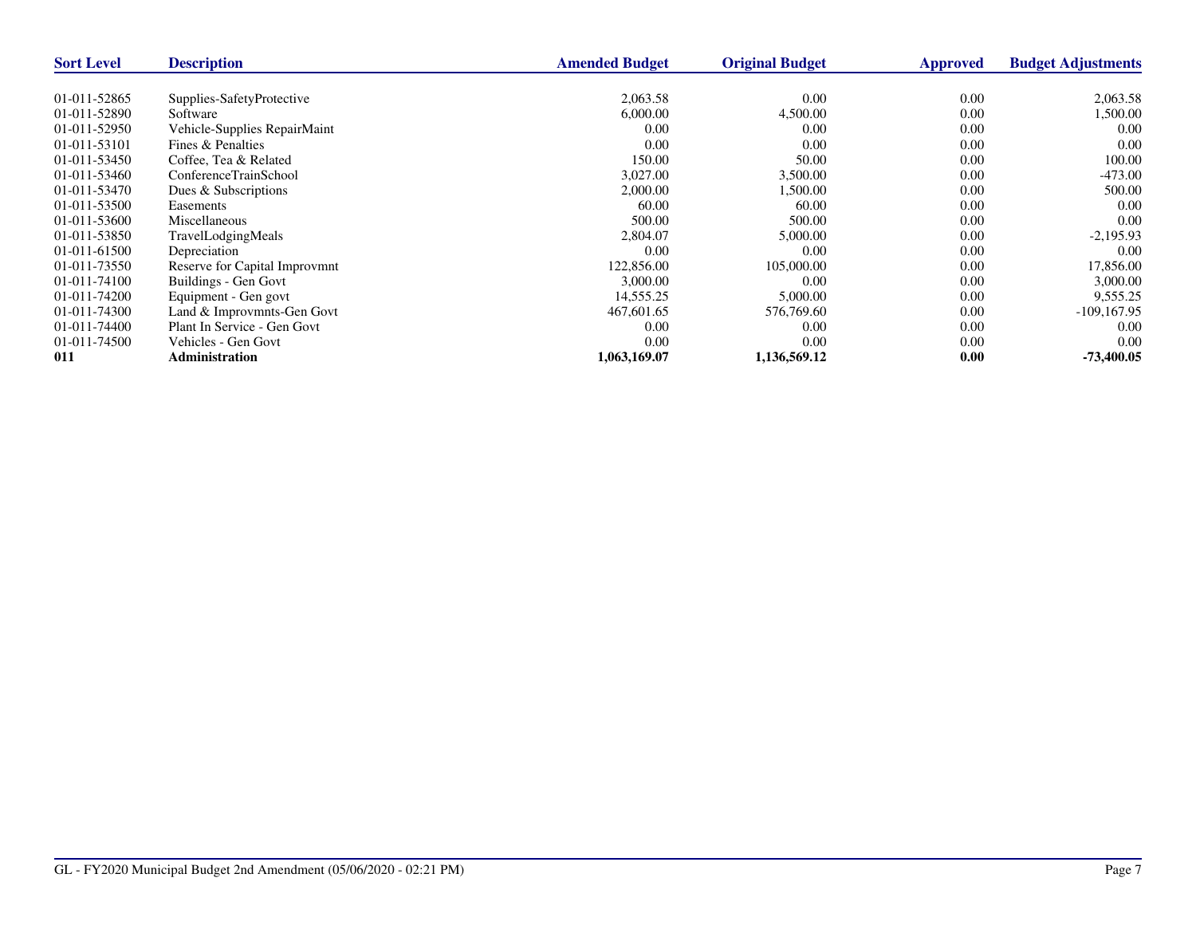| <b>Sort Level</b> | <b>Description</b>            | <b>Amended Budget</b> | <b>Original Budget</b> | <b>Approved</b> | <b>Budget Adjustments</b> |
|-------------------|-------------------------------|-----------------------|------------------------|-----------------|---------------------------|
|                   |                               |                       |                        |                 |                           |
| 01-011-52865      | Supplies-SafetyProtective     | 2,063.58              | 0.00                   | 0.00            | 2,063.58                  |
| 01-011-52890      | Software                      | 6,000.00              | 4,500.00               | 0.00            | 1,500.00                  |
| 01-011-52950      | Vehicle-Supplies RepairMaint  | 0.00                  | 0.00                   | 0.00            | 0.00                      |
| 01-011-53101      | Fines & Penalties             | 0.00                  | 0.00                   | 0.00            | 0.00                      |
| 01-011-53450      | Coffee, Tea & Related         | 150.00                | 50.00                  | 0.00            | 100.00                    |
| 01-011-53460      | ConferenceTrainSchool         | 3,027.00              | 3,500.00               | 0.00            | $-473.00$                 |
| 01-011-53470      | Dues & Subscriptions          | 2,000.00              | 1,500.00               | 0.00            | 500.00                    |
| 01-011-53500      | Easements                     | 60.00                 | 60.00                  | 0.00            | 0.00                      |
| 01-011-53600      | Miscellaneous                 | 500.00                | 500.00                 | 0.00            | 0.00                      |
| 01-011-53850      | TravelLodgingMeals            | 2,804.07              | 5,000.00               | 0.00            | $-2,195.93$               |
| 01-011-61500      | Depreciation                  | 0.00                  | 0.00                   | 0.00            | 0.00                      |
| 01-011-73550      | Reserve for Capital Improvmnt | 122,856.00            | 105,000.00             | 0.00            | 17,856.00                 |
| 01-011-74100      | Buildings - Gen Govt          | 3,000.00              | 0.00                   | 0.00            | 3,000.00                  |
| 01-011-74200      | Equipment - Gen govt          | 14,555.25             | 5,000.00               | 0.00            | 9,555.25                  |
| 01-011-74300      | Land & Improvmnts-Gen Govt    | 467,601.65            | 576,769.60             | 0.00            | $-109, 167.95$            |
| 01-011-74400      | Plant In Service - Gen Govt   | 0.00                  | 0.00                   | 0.00            | 0.00                      |
| 01-011-74500      | Vehicles - Gen Govt           | 0.00                  | 0.00                   | 0.00            | 0.00                      |
| 011               | <b>Administration</b>         | 1,063,169.07          | 1,136,569.12           | 0.00            | $-73,400.05$              |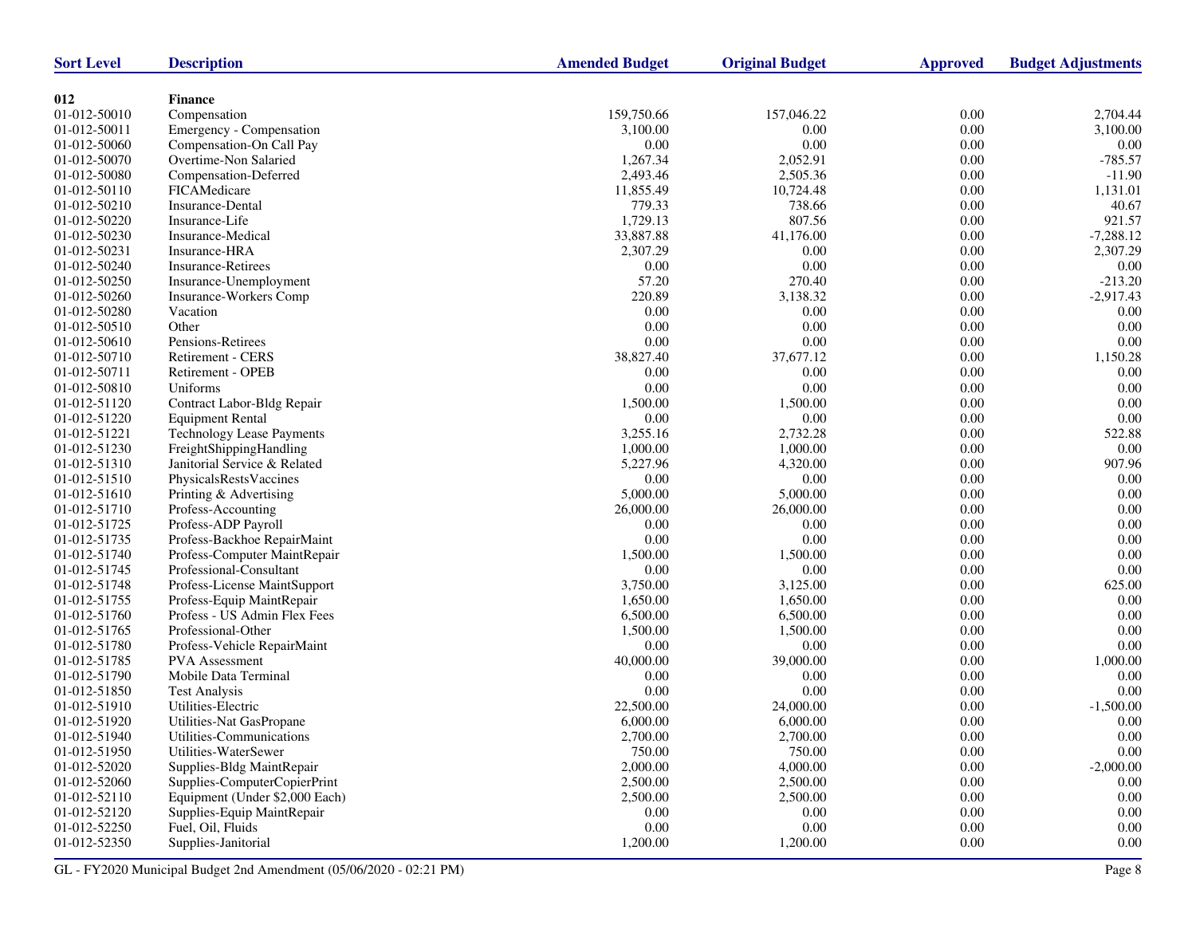| <b>Sort Level</b>            | <b>Description</b>                                | <b>Amended Budget</b>  | <b>Original Budget</b> | <b>Approved</b>  | <b>Budget Adjustments</b> |
|------------------------------|---------------------------------------------------|------------------------|------------------------|------------------|---------------------------|
|                              |                                                   |                        |                        |                  |                           |
| 012                          | <b>Finance</b>                                    |                        |                        |                  | 2,704.44                  |
| 01-012-50010<br>01-012-50011 | Compensation                                      | 159,750.66<br>3,100.00 | 157,046.22<br>0.00     | 0.00<br>$0.00\,$ | 3,100.00                  |
|                              | Emergency - Compensation                          |                        | 0.00                   |                  |                           |
| 01-012-50060<br>01-012-50070 | Compensation-On Call Pay<br>Overtime-Non Salaried | 0.00<br>1,267.34       |                        | 0.00<br>0.00     | 0.00<br>$-785.57$         |
|                              |                                                   |                        | 2,052.91               |                  |                           |
| 01-012-50080                 | Compensation-Deferred                             | 2,493.46               | 2,505.36               | $0.00\,$         | $-11.90$                  |
| 01-012-50110                 | FICAMedicare                                      | 11,855.49              | 10,724.48              | $0.00\,$         | 1,131.01                  |
| 01-012-50210                 | Insurance-Dental                                  | 779.33                 | 738.66                 | 0.00             | 40.67                     |
| 01-012-50220                 | Insurance-Life                                    | 1,729.13<br>33,887.88  | 807.56                 | $0.00\,$         | 921.57                    |
| 01-012-50230                 | Insurance-Medical                                 |                        | 41,176.00              | $0.00\,$         | $-7,288.12$               |
| 01-012-50231                 | Insurance-HRA                                     | 2,307.29               | 0.00                   | 0.00             | 2,307.29                  |
| 01-012-50240                 | <b>Insurance-Retirees</b>                         | $0.00\,$               | 0.00                   | 0.00             | 0.00                      |
| 01-012-50250                 | Insurance-Unemployment                            | 57.20                  | 270.40                 | $0.00\,$         | $-213.20$                 |
| 01-012-50260                 | Insurance-Workers Comp                            | 220.89                 | 3,138.32               | 0.00             | $-2,917.43$               |
| 01-012-50280                 | Vacation                                          | 0.00                   | 0.00                   | 0.00             | 0.00                      |
| 01-012-50510                 | Other                                             | 0.00                   | 0.00                   | $0.00\,$         | 0.00                      |
| 01-012-50610                 | Pensions-Retirees                                 | 0.00                   | 0.00                   | 0.00             | $0.00\,$                  |
| 01-012-50710                 | Retirement - CERS                                 | 38,827.40              | 37,677.12              | 0.00             | 1,150.28                  |
| 01-012-50711                 | Retirement - OPEB                                 | 0.00                   | 0.00                   | $0.00\,$         | 0.00                      |
| 01-012-50810                 | Uniforms                                          | 0.00                   | 0.00                   | 0.00             | 0.00                      |
| 01-012-51120                 | Contract Labor-Bldg Repair                        | 1,500.00               | 1,500.00               | $0.00\,$         | 0.00                      |
| 01-012-51220                 | <b>Equipment Rental</b>                           | 0.00                   | 0.00                   | $0.00\,$         | $0.00\,$                  |
| 01-012-51221                 | <b>Technology Lease Payments</b>                  | 3,255.16               | 2,732.28               | 0.00             | 522.88                    |
| 01-012-51230                 | FreightShippingHandling                           | 1,000.00               | 1,000.00               | 0.00             | 0.00                      |
| 01-012-51310                 | Janitorial Service & Related                      | 5,227.96               | 4,320.00               | 0.00             | 907.96                    |
| 01-012-51510                 | PhysicalsRestsVaccines                            | 0.00                   | 0.00                   | 0.00             | $0.00\,$                  |
| 01-012-51610                 | Printing & Advertising                            | 5,000.00               | 5,000.00               | 0.00             | 0.00                      |
| 01-012-51710                 | Profess-Accounting                                | 26,000.00              | 26,000.00              | $0.00\,$         | 0.00                      |
| 01-012-51725                 | Profess-ADP Payroll                               | 0.00                   | 0.00                   | 0.00             | $0.00\,$                  |
| 01-012-51735                 | Profess-Backhoe RepairMaint                       | 0.00                   | 0.00                   | 0.00             | 0.00                      |
| 01-012-51740                 | Profess-Computer MaintRepair                      | 1,500.00               | 1,500.00               | 0.00             | 0.00                      |
| 01-012-51745                 | Professional-Consultant                           | 0.00                   | 0.00                   | 0.00             | $0.00\,$                  |
| 01-012-51748                 | Profess-License MaintSupport                      | 3,750.00               | 3,125.00               | 0.00             | 625.00                    |
| 01-012-51755                 | Profess-Equip MaintRepair                         | 1,650.00               | 1,650.00               | $0.00\,$         | 0.00                      |
| 01-012-51760                 | Profess - US Admin Flex Fees                      | 6,500.00               | 6,500.00               | 0.00             | 0.00                      |
| 01-012-51765                 | Professional-Other                                | 1,500.00               | 1,500.00               | 0.00             | 0.00                      |
| 01-012-51780                 | Profess-Vehicle RepairMaint                       | $0.00\,$               | 0.00                   | $0.00\,$         | 0.00                      |
| 01-012-51785                 | <b>PVA</b> Assessment                             | 40,000.00              | 39,000.00              | 0.00             | 1,000.00                  |
| 01-012-51790                 | Mobile Data Terminal                              | 0.00                   | 0.00                   | 0.00             | 0.00                      |
| 01-012-51850                 | <b>Test Analysis</b>                              | 0.00                   | 0.00                   | 0.00             | 0.00                      |
| 01-012-51910                 | Utilities-Electric                                | 22,500.00              | 24,000.00              | 0.00             | $-1,500.00$               |
| 01-012-51920                 | Utilities-Nat GasPropane                          | 6,000.00               | 6,000.00               | 0.00             | 0.00                      |
| 01-012-51940                 | Utilities-Communications                          | 2,700.00               | 2,700.00               | $0.00\,$         | $0.00\,$                  |
| 01-012-51950                 | Utilities-WaterSewer                              | 750.00                 | 750.00                 | 0.00             | $0.00\,$                  |
| 01-012-52020                 | Supplies-Bldg MaintRepair                         | 2,000.00               | 4,000.00               | 0.00             | $-2,000.00$               |
| 01-012-52060                 | Supplies-ComputerCopierPrint                      | 2,500.00               | 2,500.00               | 0.00             | $0.00\,$                  |
| 01-012-52110                 | Equipment (Under \$2,000 Each)                    | 2,500.00               | 2,500.00               | 0.00             | $0.00\,$                  |
| 01-012-52120                 | Supplies-Equip MaintRepair                        | 0.00                   | 0.00                   | 0.00             | $0.00\,$                  |
| 01-012-52250                 | Fuel, Oil, Fluids                                 | $0.00\,$               | 0.00                   | 0.00             | 0.00                      |
| 01-012-52350                 | Supplies-Janitorial                               | 1,200.00               | 1,200.00               | 0.00             | 0.00                      |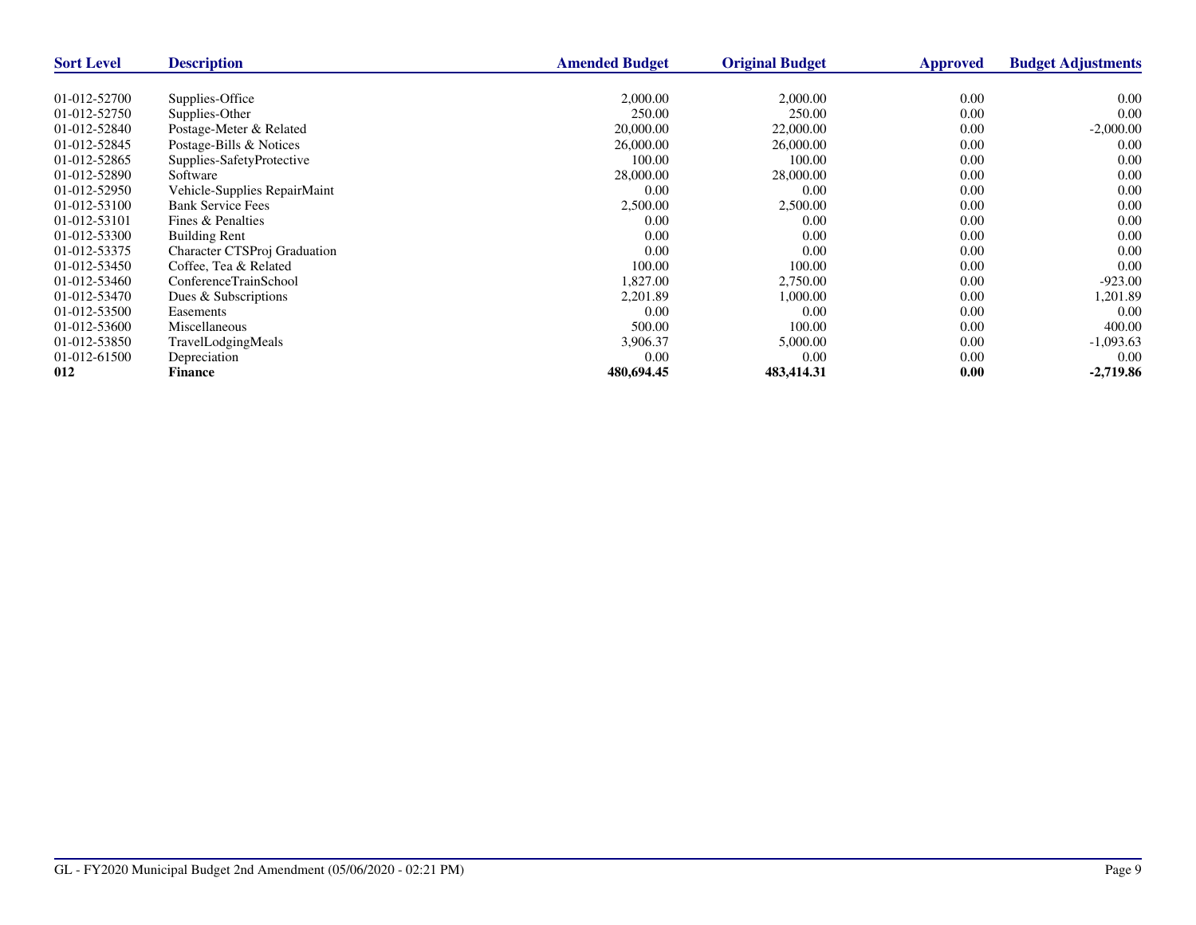| <b>Sort Level</b> | <b>Description</b>           | <b>Amended Budget</b> | <b>Original Budget</b> | Approved | <b>Budget Adjustments</b> |
|-------------------|------------------------------|-----------------------|------------------------|----------|---------------------------|
|                   |                              |                       |                        |          |                           |
| 01-012-52700      | Supplies-Office              | 2,000.00              | 2,000.00               | 0.00     | $0.00\,$                  |
| 01-012-52750      | Supplies-Other               | 250.00                | 250.00                 | 0.00     | 0.00                      |
| 01-012-52840      | Postage-Meter & Related      | 20,000.00             | 22,000.00              | 0.00     | $-2,000.00$               |
| 01-012-52845      | Postage-Bills & Notices      | 26,000.00             | 26,000.00              | 0.00     | 0.00                      |
| 01-012-52865      | Supplies-SafetyProtective    | 100.00                | 100.00                 | 0.00     | 0.00                      |
| 01-012-52890      | Software                     | 28,000.00             | 28,000.00              | 0.00     | 0.00                      |
| 01-012-52950      | Vehicle-Supplies RepairMaint | 0.00                  | 0.00                   | 0.00     | 0.00                      |
| 01-012-53100      | <b>Bank Service Fees</b>     | 2,500.00              | 2,500.00               | 0.00     | 0.00                      |
| 01-012-53101      | Fines & Penalties            | 0.00                  | 0.00                   | 0.00     | 0.00                      |
| 01-012-53300      | <b>Building Rent</b>         | 0.00                  | 0.00                   | 0.00     | 0.00                      |
| 01-012-53375      | Character CTSProj Graduation | 0.00                  | 0.00                   | 0.00     | 0.00                      |
| 01-012-53450      | Coffee, Tea & Related        | 100.00                | 100.00                 | 0.00     | 0.00                      |
| 01-012-53460      | ConferenceTrainSchool        | 1,827.00              | 2,750.00               | 0.00     | $-923.00$                 |
| 01-012-53470      | Dues & Subscriptions         | 2,201.89              | 1,000.00               | 0.00     | 1,201.89                  |
| 01-012-53500      | Easements                    | 0.00                  | 0.00                   | 0.00     | 0.00                      |
| 01-012-53600      | <b>Miscellaneous</b>         | 500.00                | 100.00                 | 0.00     | 400.00                    |
| 01-012-53850      | TravelLodgingMeals           | 3,906.37              | 5,000.00               | 0.00     | $-1,093.63$               |
| 01-012-61500      | Depreciation                 | 0.00                  | 0.00                   | 0.00     | 0.00                      |
| 012               | <b>Finance</b>               | 480,694.45            | 483,414.31             | 0.00     | $-2,719.86$               |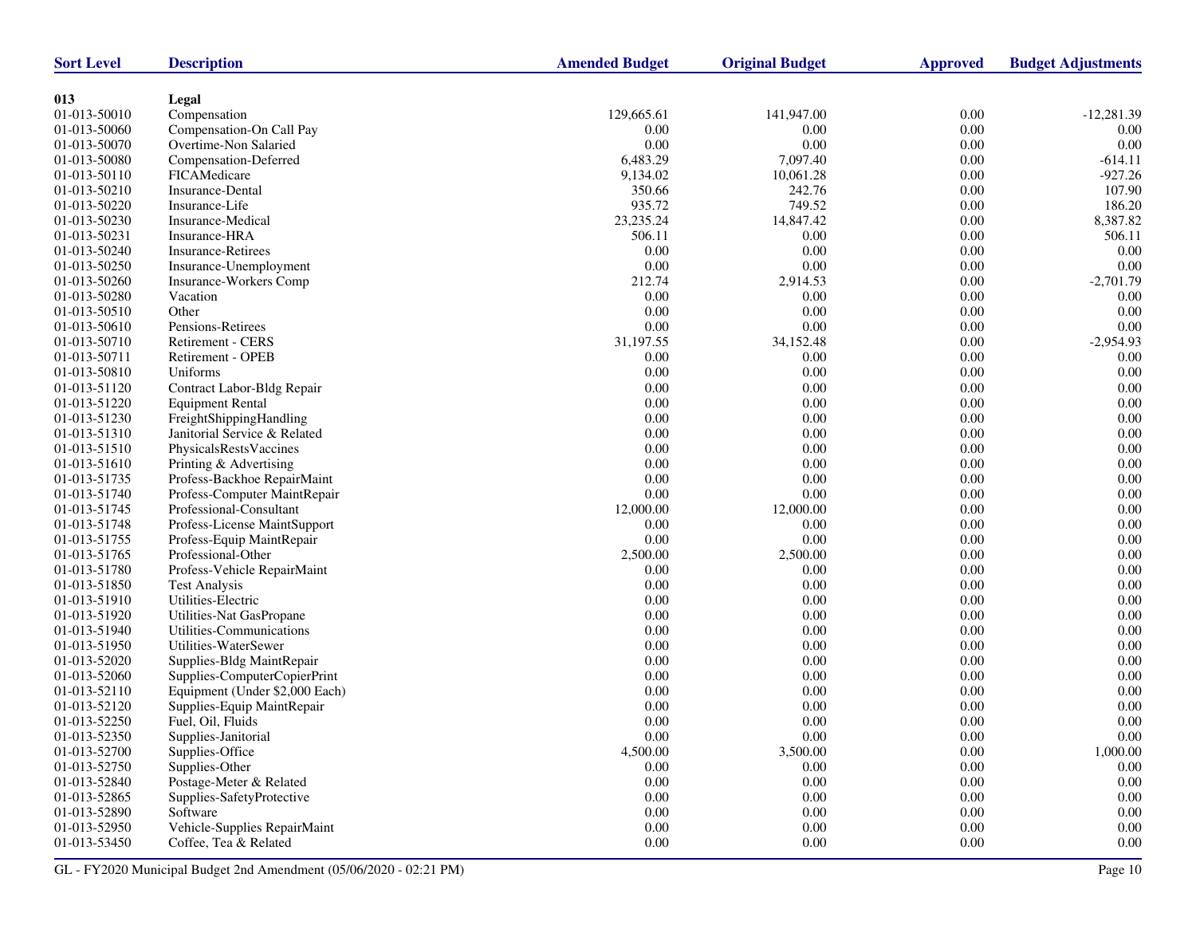| <b>Sort Level</b> | <b>Description</b>             | <b>Amended Budget</b> | <b>Original Budget</b> | <b>Approved</b> | <b>Budget Adjustments</b> |
|-------------------|--------------------------------|-----------------------|------------------------|-----------------|---------------------------|
|                   |                                |                       |                        |                 |                           |
| 013               | Legal                          |                       |                        |                 |                           |
| 01-013-50010      | Compensation                   | 129,665.61            | 141,947.00             | 0.00            | $-12,281.39$              |
| 01-013-50060      | Compensation-On Call Pay       | 0.00                  | 0.00                   | $0.00\,$        | 0.00                      |
| 01-013-50070      | Overtime-Non Salaried          | $0.00\,$              | 0.00                   | 0.00            | $0.00\,$                  |
| 01-013-50080      | Compensation-Deferred          | 6,483.29              | 7,097.40               | 0.00            | $-614.11$                 |
| 01-013-50110      | FICAMedicare                   | 9,134.02              | 10,061.28              | 0.00            | $-927.26$                 |
| 01-013-50210      | Insurance-Dental               | 350.66                | 242.76                 | $0.00\,$        | 107.90                    |
| 01-013-50220      | Insurance-Life                 | 935.72                | 749.52                 | 0.00            | 186.20                    |
| 01-013-50230      | Insurance-Medical              | 23, 235. 24           | 14,847.42              | 0.00            | 8,387.82                  |
| 01-013-50231      | Insurance-HRA                  | 506.11                | 0.00                   | $0.00\,$        | 506.11                    |
| 01-013-50240      | <b>Insurance-Retirees</b>      | $0.00\,$              | 0.00                   | 0.00            | 0.00                      |
| 01-013-50250      | Insurance-Unemployment         | $0.00\,$              | 0.00                   | 0.00            | 0.00                      |
| 01-013-50260      | Insurance-Workers Comp         | 212.74                | 2,914.53               | $0.00\,$        | $-2,701.79$               |
| 01-013-50280      | Vacation                       | $0.00\,$              | 0.00                   | 0.00            | 0.00                      |
| 01-013-50510      | Other                          | 0.00                  | 0.00                   | 0.00            | 0.00                      |
| 01-013-50610      | Pensions-Retirees              | 0.00                  | 0.00                   | 0.00            | 0.00                      |
| 01-013-50710      | Retirement - CERS              | 31,197.55             | 34,152.48              | 0.00            | $-2,954.93$               |
| 01-013-50711      | Retirement - OPEB              | 0.00                  | 0.00                   | 0.00            | 0.00                      |
| 01-013-50810      | Uniforms                       | 0.00                  | 0.00                   | 0.00            | 0.00                      |
| 01-013-51120      | Contract Labor-Bldg Repair     | $0.00\,$              | 0.00                   | $0.00\,$        | $0.00\,$                  |
| 01-013-51220      | <b>Equipment Rental</b>        | 0.00                  | 0.00                   | 0.00            | 0.00                      |
| 01-013-51230      | FreightShippingHandling        | 0.00                  | 0.00                   | 0.00            | 0.00                      |
| 01-013-51310      | Janitorial Service & Related   | $0.00\,$              | 0.00                   | 0.00            | $0.00\,$                  |
| 01-013-51510      | PhysicalsRestsVaccines         | 0.00                  | 0.00                   | 0.00            | 0.00                      |
| 01-013-51610      | Printing & Advertising         | $0.00\,$              | 0.00                   | 0.00            | 0.00                      |
| 01-013-51735      | Profess-Backhoe RepairMaint    | $0.00\,$              | 0.00                   | 0.00            | $0.00\,$                  |
| 01-013-51740      | Profess-Computer MaintRepair   | 0.00                  | 0.00                   | 0.00            | 0.00                      |
| 01-013-51745      | Professional-Consultant        | 12,000.00             | 12,000.00              | 0.00            | 0.00                      |
| 01-013-51748      | Profess-License MaintSupport   | 0.00                  | 0.00                   | 0.00            | 0.00                      |
| 01-013-51755      | Profess-Equip MaintRepair      | 0.00                  | 0.00                   | 0.00            | 0.00                      |
| 01-013-51765      | Professional-Other             | 2,500.00              | 2,500.00               | 0.00            | $0.00\,$                  |
| 01-013-51780      | Profess-Vehicle RepairMaint    | 0.00                  | 0.00                   | 0.00            | 0.00                      |
| 01-013-51850      | <b>Test Analysis</b>           | 0.00                  | 0.00                   | 0.00            | 0.00                      |
| 01-013-51910      | Utilities-Electric             | 0.00                  | 0.00                   | $0.00\,$        | $0.00\,$                  |
| 01-013-51920      | Utilities-Nat GasPropane       | 0.00                  | 0.00                   | 0.00            | 0.00                      |
| 01-013-51940      | Utilities-Communications       | 0.00                  | 0.00                   | 0.00            | 0.00                      |
| 01-013-51950      | Utilities-WaterSewer           | 0.00                  | 0.00                   | $0.00\,$        | $0.00\,$                  |
| 01-013-52020      | Supplies-Bldg MaintRepair      | 0.00                  | 0.00                   | 0.00            | 0.00                      |
| 01-013-52060      | Supplies-ComputerCopierPrint   | 0.00                  | 0.00                   | 0.00            | 0.00                      |
| 01-013-52110      | Equipment (Under \$2,000 Each) | 0.00                  | 0.00                   | 0.00            | 0.00                      |
| 01-013-52120      | Supplies-Equip MaintRepair     | 0.00                  | 0.00                   | 0.00            | 0.00                      |
| 01-013-52250      | Fuel, Oil, Fluids              | 0.00                  | 0.00                   | 0.00            | 0.00                      |
| 01-013-52350      | Supplies-Janitorial            | $0.00\,$              | 0.00                   | 0.00            | $0.00\,$                  |
| 01-013-52700      | Supplies-Office                | 4,500.00              | 3,500.00               | 0.00            | 1,000.00                  |
| 01-013-52750      | Supplies-Other                 | 0.00                  | 0.00                   | 0.00            | 0.00                      |
| 01-013-52840      | Postage-Meter & Related        | 0.00                  | $0.00\,$               | 0.00            | $0.00\,$                  |
| 01-013-52865      | Supplies-SafetyProtective      | 0.00                  | $0.00\,$               | 0.00            | 0.00                      |
| 01-013-52890      | Software                       | 0.00                  | $0.00\,$               | 0.00            | 0.00                      |
| 01-013-52950      | Vehicle-Supplies RepairMaint   | 0.00                  | $0.00\,$               | 0.00            | 0.00                      |
|                   | Coffee, Tea & Related          |                       | $0.00\,$               | $0.00\,$        |                           |
| 01-013-53450      |                                | 0.00                  |                        |                 | 0.00                      |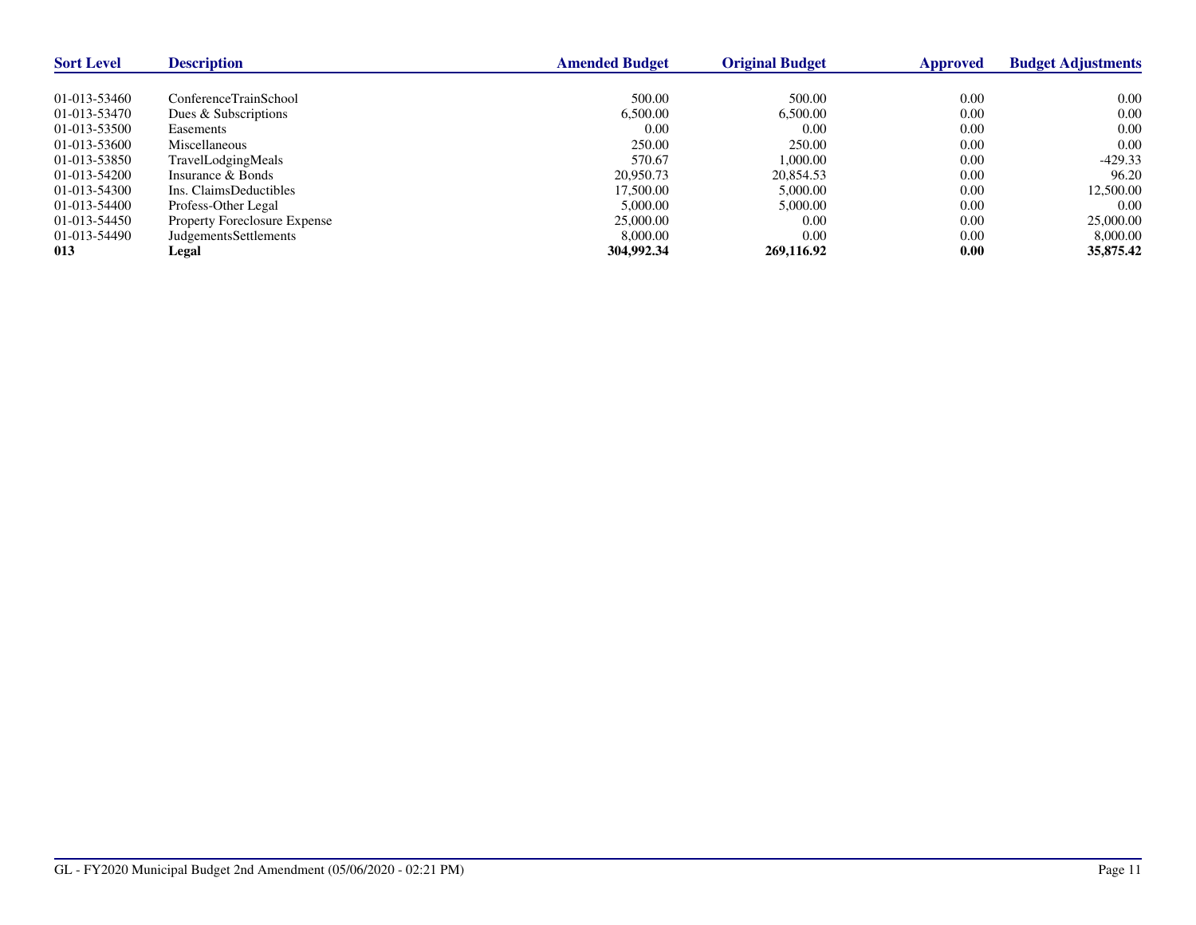| <b>Sort Level</b> | <b>Description</b>                  | <b>Amended Budget</b> | <b>Original Budget</b> | Approved | <b>Budget Adjustments</b> |
|-------------------|-------------------------------------|-----------------------|------------------------|----------|---------------------------|
|                   |                                     |                       |                        |          |                           |
| 01-013-53460      | ConferenceTrainSchool               | 500.00                | 500.00                 | 0.00     | 0.00                      |
| 01-013-53470      | Dues & Subscriptions                | 6,500.00              | 6,500.00               | 0.00     | 0.00                      |
| 01-013-53500      | Easements                           | 0.00                  | 0.00                   | 0.00     | 0.00                      |
| 01-013-53600      | Miscellaneous                       | 250.00                | 250.00                 | 0.00     | 0.00                      |
| 01-013-53850      | TravelLodgingMeals                  | 570.67                | 1,000.00               | 0.00     | $-429.33$                 |
| 01-013-54200      | Insurance & Bonds                   | 20,950.73             | 20,854.53              | 0.00     | 96.20                     |
| 01-013-54300      | Ins. ClaimsDeductibles              | 17,500.00             | 5,000.00               | 0.00     | 12,500.00                 |
| 01-013-54400      | Profess-Other Legal                 | 5,000.00              | 5,000.00               | 0.00     | 0.00                      |
| 01-013-54450      | <b>Property Foreclosure Expense</b> | 25,000.00             | 0.00                   | 0.00     | 25,000.00                 |
| 01-013-54490      | <b>JudgementsSettlements</b>        | 8,000.00              | 0.00                   | 0.00     | 8,000.00                  |
| 013               | Legal                               | 304.992.34            | 269,116.92             | 0.00     | 35,875.42                 |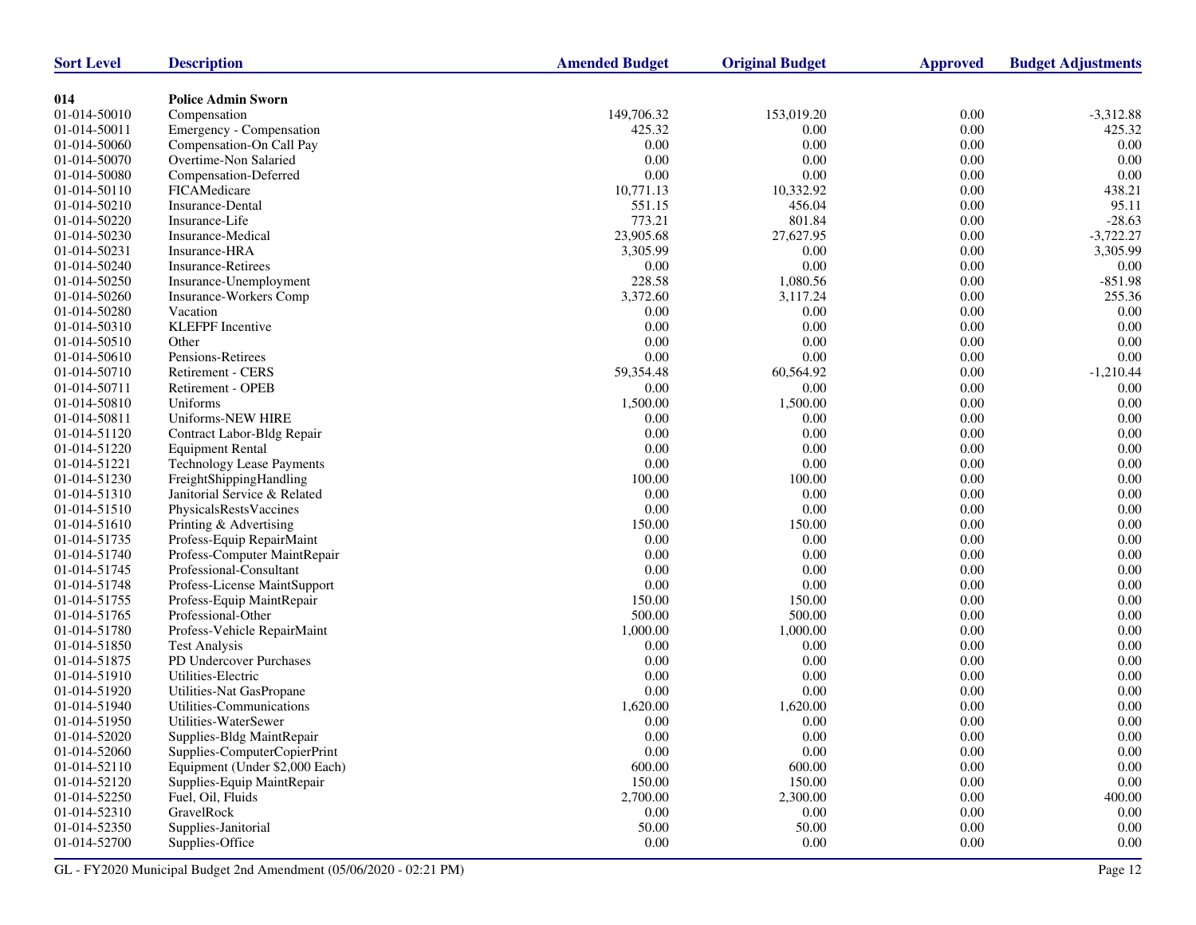| <b>Sort Level</b> | <b>Description</b>               | <b>Amended Budget</b> | <b>Original Budget</b> | <b>Approved</b> | <b>Budget Adjustments</b> |
|-------------------|----------------------------------|-----------------------|------------------------|-----------------|---------------------------|
|                   |                                  |                       |                        |                 |                           |
| 014               | <b>Police Admin Sworn</b>        |                       |                        |                 |                           |
| 01-014-50010      | Compensation                     | 149,706.32            | 153,019.20             | 0.00            | $-3,312.88$               |
| 01-014-50011      | Emergency - Compensation         | 425.32                | 0.00                   | $0.00\,$        | 425.32                    |
| 01-014-50060      | Compensation-On Call Pay         | 0.00                  | 0.00                   | 0.00            | 0.00                      |
| 01-014-50070      | Overtime-Non Salaried            | 0.00                  | 0.00                   | 0.00            | 0.00                      |
| 01-014-50080      | Compensation-Deferred            | 0.00                  | 0.00                   | $0.00\,$        | $0.00\,$                  |
| 01-014-50110      | FICAMedicare                     | 10,771.13             | 10,332.92              | $0.00\,$        | 438.21                    |
| 01-014-50210      | Insurance-Dental                 | 551.15                | 456.04                 | 0.00            | 95.11                     |
| 01-014-50220      | Insurance-Life                   | 773.21                | 801.84                 | $0.00\,$        | $-28.63$                  |
| 01-014-50230      | Insurance-Medical                | 23,905.68             | 27,627.95              | $0.00\,$        | $-3,722.27$               |
| 01-014-50231      | Insurance-HRA                    | 3,305.99              | 0.00                   | 0.00            | 3,305.99                  |
| 01-014-50240      | <b>Insurance-Retirees</b>        | 0.00                  | 0.00                   | 0.00            | 0.00                      |
| 01-014-50250      | Insurance-Unemployment           | 228.58                | 1,080.56               | $0.00\,$        | $-851.98$                 |
| 01-014-50260      | Insurance-Workers Comp           | 3,372.60              | 3,117.24               | 0.00            | 255.36                    |
| 01-014-50280      | Vacation                         | 0.00                  | 0.00                   | 0.00            | 0.00                      |
| 01-014-50310      | <b>KLEFPF</b> Incentive          | 0.00                  | 0.00                   | $0.00\,$        | 0.00                      |
| 01-014-50510      | Other                            | 0.00                  | 0.00                   | 0.00            | $0.00\,$                  |
| 01-014-50610      | Pensions-Retirees                | 0.00                  | 0.00                   | 0.00            | 0.00                      |
| 01-014-50710      | Retirement - CERS                | 59,354.48             | 60,564.92              | $0.00\,$        | $-1,210.44$               |
| 01-014-50711      | Retirement - OPEB                | $0.00\,$              | 0.00                   | 0.00            | 0.00                      |
| 01-014-50810      | Uniforms                         | 1,500.00              | 1,500.00               | 0.00            | 0.00                      |
| 01-014-50811      | Uniforms-NEW HIRE                | 0.00                  | 0.00                   | $0.00\,$        | 0.00                      |
| 01-014-51120      | Contract Labor-Bldg Repair       | 0.00                  | 0.00                   | 0.00            | $0.00\,$                  |
| 01-014-51220      | <b>Equipment Rental</b>          | 0.00                  | 0.00                   | 0.00            | 0.00                      |
| 01-014-51221      | <b>Technology Lease Payments</b> | $0.00\,$              | 0.00                   | 0.00            | 0.00                      |
| 01-014-51230      | FreightShippingHandling          | 100.00                | 100.00                 | 0.00            | $0.00\,$                  |
| 01-014-51310      | Janitorial Service & Related     | 0.00                  | 0.00                   | 0.00            | 0.00                      |
| 01-014-51510      | PhysicalsRestsVaccines           | 0.00                  | 0.00                   | $0.00\,$        | $0.00\,$                  |
| 01-014-51610      | Printing & Advertising           | 150.00                | 150.00                 | 0.00            | 0.00                      |
| 01-014-51735      | Profess-Equip RepairMaint        | 0.00                  | 0.00                   | $0.00\,$        | 0.00                      |
| 01-014-51740      | Profess-Computer MaintRepair     | 0.00                  | 0.00                   | $0.00\,$        | 0.00                      |
| 01-014-51745      | Professional-Consultant          | 0.00                  | 0.00                   | 0.00            | $0.00\,$                  |
| 01-014-51748      | Profess-License MaintSupport     | 0.00                  | 0.00                   | 0.00            | 0.00                      |
| 01-014-51755      | Profess-Equip MaintRepair        | 150.00                | 150.00                 | $0.00\,$        | $0.00\,$                  |
| 01-014-51765      | Professional-Other               | 500.00                | 500.00                 | 0.00            | 0.00                      |
| 01-014-51780      | Profess-Vehicle RepairMaint      | 1,000.00              | 1,000.00               | 0.00            | 0.00                      |
| 01-014-51850      | <b>Test Analysis</b>             | 0.00                  | 0.00                   | $0.00\,$        | $0.00\,$                  |
| 01-014-51875      | PD Undercover Purchases          | 0.00                  | 0.00                   | 0.00            | 0.00                      |
| 01-014-51910      | Utilities-Electric               | 0.00                  | 0.00                   | 0.00            | 0.00                      |
| 01-014-51920      | Utilities-Nat GasPropane         | $0.00\,$              | 0.00                   | 0.00            | 0.00                      |
| 01-014-51940      | Utilities-Communications         | 1,620.00              | 1,620.00               | 0.00            | 0.00                      |
| 01-014-51950      | Utilities-WaterSewer             | 0.00                  | 0.00                   | 0.00            | 0.00                      |
| 01-014-52020      | Supplies-Bldg MaintRepair        | 0.00                  | 0.00                   | 0.00            | $0.00\,$                  |
| 01-014-52060      | Supplies-ComputerCopierPrint     | 0.00                  | 0.00                   | 0.00            | 0.00                      |
| 01-014-52110      | Equipment (Under \$2,000 Each)   | 600.00                | 600.00                 | 0.00            | $0.00\,$                  |
| 01-014-52120      | Supplies-Equip MaintRepair       | 150.00                | 150.00                 | 0.00            | $0.00\,$                  |
| 01-014-52250      | Fuel, Oil, Fluids                | 2,700.00              | 2,300.00               | 0.00            | 400.00                    |
| 01-014-52310      | GravelRock                       | 0.00                  | 0.00                   | 0.00            | 0.00                      |
| 01-014-52350      | Supplies-Janitorial              | 50.00                 | 50.00                  | 0.00            | 0.00                      |
| 01-014-52700      | Supplies-Office                  | 0.00                  | 0.00                   | 0.00            | 0.00                      |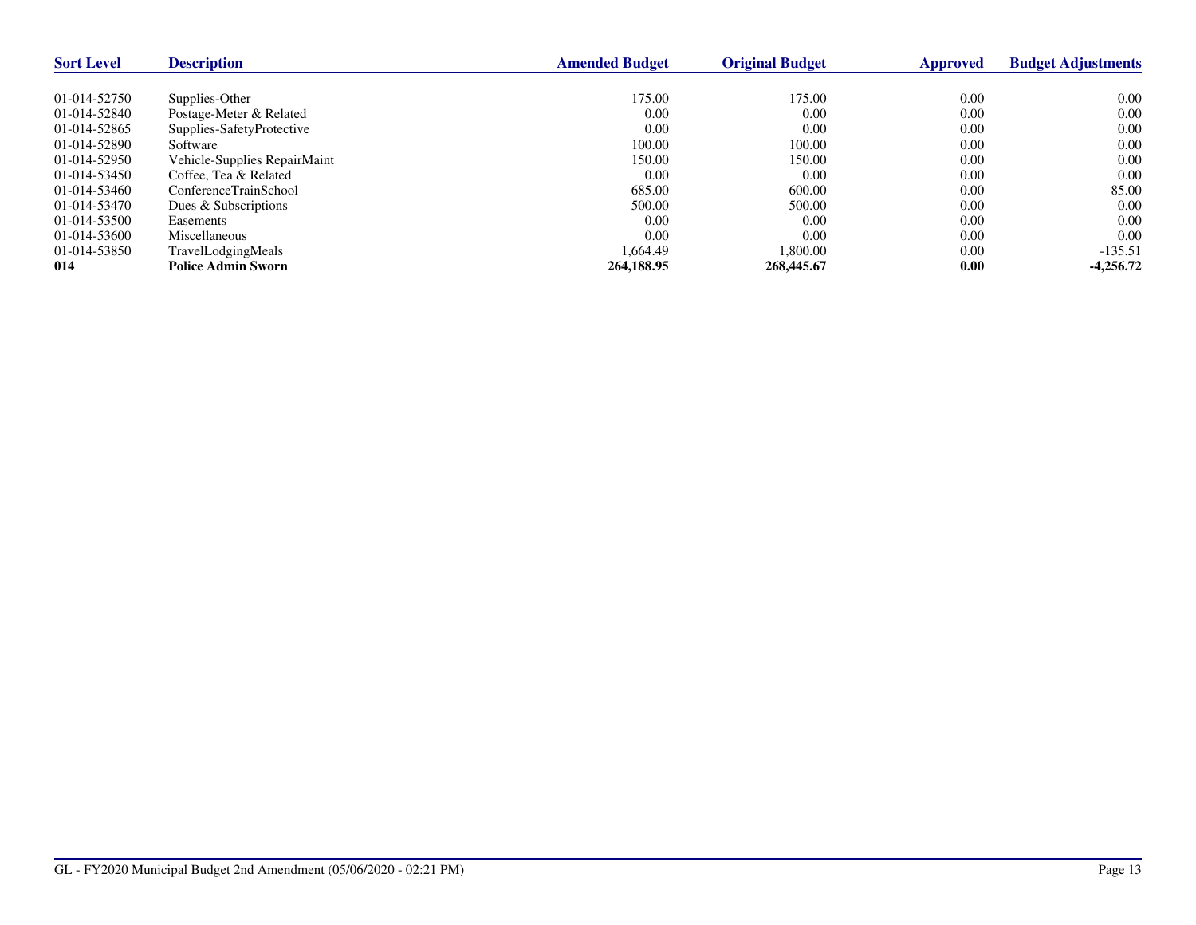| <b>Sort Level</b> | <b>Description</b>           | <b>Amended Budget</b> | <b>Original Budget</b> | Approved | <b>Budget Adjustments</b> |
|-------------------|------------------------------|-----------------------|------------------------|----------|---------------------------|
|                   |                              |                       |                        |          |                           |
| 01-014-52750      | Supplies-Other               | 175.00                | 175.00                 | 0.00     | 0.00                      |
| 01-014-52840      | Postage-Meter & Related      | 0.00                  | 0.00                   | 0.00     | 0.00                      |
| 01-014-52865      | Supplies-SafetyProtective    | 0.00                  | 0.00                   | 0.00     | 0.00                      |
| 01-014-52890      | Software                     | 100.00                | 100.00                 | 0.00     | 0.00                      |
| 01-014-52950      | Vehicle-Supplies RepairMaint | 150.00                | 150.00                 | 0.00     | 0.00                      |
| 01-014-53450      | Coffee, Tea & Related        | 0.00                  | 0.00                   | 0.00     | 0.00                      |
| 01-014-53460      | ConferenceTrainSchool        | 685.00                | 600.00                 | 0.00     | 85.00                     |
| 01-014-53470      | Dues & Subscriptions         | 500.00                | 500.00                 | 0.00     | 0.00                      |
| 01-014-53500      | Easements                    | 0.00                  | 0.00                   | 0.00     | 0.00                      |
| 01-014-53600      | Miscellaneous                | 0.00                  | 0.00                   | 0.00     | 0.00                      |
| 01-014-53850      | TravelLodgingMeals           | 1.664.49              | 1.800.00               | 0.00     | $-135.51$                 |
| 014               | <b>Police Admin Sworn</b>    | 264,188.95            | 268,445.67             | 0.00     | $-4.256.72$               |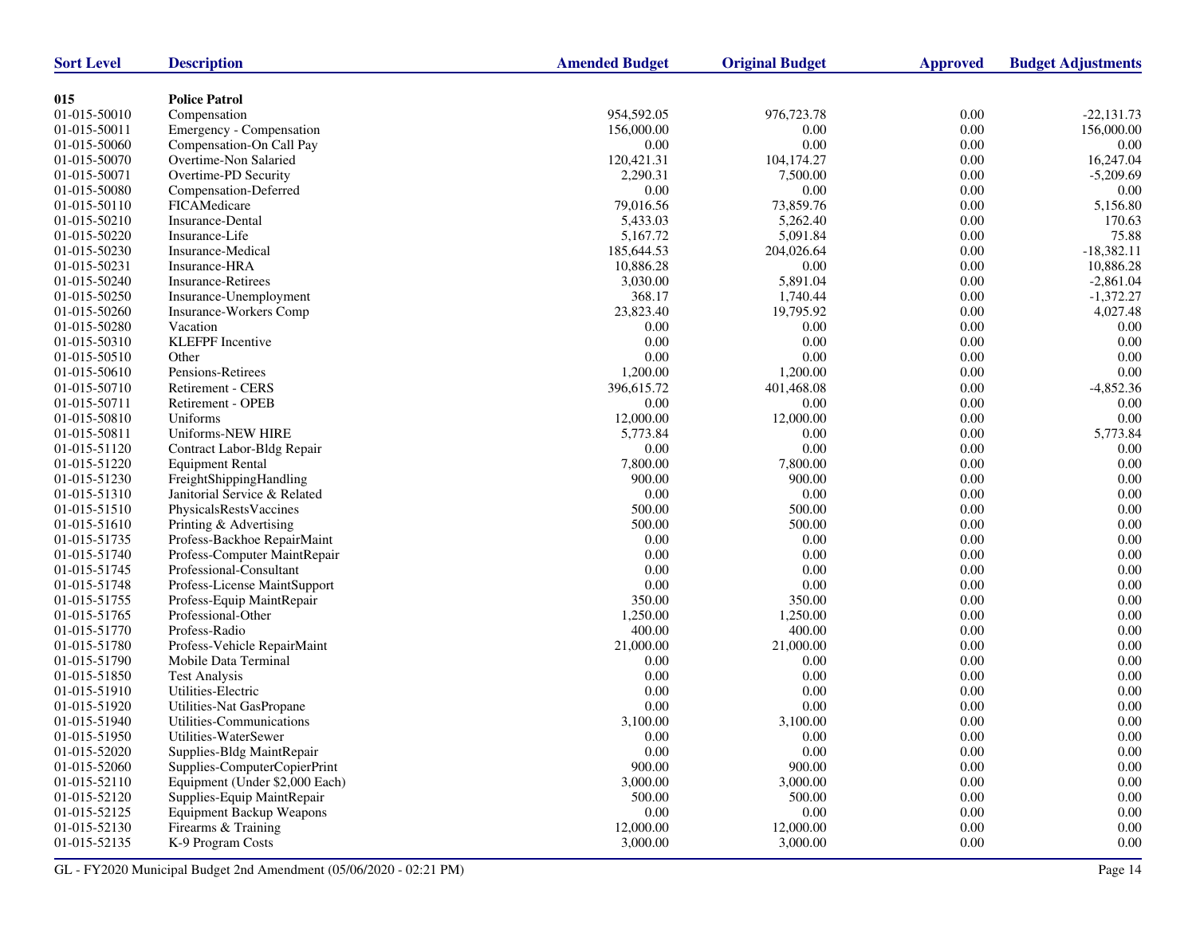| <b>Sort Level</b> | <b>Description</b>              | <b>Amended Budget</b> | <b>Original Budget</b> | <b>Approved</b> | <b>Budget Adjustments</b> |
|-------------------|---------------------------------|-----------------------|------------------------|-----------------|---------------------------|
|                   |                                 |                       |                        |                 |                           |
| 015               | <b>Police Patrol</b>            |                       |                        |                 |                           |
| 01-015-50010      | Compensation                    | 954,592.05            | 976,723.78             | 0.00            | $-22,131.73$              |
| 01-015-50011      | Emergency - Compensation        | 156,000.00            | 0.00                   | $0.00\,$        | 156,000.00                |
| 01-015-50060      | Compensation-On Call Pay        | 0.00                  | 0.00                   | 0.00            | 0.00                      |
| 01-015-50070      | Overtime-Non Salaried           | 120,421.31            | 104,174.27             | 0.00            | 16,247.04                 |
| 01-015-50071      | Overtime-PD Security            | 2,290.31              | 7,500.00               | $0.00\,$        | $-5,209.69$               |
| 01-015-50080      | Compensation-Deferred           | $0.00\,$              | 0.00                   | 0.00            | 0.00                      |
| 01-015-50110      | FICAMedicare                    | 79,016.56             | 73,859.76              | 0.00            | 5,156.80                  |
| 01-015-50210      | <b>Insurance-Dental</b>         | 5,433.03              | 5,262.40               | $0.00\,$        | 170.63                    |
| 01-015-50220      | Insurance-Life                  | 5,167.72              | 5,091.84               | 0.00            | 75.88                     |
| 01-015-50230      | Insurance-Medical               | 185,644.53            | 204,026.64             | 0.00            | $-18,382.11$              |
| 01-015-50231      | Insurance-HRA                   | 10,886.28             | 0.00                   | 0.00            | 10,886.28                 |
| 01-015-50240      | Insurance-Retirees              | 3,030.00              | 5,891.04               | 0.00            | $-2,861.04$               |
| 01-015-50250      | Insurance-Unemployment          | 368.17                | 1,740.44               | 0.00            | $-1,372.27$               |
| 01-015-50260      | <b>Insurance-Workers Comp</b>   | 23,823.40             | 19,795.92              | 0.00            | 4,027.48                  |
| 01-015-50280      | Vacation                        | 0.00                  | 0.00                   | $0.00\,$        | 0.00                      |
| 01-015-50310      | <b>KLEFPF</b> Incentive         | 0.00                  | 0.00                   | 0.00            | 0.00                      |
| 01-015-50510      | Other                           | $0.00\,$              | 0.00                   | 0.00            | 0.00                      |
| 01-015-50610      | Pensions-Retirees               | 1,200.00              | 1,200.00               | $0.00\,$        | $0.00\,$                  |
| 01-015-50710      | Retirement - CERS               | 396,615.72            | 401,468.08             | 0.00            | $-4,852.36$               |
| 01-015-50711      | Retirement - OPEB               | 0.00                  | 0.00                   | 0.00            | 0.00                      |
| 01-015-50810      | Uniforms                        | 12,000.00             | 12,000.00              | 0.00            | 0.00                      |
| 01-015-50811      | Uniforms-NEW HIRE               | 5,773.84              | 0.00                   | 0.00            | 5,773.84                  |
| 01-015-51120      | Contract Labor-Bldg Repair      | 0.00                  | 0.00                   | 0.00            | 0.00                      |
| 01-015-51220      | <b>Equipment Rental</b>         | 7,800.00              | 7,800.00               | $0.00\,$        | 0.00                      |
| 01-015-51230      | FreightShippingHandling         | 900.00                | 900.00                 | 0.00            | $0.00\,$                  |
| 01-015-51310      | Janitorial Service & Related    | 0.00                  | 0.00                   | 0.00            | 0.00                      |
| 01-015-51510      | PhysicalsRestsVaccines          | 500.00                | 500.00                 | $0.00\,$        | 0.00                      |
| 01-015-51610      | Printing & Advertising          | 500.00                | 500.00                 | 0.00            | $0.00\,$                  |
| 01-015-51735      | Profess-Backhoe RepairMaint     | 0.00                  | 0.00                   | 0.00            | 0.00                      |
| 01-015-51740      | Profess-Computer MaintRepair    | $0.00\,$              | 0.00                   | $0.00\,$        | 0.00                      |
| 01-015-51745      | Professional-Consultant         | $0.00\,$              | 0.00                   | 0.00            | $0.00\,$                  |
| 01-015-51748      | Profess-License MaintSupport    | $0.00\,$              | 0.00                   | 0.00            | 0.00                      |
| 01-015-51755      | Profess-Equip MaintRepair       | 350.00                | 350.00                 | $0.00\,$        | $0.00\,$                  |
| 01-015-51765      | Professional-Other              | 1,250.00              | 1,250.00               | 0.00            | 0.00                      |
| 01-015-51770      | Profess-Radio                   | 400.00                | 400.00                 | 0.00            | 0.00                      |
| 01-015-51780      | Profess-Vehicle RepairMaint     | 21,000.00             | 21,000.00              | 0.00            | $0.00\,$                  |
| 01-015-51790      | Mobile Data Terminal            | 0.00                  | 0.00                   | 0.00            | $0.00\,$                  |
| 01-015-51850      | <b>Test Analysis</b>            | 0.00                  | 0.00                   | 0.00            | 0.00                      |
| 01-015-51910      | Utilities-Electric              | 0.00                  | 0.00                   | $0.00\,$        | 0.00                      |
| 01-015-51920      | Utilities-Nat GasPropane        | 0.00                  | 0.00                   | 0.00            | 0.00                      |
| 01-015-51940      | Utilities-Communications        | 3,100.00              | 3,100.00               | 0.00            | 0.00                      |
| 01-015-51950      | Utilities-WaterSewer            | $0.00\,$              | 0.00                   | $0.00\,$        | $0.00\,$                  |
| 01-015-52020      | Supplies-Bldg MaintRepair       | $0.00\,$              | 0.00                   | 0.00            | 0.00                      |
| 01-015-52060      | Supplies-ComputerCopierPrint    | 900.00                | 900.00                 | 0.00            | 0.00                      |
| 01-015-52110      | Equipment (Under \$2,000 Each)  | 3,000.00              | 3,000.00               | 0.00            | $0.00\,$                  |
| 01-015-52120      | Supplies-Equip MaintRepair      | 500.00                | 500.00                 | 0.00            | 0.00                      |
| 01-015-52125      | <b>Equipment Backup Weapons</b> | 0.00                  | 0.00                   | 0.00            | 0.00                      |
| 01-015-52130      | Firearms & Training             | 12,000.00             | 12,000.00              | 0.00            | $0.00\,$                  |
|                   | K-9 Program Costs               |                       |                        |                 | 0.00                      |
| 01-015-52135      |                                 | 3,000.00              | 3,000.00               | 0.00            |                           |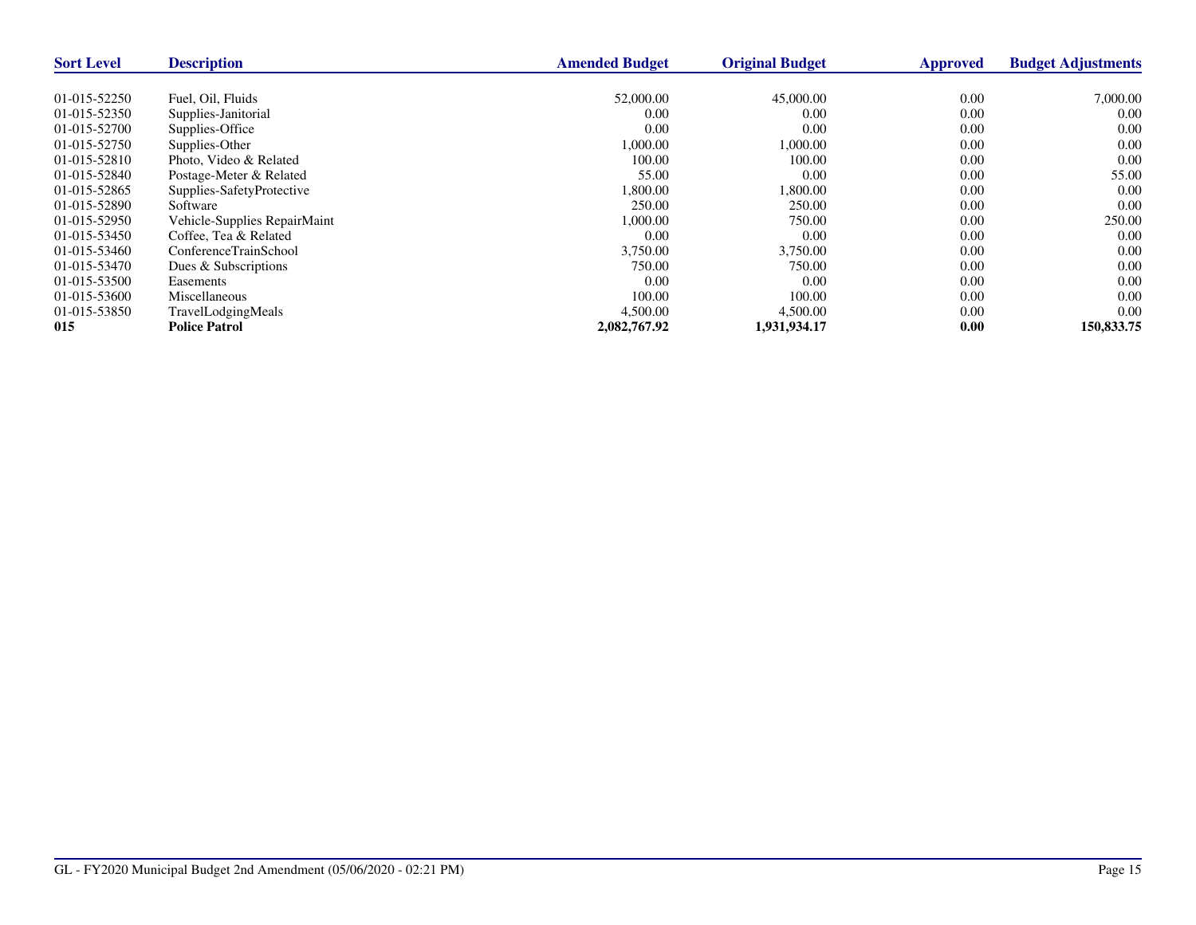| <b>Sort Level</b> | <b>Description</b>           | <b>Amended Budget</b> | <b>Original Budget</b> | <b>Approved</b> | <b>Budget Adjustments</b> |
|-------------------|------------------------------|-----------------------|------------------------|-----------------|---------------------------|
|                   |                              |                       |                        |                 |                           |
| 01-015-52250      | Fuel, Oil, Fluids            | 52,000.00             | 45,000.00              | 0.00            | 7,000.00                  |
| 01-015-52350      | Supplies-Janitorial          | 0.00                  | 0.00                   | 0.00            | 0.00                      |
| 01-015-52700      | Supplies-Office              | 0.00                  | 0.00                   | 0.00            | 0.00                      |
| 01-015-52750      | Supplies-Other               | 1,000.00              | 1,000.00               | 0.00            | 0.00                      |
| 01-015-52810      | Photo, Video & Related       | 100.00                | 100.00                 | 0.00            | 0.00                      |
| 01-015-52840      | Postage-Meter & Related      | 55.00                 | 0.00                   | 0.00            | 55.00                     |
| 01-015-52865      | Supplies-SafetyProtective    | 1,800.00              | 1,800.00               | 0.00            | 0.00                      |
| 01-015-52890      | Software                     | 250.00                | 250.00                 | 0.00            | 0.00                      |
| 01-015-52950      | Vehicle-Supplies RepairMaint | 1,000.00              | 750.00                 | 0.00            | 250.00                    |
| 01-015-53450      | Coffee, Tea & Related        | 0.00                  | 0.00                   | 0.00            | 0.00                      |
| 01-015-53460      | ConferenceTrainSchool        | 3,750.00              | 3,750.00               | 0.00            | 0.00                      |
| 01-015-53470      | Dues & Subscriptions         | 750.00                | 750.00                 | 0.00            | 0.00                      |
| 01-015-53500      | Easements                    | 0.00                  | 0.00                   | 0.00            | 0.00                      |
| 01-015-53600      | <b>Miscellaneous</b>         | 100.00                | 100.00                 | 0.00            | 0.00                      |
| 01-015-53850      | TravelLodgingMeals           | 4,500.00              | 4,500.00               | 0.00            | 0.00                      |
| 015               | <b>Police Patrol</b>         | 2,082,767.92          | 1,931,934.17           | 0.00            | 150,833.75                |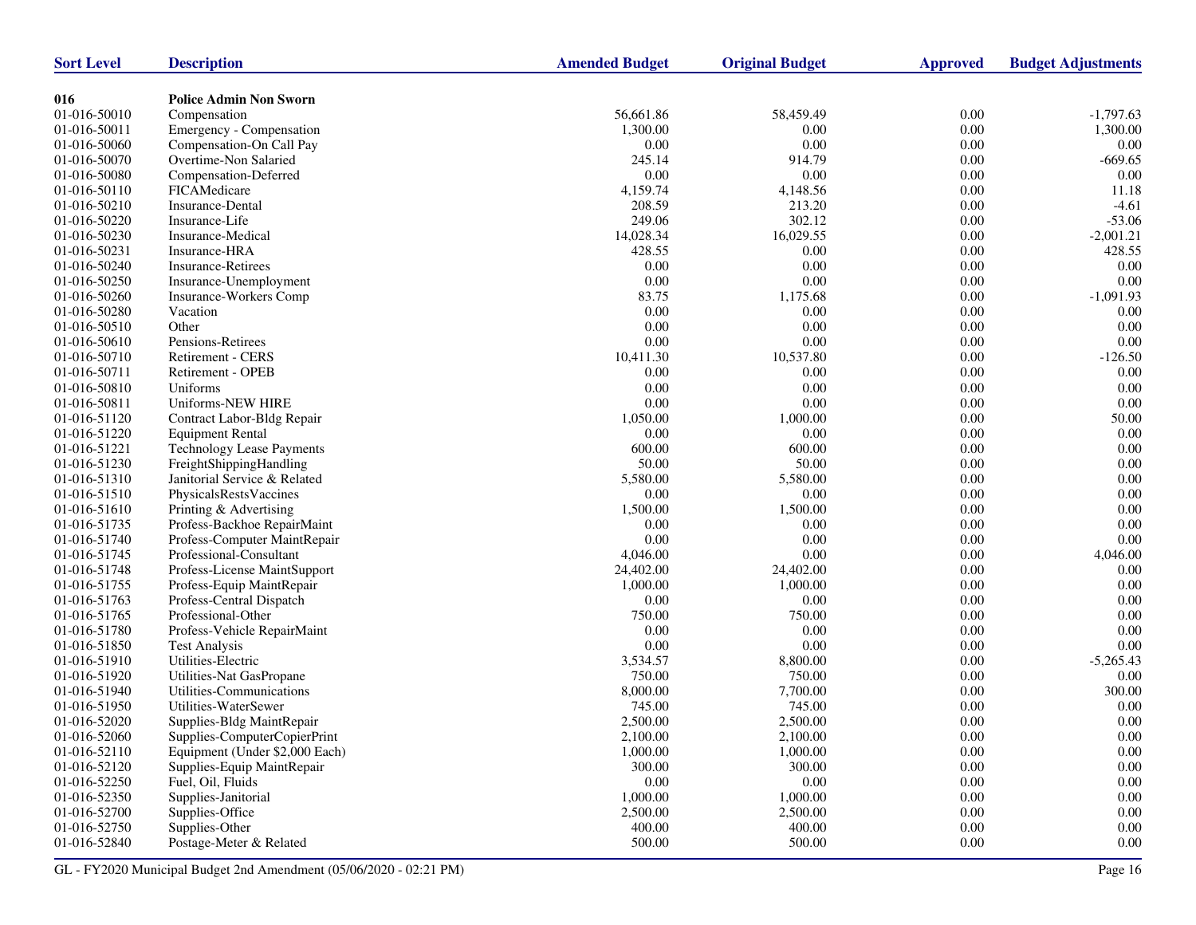| <b>Sort Level</b>            | <b>Description</b>                                   | <b>Amended Budget</b> | <b>Original Budget</b> | <b>Approved</b> | <b>Budget Adjustments</b> |
|------------------------------|------------------------------------------------------|-----------------------|------------------------|-----------------|---------------------------|
|                              | <b>Police Admin Non Sworn</b>                        |                       |                        |                 |                           |
| 016<br>01-016-50010          | Compensation                                         | 56,661.86             | 58,459.49              | 0.00            | $-1,797.63$               |
| 01-016-50011                 | Emergency - Compensation                             | 1,300.00              | 0.00                   | 0.00            | 1,300.00                  |
| 01-016-50060                 | Compensation-On Call Pay                             | 0.00                  | 0.00                   | 0.00            | 0.00                      |
| 01-016-50070                 | Overtime-Non Salaried                                | 245.14                | 914.79                 | 0.00            | $-669.65$                 |
| 01-016-50080                 |                                                      | 0.00                  | 0.00                   | 0.00            | 0.00                      |
|                              | Compensation-Deferred<br>FICAMedicare                | 4,159.74              |                        | 0.00            | 11.18                     |
| 01-016-50110<br>01-016-50210 | Insurance-Dental                                     | 208.59                | 4,148.56<br>213.20     | 0.00            | $-4.61$                   |
|                              |                                                      | 249.06                |                        | 0.00            |                           |
| 01-016-50220                 | Insurance-Life                                       | 14,028.34             | 302.12<br>16,029.55    | $0.00\,$        | $-53.06$<br>$-2,001.21$   |
| 01-016-50230                 | Insurance-Medical<br>Insurance-HRA                   |                       | 0.00                   |                 | 428.55                    |
| 01-016-50231<br>01-016-50240 |                                                      | 428.55                | 0.00                   | 0.00<br>0.00    |                           |
|                              | <b>Insurance-Retirees</b>                            | 0.00<br>0.00          | 0.00                   | $0.00\,$        | 0.00<br>0.00              |
| 01-016-50250                 | Insurance-Unemployment                               | 83.75                 |                        |                 | $-1,091.93$               |
| 01-016-50260                 | Insurance-Workers Comp                               |                       | 1,175.68               | 0.00            |                           |
| 01-016-50280                 | Vacation                                             | 0.00                  | 0.00                   | 0.00            | 0.00                      |
| 01-016-50510                 | Other<br>Pensions-Retirees                           | 0.00<br>0.00          | 0.00<br>0.00           | 0.00            | 0.00<br>$0.00\,$          |
| 01-016-50610                 |                                                      |                       |                        | 0.00            |                           |
| 01-016-50710                 | Retirement - CERS                                    | 10,411.30             | 10,537.80              | 0.00            | $-126.50$                 |
| 01-016-50711                 | Retirement - OPEB                                    | 0.00                  | 0.00                   | 0.00            | 0.00                      |
| 01-016-50810                 | Uniforms                                             | 0.00                  | 0.00                   | 0.00            | 0.00                      |
| 01-016-50811                 | Uniforms-NEW HIRE                                    | 0.00                  | 0.00                   | 0.00            | 0.00                      |
| 01-016-51120                 | Contract Labor-Bldg Repair                           | 1,050.00              | 1,000.00               | $0.00\,$        | 50.00                     |
| 01-016-51220                 | <b>Equipment Rental</b>                              | 0.00                  | 0.00                   | 0.00            | 0.00                      |
| 01-016-51221                 | <b>Technology Lease Payments</b>                     | 600.00                | 600.00                 | 0.00            | 0.00                      |
| 01-016-51230                 | FreightShippingHandling                              | 50.00                 | 50.00                  | $0.00\,$        | 0.00                      |
| 01-016-51310                 | Janitorial Service & Related                         | 5,580.00              | 5,580.00               | 0.00            | 0.00                      |
| 01-016-51510                 | PhysicalsRestsVaccines                               | 0.00                  | 0.00                   | 0.00            | 0.00                      |
| 01-016-51610                 | Printing & Advertising                               | 1,500.00              | 1,500.00               | $0.00\,$        | 0.00                      |
| 01-016-51735                 | Profess-Backhoe RepairMaint                          | 0.00                  | 0.00                   | 0.00            | 0.00                      |
| 01-016-51740                 | Profess-Computer MaintRepair                         | 0.00                  | 0.00                   | 0.00            | 0.00                      |
| 01-016-51745                 | Professional-Consultant                              | 4,046.00              | 0.00                   | 0.00            | 4,046.00                  |
| 01-016-51748                 | Profess-License MaintSupport                         | 24,402.00             | 24,402.00              | 0.00            | 0.00                      |
| 01-016-51755                 | Profess-Equip MaintRepair                            | 1,000.00              | 1,000.00               | 0.00            | 0.00                      |
| 01-016-51763                 | Profess-Central Dispatch                             | 0.00                  | 0.00                   | 0.00            | 0.00                      |
| 01-016-51765                 | Professional-Other                                   | 750.00                | 750.00                 | 0.00            | 0.00                      |
| 01-016-51780                 | Profess-Vehicle RepairMaint                          | 0.00                  | 0.00                   | 0.00            | 0.00                      |
| 01-016-51850                 | <b>Test Analysis</b>                                 | 0.00                  | 0.00                   | 0.00            | 0.00                      |
| 01-016-51910                 | Utilities-Electric                                   | 3,534.57              | 8,800.00               | 0.00            | $-5,265.43$               |
| 01-016-51920                 | Utilities-Nat GasPropane<br>Utilities-Communications | 750.00                | 750.00                 | 0.00            | 0.00<br>300.00            |
| 01-016-51940<br>01-016-51950 | Utilities-WaterSewer                                 | 8,000.00              | 7,700.00               | 0.00            |                           |
| 01-016-52020                 |                                                      | 745.00                | 745.00                 | 0.00<br>0.00    | 0.00<br>0.00              |
|                              | Supplies-Bldg MaintRepair                            | 2,500.00              | 2,500.00               |                 |                           |
| 01-016-52060                 | Supplies-ComputerCopierPrint                         | 2,100.00              | 2,100.00               | $0.00^{\circ}$  | $0.00^{\circ}$            |
| 01-016-52110<br>01-016-52120 | Equipment (Under \$2,000 Each)                       | 1,000.00<br>300.00    | 1,000.00               | 0.00            | 0.00<br>0.00              |
|                              | Supplies-Equip MaintRepair<br>Fuel, Oil, Fluids      |                       | 300.00<br>$0.00\,$     | 0.00            |                           |
| 01-016-52250                 |                                                      | $0.00\,$              |                        | 0.00            | 0.00                      |
| 01-016-52350                 | Supplies-Janitorial                                  | 1,000.00              | 1,000.00               | 0.00            | $0.00\,$                  |
| 01-016-52700                 | Supplies-Office                                      | 2,500.00              | 2,500.00               | 0.00            | $0.00\,$                  |
| 01-016-52750                 | Supplies-Other                                       | 400.00                | 400.00                 | 0.00            | 0.00                      |
| 01-016-52840                 | Postage-Meter & Related                              | 500.00                | 500.00                 | $0.00\,$        | 0.00                      |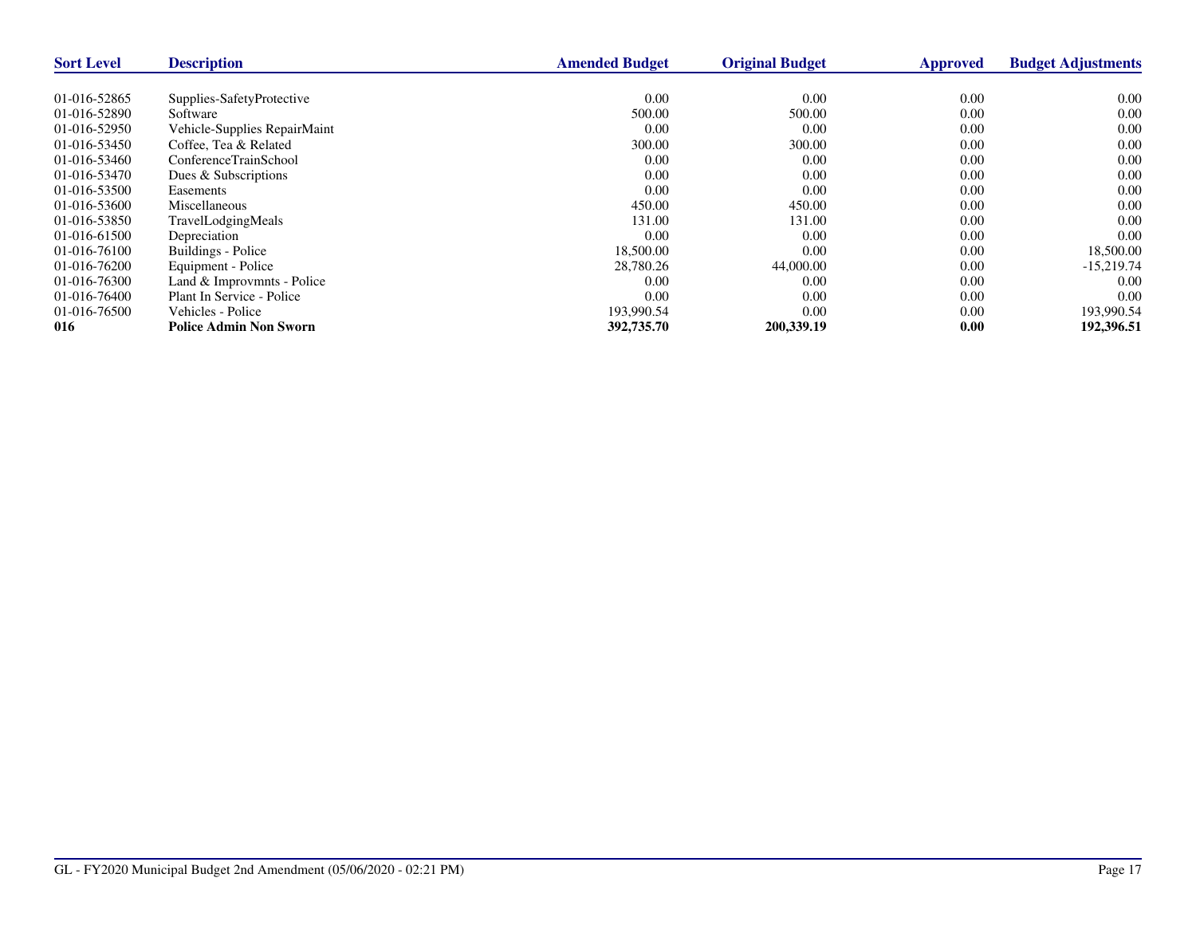| <b>Sort Level</b> | <b>Description</b>            | <b>Amended Budget</b> | <b>Original Budget</b> | <b>Approved</b> | <b>Budget Adjustments</b> |
|-------------------|-------------------------------|-----------------------|------------------------|-----------------|---------------------------|
|                   |                               |                       |                        |                 |                           |
| 01-016-52865      | Supplies-SafetyProtective     | 0.00                  | 0.00                   | 0.00            | 0.00                      |
| 01-016-52890      | Software                      | 500.00                | 500.00                 | 0.00            | 0.00                      |
| 01-016-52950      | Vehicle-Supplies RepairMaint  | 0.00                  | 0.00                   | 0.00            | 0.00                      |
| 01-016-53450      | Coffee. Tea & Related         | 300.00                | 300.00                 | 0.00            | 0.00                      |
| 01-016-53460      | ConferenceTrainSchool         | 0.00                  | 0.00                   | 0.00            | 0.00                      |
| 01-016-53470      | Dues & Subscriptions          | 0.00                  | 0.00                   | 0.00            | 0.00                      |
| 01-016-53500      | Easements                     | 0.00                  | 0.00                   | 0.00            | 0.00                      |
| 01-016-53600      | <b>Miscellaneous</b>          | 450.00                | 450.00                 | 0.00            | 0.00                      |
| 01-016-53850      | TravelLodgingMeals            | 131.00                | 131.00                 | 0.00            | 0.00                      |
| 01-016-61500      | Depreciation                  | 0.00                  | 0.00                   | 0.00            | 0.00                      |
| 01-016-76100      | Buildings - Police            | 18,500.00             | 0.00                   | 0.00            | 18,500.00                 |
| 01-016-76200      | Equipment - Police            | 28,780.26             | 44,000.00              | 0.00            | $-15,219.74$              |
| 01-016-76300      | Land & Improvmnts - Police    | 0.00                  | 0.00                   | 0.00            | 0.00                      |
| 01-016-76400      | Plant In Service - Police     | 0.00                  | 0.00                   | 0.00            | 0.00                      |
| 01-016-76500      | Vehicles - Police             | 193,990.54            | 0.00                   | 0.00            | 193,990.54                |
| 016               | <b>Police Admin Non Sworn</b> | 392,735.70            | 200,339.19             | 0.00            | 192,396.51                |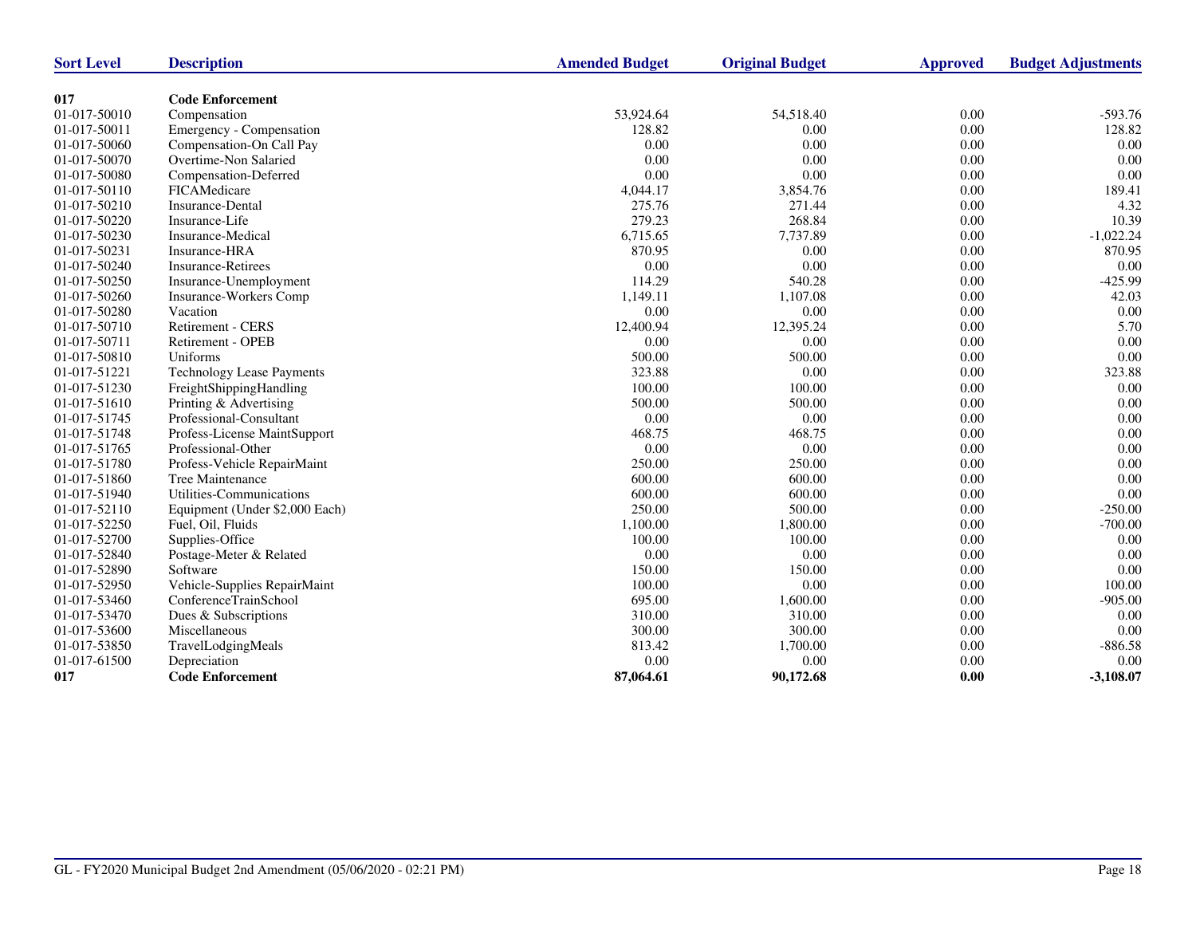| <b>Sort Level</b> | <b>Description</b>               | <b>Amended Budget</b> | <b>Original Budget</b> | <b>Approved</b> | <b>Budget Adjustments</b> |
|-------------------|----------------------------------|-----------------------|------------------------|-----------------|---------------------------|
| 017               | <b>Code Enforcement</b>          |                       |                        |                 |                           |
| 01-017-50010      | Compensation                     | 53.924.64             | 54,518.40              | 0.00            | $-593.76$                 |
| 01-017-50011      | Emergency - Compensation         | 128.82                | 0.00                   | 0.00            | 128.82                    |
| 01-017-50060      | Compensation-On Call Pay         | 0.00                  | 0.00                   | 0.00            | 0.00                      |
| 01-017-50070      | Overtime-Non Salaried            | 0.00                  | 0.00                   | 0.00            | 0.00                      |
| 01-017-50080      | Compensation-Deferred            | 0.00                  | 0.00                   | 0.00            | 0.00                      |
| 01-017-50110      | FICAMedicare                     | 4,044.17              | 3,854.76               | 0.00            | 189.41                    |
| 01-017-50210      | Insurance-Dental                 | 275.76                | 271.44                 | 0.00            | 4.32                      |
| 01-017-50220      | Insurance-Life                   | 279.23                | 268.84                 | 0.00            | 10.39                     |
| 01-017-50230      | Insurance-Medical                | 6,715.65              | 7,737.89               | 0.00            | $-1,022.24$               |
| 01-017-50231      | Insurance-HRA                    | 870.95                | 0.00                   | 0.00            | 870.95                    |
| 01-017-50240      | <b>Insurance-Retirees</b>        | 0.00                  | 0.00                   | 0.00            | 0.00                      |
| 01-017-50250      | Insurance-Unemployment           | 114.29                | 540.28                 | 0.00            | $-425.99$                 |
| 01-017-50260      | Insurance-Workers Comp           | 1,149.11              | 1,107.08               | 0.00            | 42.03                     |
| 01-017-50280      | Vacation                         | 0.00                  | 0.00                   | 0.00            | 0.00                      |
| 01-017-50710      | Retirement - CERS                | 12,400.94             | 12,395.24              | 0.00            | 5.70                      |
| 01-017-50711      | Retirement - OPEB                | 0.00                  | 0.00                   | 0.00            | 0.00                      |
| 01-017-50810      | Uniforms                         | 500.00                | 500.00                 | 0.00            | 0.00                      |
| 01-017-51221      | <b>Technology Lease Payments</b> | 323.88                | 0.00                   | 0.00            | 323.88                    |
| 01-017-51230      | FreightShippingHandling          | 100.00                | 100.00                 | 0.00            | 0.00                      |
| 01-017-51610      | Printing & Advertising           | 500.00                | 500.00                 | 0.00            | 0.00                      |
| 01-017-51745      | Professional-Consultant          | 0.00                  | 0.00                   | $0.00\,$        | 0.00                      |
| 01-017-51748      | Profess-License MaintSupport     | 468.75                | 468.75                 | 0.00            | 0.00                      |
| 01-017-51765      | Professional-Other               | 0.00                  | 0.00                   | 0.00            | 0.00                      |
| 01-017-51780      | Profess-Vehicle RepairMaint      | 250.00                | 250.00                 | 0.00            | 0.00                      |
| 01-017-51860      | Tree Maintenance                 | 600.00                | 600.00                 | 0.00            | 0.00                      |
| 01-017-51940      | Utilities-Communications         | 600.00                | 600.00                 | 0.00            | 0.00                      |
| 01-017-52110      | Equipment (Under \$2,000 Each)   | 250.00                | 500.00                 | 0.00            | $-250.00$                 |
| 01-017-52250      | Fuel, Oil, Fluids                | 1,100.00              | 1,800.00               | 0.00            | $-700.00$                 |
| 01-017-52700      | Supplies-Office                  | 100.00                | 100.00                 | 0.00            | 0.00                      |
| 01-017-52840      | Postage-Meter & Related          | 0.00                  | 0.00                   | 0.00            | 0.00                      |
| 01-017-52890      | Software                         | 150.00                | 150.00                 | 0.00            | 0.00                      |
| 01-017-52950      | Vehicle-Supplies RepairMaint     | 100.00                | 0.00                   | 0.00            | 100.00                    |
| 01-017-53460      | ConferenceTrainSchool            | 695.00                | 1,600.00               | 0.00            | $-905.00$                 |
| 01-017-53470      | Dues & Subscriptions             | 310.00                | 310.00                 | 0.00            | 0.00                      |
| 01-017-53600      | Miscellaneous                    | 300.00                | 300.00                 | 0.00            | 0.00                      |
| 01-017-53850      | TravelLodgingMeals               | 813.42                | 1,700.00               | 0.00            | $-886.58$                 |
| 01-017-61500      | Depreciation                     | 0.00                  | 0.00                   | 0.00            | 0.00                      |
| 017               | <b>Code Enforcement</b>          | 87,064.61             | 90,172.68              | 0.00            | $-3,108.07$               |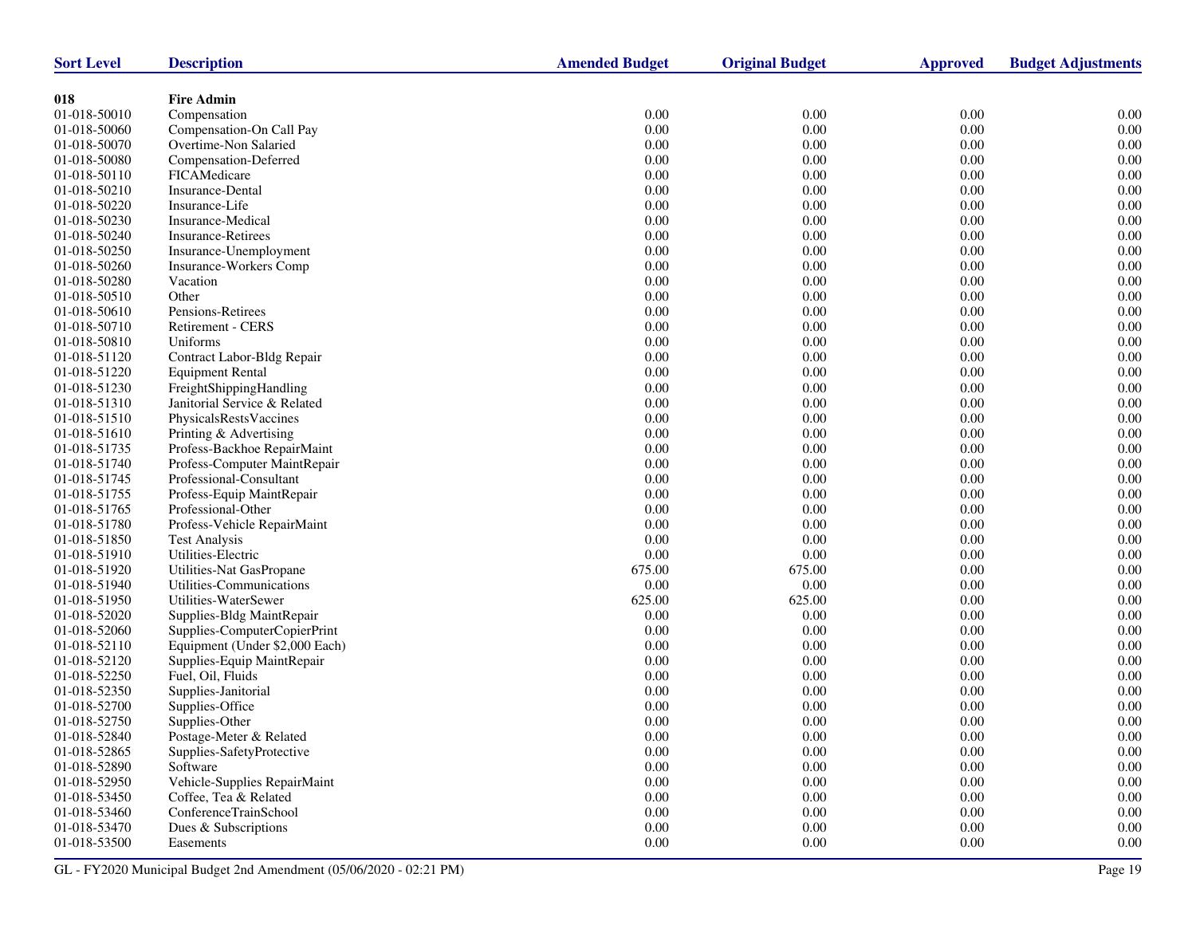| <b>Sort Level</b>            | <b>Description</b>                                            | <b>Amended Budget</b> | <b>Original Budget</b> | <b>Approved</b>  | <b>Budget Adjustments</b> |
|------------------------------|---------------------------------------------------------------|-----------------------|------------------------|------------------|---------------------------|
| 018                          | <b>Fire Admin</b>                                             |                       |                        |                  |                           |
| 01-018-50010                 | Compensation                                                  | 0.00                  | 0.00                   | 0.00             | 0.00                      |
| 01-018-50060                 | Compensation-On Call Pay                                      | 0.00                  | 0.00                   | 0.00             | 0.00                      |
| 01-018-50070                 | Overtime-Non Salaried                                         | 0.00                  | 0.00                   | 0.00             | 0.00                      |
| 01-018-50080                 | Compensation-Deferred                                         | 0.00                  | 0.00                   | 0.00             | 0.00                      |
| 01-018-50110                 | FICAMedicare                                                  | 0.00                  | 0.00                   | 0.00             | 0.00                      |
| 01-018-50210                 | Insurance-Dental                                              | 0.00                  | 0.00                   | 0.00             | 0.00                      |
| 01-018-50220                 | Insurance-Life                                                | $0.00\,$              | 0.00                   | 0.00             | 0.00                      |
| 01-018-50230                 | Insurance-Medical                                             | 0.00                  | 0.00                   | 0.00             | 0.00                      |
| 01-018-50240                 | <b>Insurance-Retirees</b>                                     | 0.00                  | 0.00                   | 0.00             | 0.00                      |
| 01-018-50250                 | Insurance-Unemployment                                        | $0.00\,$              | 0.00                   | 0.00             | 0.00                      |
| 01-018-50260                 | Insurance-Workers Comp                                        | 0.00                  | 0.00                   | 0.00             | 0.00                      |
| 01-018-50280                 | Vacation                                                      | 0.00                  | 0.00                   | 0.00             | 0.00                      |
| 01-018-50510                 | Other                                                         | $0.00\,$              | 0.00                   | 0.00             | 0.00                      |
| 01-018-50610                 | Pensions-Retirees                                             | 0.00                  | 0.00                   | 0.00             | 0.00                      |
| 01-018-50710                 | Retirement - CERS                                             | 0.00                  | 0.00                   | 0.00             | 0.00                      |
| 01-018-50810                 | Uniforms                                                      | 0.00                  | 0.00                   | 0.00             | 0.00                      |
| 01-018-51120                 | Contract Labor-Bldg Repair                                    | 0.00                  | 0.00                   | 0.00             | 0.00                      |
| 01-018-51220                 | <b>Equipment Rental</b>                                       | 0.00                  | 0.00                   | 0.00             | 0.00                      |
| 01-018-51230                 | FreightShippingHandling                                       | $0.00\,$              | 0.00                   | 0.00             | 0.00                      |
|                              |                                                               | $0.00\,$              |                        | 0.00             | 0.00                      |
| 01-018-51310<br>01-018-51510 | Janitorial Service & Related<br><b>PhysicalsRestsVaccines</b> | 0.00                  | 0.00<br>0.00           | 0.00             | 0.00                      |
| 01-018-51610                 | Printing & Advertising                                        | $0.00\,$              | 0.00                   | 0.00             | 0.00                      |
|                              |                                                               | $0.00\,$              |                        | 0.00             | 0.00                      |
| 01-018-51735                 | Profess-Backhoe RepairMaint<br>Profess-Computer MaintRepair   | $0.00\,$              | 0.00                   | 0.00             | 0.00                      |
| 01-018-51740<br>01-018-51745 | Professional-Consultant                                       | $0.00\,$              | 0.00<br>0.00           | 0.00             | 0.00                      |
|                              |                                                               |                       |                        | 0.00             | 0.00                      |
| 01-018-51755                 | Profess-Equip MaintRepair                                     | 0.00                  | 0.00                   | 0.00             | 0.00                      |
| 01-018-51765<br>01-018-51780 | Professional-Other                                            | 0.00                  | 0.00                   | 0.00             | 0.00                      |
| 01-018-51850                 | Profess-Vehicle RepairMaint                                   | 0.00                  | 0.00                   |                  |                           |
|                              | <b>Test Analysis</b>                                          | 0.00<br>$0.00\,$      | 0.00                   | 0.00<br>0.00     | 0.00<br>0.00              |
| 01-018-51910                 | Utilities-Electric                                            |                       | 0.00                   |                  | 0.00                      |
| 01-018-51920                 | Utilities-Nat GasPropane<br>Utilities-Communications          | 675.00<br>$0.00\,$    | 675.00<br>0.00         | 0.00<br>0.00     | 0.00                      |
| 01-018-51940                 | Utilities-WaterSewer                                          |                       |                        | 0.00             | 0.00                      |
| 01-018-51950                 |                                                               | 625.00                | 625.00                 | 0.00             | 0.00                      |
| 01-018-52020<br>01-018-52060 | Supplies-Bldg MaintRepair<br>Supplies-ComputerCopierPrint     | 0.00<br>0.00          | 0.00<br>0.00           | 0.00             | 0.00                      |
| 01-018-52110                 | Equipment (Under \$2,000 Each)                                | 0.00                  | 0.00                   | 0.00             | 0.00                      |
| 01-018-52120                 |                                                               | 0.00                  | 0.00                   | $0.00\,$         | 0.00                      |
| 01-018-52250                 | Supplies-Equip MaintRepair                                    | 0.00                  | 0.00                   | 0.00             | 0.00                      |
| 01-018-52350                 | Fuel, Oil, Fluids                                             | 0.00                  | 0.00                   | 0.00             | 0.00                      |
| 01-018-52700                 | Supplies-Janitorial<br>Supplies-Office                        | 0.00                  | 0.00                   | 0.00             | 0.00                      |
| 01-018-52750                 |                                                               | 0.00                  | 0.00                   | 0.00             | 0.00                      |
|                              | Supplies-Other                                                |                       |                        |                  |                           |
| 01-018-52840                 | Postage-Meter & Related                                       | 0.00                  | 0.00                   | 0.00             | 0.00                      |
| 01-018-52865<br>01-018-52890 | Supplies-SafetyProtective<br>Software                         | $0.00\,$<br>$0.00\,$  | $0.00\,$               | $0.00\,$         | $0.00\,$<br>$0.00\,$      |
|                              | Vehicle-Supplies RepairMaint                                  |                       | 0.00<br>$0.00\,$       | 0.00<br>$0.00\,$ |                           |
| 01-018-52950                 |                                                               | 0.00                  | $0.00\,$               | $0.00\,$         | 0.00<br>$0.00\,$          |
| 01-018-53450                 | Coffee, Tea & Related                                         | 0.00                  |                        |                  |                           |
| 01-018-53460                 | ConferenceTrainSchool                                         | 0.00                  | 0.00                   | $0.00\,$         | 0.00                      |
| 01-018-53470                 | Dues & Subscriptions                                          | 0.00                  | 0.00                   | 0.00             | 0.00                      |
| 01-018-53500                 | Easements                                                     | $0.00\,$              | $0.00\,$               | $0.00\,$         | $0.00\,$                  |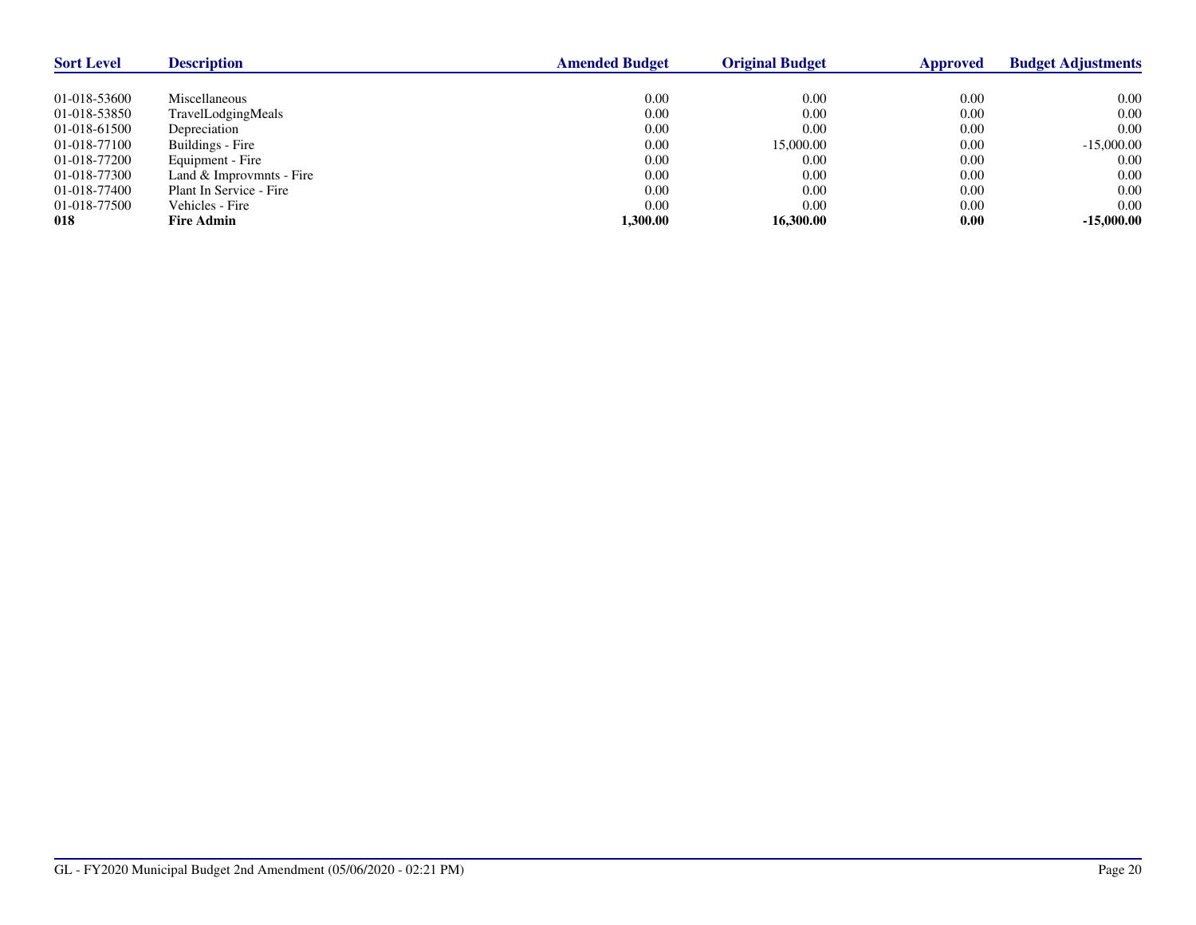| <b>Sort Level</b> | <b>Description</b>       | <b>Amended Budget</b> | <b>Original Budget</b> | Approved | <b>Budget Adjustments</b> |
|-------------------|--------------------------|-----------------------|------------------------|----------|---------------------------|
|                   |                          |                       |                        |          |                           |
| 01-018-53600      | Miscellaneous            | 0.00                  | 0.00                   | 0.00     | 0.00                      |
| 01-018-53850      | TravelLodgingMeals       | 0.00                  | 0.00                   | 0.00     | 0.00                      |
| 01-018-61500      | Depreciation             | 0.00                  | 0.00                   | 0.00     | 0.00                      |
| 01-018-77100      | Buildings - Fire         | 0.00                  | 15,000.00              | 0.00     | $-15,000.00$              |
| 01-018-77200      | Equipment - Fire         | 0.00                  | 0.00                   | 0.00     | 0.00                      |
| 01-018-77300      | Land & Improvmnts - Fire | 0.00                  | 0.00                   | 0.00     | 0.00                      |
| 01-018-77400      | Plant In Service - Fire  | 0.00                  | 0.00                   | 0.00     | 0.00                      |
| 01-018-77500      | Vehicles - Fire          | 0.00                  | 0.00                   | 0.00     | 0.00                      |
| 018               | <b>Fire Admin</b>        | 1.300.00              | 16.300.00              | 0.00     | $-15,000.00$              |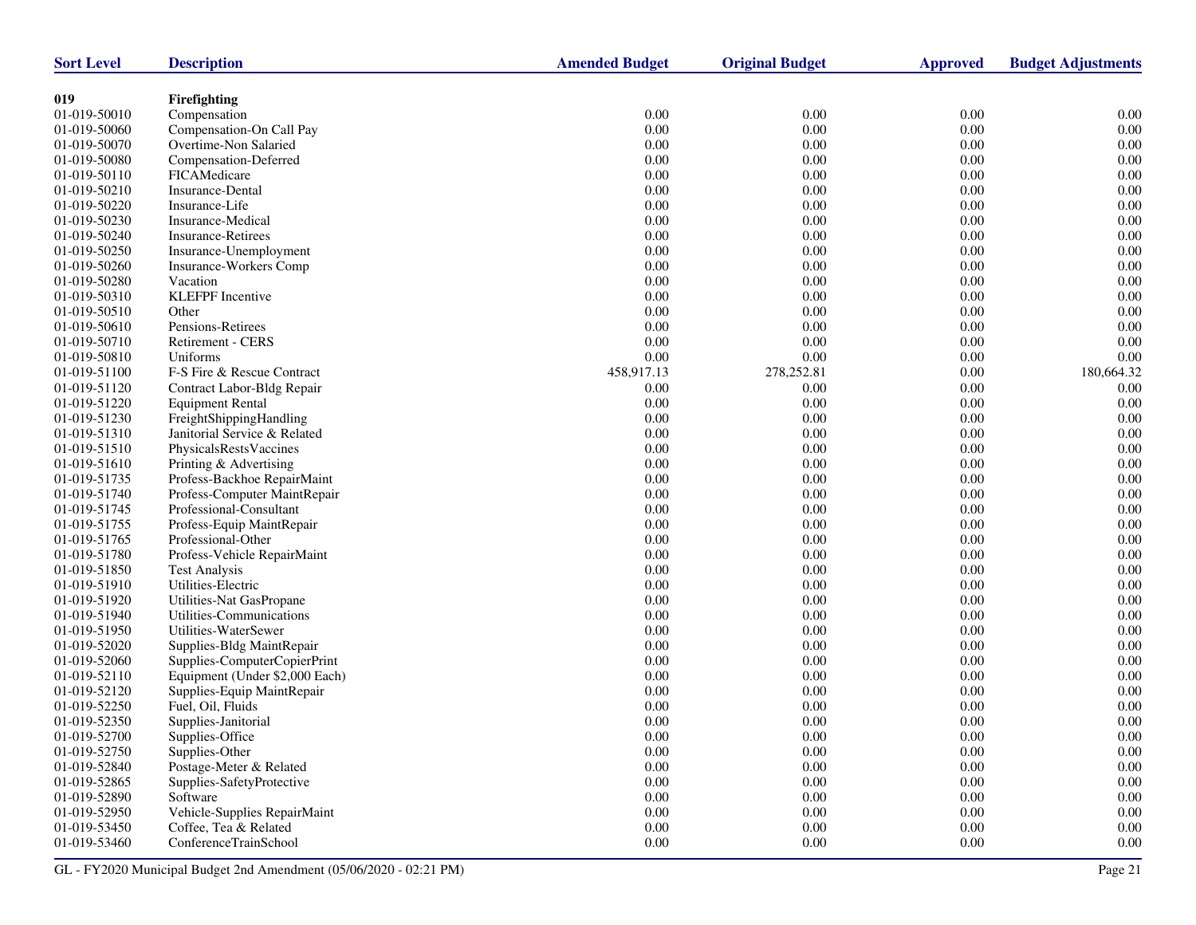| <b>Sort Level</b>  | <b>Description</b>             | <b>Amended Budget</b> | <b>Original Budget</b> | <b>Approved</b> | <b>Budget Adjustments</b> |
|--------------------|--------------------------------|-----------------------|------------------------|-----------------|---------------------------|
|                    |                                |                       |                        |                 |                           |
| 019                | Firefighting                   |                       |                        |                 |                           |
| 01-019-50010       | Compensation                   | 0.00                  | 0.00                   | 0.00            | 0.00                      |
| 01-019-50060       | Compensation-On Call Pay       | 0.00                  | 0.00                   | $0.00\,$        | 0.00                      |
| 01-019-50070       | Overtime-Non Salaried          | 0.00                  | 0.00                   | 0.00            | 0.00                      |
| 01-019-50080       | Compensation-Deferred          | 0.00                  | 0.00                   | 0.00            | 0.00                      |
| 01-019-50110       | FICAMedicare                   | 0.00                  | 0.00                   | 0.00            | 0.00                      |
| 01-019-50210       | Insurance-Dental               | $0.00\,$              | 0.00                   | $0.00\,$        | 0.00                      |
| 01-019-50220       | Insurance-Life                 | $0.00\,$              | $0.00\,$               | 0.00            | $0.00\,$                  |
| 01-019-50230       | Insurance-Medical              | 0.00                  | 0.00                   | 0.00            | 0.00                      |
| 01-019-50240       | <b>Insurance-Retirees</b>      | 0.00                  | 0.00                   | $0.00\,$        | 0.00                      |
| 01-019-50250       | Insurance-Unemployment         | 0.00                  | 0.00                   | 0.00            | $0.00\,$                  |
| 01-019-50260       | <b>Insurance-Workers Comp</b>  | 0.00                  | 0.00                   | 0.00            | 0.00                      |
| 01-019-50280       | Vacation                       | $0.00\,$              | 0.00                   | $0.00\,$        | 0.00                      |
| 01-019-50310       | <b>KLEFPF</b> Incentive        | $0.00\,$              | 0.00                   | 0.00            | $0.00\,$                  |
| 01-019-50510       | Other                          | 0.00                  | 0.00                   | 0.00            | 0.00                      |
| 01-019-50610       | Pensions-Retirees              | 0.00                  | 0.00                   | 0.00            | 0.00                      |
| 01-019-50710       | Retirement - CERS              | 0.00                  | 0.00                   | 0.00            | 0.00                      |
| 01-019-50810       | Uniforms                       | 0.00                  | 0.00                   | 0.00            | 0.00                      |
| 01-019-51100       | F-S Fire & Rescue Contract     | 458,917.13            | 278,252.81             | $0.00\,$        | 180,664.32                |
| 01-019-51120       | Contract Labor-Bldg Repair     | 0.00                  | 0.00                   | 0.00            | 0.00                      |
| 01-019-51220       | <b>Equipment Rental</b>        | 0.00                  | 0.00                   | 0.00            | 0.00                      |
| 01-019-51230       | FreightShippingHandling        | 0.00                  | 0.00                   | $0.00\,$        | 0.00                      |
| 01-019-51310       | Janitorial Service & Related   | 0.00                  | 0.00                   | 0.00            | $0.00\,$                  |
| 01-019-51510       | PhysicalsRestsVaccines         | 0.00                  | 0.00                   | 0.00            | 0.00                      |
| 01-019-51610       | Printing & Advertising         | $0.00\,$              | 0.00                   | 0.00            | 0.00                      |
| 01-019-51735       | Profess-Backhoe RepairMaint    | $0.00\,$              | 0.00                   | 0.00            | $0.00\,$                  |
| 01-019-51740       | Profess-Computer MaintRepair   | 0.00                  | 0.00                   | 0.00            | 0.00                      |
| 01-019-51745       | Professional-Consultant        | 0.00                  | 0.00                   | 0.00            | 0.00                      |
| 01-019-51755       | Profess-Equip MaintRepair      | $0.00\,$              | 0.00                   | 0.00            | 0.00                      |
| 01-019-51765       | Professional-Other             | $0.00\,$              | 0.00                   | 0.00            | 0.00                      |
| 01-019-51780       | Profess-Vehicle RepairMaint    | 0.00                  | 0.00                   | 0.00            | 0.00                      |
| 01-019-51850       | <b>Test Analysis</b>           | $0.00\,$              | 0.00                   | 0.00            | 0.00                      |
| 01-019-51910       | Utilities-Electric             | $0.00\,$              | 0.00                   | 0.00            | 0.00                      |
| 01-019-51920       | Utilities-Nat GasPropane       | 0.00                  | 0.00                   | $0.00\,$        | $0.00\,$                  |
| 01-019-51940       | Utilities-Communications       | 0.00                  | 0.00                   | 0.00            | 0.00                      |
| 01-019-51950       | Utilities-WaterSewer           | 0.00                  | 0.00                   | 0.00            | 0.00                      |
| 01-019-52020       |                                |                       |                        | $0.00\,$        | $0.00\,$                  |
|                    | Supplies-Bldg MaintRepair      | 0.00                  | 0.00                   |                 |                           |
| 01-019-52060       | Supplies-ComputerCopierPrint   | 0.00                  | 0.00                   | 0.00            | 0.00                      |
| 01-019-52110       | Equipment (Under \$2,000 Each) | 0.00                  | 0.00                   | 0.00            | 0.00                      |
| 01-019-52120       | Supplies-Equip MaintRepair     | $0.00\,$              | 0.00                   | 0.00            | 0.00                      |
| 01-019-52250       | Fuel, Oil, Fluids              | 0.00                  | 0.00                   | 0.00            | 0.00                      |
| 01-019-52350       | Supplies-Janitorial            | 0.00                  | 0.00                   | 0.00            | 0.00                      |
| $01 - 019 - 52700$ | Supplies-Office                | $0.00\,$              | 0.00                   | 0.00            | $0.00\,$                  |
| 01-019-52750       | Supplies-Other                 | $0.00\,$              | 0.00                   | 0.00            | $0.00\,$                  |
| 01-019-52840       | Postage-Meter & Related        | $0.00\,$              | $0.00\,$               | 0.00            | $0.00\,$                  |
| 01-019-52865       | Supplies-SafetyProtective      | 0.00                  | $0.00\,$               | 0.00            | $0.00\,$                  |
| 01-019-52890       | Software                       | 0.00                  | 0.00                   | 0.00            | $0.00\,$                  |
| 01-019-52950       | Vehicle-Supplies RepairMaint   | 0.00                  | $0.00\,$               | 0.00            | 0.00                      |
| 01-019-53450       | Coffee, Tea & Related          | 0.00                  | $0.00\,$               | 0.00            | 0.00                      |
| 01-019-53460       | ConferenceTrainSchool          | 0.00                  | $0.00\,$               | $0.00\,$        | 0.00                      |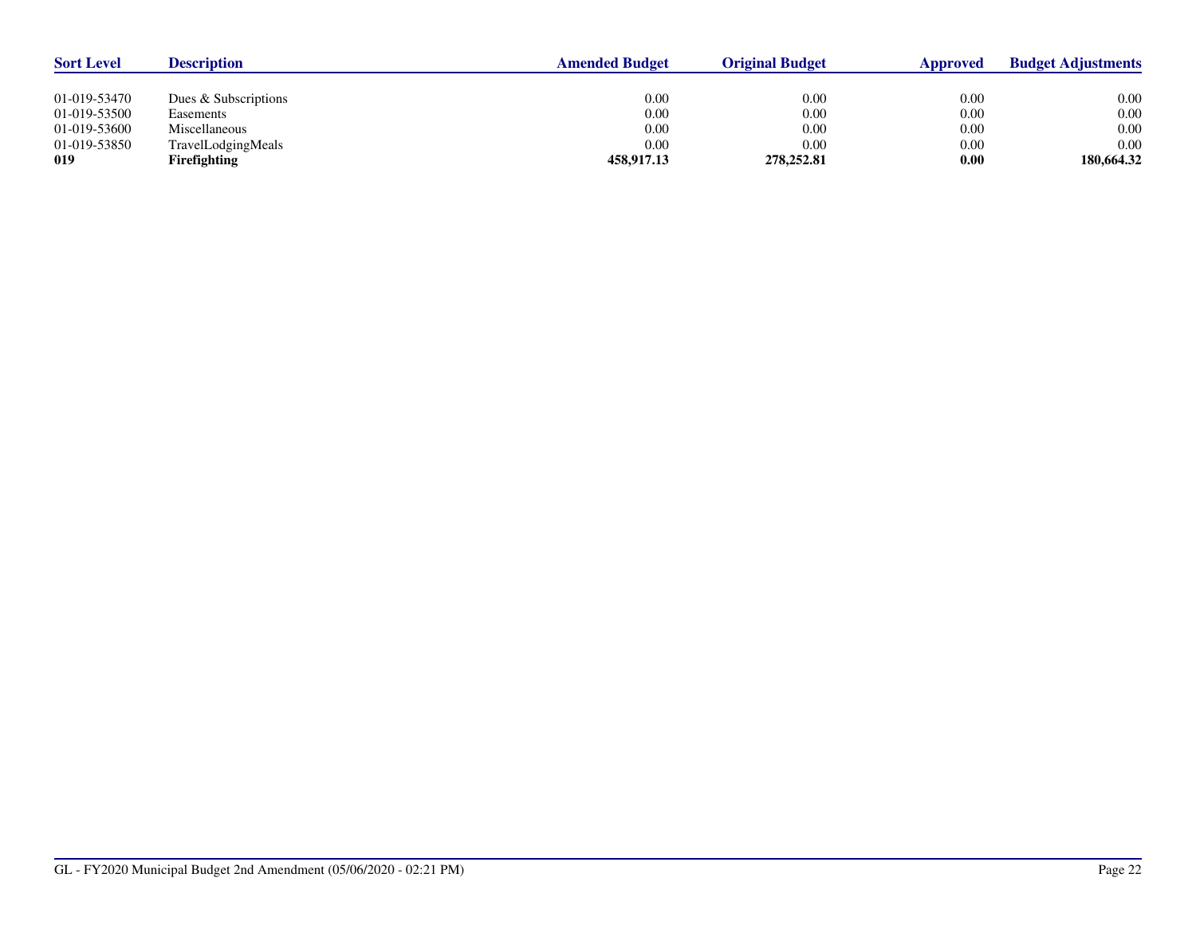| <b>Sort Level</b> | <b>Description</b>   | <b>Amended Budget</b> | <b>Original Budget</b> | <b>Approved</b> | <b>Budget Adjustments</b> |
|-------------------|----------------------|-----------------------|------------------------|-----------------|---------------------------|
|                   |                      |                       |                        |                 |                           |
| 01-019-53470      | Dues & Subscriptions | 0.00                  | 0.00                   | 0.00            | 0.00                      |
| 01-019-53500      | Easements            | 0.00                  | 0.00                   | 0.00            | 0.00                      |
| 01-019-53600      | Miscellaneous        | 0.00                  | 0.00                   | 0.00            | 0.00                      |
| 01-019-53850      | TravelLodgingMeals   | 0.00                  | 0.00                   | 0.00            | 0.00                      |
| 019               | <b>Firefighting</b>  | 458,917.13            | 278,252.81             | 0.00            | 180,664.32                |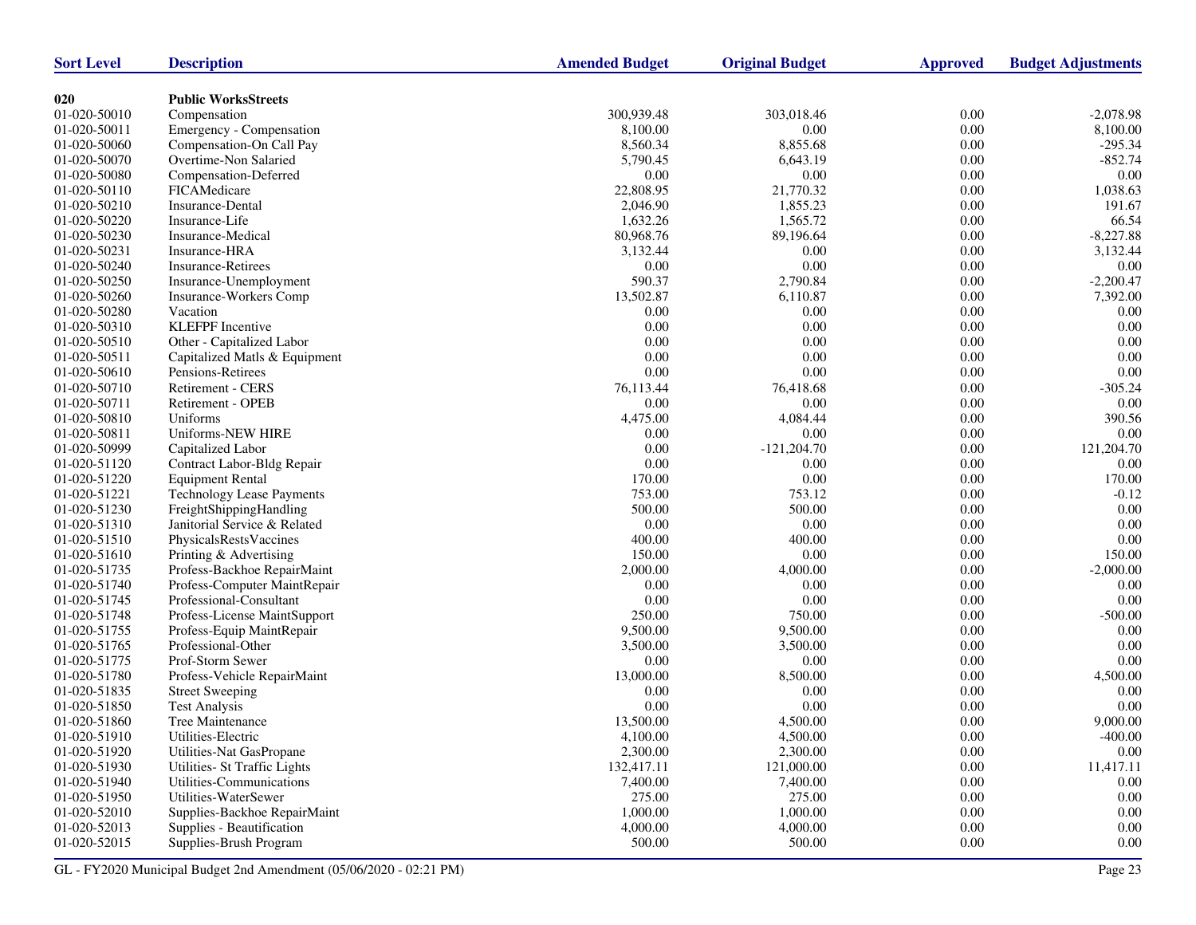| <b>Sort Level</b> | <b>Description</b>               | <b>Amended Budget</b> | <b>Original Budget</b> | <b>Approved</b> | <b>Budget Adjustments</b> |
|-------------------|----------------------------------|-----------------------|------------------------|-----------------|---------------------------|
|                   |                                  |                       |                        |                 |                           |
| 020               | <b>Public WorksStreets</b>       |                       |                        |                 |                           |
| 01-020-50010      | Compensation                     | 300,939.48            | 303,018.46             | 0.00            | $-2,078.98$               |
| 01-020-50011      | Emergency - Compensation         | 8,100.00              | 0.00                   | $0.00\,$        | 8,100.00                  |
| 01-020-50060      | Compensation-On Call Pay         | 8,560.34              | 8,855.68               | 0.00            | $-295.34$                 |
| 01-020-50070      | Overtime-Non Salaried            | 5,790.45              | 6,643.19               | 0.00            | $-852.74$                 |
| 01-020-50080      | Compensation-Deferred            | 0.00                  | 0.00                   | 0.00            | 0.00                      |
| 01-020-50110      | FICAMedicare                     | 22,808.95             | 21,770.32              | 0.00            | 1,038.63                  |
| 01-020-50210      | Insurance-Dental                 | 2,046.90              | 1,855.23               | 0.00            | 191.67                    |
| 01-020-50220      | Insurance-Life                   | 1,632.26              | 1,565.72               | $0.00\,$        | 66.54                     |
| 01-020-50230      | Insurance-Medical                | 80,968.76             | 89,196.64              | 0.00            | $-8,227.88$               |
| 01-020-50231      | Insurance-HRA                    | 3,132.44              | 0.00                   | 0.00            | 3,132.44                  |
| 01-020-50240      | <b>Insurance-Retirees</b>        | 0.00                  | 0.00                   | 0.00            | 0.00                      |
| 01-020-50250      | Insurance-Unemployment           | 590.37                | 2,790.84               | 0.00            | $-2,200.47$               |
| 01-020-50260      | Insurance-Workers Comp           | 13,502.87             | 6,110.87               | 0.00            | 7,392.00                  |
| 01-020-50280      | Vacation                         | 0.00                  | 0.00                   | $0.00\,$        | 0.00                      |
| 01-020-50310      | <b>KLEFPF</b> Incentive          | 0.00                  | 0.00                   | $0.00\,$        | $0.00\,$                  |
| 01-020-50510      | Other - Capitalized Labor        | 0.00                  | 0.00                   | 0.00            | 0.00                      |
| 01-020-50511      | Capitalized Matls & Equipment    | 0.00                  | 0.00                   | $0.00\,$        | 0.00                      |
| 01-020-50610      | Pensions-Retirees                | 0.00                  | 0.00                   | $0.00\,$        | 0.00                      |
| 01-020-50710      | Retirement - CERS                | 76,113.44             | 76,418.68              | 0.00            | $-305.24$                 |
| 01-020-50711      | Retirement - OPEB                | 0.00                  | 0.00                   | 0.00            | 0.00                      |
| 01-020-50810      | Uniforms                         | 4,475.00              | 4,084.44               | $0.00\,$        | 390.56                    |
| 01-020-50811      | Uniforms-NEW HIRE                | 0.00                  | 0.00                   | 0.00            | 0.00                      |
| 01-020-50999      | Capitalized Labor                | 0.00                  | $-121,204.70$          | 0.00            | 121,204.70                |
| 01-020-51120      | Contract Labor-Bldg Repair       | 0.00                  | 0.00                   | $0.00\,$        | 0.00                      |
| 01-020-51220      | <b>Equipment Rental</b>          | 170.00                | 0.00                   | 0.00            | 170.00                    |
| 01-020-51221      | <b>Technology Lease Payments</b> | 753.00                | 753.12                 | 0.00            | $-0.12$                   |
| 01-020-51230      | FreightShippingHandling          | 500.00                | 500.00                 | $0.00\,$        | 0.00                      |
| 01-020-51310      | Janitorial Service & Related     | 0.00                  | 0.00                   | 0.00            | $0.00\,$                  |
| 01-020-51510      | PhysicalsRestsVaccines           | 400.00                | 400.00                 | 0.00            | 0.00                      |
| 01-020-51610      | Printing & Advertising           | 150.00                | 0.00                   | $0.00\,$        | 150.00                    |
| 01-020-51735      | Profess-Backhoe RepairMaint      | 2,000.00              | 4,000.00               | 0.00            | $-2,000.00$               |
| 01-020-51740      | Profess-Computer MaintRepair     | 0.00                  | 0.00                   | 0.00            | 0.00                      |
| 01-020-51745      | Professional-Consultant          | 0.00                  | 0.00                   | $0.00\,$        | $0.00\,$                  |
| 01-020-51748      | Profess-License MaintSupport     | 250.00                | 750.00                 | 0.00            | $-500.00$                 |
| 01-020-51755      | Profess-Equip MaintRepair        | 9,500.00              | 9,500.00               | 0.00            | 0.00                      |
| 01-020-51765      | Professional-Other               | 3,500.00              | 3,500.00               | $0.00\,$        | 0.00                      |
| 01-020-51775      | Prof-Storm Sewer                 | 0.00                  | 0.00                   | 0.00            | 0.00                      |
| 01-020-51780      | Profess-Vehicle RepairMaint      | 13,000.00             | 8,500.00               | 0.00            | 4,500.00                  |
| 01-020-51835      | <b>Street Sweeping</b>           | 0.00                  | 0.00                   | $0.00\,$        | 0.00                      |
| 01-020-51850      | <b>Test Analysis</b>             | 0.00                  | 0.00                   | 0.00            | 0.00                      |
| 01-020-51860      | Tree Maintenance                 | 13,500.00             | 4,500.00               | 0.00            | 9,000.00                  |
| 01-020-51910      | Utilities-Electric               | 4,100.00              | 4,500.00               | $0.00\,$        | $-400.00$                 |
| 01-020-51920      | Utilities-Nat GasPropane         | 2,300.00              | 2,300.00               | $0.00\,$        | $0.00\,$                  |
| 01-020-51930      | Utilities- St Traffic Lights     | 132,417.11            | 121,000.00             | 0.00            | 11,417.11                 |
| 01-020-51940      | Utilities-Communications         | 7,400.00              | 7,400.00               | $0.00\,$        | $0.00\,$                  |
| 01-020-51950      | Utilities-WaterSewer             | 275.00                | 275.00                 | 0.00            | 0.00                      |
| 01-020-52010      | Supplies-Backhoe RepairMaint     | 1,000.00              | 1,000.00               | 0.00            | 0.00                      |
| 01-020-52013      | Supplies - Beautification        | 4,000.00              | 4,000.00               | $0.00\,$        | $0.00\,$                  |
| 01-020-52015      | Supplies-Brush Program           | 500.00                | 500.00                 | 0.00            | 0.00                      |
|                   |                                  |                       |                        |                 |                           |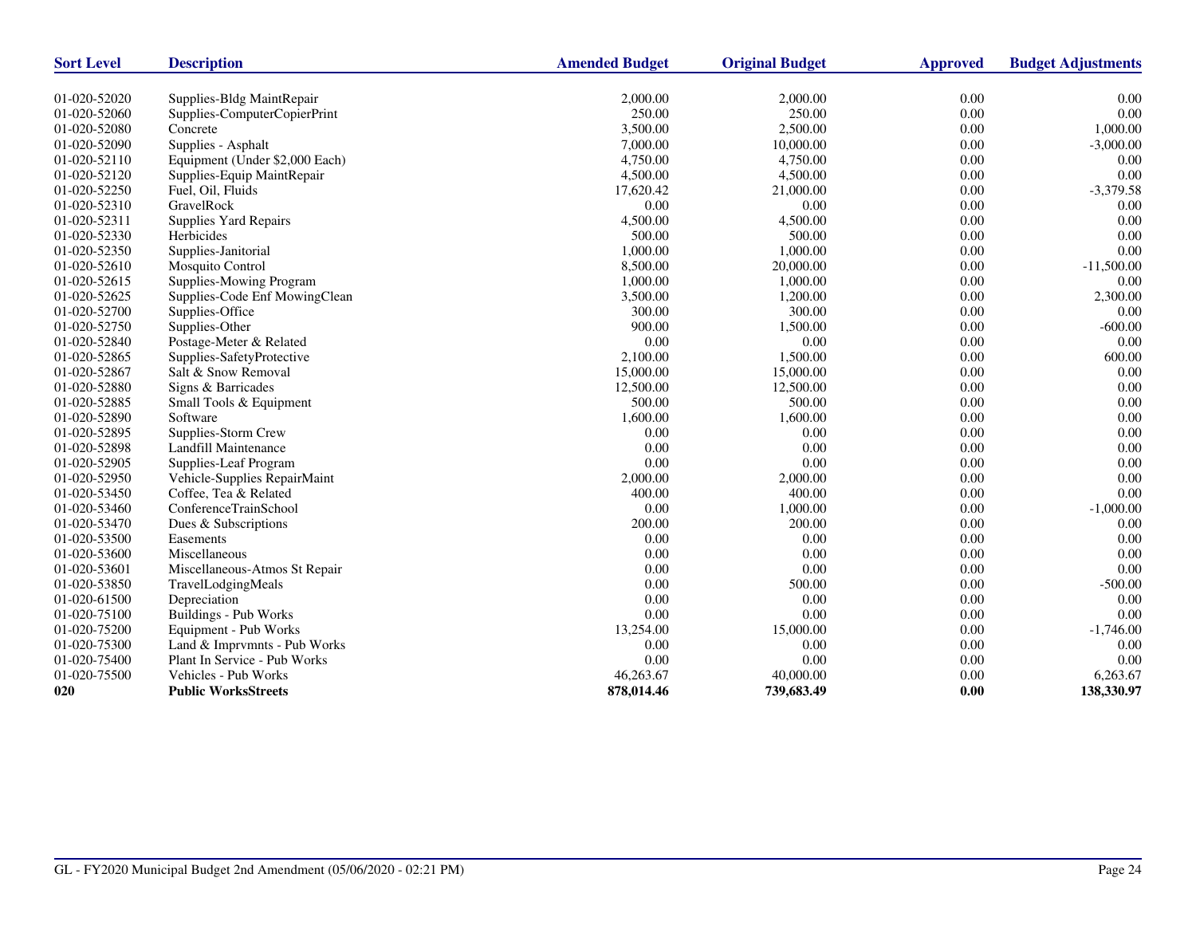| <b>Sort Level</b> | <b>Description</b>             | <b>Amended Budget</b> | <b>Original Budget</b> | <b>Approved</b> | <b>Budget Adjustments</b> |
|-------------------|--------------------------------|-----------------------|------------------------|-----------------|---------------------------|
| 01-020-52020      | Supplies-Bldg MaintRepair      | 2,000.00              | 2,000.00               | 0.00            | 0.00                      |
| 01-020-52060      | Supplies-ComputerCopierPrint   | 250.00                | 250.00                 | 0.00            | 0.00                      |
| 01-020-52080      | Concrete                       | 3,500.00              | 2,500.00               | 0.00            | 1,000.00                  |
| 01-020-52090      | Supplies - Asphalt             | 7,000.00              | 10,000.00              | 0.00            | $-3,000.00$               |
| 01-020-52110      | Equipment (Under \$2,000 Each) | 4,750.00              | 4,750.00               | 0.00            | 0.00                      |
| 01-020-52120      | Supplies-Equip MaintRepair     | 4,500.00              | 4,500.00               | 0.00            | 0.00                      |
| 01-020-52250      | Fuel, Oil, Fluids              | 17,620.42             | 21,000.00              | 0.00            | $-3,379.58$               |
| 01-020-52310      | GravelRock                     | 0.00                  | 0.00                   | 0.00            | 0.00                      |
| 01-020-52311      | Supplies Yard Repairs          | 4,500.00              | 4,500.00               | 0.00            | 0.00                      |
| 01-020-52330      | Herbicides                     | 500.00                | 500.00                 | 0.00            | 0.00                      |
| 01-020-52350      | Supplies-Janitorial            | 1,000.00              | 1,000.00               | 0.00            | 0.00                      |
| 01-020-52610      | Mosquito Control               | 8,500.00              | 20,000.00              | 0.00            | $-11,500.00$              |
| 01-020-52615      | Supplies-Mowing Program        | 1,000.00              | 1,000.00               | 0.00            | 0.00                      |
| 01-020-52625      | Supplies-Code Enf MowingClean  | 3,500.00              | 1,200.00               | 0.00            | 2,300.00                  |
| 01-020-52700      | Supplies-Office                | 300.00                | 300.00                 | 0.00            | 0.00                      |
| 01-020-52750      | Supplies-Other                 | 900.00                | 1,500.00               | 0.00            | $-600.00$                 |
| 01-020-52840      | Postage-Meter & Related        | 0.00                  | 0.00                   | 0.00            | 0.00                      |
| 01-020-52865      | Supplies-SafetyProtective      | 2,100.00              | 1,500.00               | 0.00            | 600.00                    |
| 01-020-52867      | Salt & Snow Removal            | 15,000.00             | 15,000.00              | 0.00            | 0.00                      |
| 01-020-52880      | Signs & Barricades             | 12,500.00             | 12,500.00              | 0.00            | 0.00                      |
| 01-020-52885      | Small Tools & Equipment        | 500.00                | 500.00                 | 0.00            | 0.00                      |
| 01-020-52890      | Software                       | 1,600.00              | 1,600.00               | 0.00            | 0.00                      |
| 01-020-52895      | Supplies-Storm Crew            | 0.00                  | 0.00                   | 0.00            | 0.00                      |
| 01-020-52898      | Landfill Maintenance           | 0.00                  | 0.00                   | 0.00            | 0.00                      |
| 01-020-52905      | Supplies-Leaf Program          | 0.00                  | 0.00                   | 0.00            | 0.00                      |
| 01-020-52950      | Vehicle-Supplies RepairMaint   | 2,000.00              | 2,000.00               | 0.00            | 0.00                      |
| 01-020-53450      | Coffee, Tea & Related          | 400.00                | 400.00                 | 0.00            | 0.00                      |
| 01-020-53460      | ConferenceTrainSchool          | 0.00                  | 1,000.00               | 0.00            | $-1,000.00$               |
| 01-020-53470      | Dues & Subscriptions           | 200.00                | 200.00                 | 0.00            | 0.00                      |
| 01-020-53500      | Easements                      | 0.00                  | 0.00                   | 0.00            | 0.00                      |
| 01-020-53600      | Miscellaneous                  | 0.00                  | 0.00                   | 0.00            | 0.00                      |
| 01-020-53601      | Miscellaneous-Atmos St Repair  | 0.00                  | 0.00                   | 0.00            | 0.00                      |
| 01-020-53850      | TravelLodgingMeals             | 0.00                  | 500.00                 | 0.00            | $-500.00$                 |
| 01-020-61500      | Depreciation                   | 0.00                  | 0.00                   | 0.00            | 0.00                      |
| 01-020-75100      | <b>Buildings - Pub Works</b>   | 0.00                  | 0.00                   | 0.00            | 0.00                      |
| 01-020-75200      | Equipment - Pub Works          | 13,254.00             | 15,000.00              | 0.00            | $-1,746.00$               |
| 01-020-75300      | Land & Imprvmnts - Pub Works   | 0.00                  | 0.00                   | 0.00            | 0.00                      |
| 01-020-75400      | Plant In Service - Pub Works   | 0.00                  | 0.00                   | 0.00            | 0.00                      |
| 01-020-75500      | Vehicles - Pub Works           | 46,263.67             | 40,000.00              | 0.00            | 6,263.67                  |
| 020               | <b>Public WorksStreets</b>     | 878,014.46            | 739,683.49             | 0.00            | 138,330.97                |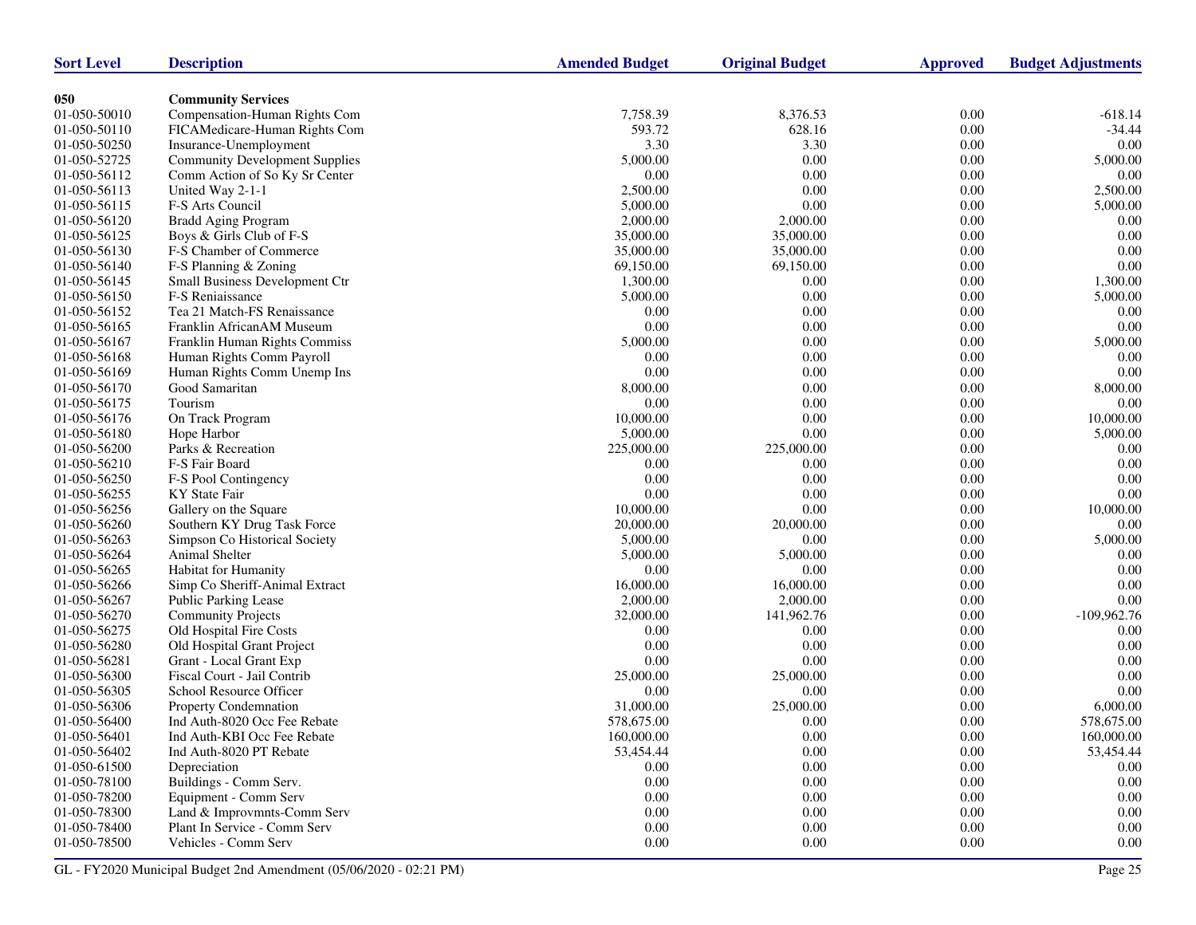| <b>Sort Level</b> | <b>Description</b>                    | <b>Amended Budget</b> | <b>Original Budget</b> | <b>Approved</b> | <b>Budget Adjustments</b> |
|-------------------|---------------------------------------|-----------------------|------------------------|-----------------|---------------------------|
|                   |                                       |                       |                        |                 |                           |
| 050               | <b>Community Services</b>             |                       |                        |                 |                           |
| 01-050-50010      | Compensation-Human Rights Com         | 7,758.39              | 8,376.53               | 0.00            | $-618.14$                 |
| 01-050-50110      | FICAMedicare-Human Rights Com         | 593.72                | 628.16                 | 0.00            | $-34.44$                  |
| 01-050-50250      | Insurance-Unemployment                | 3.30                  | 3.30                   | 0.00            | 0.00                      |
| 01-050-52725      | <b>Community Development Supplies</b> | 5,000.00              | 0.00                   | 0.00            | 5,000.00                  |
| 01-050-56112      | Comm Action of So Ky Sr Center        | 0.00                  | 0.00                   | 0.00            | 0.00                      |
| 01-050-56113      | United Way 2-1-1                      | 2,500.00              | 0.00                   | 0.00            | 2,500.00                  |
| 01-050-56115      | F-S Arts Council                      | 5,000.00              | 0.00                   | 0.00            | 5,000.00                  |
| 01-050-56120      | <b>Bradd Aging Program</b>            | 2,000.00              | 2,000.00               | 0.00            | 0.00                      |
| 01-050-56125      | Boys & Girls Club of F-S              | 35,000.00             | 35,000.00              | 0.00            | 0.00                      |
| 01-050-56130      | F-S Chamber of Commerce               | 35,000.00             | 35,000.00              | 0.00            | 0.00                      |
| 01-050-56140      | F-S Planning & Zoning                 | 69,150.00             | 69,150.00              | 0.00            | 0.00                      |
| 01-050-56145      | Small Business Development Ctr        | 1,300.00              | 0.00                   | 0.00            | 1,300.00                  |
| 01-050-56150      | F-S Reniaissance                      | 5,000.00              | 0.00                   | 0.00            | 5,000.00                  |
| 01-050-56152      | Tea 21 Match-FS Renaissance           | 0.00                  | 0.00                   | 0.00            | 0.00                      |
| 01-050-56165      | Franklin AfricanAM Museum             | 0.00                  | 0.00                   | $0.00\,$        | 0.00                      |
| 01-050-56167      | Franklin Human Rights Commiss         | 5,000.00              | 0.00                   | 0.00            | 5,000.00                  |
| 01-050-56168      | Human Rights Comm Payroll             | 0.00                  | 0.00                   | 0.00            | 0.00                      |
| 01-050-56169      | Human Rights Comm Unemp Ins           | 0.00                  | 0.00                   | $0.00\,$        | 0.00                      |
| 01-050-56170      | Good Samaritan                        | 8,000.00              | 0.00                   | 0.00            | 8,000.00                  |
| 01-050-56175      | Tourism                               | 0.00                  | 0.00                   | 0.00            | 0.00                      |
| 01-050-56176      | On Track Program                      | 10,000.00             | 0.00                   | $0.00\,$        | 10,000.00                 |
| 01-050-56180      | Hope Harbor                           | 5,000.00              | 0.00                   | 0.00            | 5,000.00                  |
| 01-050-56200      | Parks & Recreation                    | 225,000.00            | 225,000.00             | 0.00            | 0.00                      |
| 01-050-56210      | F-S Fair Board                        | 0.00                  | 0.00                   | 0.00            | 0.00                      |
| 01-050-56250      | F-S Pool Contingency                  | 0.00                  | 0.00                   | 0.00            | 0.00                      |
| 01-050-56255      | KY State Fair                         | 0.00                  | 0.00                   | 0.00            | 0.00                      |
| 01-050-56256      | Gallery on the Square                 | 10,000.00             | 0.00                   | $0.00\,$        | 10,000.00                 |
| 01-050-56260      | Southern KY Drug Task Force           | 20,000.00             | 20,000.00              | 0.00            | 0.00                      |
| 01-050-56263      | Simpson Co Historical Society         | 5,000.00              | 0.00                   | 0.00            | 5,000.00                  |
| 01-050-56264      | Animal Shelter                        | 5,000.00              | 5,000.00               | 0.00            | 0.00                      |
| 01-050-56265      | Habitat for Humanity                  | 0.00                  | 0.00                   | 0.00            | 0.00                      |
| 01-050-56266      | Simp Co Sheriff-Animal Extract        | 16,000.00             | 16,000.00              | 0.00            | 0.00                      |
| 01-050-56267      | Public Parking Lease                  | 2,000.00              | 2,000.00               | 0.00            | $0.00\,$                  |
| 01-050-56270      | <b>Community Projects</b>             | 32,000.00             | 141,962.76             | 0.00            | $-109,962.76$             |
| 01-050-56275      | Old Hospital Fire Costs               | 0.00                  | 0.00                   | 0.00            | 0.00                      |
| 01-050-56280      | Old Hospital Grant Project            | 0.00                  | 0.00                   | 0.00            | $0.00\,$                  |
| 01-050-56281      | Grant - Local Grant Exp               | 0.00                  | 0.00                   | 0.00            | 0.00                      |
| 01-050-56300      | Fiscal Court - Jail Contrib           | 25,000.00             | 25,000.00              | 0.00            | 0.00                      |
| 01-050-56305      | School Resource Officer               | 0.00                  | 0.00                   | 0.00            | 0.00                      |
| 01-050-56306      | Property Condemnation                 | 31,000.00             | 25,000.00              | 0.00            | 6,000.00                  |
| 01-050-56400      | Ind Auth-8020 Occ Fee Rebate          | 578,675.00            | 0.00                   | 0.00            | 578,675.00                |
| $01-050-56401$    | Ind Auth-KBI Occ Fee Rebate           | 160,000.00            | 0.00                   | 0.00            | 160,000.00                |
| 01-050-56402      | Ind Auth-8020 PT Rebate               | 53,454.44             | $0.00\,$               | 0.00            | 53,454.44                 |
| 01-050-61500      | Depreciation                          | 0.00                  | 0.00                   | 0.00            | $0.00\,$                  |
| 01-050-78100      | Buildings - Comm Serv.                | 0.00                  | $0.00\,$               | 0.00            | $0.00\,$                  |
| 01-050-78200      | Equipment - Comm Serv                 | 0.00                  | 0.00                   | 0.00            | 0.00                      |
| 01-050-78300      | Land & Improvmnts-Comm Serv           | 0.00                  | $0.00\,$               | 0.00            | 0.00                      |
| 01-050-78400      | Plant In Service - Comm Serv          | 0.00                  | $0.00\,$               | 0.00            | 0.00                      |
| 01-050-78500      | Vehicles - Comm Serv                  | 0.00                  | $0.00\,$               | 0.00            | 0.00                      |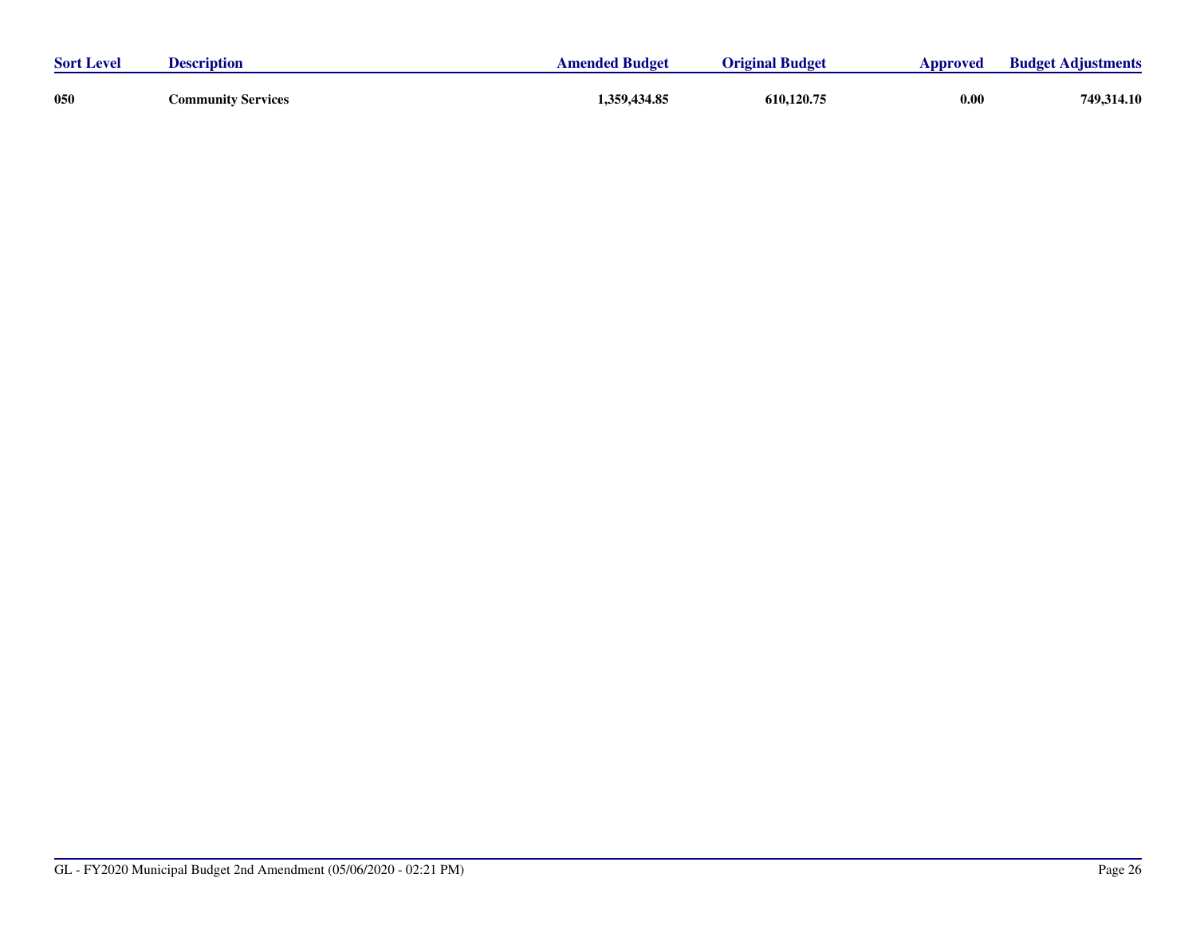| <b>Sort Level</b> | <b>Description</b>        | <b>Amended Budget</b> | <b>Original Budget</b> | Approved | <b>Budget Adjustments</b> |
|-------------------|---------------------------|-----------------------|------------------------|----------|---------------------------|
| 050               | <b>Community Services</b> | 1,359,434.85          | 610,120.75             | 0.00     | 749,314.10                |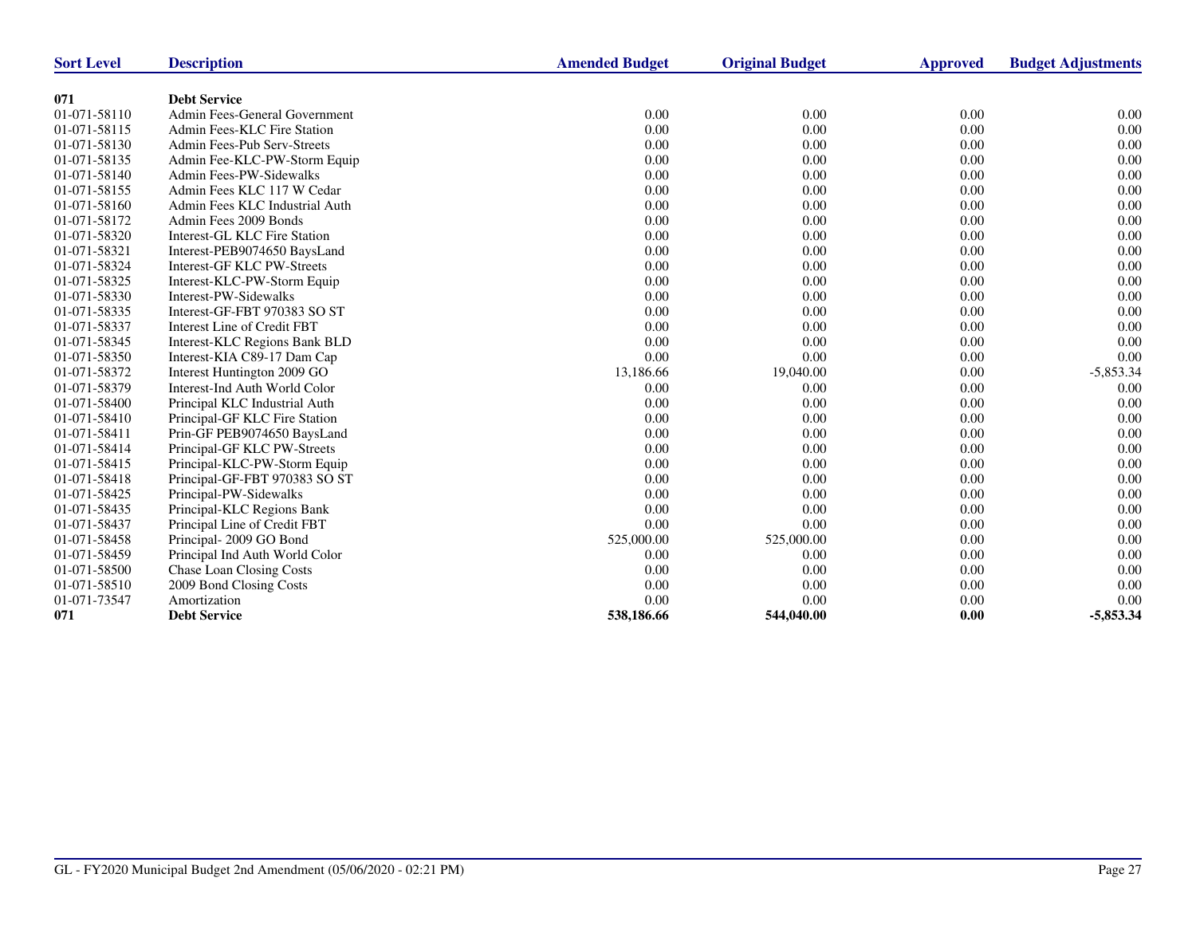| <b>Sort Level</b> | <b>Description</b>             | <b>Amended Budget</b> | <b>Original Budget</b> | <b>Approved</b> | <b>Budget Adjustments</b> |
|-------------------|--------------------------------|-----------------------|------------------------|-----------------|---------------------------|
| 071               | <b>Debt Service</b>            |                       |                        |                 |                           |
| 01-071-58110      | Admin Fees-General Government  | 0.00                  | 0.00                   | 0.00            | 0.00                      |
| 01-071-58115      | Admin Fees-KLC Fire Station    | 0.00                  | 0.00                   | 0.00            | 0.00                      |
| 01-071-58130      | Admin Fees-Pub Serv-Streets    | 0.00                  | 0.00                   | 0.00            | 0.00                      |
| 01-071-58135      | Admin Fee-KLC-PW-Storm Equip   | 0.00                  | 0.00                   | 0.00            | 0.00                      |
| 01-071-58140      | Admin Fees-PW-Sidewalks        | 0.00                  | 0.00                   | 0.00            | 0.00                      |
| 01-071-58155      | Admin Fees KLC 117 W Cedar     | 0.00                  | 0.00                   | 0.00            | 0.00                      |
| 01-071-58160      | Admin Fees KLC Industrial Auth | 0.00                  | 0.00                   | 0.00            | 0.00                      |
| 01-071-58172      | Admin Fees 2009 Bonds          | 0.00                  | 0.00                   | 0.00            | 0.00                      |
| 01-071-58320      | Interest-GL KLC Fire Station   | 0.00                  | 0.00                   | 0.00            | 0.00                      |
| 01-071-58321      | Interest-PEB9074650 BaysLand   | 0.00                  | 0.00                   | 0.00            | 0.00                      |
| 01-071-58324      | Interest-GF KLC PW-Streets     | 0.00                  | 0.00                   | 0.00            | 0.00                      |
| 01-071-58325      | Interest-KLC-PW-Storm Equip    | 0.00                  | 0.00                   | 0.00            | 0.00                      |
| 01-071-58330      | Interest-PW-Sidewalks          | 0.00                  | 0.00                   | 0.00            | 0.00                      |
| 01-071-58335      | Interest-GF-FBT 970383 SO ST   | 0.00                  | 0.00                   | 0.00            | 0.00                      |
| 01-071-58337      | Interest Line of Credit FBT    | 0.00                  | 0.00                   | 0.00            | 0.00                      |
| 01-071-58345      | Interest-KLC Regions Bank BLD  | 0.00                  | 0.00                   | 0.00            | 0.00                      |
| 01-071-58350      | Interest-KIA C89-17 Dam Cap    | 0.00                  | 0.00                   | 0.00            | 0.00                      |
| 01-071-58372      | Interest Huntington 2009 GO    | 13,186.66             | 19,040.00              | 0.00            | $-5,853.34$               |
| 01-071-58379      | Interest-Ind Auth World Color  | 0.00                  | 0.00                   | 0.00            | 0.00                      |
| 01-071-58400      | Principal KLC Industrial Auth  | 0.00                  | 0.00                   | 0.00            | 0.00                      |
| 01-071-58410      | Principal-GF KLC Fire Station  | 0.00                  | 0.00                   | 0.00            | 0.00                      |
| 01-071-58411      | Prin-GF PEB9074650 BaysLand    | 0.00                  | 0.00                   | 0.00            | 0.00                      |
| 01-071-58414      | Principal-GF KLC PW-Streets    | 0.00                  | 0.00                   | 0.00            | 0.00                      |
| 01-071-58415      | Principal-KLC-PW-Storm Equip   | 0.00                  | 0.00                   | 0.00            | 0.00                      |
| 01-071-58418      | Principal-GF-FBT 970383 SO ST  | 0.00                  | 0.00                   | 0.00            | 0.00                      |
| 01-071-58425      | Principal-PW-Sidewalks         | 0.00                  | 0.00                   | 0.00            | 0.00                      |
| 01-071-58435      | Principal-KLC Regions Bank     | 0.00                  | 0.00                   | 0.00            | 0.00                      |
| 01-071-58437      | Principal Line of Credit FBT   | 0.00                  | 0.00                   | 0.00            | 0.00                      |
| 01-071-58458      | Principal-2009 GO Bond         | 525,000.00            | 525,000.00             | 0.00            | 0.00                      |
| 01-071-58459      | Principal Ind Auth World Color | 0.00                  | 0.00                   | 0.00            | 0.00                      |
| 01-071-58500      | Chase Loan Closing Costs       | 0.00                  | 0.00                   | 0.00            | 0.00                      |
| 01-071-58510      | 2009 Bond Closing Costs        | 0.00                  | 0.00                   | 0.00            | 0.00                      |
| 01-071-73547      | Amortization                   | 0.00                  | 0.00                   | 0.00            | 0.00                      |
| 071               | <b>Debt Service</b>            | 538,186.66            | 544,040.00             | 0.00            | $-5,853.34$               |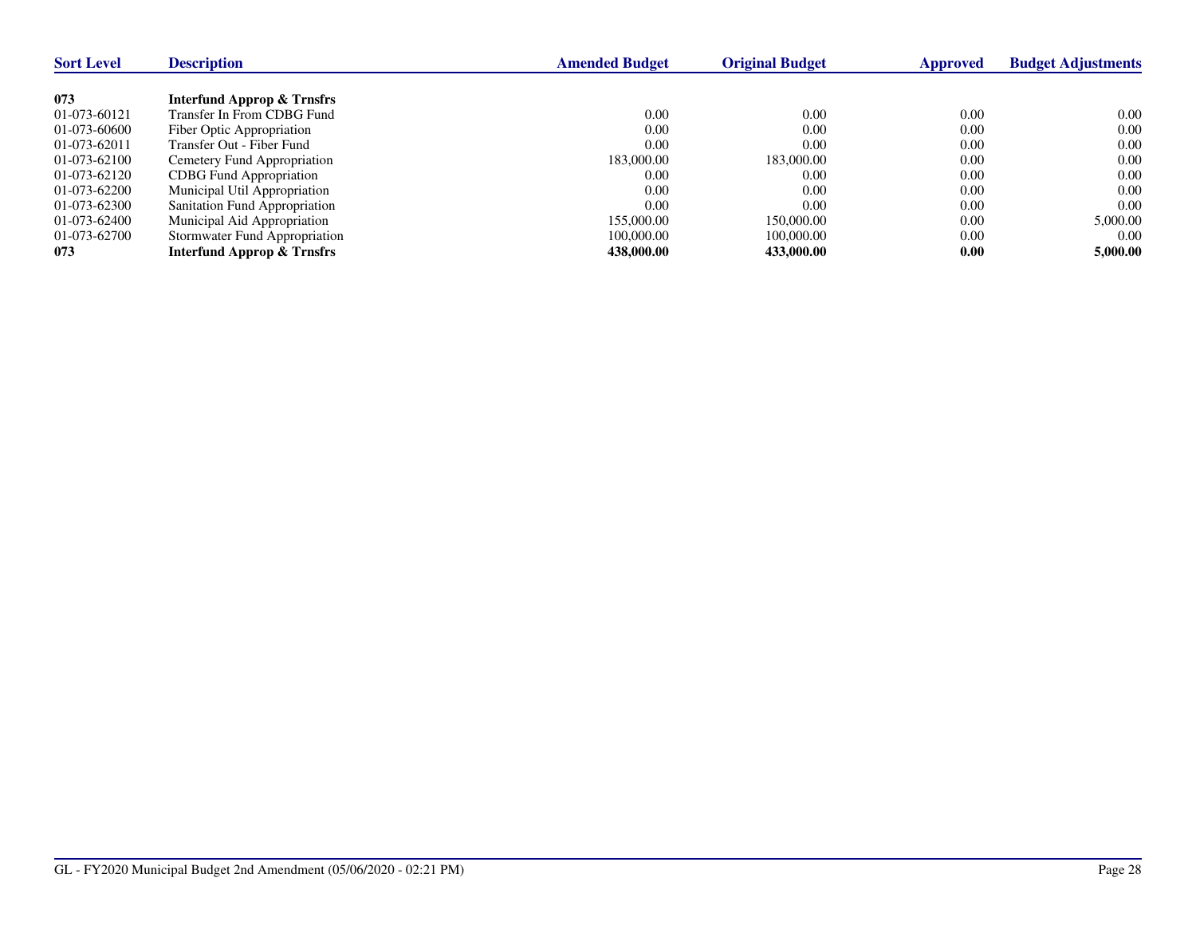| <b>Sort Level</b> | <b>Description</b>                    | <b>Amended Budget</b> | <b>Original Budget</b> | Approved | <b>Budget Adjustments</b> |
|-------------------|---------------------------------------|-----------------------|------------------------|----------|---------------------------|
|                   |                                       |                       |                        |          |                           |
| 073               | Interfund Approp & Trnsfrs            |                       |                        |          |                           |
| 01-073-60121      | Transfer In From CDBG Fund            | 0.00                  | 0.00                   | 0.00     | 0.00                      |
| 01-073-60600      | Fiber Optic Appropriation             | 0.00                  | 0.00                   | 0.00     | 0.00                      |
| 01-073-62011      | Transfer Out - Fiber Fund             | 0.00                  | 0.00                   | 0.00     | 0.00                      |
| 01-073-62100      | Cemetery Fund Appropriation           | 183,000.00            | 183,000.00             | 0.00     | 0.00                      |
| 01-073-62120      | <b>CDBG</b> Fund Appropriation        | 0.00                  | 0.00                   | 0.00     | 0.00                      |
| 01-073-62200      | Municipal Util Appropriation          | 0.00                  | 0.00                   | 0.00     | 0.00                      |
| 01-073-62300      | Sanitation Fund Appropriation         | 0.00                  | 0.00                   | 0.00     | 0.00                      |
| 01-073-62400      | Municipal Aid Appropriation           | 155,000.00            | 150,000.00             | 0.00     | 5,000.00                  |
| 01-073-62700      | Stormwater Fund Appropriation         | 100,000.00            | 100,000.00             | 0.00     | 0.00                      |
| 073               | <b>Interfund Approp &amp; Trnsfrs</b> | 438,000.00            | 433,000.00             | 0.00     | 5,000.00                  |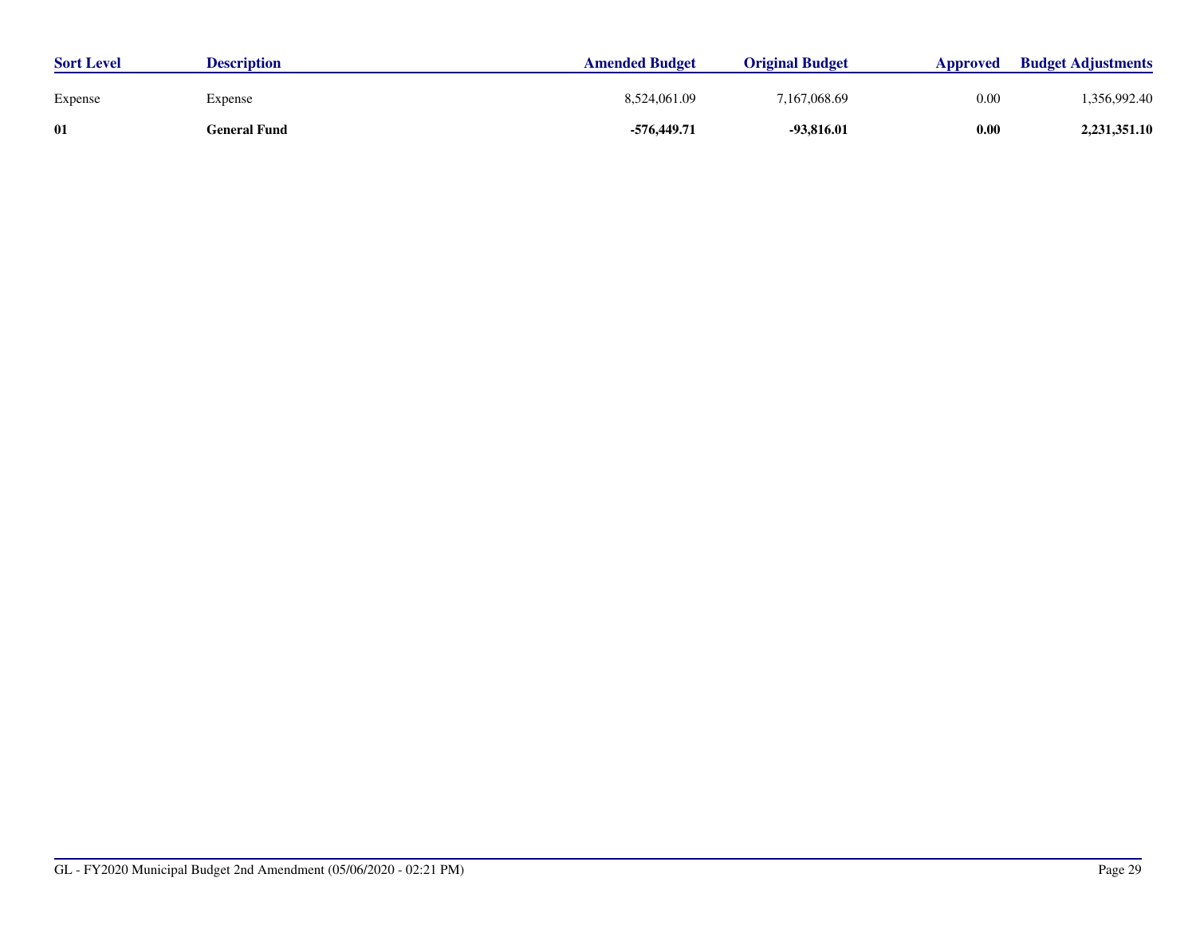| <b>Sort Level</b> | <b>Description</b> | <b>Amended Budget</b> | <b>Original Budget</b> | Approved | <b>Budget Adjustments</b> |
|-------------------|--------------------|-----------------------|------------------------|----------|---------------------------|
| Expense           | Expense            | 8,524,061.09          | 7.167.068.69           | 0.00     | 1.356.992.40              |
| 01                | General Fund       | -576,449.71           | -93,816.01             | 0.00     | 2,231,351.10              |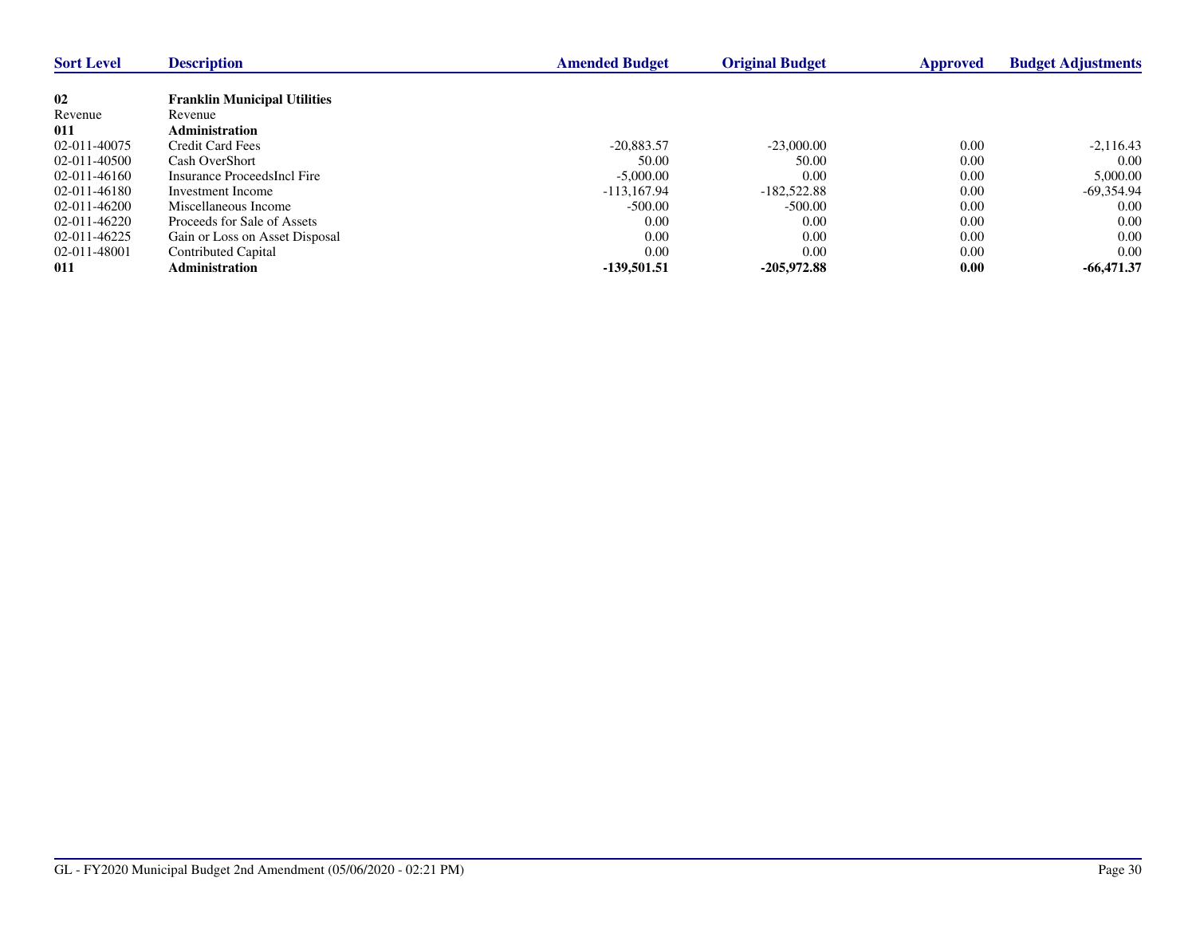| <b>Sort Level</b> | <b>Description</b>                  | <b>Amended Budget</b> | <b>Original Budget</b> | Approved | <b>Budget Adjustments</b> |
|-------------------|-------------------------------------|-----------------------|------------------------|----------|---------------------------|
|                   |                                     |                       |                        |          |                           |
| 02                | <b>Franklin Municipal Utilities</b> |                       |                        |          |                           |
| Revenue           | Revenue                             |                       |                        |          |                           |
| 011               | <b>Administration</b>               |                       |                        |          |                           |
| 02-011-40075      | <b>Credit Card Fees</b>             | $-20.883.57$          | $-23,000,00$           | 0.00     | $-2,116.43$               |
| 02-011-40500      | Cash OverShort                      | 50.00                 | 50.00                  | 0.00     | 0.00                      |
| 02-011-46160      | Insurance ProceedsIncl Fire         | $-5,000.00$           | 0.00                   | 0.00     | 5,000.00                  |
| 02-011-46180      | Investment Income                   | $-113.167.94$         | $-182,522.88$          | 0.00     | $-69.354.94$              |
| 02-011-46200      | Miscellaneous Income                | $-500.00$             | $-500.00$              | 0.00     | 0.00                      |
| $02-011-46220$    | Proceeds for Sale of Assets         | 0.00                  | 0.00                   | 0.00     | 0.00                      |
| 02-011-46225      | Gain or Loss on Asset Disposal      | 0.00                  | 0.00                   | 0.00     | 0.00                      |
| 02-011-48001      | Contributed Capital                 | 0.00                  | 0.00                   | 0.00     | 0.00                      |
| 011               | <b>Administration</b>               | -139.501.51           | $-205.972.88$          | 0.00     | $-66,471,37$              |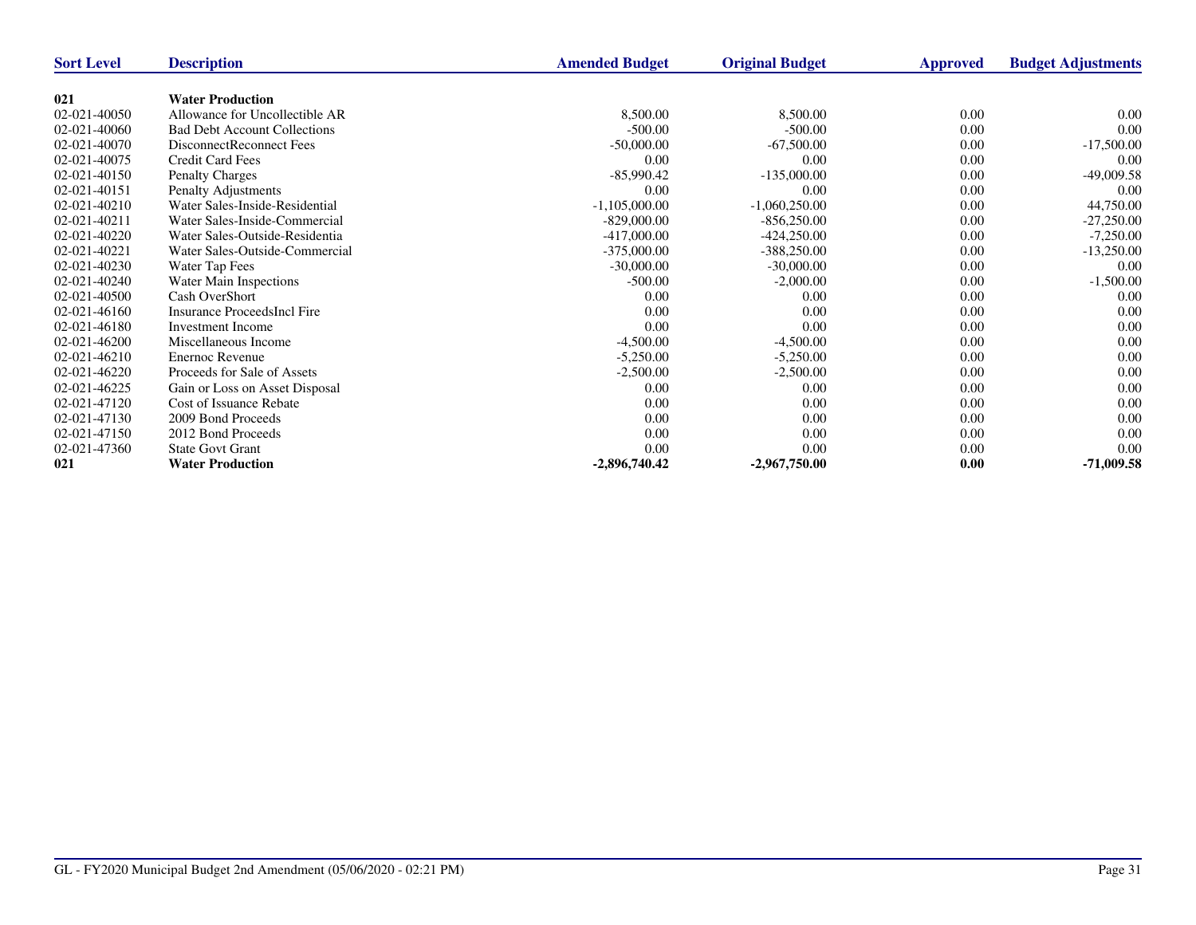| <b>Sort Level</b> | <b>Description</b>                  | <b>Amended Budget</b> | <b>Original Budget</b> | Approved | <b>Budget Adjustments</b> |
|-------------------|-------------------------------------|-----------------------|------------------------|----------|---------------------------|
|                   |                                     |                       |                        |          |                           |
| 021               | <b>Water Production</b>             |                       |                        |          |                           |
| 02-021-40050      | Allowance for Uncollectible AR      | 8,500.00              | 8,500.00               | 0.00     | 0.00                      |
| 02-021-40060      | <b>Bad Debt Account Collections</b> | $-500.00$             | $-500.00$              | 0.00     | 0.00                      |
| 02-021-40070      | DisconnectReconnect Fees            | $-50,000.00$          | $-67,500.00$           | 0.00     | $-17,500.00$              |
| 02-021-40075      | <b>Credit Card Fees</b>             | 0.00                  | 0.00                   | 0.00     | 0.00                      |
| 02-021-40150      | <b>Penalty Charges</b>              | $-85,990.42$          | $-135,000.00$          | 0.00     | $-49,009.58$              |
| 02-021-40151      | Penalty Adjustments                 | 0.00                  | 0.00                   | 0.00     | 0.00                      |
| 02-021-40210      | Water Sales-Inside-Residential      | $-1,105,000.00$       | $-1,060,250.00$        | 0.00     | 44,750.00                 |
| 02-021-40211      | Water Sales-Inside-Commercial       | $-829,000.00$         | $-856,250.00$          | 0.00     | $-27,250.00$              |
| 02-021-40220      | Water Sales-Outside-Residentia      | $-417,000.00$         | $-424,250.00$          | 0.00     | $-7,250.00$               |
| 02-021-40221      | Water Sales-Outside-Commercial      | $-375,000.00$         | $-388,250.00$          | 0.00     | $-13,250.00$              |
| 02-021-40230      | Water Tap Fees                      | $-30,000.00$          | $-30,000.00$           | 0.00     | 0.00                      |
| 02-021-40240      | Water Main Inspections              | $-500.00$             | $-2,000.00$            | 0.00     | $-1,500.00$               |
| 02-021-40500      | Cash OverShort                      | 0.00                  | 0.00                   | 0.00     | 0.00                      |
| 02-021-46160      | <b>Insurance ProceedsIncl Fire</b>  | 0.00                  | 0.00                   | 0.00     | 0.00                      |
| 02-021-46180      | <b>Investment Income</b>            | 0.00                  | 0.00                   | 0.00     | 0.00                      |
| 02-021-46200      | Miscellaneous Income                | $-4,500.00$           | $-4,500.00$            | 0.00     | 0.00                      |
| 02-021-46210      | <b>Enernoc Revenue</b>              | $-5,250.00$           | $-5,250.00$            | 0.00     | 0.00                      |
| 02-021-46220      | Proceeds for Sale of Assets         | $-2,500.00$           | $-2,500.00$            | 0.00     | 0.00                      |
| 02-021-46225      | Gain or Loss on Asset Disposal      | 0.00                  | 0.00                   | 0.00     | 0.00                      |
| 02-021-47120      | Cost of Issuance Rebate             | 0.00                  | 0.00                   | 0.00     | 0.00                      |
| 02-021-47130      | 2009 Bond Proceeds                  | 0.00                  | 0.00                   | 0.00     | 0.00                      |
| 02-021-47150      | 2012 Bond Proceeds                  | 0.00                  | 0.00                   | 0.00     | 0.00                      |
| 02-021-47360      | <b>State Govt Grant</b>             | 0.00                  | 0.00                   | 0.00     | 0.00                      |
| 021               | <b>Water Production</b>             | $-2,896,740.42$       | $-2,967,750.00$        | 0.00     | $-71,009.58$              |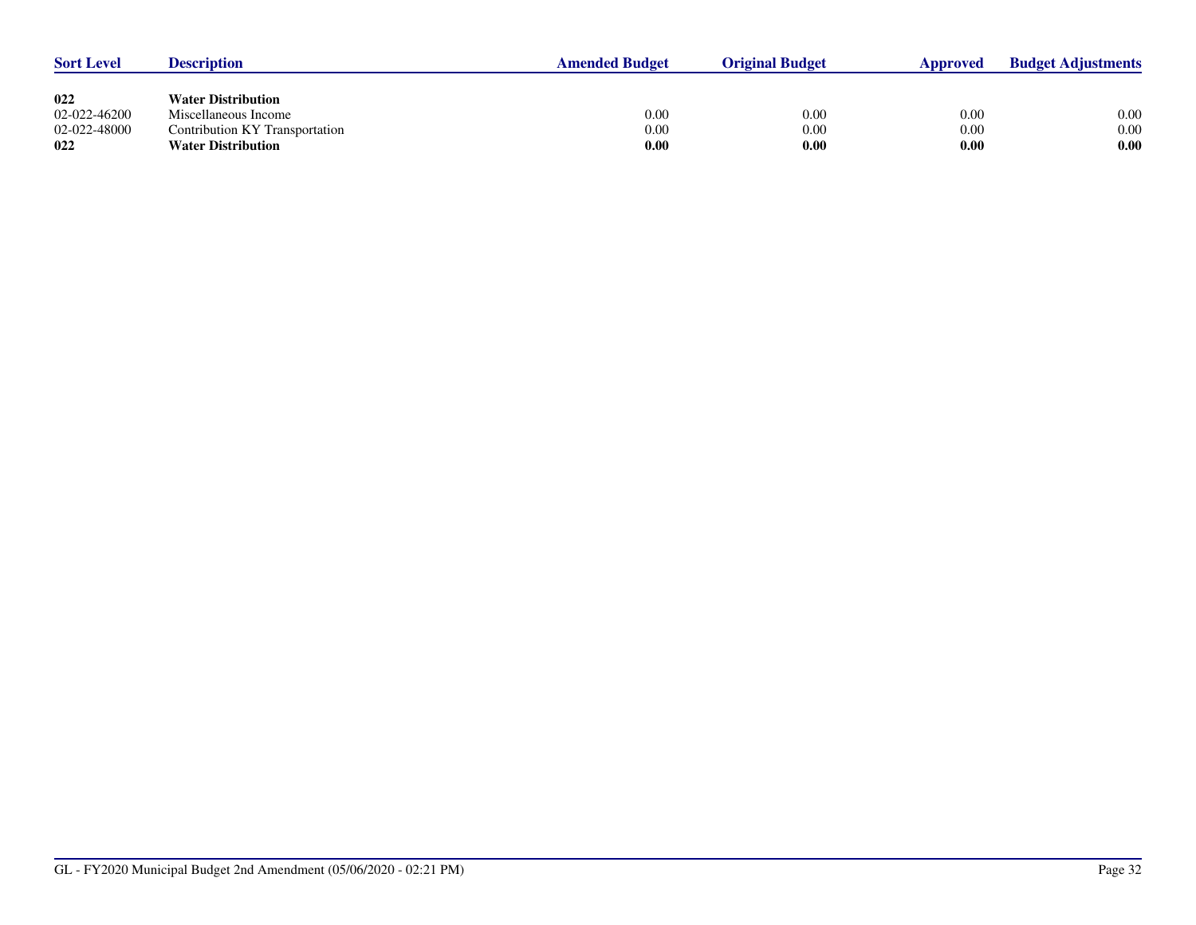| <b>Sort Level</b> | <b>Description</b>             | <b>Amended Budget</b> | <b>Original Budget</b> | Approved | <b>Budget Adjustments</b> |
|-------------------|--------------------------------|-----------------------|------------------------|----------|---------------------------|
|                   |                                |                       |                        |          |                           |
| 022               | <b>Water Distribution</b>      |                       |                        |          |                           |
| 02-022-46200      | Miscellaneous Income           | 0.00                  | 0.00                   | 0.00     | 0.00                      |
| 02-022-48000      | Contribution KY Transportation | 0.00                  | 0.00                   | 0.00     | 0.00                      |
| 022               | <b>Water Distribution</b>      | 0.00                  | 0.00                   | 0.00     | 0.00                      |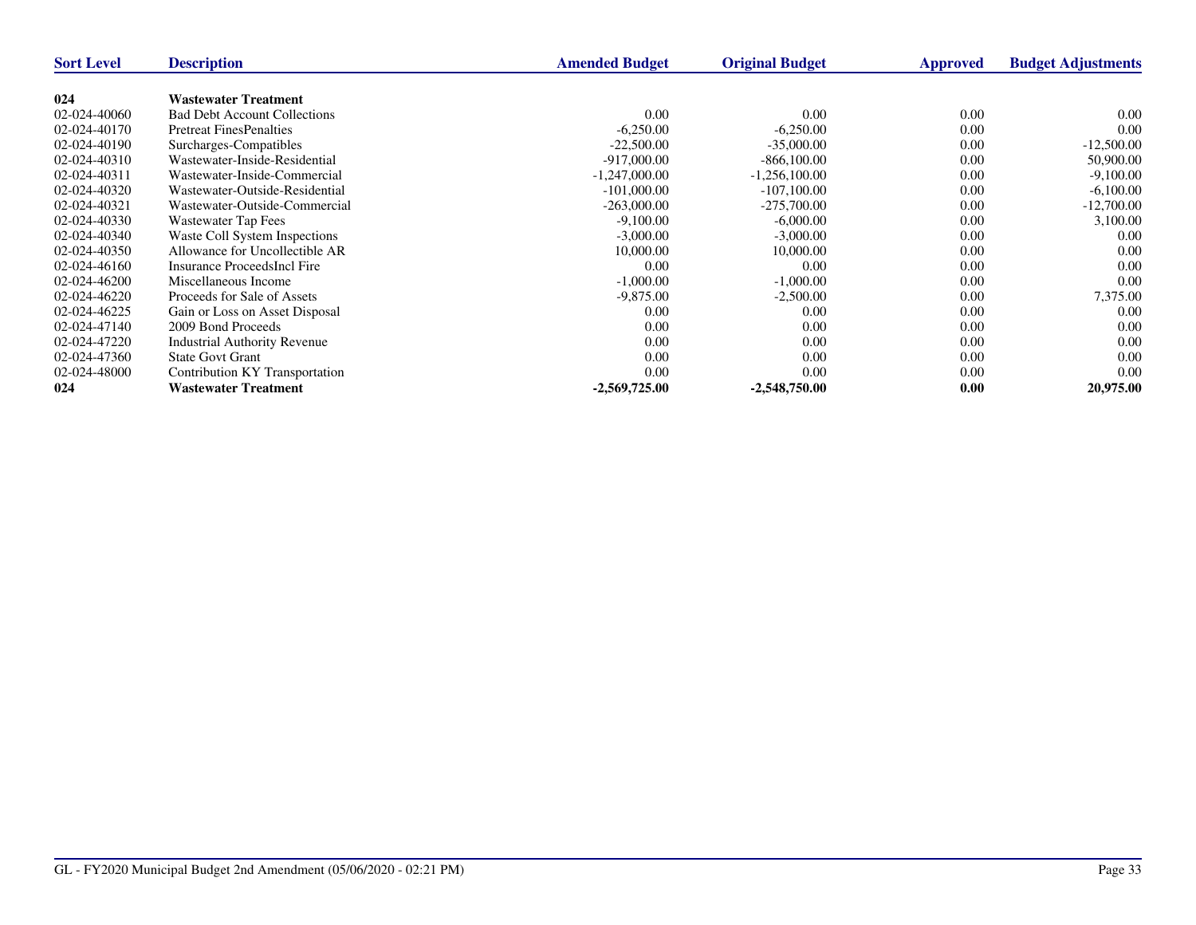| <b>Sort Level</b> | <b>Description</b>                  | <b>Amended Budget</b> | <b>Original Budget</b> | Approved | <b>Budget Adjustments</b> |
|-------------------|-------------------------------------|-----------------------|------------------------|----------|---------------------------|
|                   |                                     |                       |                        |          |                           |
| 024               | <b>Wastewater Treatment</b>         |                       |                        |          |                           |
| 02-024-40060      | <b>Bad Debt Account Collections</b> | 0.00                  | 0.00                   | 0.00     | 0.00                      |
| 02-024-40170      | <b>Pretreat FinesPenalties</b>      | $-6,250.00$           | $-6,250.00$            | 0.00     | 0.00                      |
| 02-024-40190      | Surcharges-Compatibles              | $-22,500.00$          | $-35,000,00$           | 0.00     | $-12,500.00$              |
| 02-024-40310      | Wastewater-Inside-Residential       | $-917,000,00$         | $-866, 100, 00$        | 0.00     | 50,900.00                 |
| 02-024-40311      | Wastewater-Inside-Commercial        | $-1,247,000.00$       | $-1,256,100.00$        | 0.00     | $-9,100.00$               |
| 02-024-40320      | Wastewater-Outside-Residential      | $-101,000,00$         | $-107,100.00$          | 0.00     | $-6,100.00$               |
| 02-024-40321      | Wastewater-Outside-Commercial       | $-263,000.00$         | $-275,700.00$          | 0.00     | $-12,700.00$              |
| 02-024-40330      | Wastewater Tap Fees                 | $-9,100.00$           | $-6,000.00$            | 0.00     | 3,100.00                  |
| 02-024-40340      | Waste Coll System Inspections       | $-3,000.00$           | $-3,000.00$            | 0.00     | 0.00                      |
| 02-024-40350      | Allowance for Uncollectible AR      | 10,000.00             | 10,000.00              | 0.00     | 0.00                      |
| 02-024-46160      | Insurance ProceedsIncl Fire         | 0.00                  | 0.00                   | 0.00     | 0.00                      |
| 02-024-46200      | Miscellaneous Income                | $-1,000.00$           | $-1,000.00$            | 0.00     | 0.00                      |
| 02-024-46220      | Proceeds for Sale of Assets         | $-9,875.00$           | $-2,500.00$            | 0.00     | 7,375.00                  |
| 02-024-46225      | Gain or Loss on Asset Disposal      | 0.00                  | 0.00                   | 0.00     | 0.00                      |
| 02-024-47140      | 2009 Bond Proceeds                  | 0.00                  | 0.00                   | 0.00     | 0.00                      |
| 02-024-47220      | <b>Industrial Authority Revenue</b> | 0.00                  | 0.00                   | 0.00     | 0.00                      |
| 02-024-47360      | <b>State Govt Grant</b>             | 0.00                  | 0.00                   | 0.00     | 0.00                      |
| 02-024-48000      | Contribution KY Transportation      | 0.00                  | 0.00                   | 0.00     | 0.00                      |
| 024               | <b>Wastewater Treatment</b>         | $-2,569,725.00$       | $-2,548,750.00$        | 0.00     | 20,975.00                 |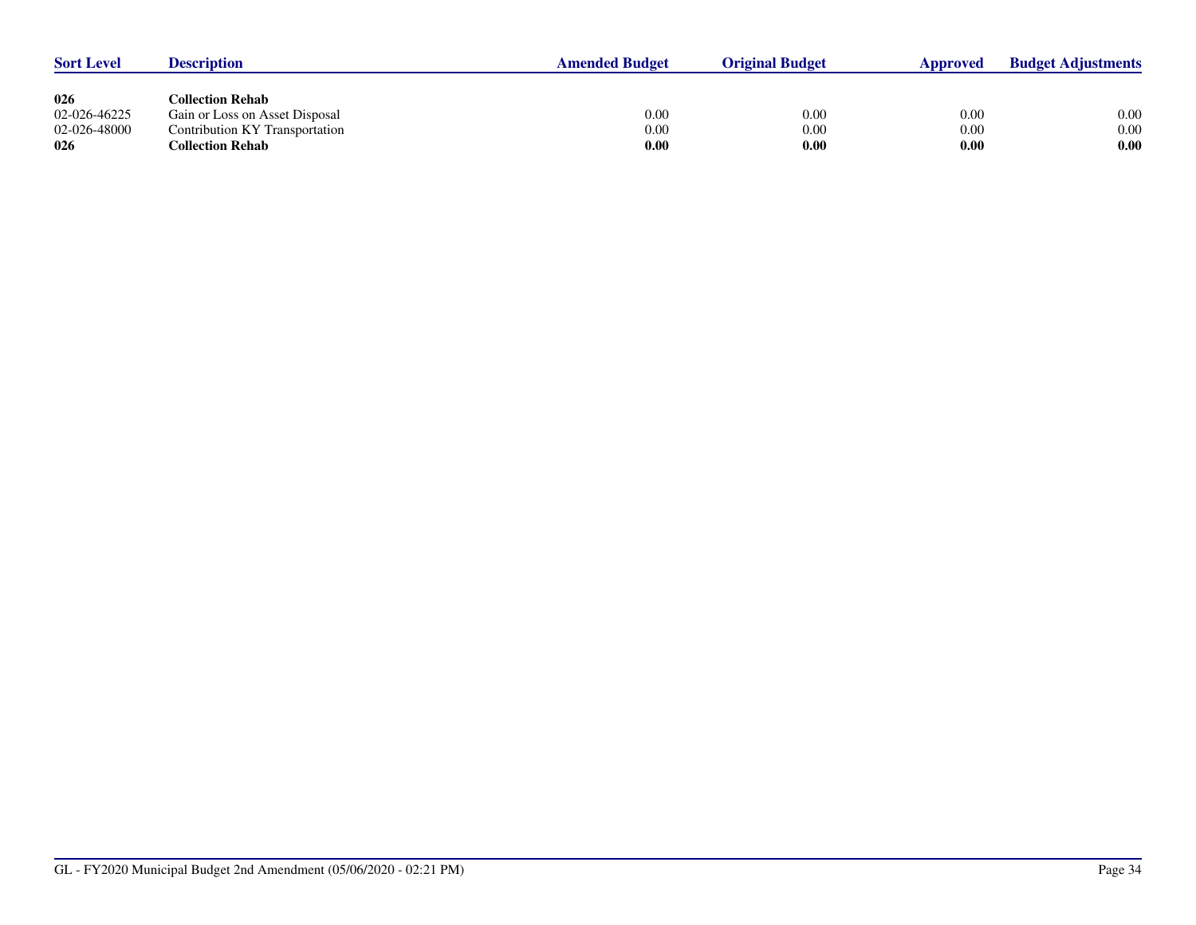| <b>Sort Level</b> | <b>Description</b>             | <b>Amended Budget</b> | <b>Original Budget</b> | Approved | <b>Budget Adjustments</b> |
|-------------------|--------------------------------|-----------------------|------------------------|----------|---------------------------|
|                   |                                |                       |                        |          |                           |
| 026               | Collection Rehab_              |                       |                        |          |                           |
| 02-026-46225      | Gain or Loss on Asset Disposal | $0.00\,$              | 0.00                   | 0.00     | 0.00                      |
| 02-026-48000      | Contribution KY Transportation | 0.00                  | 0.00                   | 0.00     | 0.00                      |
| 026               | Collection Rehab               | 0.00                  | 0.00                   | 0.00     | 0.00                      |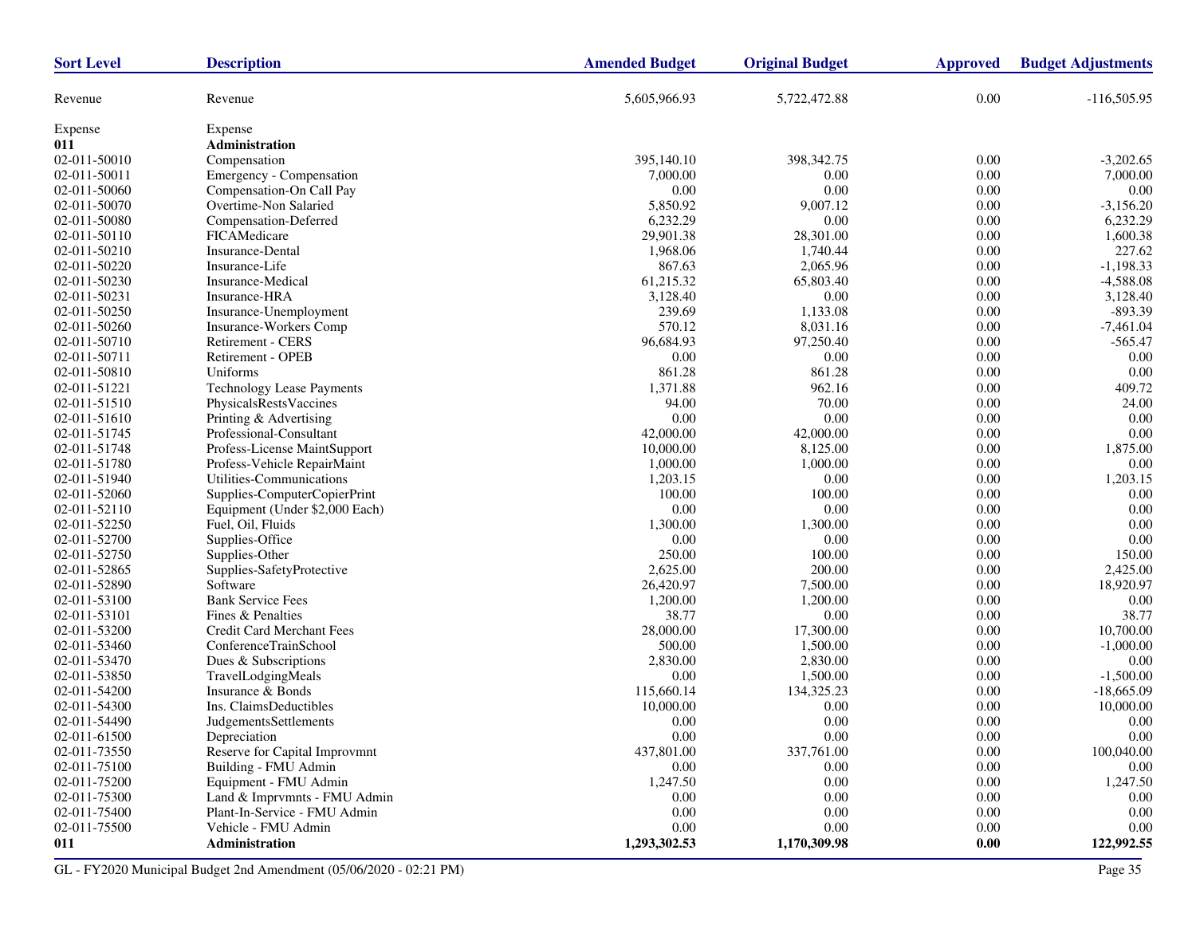| <b>Sort Level</b>   | <b>Description</b>                                  | <b>Amended Budget</b> | <b>Original Budget</b> | <b>Approved</b>  | <b>Budget Adjustments</b> |
|---------------------|-----------------------------------------------------|-----------------------|------------------------|------------------|---------------------------|
| Revenue             | Revenue                                             | 5,605,966.93          | 5,722,472.88           | 0.00             | $-116,505.95$             |
| Expense             | Expense                                             |                       |                        |                  |                           |
| 011                 | Administration                                      |                       |                        |                  |                           |
| 02-011-50010        | Compensation                                        | 395,140.10            | 398, 342. 75           | 0.00             | $-3,202.65$               |
| 02-011-50011        | Emergency - Compensation                            | 7,000.00              | 0.00                   | 0.00             | 7,000.00                  |
| 02-011-50060        | Compensation-On Call Pay                            | 0.00                  | 0.00                   | 0.00             | 0.00                      |
| 02-011-50070        | Overtime-Non Salaried                               | 5,850.92              | 9,007.12               | 0.00             | $-3,156.20$               |
| 02-011-50080        | Compensation-Deferred                               | 6,232.29              | 0.00                   | 0.00             | 6,232.29                  |
| 02-011-50110        | FICAMedicare                                        | 29,901.38             | 28,301.00              | 0.00             | 1,600.38                  |
| 02-011-50210        | <b>Insurance-Dental</b>                             | 1,968.06              | 1,740.44               | 0.00             | 227.62                    |
| 02-011-50220        | Insurance-Life                                      | 867.63                | 2,065.96               | 0.00             | $-1,198.33$               |
| 02-011-50230        | <b>Insurance-Medical</b>                            | 61,215.32             | 65,803.40              | 0.00             | $-4,588.08$               |
| 02-011-50231        | Insurance-HRA                                       | 3,128.40              | 0.00                   | 0.00             | 3,128.40                  |
| 02-011-50250        | Insurance-Unemployment                              | 239.69                | 1,133.08               | 0.00             | $-893.39$                 |
| 02-011-50260        | <b>Insurance-Workers Comp</b>                       | 570.12                | 8,031.16               | 0.00             | $-7,461.04$               |
| 02-011-50710        | Retirement - CERS                                   | 96,684.93             | 97,250.40              | 0.00             | $-565.47$                 |
| 02-011-50711        | Retirement - OPEB                                   | 0.00                  | 0.00                   | 0.00             | 0.00                      |
| 02-011-50810        | Uniforms                                            | 861.28                | 861.28                 | 0.00             | 0.00                      |
| 02-011-51221        | <b>Technology Lease Payments</b>                    | 1,371.88              | 962.16                 | 0.00             | 409.72                    |
| 02-011-51510        | PhysicalsRestsVaccines                              | 94.00                 | 70.00                  | 0.00             | 24.00                     |
| 02-011-51610        | Printing & Advertising                              | 0.00                  | 0.00                   | 0.00             | 0.00                      |
| 02-011-51745        | Professional-Consultant                             | 42,000.00             | 42,000.00              | 0.00             | 0.00                      |
| 02-011-51748        | Profess-License MaintSupport                        | 10,000.00             | 8,125.00               | 0.00             | 1,875.00                  |
| 02-011-51780        | Profess-Vehicle RepairMaint                         | 1,000.00              | 1,000.00               | 0.00             | $0.00\,$                  |
| 02-011-51940        | Utilities-Communications                            | 1,203.15              | 0.00                   | 0.00             | 1,203.15                  |
| 02-011-52060        | Supplies-ComputerCopierPrint                        | 100.00                | 100.00                 | 0.00             | 0.00                      |
| 02-011-52110        | Equipment (Under \$2,000 Each)                      | 0.00                  | 0.00                   | 0.00             | 0.00                      |
| 02-011-52250        | Fuel, Oil, Fluids                                   | 1,300.00              | 1,300.00               | 0.00             | 0.00                      |
| 02-011-52700        | Supplies-Office                                     | 0.00                  | 0.00                   | 0.00             | 0.00                      |
| 02-011-52750        | Supplies-Other                                      | 250.00                | 100.00                 | 0.00             | 150.00                    |
| 02-011-52865        | Supplies-SafetyProtective                           | 2,625.00              | 200.00                 | 0.00             | 2,425.00                  |
| 02-011-52890        | Software                                            | 26,420.97             | 7,500.00               | 0.00             | 18,920.97                 |
| 02-011-53100        | <b>Bank Service Fees</b>                            | 1,200.00              | 1,200.00               | 0.00             | 0.00                      |
| 02-011-53101        | Fines & Penalties                                   | 38.77                 | 0.00                   | 0.00             | 38.77                     |
| 02-011-53200        | Credit Card Merchant Fees                           | 28,000.00             | 17,300.00              | 0.00             | 10,700.00                 |
| 02-011-53460        | ConferenceTrainSchool                               | 500.00                | 1,500.00               | 0.00             | $-1,000.00$               |
| 02-011-53470        | Dues & Subscriptions                                | 2,830.00              | 2,830.00               | 0.00             | 0.00                      |
| 02-011-53850        | TravelLodgingMeals                                  | 0.00                  | 1,500.00               | 0.00             | $-1,500.00$               |
| 02-011-54200        | Insurance & Bonds                                   | 115,660.14            | 134,325.23             | 0.00             | $-18,665.09$              |
| 02-011-54300        | Ins. ClaimsDeductibles                              | 10,000.00             | 0.00                   | 0.00             | 10,000.00                 |
| 02-011-54490        | JudgementsSettlements                               | 0.00                  | 0.00                   | 0.00             | 0.00                      |
| $02-011-61500$      | Depreciation                                        | 0.00                  | 0.00                   | 0.00             | $0.00^{\circ}$            |
| 02-011-73550        | Reserve for Capital Improvmnt                       | 437,801.00            | 337,761.00             | 0.00             | 100,040.00                |
| 02-011-75100        | Building - FMU Admin                                | 0.00                  | 0.00                   | 0.00             | 0.00                      |
| 02-011-75200        | Equipment - FMU Admin                               | 1,247.50              | 0.00                   | 0.00             | 1,247.50                  |
| 02-011-75300        | Land & Imprvmnts - FMU Admin                        | 0.00                  | 0.00                   | 0.00             | $0.00\,$                  |
| 02-011-75400        | Plant-In-Service - FMU Admin<br>Vehicle - FMU Admin | 0.00                  | 0.00                   | 0.00             | 0.00                      |
| 02-011-75500<br>011 | Administration                                      | 0.00<br>1,293,302.53  | 0.00<br>1,170,309.98   | 0.00<br>$0.00\,$ | 0.00<br>122,992.55        |
|                     |                                                     |                       |                        |                  |                           |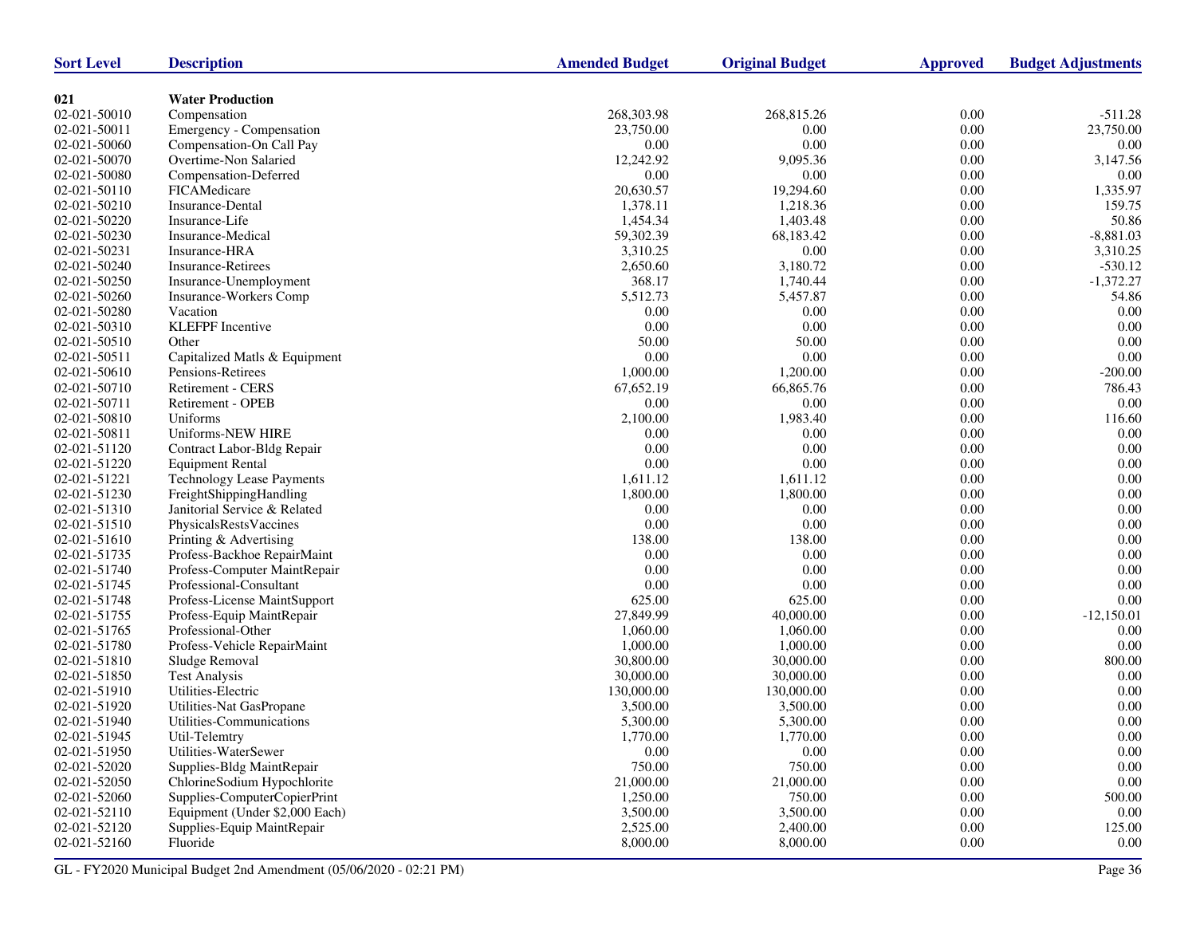| <b>Sort Level</b>  | <b>Description</b>               | <b>Amended Budget</b> | <b>Original Budget</b> | <b>Approved</b> | <b>Budget Adjustments</b> |
|--------------------|----------------------------------|-----------------------|------------------------|-----------------|---------------------------|
|                    |                                  |                       |                        |                 |                           |
| 021                | <b>Water Production</b>          |                       |                        |                 |                           |
| 02-021-50010       | Compensation                     | 268,303.98            | 268,815.26             | 0.00            | $-511.28$                 |
| 02-021-50011       | Emergency - Compensation         | 23,750.00             | 0.00                   | $0.00\,$        | 23,750.00                 |
| 02-021-50060       | Compensation-On Call Pay         | 0.00                  | 0.00                   | 0.00            | 0.00                      |
| 02-021-50070       | Overtime-Non Salaried            | 12,242.92             | 9.095.36               | 0.00            | 3,147.56                  |
| 02-021-50080       | Compensation-Deferred            | 0.00                  | 0.00                   | $0.00\,$        | 0.00                      |
| 02-021-50110       | FICAMedicare                     | 20,630.57             | 19,294.60              | $0.00\,$        | 1,335.97                  |
| 02-021-50210       | Insurance-Dental                 | 1,378.11              | 1,218.36               | 0.00            | 159.75                    |
| 02-021-50220       | Insurance-Life                   | 1,454.34              | 1,403.48               | $0.00\,$        | 50.86                     |
| 02-021-50230       | Insurance-Medical                | 59,302.39             | 68,183.42              | $0.00\,$        | $-8,881.03$               |
| 02-021-50231       | Insurance-HRA                    | 3,310.25              | 0.00                   | 0.00            | 3,310.25                  |
| 02-021-50240       | <b>Insurance-Retirees</b>        | 2,650.60              | 3,180.72               | 0.00            | $-530.12$                 |
| 02-021-50250       | Insurance-Unemployment           | 368.17                | 1,740.44               | $0.00\,$        | $-1,372.27$               |
| 02-021-50260       | Insurance-Workers Comp           | 5,512.73              | 5,457.87               | 0.00            | 54.86                     |
| 02-021-50280       | Vacation                         | 0.00                  | 0.00                   | 0.00            | 0.00                      |
| 02-021-50310       | <b>KLEFPF</b> Incentive          | 0.00                  | 0.00                   | $0.00\,$        | 0.00                      |
| 02-021-50510       | Other                            | 50.00                 | 50.00                  | 0.00            | $0.00\,$                  |
| 02-021-50511       | Capitalized Matls & Equipment    | 0.00                  | 0.00                   | 0.00            | 0.00                      |
| 02-021-50610       | Pensions-Retirees                | 1,000.00              | 1,200.00               | $0.00\,$        | $-200.00$                 |
| 02-021-50710       | Retirement - CERS                | 67,652.19             | 66,865.76              | 0.00            | 786.43                    |
| 02-021-50711       | Retirement - OPEB                | 0.00                  | 0.00                   | 0.00            | 0.00                      |
| 02-021-50810       | Uniforms                         | 2,100.00              | 1,983.40               | $0.00\,$        | 116.60                    |
| 02-021-50811       | Uniforms-NEW HIRE                | 0.00                  | 0.00                   | 0.00            | $0.00\,$                  |
| 02-021-51120       | Contract Labor-Bldg Repair       | 0.00                  | 0.00                   | 0.00            | 0.00                      |
| 02-021-51220       | <b>Equipment Rental</b>          | 0.00                  | 0.00                   | 0.00            | 0.00                      |
| 02-021-51221       | <b>Technology Lease Payments</b> | 1,611.12              | 1,611.12               | 0.00            | $0.00\,$                  |
| 02-021-51230       | FreightShippingHandling          | 1,800.00              | 1,800.00               | 0.00            | 0.00                      |
| 02-021-51310       | Janitorial Service & Related     | 0.00                  | 0.00                   | $0.00\,$        | $0.00\,$                  |
| 02-021-51510       | PhysicalsRestsVaccines           | $0.00\,$              | 0.00                   | 0.00            | $0.00\,$                  |
| 02-021-51610       | Printing & Advertising           | 138.00                | 138.00                 | $0.00\,$        | 0.00                      |
| 02-021-51735       | Profess-Backhoe RepairMaint      | 0.00                  | 0.00                   | $0.00\,$        | $0.00\,$                  |
| 02-021-51740       | Profess-Computer MaintRepair     | 0.00                  | 0.00                   | 0.00            | $0.00\,$                  |
| 02-021-51745       | Professional-Consultant          | 0.00                  | 0.00                   | 0.00            | 0.00                      |
| 02-021-51748       | Profess-License MaintSupport     | 625.00                | 625.00                 | $0.00\,$        | $0.00\,$                  |
| 02-021-51755       | Profess-Equip MaintRepair        | 27,849.99             | 40,000.00              | 0.00            | $-12,150.01$              |
| 02-021-51765       | Professional-Other               | 1,060.00              | 1,060.00               | 0.00            | 0.00                      |
| 02-021-51780       | Profess-Vehicle RepairMaint      | 1,000.00              | 1,000.00               | $0.00\,$        | $0.00\,$                  |
| 02-021-51810       | Sludge Removal                   | 30,800.00             | 30,000.00              | 0.00            | 800.00                    |
| 02-021-51850       | <b>Test Analysis</b>             | 30,000.00             | 30,000.00              | 0.00            | 0.00                      |
| 02-021-51910       | Utilities-Electric               | 130,000.00            | 130,000.00             | 0.00            | 0.00                      |
| 02-021-51920       | Utilities-Nat GasPropane         | 3,500.00              | 3,500.00               | 0.00            | 0.00                      |
| 02-021-51940       | Utilities-Communications         | 5,300.00              | 5,300.00               | 0.00            | 0.00                      |
| $02 - 021 - 51945$ | Util-Telemtry                    | 1,770.00              | 1,770.00               | 0.00            | $0.00\,$                  |
| 02-021-51950       | Utilities-WaterSewer             | 0.00                  | 0.00                   | 0.00            | 0.00                      |
| 02-021-52020       | Supplies-Bldg MaintRepair        | 750.00                | 750.00                 | 0.00            | 0.00                      |
| 02-021-52050       | ChlorineSodium Hypochlorite      | 21,000.00             | 21,000.00              | 0.00            | $0.00\,$                  |
| 02-021-52060       | Supplies-ComputerCopierPrint     | 1,250.00              | 750.00                 | 0.00            | 500.00                    |
| 02-021-52110       | Equipment (Under \$2,000 Each)   | 3,500.00              | 3,500.00               | 0.00            | 0.00                      |
| 02-021-52120       | Supplies-Equip MaintRepair       | 2,525.00              | 2,400.00               | 0.00            | 125.00                    |
| 02-021-52160       | Fluoride                         | 8,000.00              | 8,000.00               | 0.00            | 0.00                      |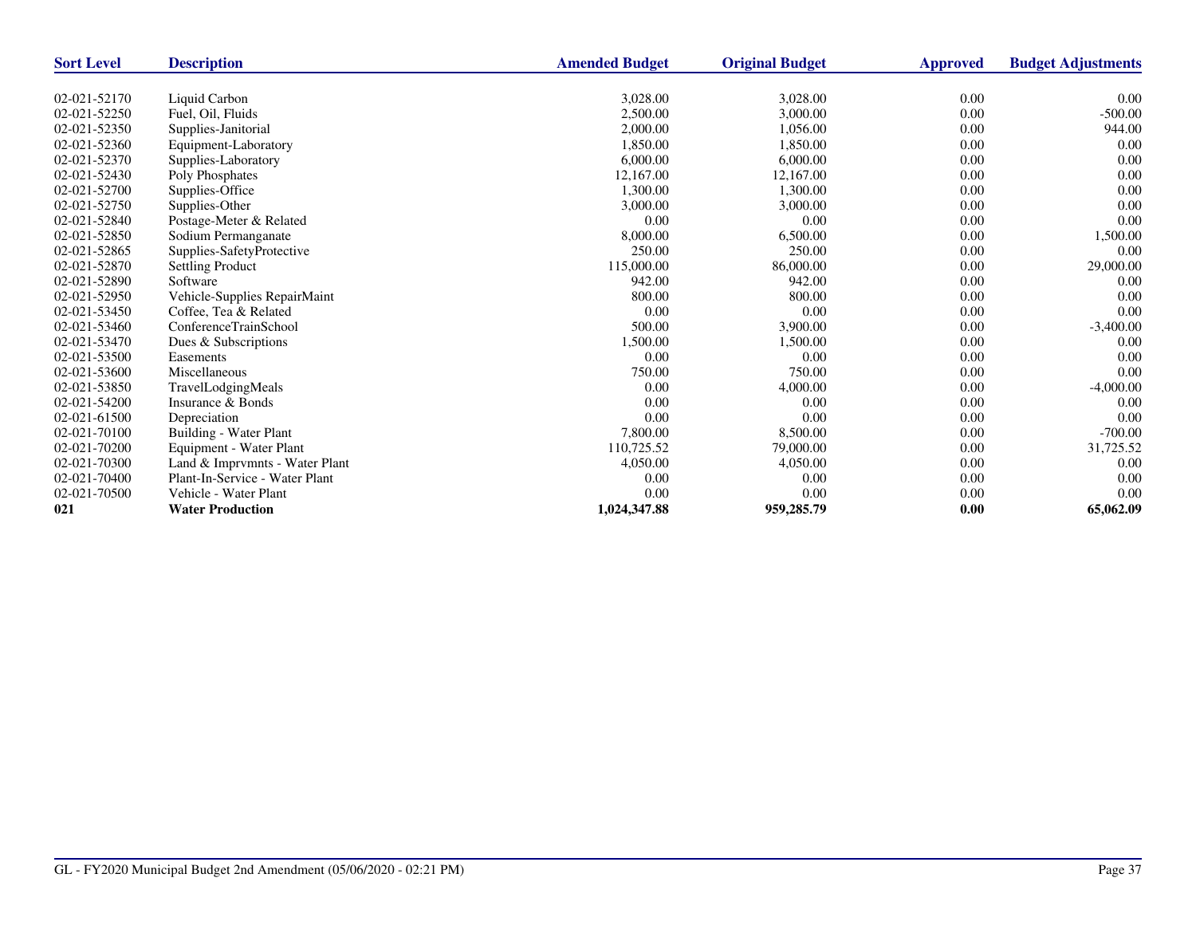| <b>Sort Level</b> | <b>Description</b>             | <b>Amended Budget</b> | <b>Original Budget</b> | <b>Approved</b> | <b>Budget Adjustments</b> |
|-------------------|--------------------------------|-----------------------|------------------------|-----------------|---------------------------|
|                   |                                |                       |                        |                 |                           |
| 02-021-52170      | Liquid Carbon                  | 3,028.00              | 3,028.00               | 0.00            | 0.00                      |
| 02-021-52250      | Fuel, Oil, Fluids              | 2,500.00              | 3,000.00               | 0.00            | $-500.00$                 |
| 02-021-52350      | Supplies-Janitorial            | 2,000.00              | 1,056.00               | 0.00            | 944.00                    |
| 02-021-52360      | Equipment-Laboratory           | 1,850.00              | 1,850.00               | 0.00            | 0.00                      |
| 02-021-52370      | Supplies-Laboratory            | 6,000.00              | 6,000.00               | 0.00            | 0.00                      |
| 02-021-52430      | Poly Phosphates                | 12,167.00             | 12,167.00              | 0.00            | 0.00                      |
| 02-021-52700      | Supplies-Office                | 1.300.00              | 1,300.00               | 0.00            | 0.00                      |
| 02-021-52750      | Supplies-Other                 | 3,000.00              | 3,000.00               | 0.00            | 0.00                      |
| 02-021-52840      | Postage-Meter & Related        | 0.00                  | 0.00                   | 0.00            | 0.00                      |
| 02-021-52850      | Sodium Permanganate            | 8,000.00              | 6,500.00               | 0.00            | 1,500.00                  |
| 02-021-52865      | Supplies-SafetyProtective      | 250.00                | 250.00                 | 0.00            | 0.00                      |
| 02-021-52870      | <b>Settling Product</b>        | 115,000.00            | 86,000.00              | 0.00            | 29,000.00                 |
| 02-021-52890      | Software                       | 942.00                | 942.00                 | 0.00            | 0.00                      |
| 02-021-52950      | Vehicle-Supplies RepairMaint   | 800.00                | 800.00                 | 0.00            | 0.00                      |
| 02-021-53450      | Coffee, Tea & Related          | 0.00                  | 0.00                   | 0.00            | 0.00                      |
| 02-021-53460      | ConferenceTrainSchool          | 500.00                | 3,900.00               | 0.00            | $-3,400.00$               |
| 02-021-53470      | Dues & Subscriptions           | 1,500.00              | 1,500.00               | 0.00            | 0.00                      |
| 02-021-53500      | Easements                      | 0.00                  | 0.00                   | 0.00            | 0.00                      |
| 02-021-53600      | Miscellaneous                  | 750.00                | 750.00                 | 0.00            | 0.00                      |
| 02-021-53850      | TravelLodgingMeals             | 0.00                  | 4,000.00               | 0.00            | $-4,000.00$               |
| 02-021-54200      | Insurance & Bonds              | 0.00                  | 0.00                   | 0.00            | 0.00                      |
| 02-021-61500      | Depreciation                   | 0.00                  | 0.00                   | 0.00            | 0.00                      |
| 02-021-70100      | Building - Water Plant         | 7,800.00              | 8,500.00               | 0.00            | $-700.00$                 |
| 02-021-70200      | Equipment - Water Plant        | 110,725.52            | 79,000.00              | 0.00            | 31,725.52                 |
| 02-021-70300      | Land & Imprvmnts - Water Plant | 4,050.00              | 4,050.00               | 0.00            | 0.00                      |
| 02-021-70400      | Plant-In-Service - Water Plant | 0.00                  | 0.00                   | 0.00            | 0.00                      |
| 02-021-70500      | Vehicle - Water Plant          | 0.00                  | 0.00                   | 0.00            | 0.00                      |
| 021               | <b>Water Production</b>        | 1,024,347.88          | 959,285.79             | 0.00            | 65,062.09                 |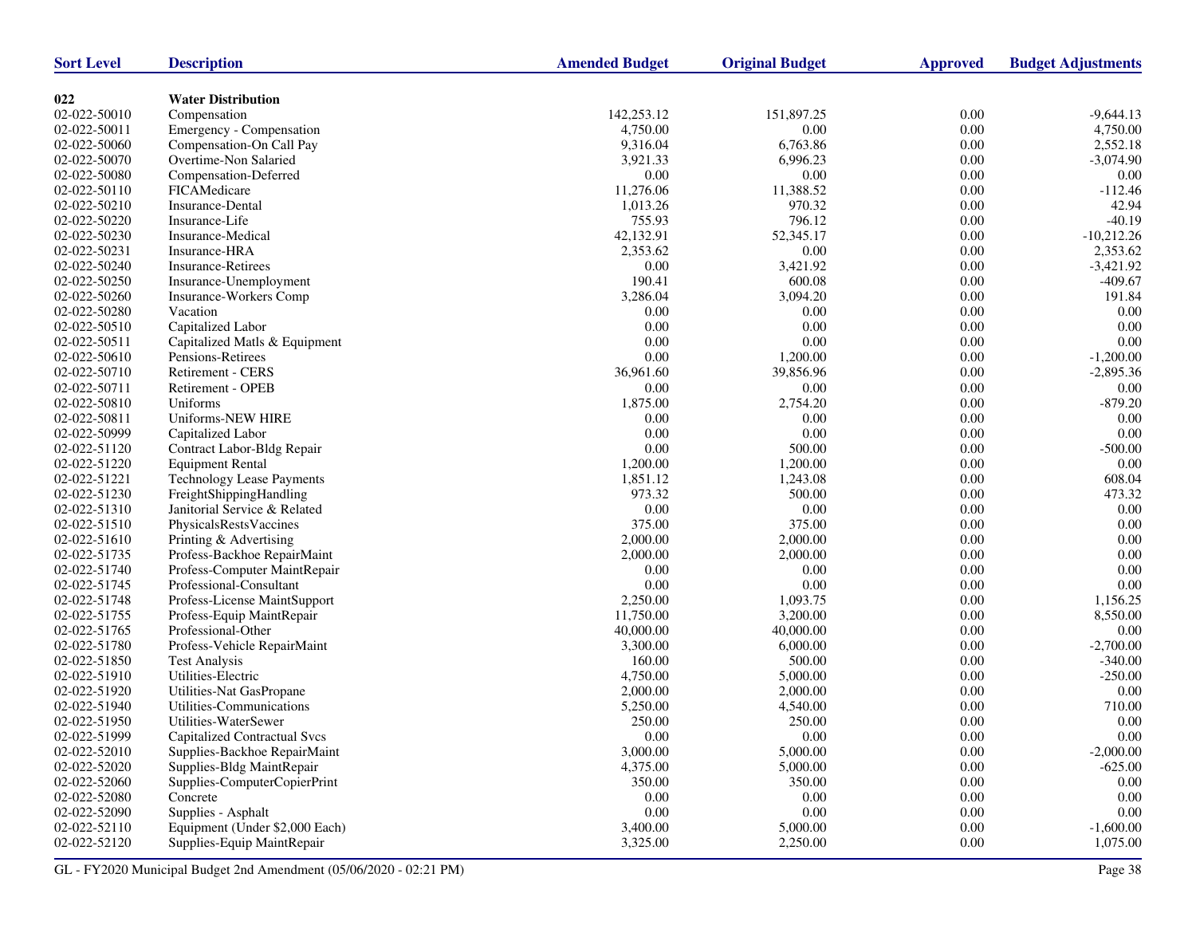| <b>Sort Level</b> | <b>Description</b>               | <b>Amended Budget</b> | <b>Original Budget</b> | <b>Approved</b> | <b>Budget Adjustments</b> |
|-------------------|----------------------------------|-----------------------|------------------------|-----------------|---------------------------|
|                   |                                  |                       |                        |                 |                           |
| 022               | <b>Water Distribution</b>        |                       |                        |                 |                           |
| 02-022-50010      | Compensation                     | 142,253.12            | 151,897.25             | 0.00            | $-9,644.13$               |
| 02-022-50011      | Emergency - Compensation         | 4,750.00              | 0.00                   | $0.00\,$        | 4,750.00                  |
| 02-022-50060      | Compensation-On Call Pay         | 9,316.04              | 6,763.86               | 0.00            | 2,552.18                  |
| 02-022-50070      | Overtime-Non Salaried            | 3,921.33              | 6.996.23               | 0.00            | $-3,074.90$               |
| 02-022-50080      | Compensation-Deferred            | 0.00                  | 0.00                   | 0.00            | 0.00                      |
| 02-022-50110      | FICAMedicare                     | 11,276.06             | 11,388.52              | $0.00\,$        | $-112.46$                 |
| 02-022-50210      | Insurance-Dental                 | 1,013.26              | 970.32                 | 0.00            | 42.94                     |
| 02-022-50220      | Insurance-Life                   | 755.93                | 796.12                 | $0.00\,$        | $-40.19$                  |
| 02-022-50230      | Insurance-Medical                | 42,132.91             | 52,345.17              | $0.00\,$        | $-10,212.26$              |
| 02-022-50231      | Insurance-HRA                    | 2,353.62              | 0.00                   | 0.00            | 2,353.62                  |
| 02-022-50240      | <b>Insurance-Retirees</b>        | 0.00                  | 3,421.92               | 0.00            | $-3,421.92$               |
| 02-022-50250      | Insurance-Unemployment           | 190.41                | 600.08                 | $0.00\,$        | $-409.67$                 |
| 02-022-50260      | Insurance-Workers Comp           | 3,286.04              | 3,094.20               | 0.00            | 191.84                    |
| 02-022-50280      | Vacation                         | 0.00                  | 0.00                   | 0.00            | 0.00                      |
| 02-022-50510      | Capitalized Labor                | 0.00                  | 0.00                   | $0.00\,$        | 0.00                      |
| 02-022-50511      | Capitalized Matls & Equipment    | 0.00                  | 0.00                   | 0.00            | $0.00\,$                  |
| 02-022-50610      | Pensions-Retirees                | 0.00                  | 1,200.00               | 0.00            | $-1,200.00$               |
| 02-022-50710      | <b>Retirement - CERS</b>         | 36,961.60             | 39,856.96              | $0.00\,$        | $-2,895.36$               |
| 02-022-50711      | Retirement - OPEB                | 0.00                  | 0.00                   | 0.00            | 0.00                      |
| 02-022-50810      | Uniforms                         | 1,875.00              | 2,754.20               | 0.00            | $-879.20$                 |
| 02-022-50811      | Uniforms-NEW HIRE                | 0.00                  | 0.00                   | $0.00\,$        | 0.00                      |
| 02-022-50999      | Capitalized Labor                | 0.00                  | 0.00                   | 0.00            | $0.00\,$                  |
| 02-022-51120      | Contract Labor-Bldg Repair       | 0.00                  | 500.00                 | 0.00            | $-500.00$                 |
| 02-022-51220      | <b>Equipment Rental</b>          | 1,200.00              | 1,200.00               | 0.00            | $0.00\,$                  |
| 02-022-51221      | <b>Technology Lease Payments</b> | 1,851.12              | 1,243.08               | 0.00            | 608.04                    |
| 02-022-51230      | FreightShippingHandling          | 973.32                | 500.00                 | 0.00            | 473.32                    |
| 02-022-51310      | Janitorial Service & Related     | $0.00\,$              | 0.00                   | $0.00\,$        | 0.00                      |
| 02-022-51510      | PhysicalsRestsVaccines           | 375.00                | 375.00                 | 0.00            | 0.00                      |
| 02-022-51610      | Printing & Advertising           | 2,000.00              | 2,000.00               | $0.00\,$        | 0.00                      |
| 02-022-51735      | Profess-Backhoe RepairMaint      | 2,000.00              | 2,000.00               | $0.00\,$        | 0.00                      |
| 02-022-51740      | Profess-Computer MaintRepair     | 0.00                  | 0.00                   | 0.00            | 0.00                      |
| 02-022-51745      | Professional-Consultant          | 0.00                  | 0.00                   | 0.00            | 0.00                      |
| 02-022-51748      | Profess-License MaintSupport     | 2,250.00              | 1,093.75               | 0.00            | 1,156.25                  |
| 02-022-51755      | Profess-Equip MaintRepair        | 11,750.00             | 3,200.00               | 0.00            | 8,550.00                  |
| 02-022-51765      | Professional-Other               | 40,000.00             | 40,000.00              | 0.00            | 0.00                      |
| 02-022-51780      | Profess-Vehicle RepairMaint      | 3,300.00              | 6,000.00               | $0.00\,$        | $-2,700.00$               |
| 02-022-51850      | <b>Test Analysis</b>             | 160.00                | 500.00                 | 0.00            | $-340.00$                 |
| 02-022-51910      | Utilities-Electric               | 4,750.00              | 5,000.00               | 0.00            | $-250.00$                 |
| 02-022-51920      | Utilities-Nat GasPropane         | 2,000.00              | 2,000.00               | 0.00            | 0.00                      |
| 02-022-51940      | Utilities-Communications         | 5,250.00              | 4,540.00               | 0.00            | 710.00                    |
| 02-022-51950      | Utilities-WaterSewer             | 250.00                | 250.00                 | 0.00            | 0.00                      |
| 02-022-51999      | Capitalized Contractual Svcs     | 0.00                  | 0.00                   | 0.00            | $0.00\,$                  |
| 02-022-52010      | Supplies-Backhoe RepairMaint     | 3,000.00              | 5,000.00               | 0.00            | $-2,000.00$               |
| 02-022-52020      | Supplies-Bldg MaintRepair        | 4,375.00              | 5,000.00               | 0.00            | $-625.00$                 |
| 02-022-52060      | Supplies-ComputerCopierPrint     | 350.00                | 350.00                 | 0.00            | $0.00\,$                  |
| 02-022-52080      | Concrete                         | $0.00\,$              | 0.00                   | 0.00            | 0.00                      |
| 02-022-52090      | Supplies - Asphalt               | 0.00                  | 0.00                   | 0.00            | 0.00                      |
| 02-022-52110      | Equipment (Under \$2,000 Each)   | 3,400.00              | 5,000.00               | 0.00            | $-1,600.00$               |
| 02-022-52120      | Supplies-Equip MaintRepair       | 3,325.00              | 2,250.00               | 0.00            | 1,075.00                  |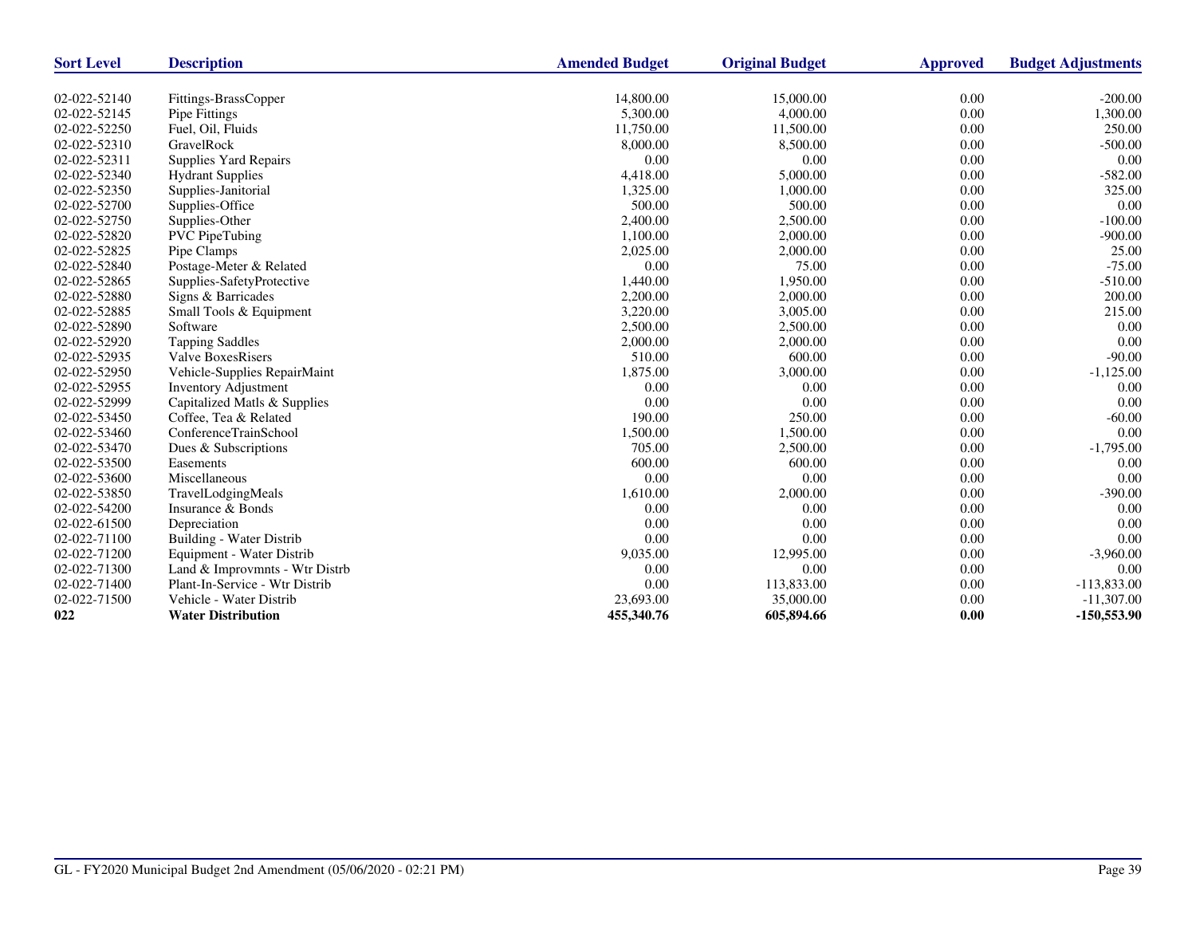| <b>Sort Level</b> | <b>Description</b>             | <b>Amended Budget</b> | <b>Original Budget</b> | Approved | <b>Budget Adjustments</b> |
|-------------------|--------------------------------|-----------------------|------------------------|----------|---------------------------|
|                   |                                |                       |                        |          |                           |
| 02-022-52140      | Fittings-BrassCopper           | 14,800.00             | 15,000.00              | 0.00     | $-200.00$                 |
| 02-022-52145      | Pipe Fittings                  | 5,300.00              | 4,000.00               | 0.00     | 1,300.00                  |
| 02-022-52250      | Fuel, Oil, Fluids              | 11,750.00             | 11,500.00              | 0.00     | 250.00                    |
| 02-022-52310      | GravelRock                     | 8,000.00              | 8,500.00               | 0.00     | $-500.00$                 |
| 02-022-52311      | Supplies Yard Repairs          | 0.00                  | 0.00                   | 0.00     | 0.00                      |
| 02-022-52340      | <b>Hydrant Supplies</b>        | 4,418.00              | 5,000.00               | 0.00     | $-582.00$                 |
| 02-022-52350      | Supplies-Janitorial            | 1,325.00              | 1,000.00               | 0.00     | 325.00                    |
| 02-022-52700      | Supplies-Office                | 500.00                | 500.00                 | 0.00     | 0.00                      |
| 02-022-52750      | Supplies-Other                 | 2,400.00              | 2,500.00               | 0.00     | $-100.00$                 |
| 02-022-52820      | <b>PVC</b> PipeTubing          | 1,100.00              | 2,000.00               | 0.00     | $-900.00$                 |
| 02-022-52825      | Pipe Clamps                    | 2,025.00              | 2,000.00               | 0.00     | 25.00                     |
| 02-022-52840      | Postage-Meter & Related        | 0.00                  | 75.00                  | 0.00     | $-75.00$                  |
| 02-022-52865      | Supplies-SafetyProtective      | 1,440.00              | 1,950.00               | 0.00     | $-510.00$                 |
| 02-022-52880      | Signs & Barricades             | 2,200.00              | 2,000.00               | 0.00     | 200.00                    |
| 02-022-52885      | Small Tools & Equipment        | 3,220.00              | 3,005.00               | 0.00     | 215.00                    |
| 02-022-52890      | Software                       | 2,500.00              | 2,500.00               | 0.00     | 0.00                      |
| 02-022-52920      | <b>Tapping Saddles</b>         | 2,000.00              | 2,000.00               | 0.00     | 0.00                      |
| 02-022-52935      | <b>Valve BoxesRisers</b>       | 510.00                | 600.00                 | 0.00     | $-90.00$                  |
| 02-022-52950      | Vehicle-Supplies RepairMaint   | 1,875.00              | 3,000.00               | 0.00     | $-1,125.00$               |
| 02-022-52955      | <b>Inventory Adjustment</b>    | 0.00                  | 0.00                   | 0.00     | 0.00                      |
| 02-022-52999      | Capitalized Matls & Supplies   | 0.00                  | 0.00                   | 0.00     | 0.00                      |
| 02-022-53450      | Coffee, Tea & Related          | 190.00                | 250.00                 | 0.00     | $-60.00$                  |
| 02-022-53460      | ConferenceTrainSchool          | 1,500.00              | 1,500.00               | 0.00     | 0.00                      |
| 02-022-53470      | Dues & Subscriptions           | 705.00                | 2,500.00               | 0.00     | $-1,795.00$               |
| 02-022-53500      | Easements                      | 600.00                | 600.00                 | 0.00     | 0.00                      |
| 02-022-53600      | Miscellaneous                  | 0.00                  | 0.00                   | 0.00     | 0.00                      |
| 02-022-53850      | TravelLodgingMeals             | 1,610.00              | 2,000.00               | 0.00     | $-390.00$                 |
| 02-022-54200      | Insurance & Bonds              | 0.00                  | 0.00                   | 0.00     | 0.00                      |
| 02-022-61500      | Depreciation                   | 0.00                  | 0.00                   | 0.00     | 0.00                      |
| 02-022-71100      | Building - Water Distrib       | 0.00                  | 0.00                   | 0.00     | 0.00                      |
| 02-022-71200      | Equipment - Water Distrib      | 9,035.00              | 12,995.00              | 0.00     | $-3,960.00$               |
| 02-022-71300      | Land & Improvmnts - Wtr Distrb | 0.00                  | 0.00                   | 0.00     | 0.00                      |
| 02-022-71400      | Plant-In-Service - Wtr Distrib | 0.00                  | 113,833.00             | 0.00     | $-113,833.00$             |
| 02-022-71500      | Vehicle - Water Distrib        | 23,693.00             | 35,000.00              | 0.00     | $-11,307.00$              |
| 022               | <b>Water Distribution</b>      | 455,340.76            | 605,894.66             | 0.00     | $-150,553.90$             |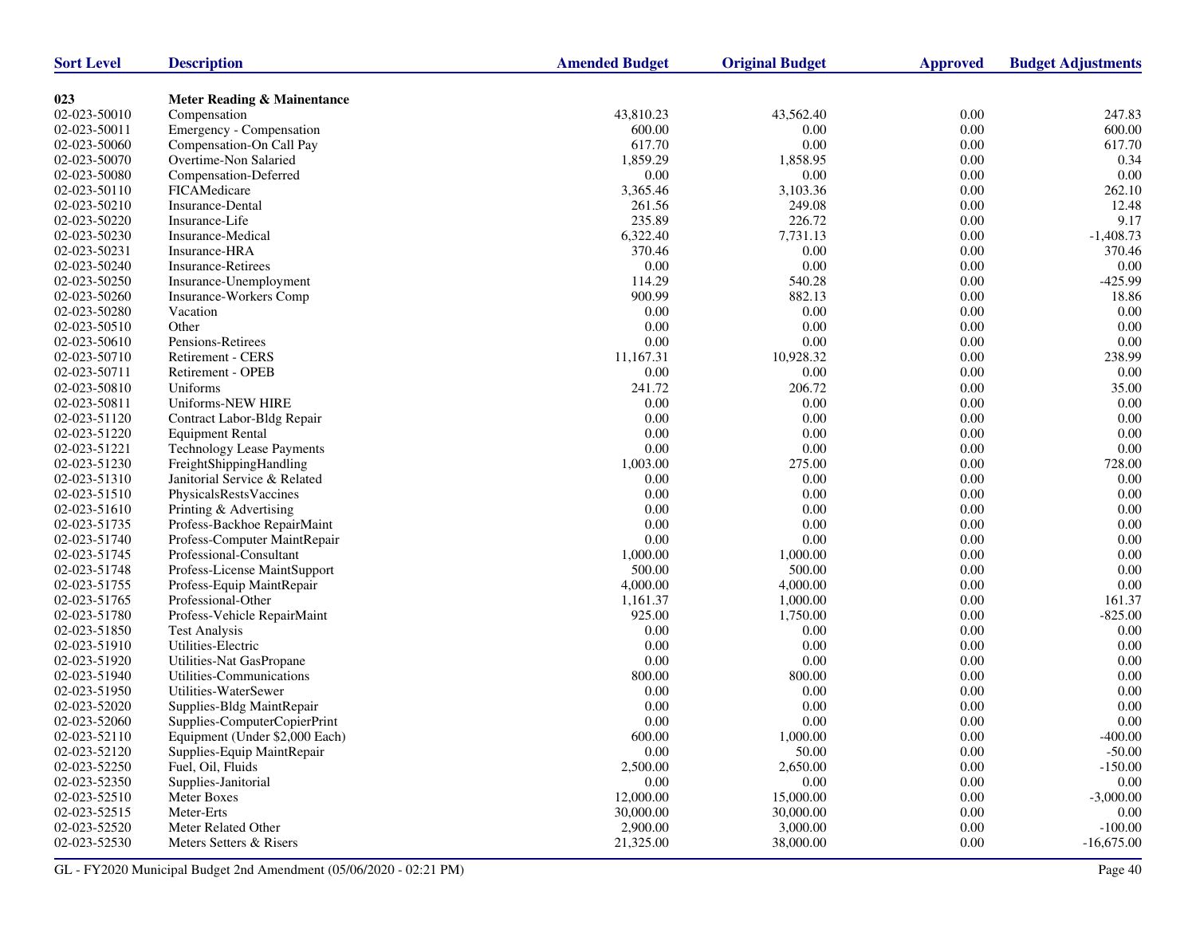| <b>Sort Level</b> | <b>Description</b>               | <b>Amended Budget</b> | <b>Original Budget</b> | <b>Approved</b> | <b>Budget Adjustments</b> |
|-------------------|----------------------------------|-----------------------|------------------------|-----------------|---------------------------|
|                   |                                  |                       |                        |                 |                           |
| 023               | Meter Reading & Mainentance      |                       |                        |                 |                           |
| 02-023-50010      | Compensation                     | 43,810.23             | 43,562.40              | 0.00            | 247.83                    |
| 02-023-50011      | Emergency - Compensation         | 600.00                | 0.00                   | $0.00\,$        | 600.00                    |
| 02-023-50060      | Compensation-On Call Pay         | 617.70                | 0.00                   | 0.00            | 617.70                    |
| 02-023-50070      | Overtime-Non Salaried            | 1,859.29              | 1,858.95               | 0.00            | 0.34                      |
| 02-023-50080      | Compensation-Deferred            | 0.00                  | 0.00                   | $0.00\,$        | 0.00                      |
| 02-023-50110      | FICAMedicare                     | 3,365.46              | 3,103.36               | 0.00            | 262.10                    |
| 02-023-50210      | Insurance-Dental                 | 261.56                | 249.08                 | 0.00            | 12.48                     |
| 02-023-50220      | Insurance-Life                   | 235.89                | 226.72                 | 0.00            | 9.17                      |
| 02-023-50230      | Insurance-Medical                | 6,322.40              | 7,731.13               | 0.00            | $-1,408.73$               |
| 02-023-50231      | Insurance-HRA                    | 370.46                | 0.00                   | 0.00            | 370.46                    |
| 02-023-50240      | <b>Insurance-Retirees</b>        | 0.00                  | 0.00                   | 0.00            | 0.00                      |
| 02-023-50250      | Insurance-Unemployment           | 114.29                | 540.28                 | 0.00            | $-425.99$                 |
| 02-023-50260      | Insurance-Workers Comp           | 900.99                | 882.13                 | 0.00            | 18.86                     |
| 02-023-50280      | Vacation                         | 0.00                  | 0.00                   | $0.00\,$        | 0.00                      |
| 02-023-50510      | Other                            | 0.00                  | 0.00                   | $0.00\,$        | 0.00                      |
| 02-023-50610      | Pensions-Retirees                | 0.00                  | 0.00                   | 0.00            | $0.00\,$                  |
| 02-023-50710      | Retirement - CERS                | 11,167.31             | 10,928.32              | $0.00\,$        | 238.99                    |
| 02-023-50711      | Retirement - OPEB                | $0.00\,$              | 0.00                   | $0.00\,$        | $0.00\,$                  |
| 02-023-50810      | Uniforms                         | 241.72                | 206.72                 | 0.00            | 35.00                     |
| 02-023-50811      | Uniforms-NEW HIRE                | 0.00                  | 0.00                   | 0.00            | 0.00                      |
| 02-023-51120      | Contract Labor-Bldg Repair       | 0.00                  | 0.00                   | $0.00\,$        | 0.00                      |
| 02-023-51220      | <b>Equipment Rental</b>          | 0.00                  | 0.00                   | 0.00            | 0.00                      |
| 02-023-51221      | <b>Technology Lease Payments</b> | 0.00                  | 0.00                   | 0.00            | 0.00                      |
| 02-023-51230      | FreightShippingHandling          | 1,003.00              | 275.00                 | $0.00\,$        | 728.00                    |
| 02-023-51310      | Janitorial Service & Related     | 0.00                  | 0.00                   | 0.00            | 0.00                      |
| 02-023-51510      | PhysicalsRestsVaccines           | 0.00                  | 0.00                   | 0.00            | 0.00                      |
| 02-023-51610      | Printing & Advertising           | 0.00                  | 0.00                   | $0.00\,$        | 0.00                      |
| 02-023-51735      | Profess-Backhoe RepairMaint      | 0.00                  | 0.00                   | 0.00            | 0.00                      |
| 02-023-51740      | Profess-Computer MaintRepair     | 0.00                  | 0.00                   | 0.00            | 0.00                      |
| 02-023-51745      | Professional-Consultant          | 1,000.00              | 1,000.00               | $0.00\,$        | 0.00                      |
| 02-023-51748      | Profess-License MaintSupport     | 500.00                | 500.00                 | 0.00            | 0.00                      |
| 02-023-51755      | Profess-Equip MaintRepair        | 4,000.00              | 4,000.00               | 0.00            | 0.00                      |
| 02-023-51765      | Professional-Other               | 1,161.37              | 1,000.00               | $0.00\,$        | 161.37                    |
| 02-023-51780      | Profess-Vehicle RepairMaint      | 925.00                | 1,750.00               | 0.00            | $-825.00$                 |
| 02-023-51850      | <b>Test Analysis</b>             | 0.00                  | 0.00                   | 0.00            | 0.00                      |
| 02-023-51910      | Utilities-Electric               | 0.00                  | 0.00                   | 0.00            | 0.00                      |
| 02-023-51920      | Utilities-Nat GasPropane         | $0.00\,$              | 0.00                   | 0.00            | $0.00\,$                  |
| 02-023-51940      | Utilities-Communications         | 800.00                | 800.00                 | 0.00            | 0.00                      |
| 02-023-51950      | Utilities-WaterSewer             | 0.00                  | 0.00                   | 0.00            | 0.00                      |
| 02-023-52020      | Supplies-Bldg MaintRepair        | 0.00                  | 0.00                   | 0.00            | 0.00                      |
| 02-023-52060      | Supplies-ComputerCopierPrint     | 0.00                  | 0.00                   | 0.00            | 0.00                      |
| 02-023-52110      | Equipment (Under \$2,000 Each)   | 600.00                | 1,000.00               | $0.00\,$        | $-400.00$                 |
| 02-023-52120      | Supplies-Equip MaintRepair       | 0.00                  | 50.00                  | $0.00\,$        | $-50.00$                  |
| 02-023-52250      | Fuel, Oil, Fluids                | 2,500.00              | 2,650.00               | 0.00            | $-150.00$                 |
| 02-023-52350      | Supplies-Janitorial              | 0.00                  | 0.00                   | $0.00\,$        | 0.00                      |
| 02-023-52510      | Meter Boxes                      | 12,000.00             | 15,000.00              | 0.00            | $-3,000.00$               |
| 02-023-52515      | Meter-Erts                       | 30,000.00             | 30,000.00              | 0.00            | 0.00                      |
| 02-023-52520      | Meter Related Other              | 2,900.00              | 3,000.00               | 0.00            | $-100.00$                 |
| 02-023-52530      | Meters Setters & Risers          | 21,325.00             | 38,000.00              | 0.00            | $-16,675.00$              |
|                   |                                  |                       |                        |                 |                           |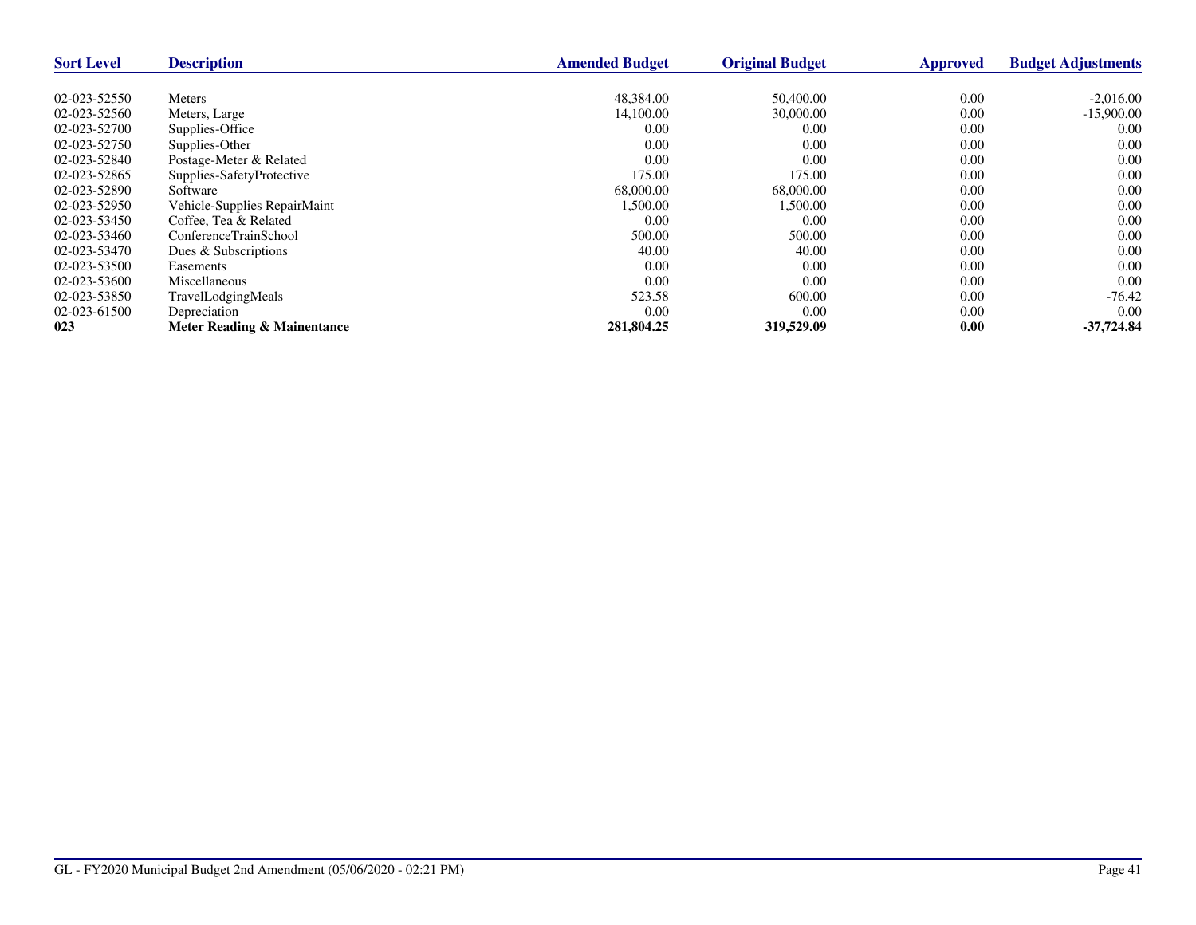| <b>Sort Level</b> | <b>Description</b>           | <b>Amended Budget</b> | <b>Original Budget</b> | <b>Approved</b> | <b>Budget Adjustments</b> |
|-------------------|------------------------------|-----------------------|------------------------|-----------------|---------------------------|
|                   |                              |                       |                        |                 |                           |
| 02-023-52550      | <b>Meters</b>                | 48,384.00             | 50,400.00              | 0.00            | $-2,016.00$               |
| 02-023-52560      | Meters, Large                | 14,100.00             | 30,000.00              | 0.00            | $-15,900.00$              |
| 02-023-52700      | Supplies-Office              | 0.00                  | 0.00                   | 0.00            | 0.00                      |
| 02-023-52750      | Supplies-Other               | 0.00                  | 0.00                   | 0.00            | 0.00                      |
| 02-023-52840      | Postage-Meter & Related      | 0.00                  | 0.00                   | 0.00            | 0.00                      |
| 02-023-52865      | Supplies-SafetyProtective    | 175.00                | 175.00                 | 0.00            | 0.00                      |
| 02-023-52890      | Software                     | 68,000.00             | 68,000.00              | 0.00            | 0.00                      |
| 02-023-52950      | Vehicle-Supplies RepairMaint | 1,500.00              | 1,500.00               | 0.00            | 0.00                      |
| 02-023-53450      | Coffee, Tea & Related        | 0.00                  | 0.00                   | 0.00            | 0.00                      |
| 02-023-53460      | ConferenceTrainSchool        | 500.00                | 500.00                 | 0.00            | 0.00                      |
| 02-023-53470      | Dues & Subscriptions         | 40.00                 | 40.00                  | 0.00            | 0.00                      |
| 02-023-53500      | Easements                    | 0.00                  | 0.00                   | 0.00            | 0.00                      |
| 02-023-53600      | <b>Miscellaneous</b>         | 0.00                  | 0.00                   | 0.00            | 0.00                      |
| 02-023-53850      | TravelLodgingMeals           | 523.58                | 600.00                 | 0.00            | $-76.42$                  |
| 02-023-61500      | Depreciation                 | 0.00                  | 0.00                   | 0.00            | 0.00                      |
| 023               | Meter Reading & Mainentance  | 281,804.25            | 319,529.09             | 0.00            | $-37,724.84$              |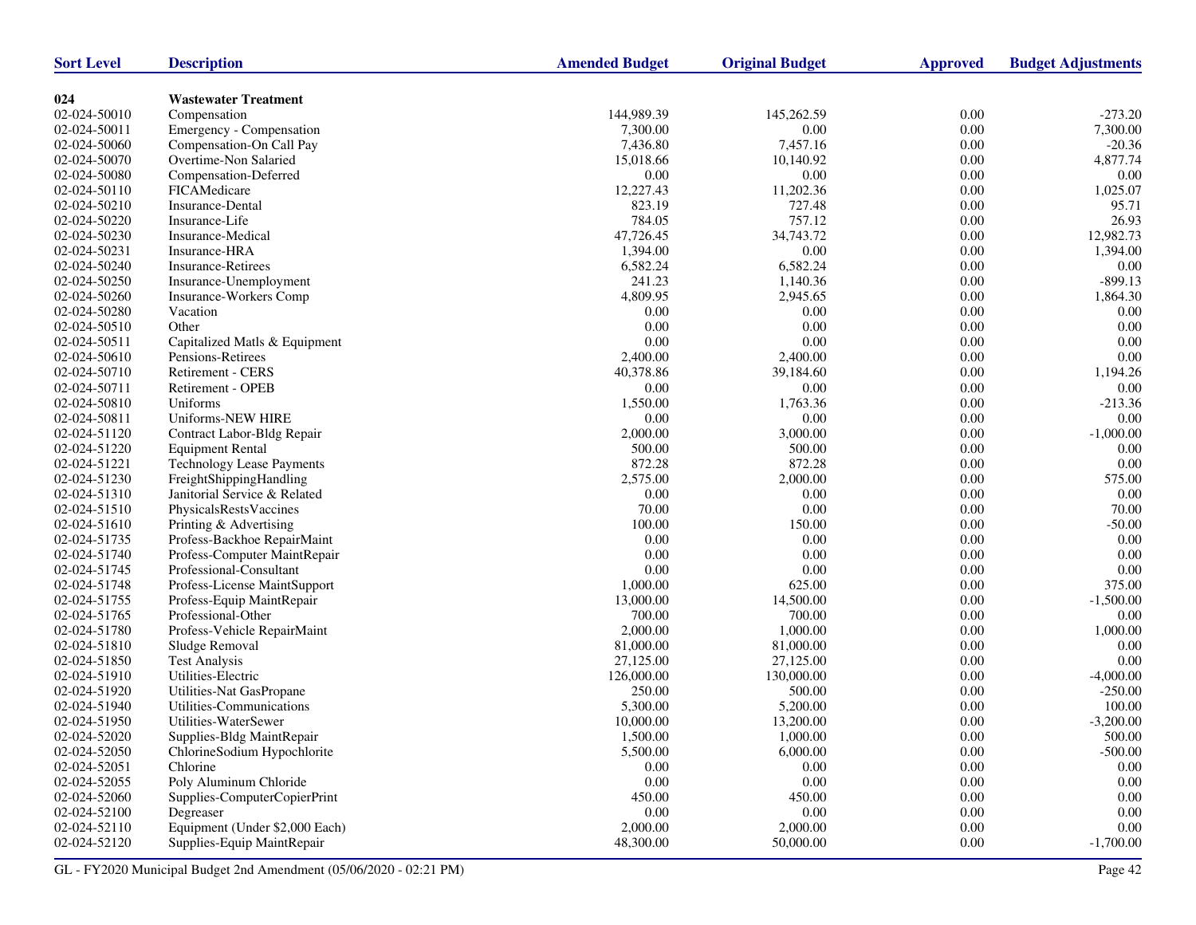| <b>Sort Level</b> | <b>Description</b>               | <b>Amended Budget</b> | <b>Original Budget</b> | <b>Approved</b>  | <b>Budget Adjustments</b> |
|-------------------|----------------------------------|-----------------------|------------------------|------------------|---------------------------|
|                   |                                  |                       |                        |                  |                           |
| 024               | <b>Wastewater Treatment</b>      |                       |                        |                  |                           |
| 02-024-50010      | Compensation                     | 144,989.39            | 145,262.59             | 0.00<br>$0.00\,$ | $-273.20$                 |
| 02-024-50011      | Emergency - Compensation         | 7,300.00              | 0.00                   |                  | 7,300.00                  |
| 02-024-50060      | Compensation-On Call Pay         | 7,436.80              | 7,457.16               | 0.00             | $-20.36$                  |
| 02-024-50070      | Overtime-Non Salaried            | 15,018.66             | 10,140.92              | 0.00             | 4,877.74                  |
| 02-024-50080      | Compensation-Deferred            | 0.00                  | 0.00                   | 0.00             | 0.00                      |
| 02-024-50110      | FICAMedicare                     | 12,227.43             | 11,202.36              | $0.00\,$         | 1,025.07                  |
| 02-024-50210      | Insurance-Dental                 | 823.19                | 727.48                 | 0.00             | 95.71                     |
| 02-024-50220      | Insurance-Life                   | 784.05                | 757.12                 | 0.00             | 26.93                     |
| 02-024-50230      | Insurance-Medical                | 47,726.45             | 34,743.72              | $0.00\,$         | 12,982.73                 |
| 02-024-50231      | Insurance-HRA                    | 1,394.00              | 0.00                   | 0.00             | 1,394.00                  |
| 02-024-50240      | <b>Insurance-Retirees</b>        | 6,582.24              | 6,582.24               | 0.00             | 0.00                      |
| 02-024-50250      | Insurance-Unemployment           | 241.23                | 1,140.36               | $0.00\,$         | $-899.13$                 |
| 02-024-50260      | Insurance-Workers Comp           | 4,809.95              | 2,945.65               | 0.00             | 1,864.30                  |
| 02-024-50280      | Vacation                         | 0.00                  | 0.00                   | 0.00             | 0.00                      |
| 02-024-50510      | Other                            | 0.00                  | 0.00                   | $0.00\,$         | 0.00                      |
| 02-024-50511      | Capitalized Matls & Equipment    | 0.00                  | 0.00                   | 0.00             | 0.00                      |
| 02-024-50610      | Pensions-Retirees                | 2,400.00              | 2,400.00               | 0.00             | 0.00                      |
| 02-024-50710      | Retirement - CERS                | 40,378.86             | 39,184.60              | $0.00\,$         | 1,194.26                  |
| 02-024-50711      | Retirement - OPEB                | 0.00                  | 0.00                   | 0.00             | 0.00                      |
| 02-024-50810      | Uniforms                         | 1,550.00              | 1,763.36               | 0.00             | $-213.36$                 |
| 02-024-50811      | Uniforms-NEW HIRE                | 0.00                  | 0.00                   | $0.00\,$         | 0.00                      |
| 02-024-51120      | Contract Labor-Bldg Repair       | 2,000.00              | 3,000.00               | 0.00             | $-1,000.00$               |
| 02-024-51220      | <b>Equipment Rental</b>          | 500.00                | 500.00                 | 0.00             | 0.00                      |
| 02-024-51221      | <b>Technology Lease Payments</b> | 872.28                | 872.28                 | 0.00             | $0.00\,$                  |
| 02-024-51230      | FreightShippingHandling          | 2,575.00              | 2,000.00               | 0.00             | 575.00                    |
| 02-024-51310      | Janitorial Service & Related     | 0.00                  | 0.00                   | 0.00             | 0.00                      |
| 02-024-51510      | PhysicalsRestsVaccines           | 70.00                 | 0.00                   | $0.00\,$         | 70.00                     |
| 02-024-51610      | Printing & Advertising           | 100.00                | 150.00                 | 0.00             | $-50.00$                  |
| 02-024-51735      | Profess-Backhoe RepairMaint      | 0.00                  | 0.00                   | 0.00             | 0.00                      |
| 02-024-51740      | Profess-Computer MaintRepair     | 0.00                  | 0.00                   | 0.00             | 0.00                      |
| 02-024-51745      | Professional-Consultant          | 0.00                  | 0.00                   | 0.00             | $0.00\,$                  |
| 02-024-51748      | Profess-License MaintSupport     | 1,000.00              | 625.00                 | 0.00             | 375.00                    |
| 02-024-51755      | Profess-Equip MaintRepair        | 13,000.00             | 14,500.00              | $0.00\,$         | $-1,500.00$               |
| 02-024-51765      | Professional-Other               | 700.00                | 700.00                 | 0.00             | 0.00                      |
| 02-024-51780      | Profess-Vehicle RepairMaint      | 2,000.00              | 1,000.00               | 0.00             | 1,000.00                  |
| 02-024-51810      | Sludge Removal                   | 81,000.00             | 81,000.00              | $0.00\,$         | 0.00                      |
| 02-024-51850      | <b>Test Analysis</b>             | 27,125.00             | 27,125.00              | 0.00             | 0.00                      |
| 02-024-51910      | Utilities-Electric               | 126,000.00            | 130,000.00             | 0.00             | $-4,000.00$               |
| 02-024-51920      | Utilities-Nat GasPropane         | 250.00                | 500.00                 | 0.00             | $-250.00$                 |
| 02-024-51940      | Utilities-Communications         | 5,300.00              | 5,200.00               | 0.00             | 100.00                    |
| 02-024-51950      | Utilities-WaterSewer             | 10,000.00             | 13,200.00              | 0.00             | $-3,200.00$               |
| 02-024-52020      | Supplies-Bldg MaintRepair        | 1,500.00              | 1,000.00               | 0.00             | 500.00                    |
| 02-024-52050      | ChlorineSodium Hypochlorite      | 5,500.00              | 6,000.00               | 0.00             | $-500.00$                 |
| 02-024-52051      | Chlorine                         | $0.00\,$              | 0.00                   | 0.00             | 0.00                      |
| 02-024-52055      | Poly Aluminum Chloride           | $0.00\,$              | $0.00\,$               | 0.00             | 0.00                      |
| 02-024-52060      | Supplies-ComputerCopierPrint     | 450.00                | 450.00                 | 0.00             | 0.00                      |
| 02-024-52100      | Degreaser                        | $0.00\,$              | $0.00\,$               | 0.00             | 0.00                      |
| 02-024-52110      | Equipment (Under \$2,000 Each)   | 2,000.00              | 2,000.00               | 0.00             | 0.00                      |
| 02-024-52120      | Supplies-Equip MaintRepair       | 48,300.00             | 50,000.00              | 0.00             | $-1,700.00$               |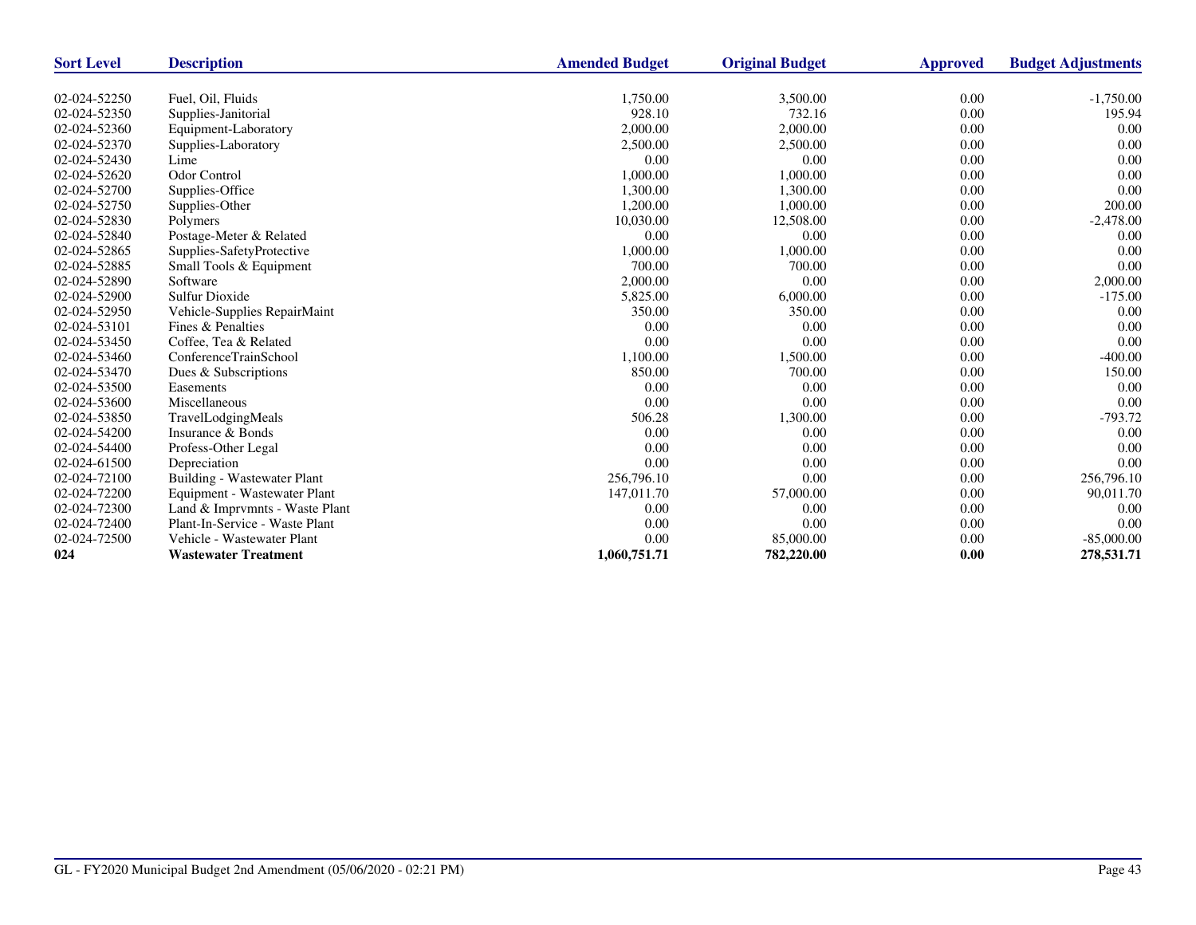| <b>Sort Level</b> | <b>Description</b>                 | <b>Amended Budget</b> | <b>Original Budget</b> | <b>Approved</b> | <b>Budget Adjustments</b> |
|-------------------|------------------------------------|-----------------------|------------------------|-----------------|---------------------------|
|                   |                                    |                       |                        |                 |                           |
| 02-024-52250      | Fuel, Oil, Fluids                  | 1,750.00              | 3,500.00               | 0.00            | $-1,750.00$               |
| 02-024-52350      | Supplies-Janitorial                | 928.10                | 732.16                 | 0.00            | 195.94                    |
| 02-024-52360      | Equipment-Laboratory               | 2,000.00              | 2,000.00               | 0.00            | 0.00                      |
| 02-024-52370      | Supplies-Laboratory                | 2,500.00              | 2,500.00               | 0.00            | 0.00                      |
| 02-024-52430      | Lime                               | 0.00                  | 0.00                   | 0.00            | 0.00                      |
| 02-024-52620      | <b>Odor Control</b>                | 1,000.00              | 1,000.00               | 0.00            | 0.00                      |
| 02-024-52700      | Supplies-Office                    | 1,300.00              | 1,300.00               | 0.00            | 0.00                      |
| 02-024-52750      | Supplies-Other                     | 1,200.00              | 1,000.00               | 0.00            | 200.00                    |
| 02-024-52830      | Polymers                           | 10,030.00             | 12,508.00              | 0.00            | $-2,478.00$               |
| 02-024-52840      | Postage-Meter & Related            | 0.00                  | 0.00                   | 0.00            | 0.00                      |
| 02-024-52865      | Supplies-SafetyProtective          | 1,000.00              | 1,000.00               | 0.00            | 0.00                      |
| 02-024-52885      | Small Tools & Equipment            | 700.00                | 700.00                 | 0.00            | 0.00                      |
| 02-024-52890      | Software                           | 2,000.00              | 0.00                   | 0.00            | 2,000.00                  |
| 02-024-52900      | <b>Sulfur Dioxide</b>              | 5,825.00              | 6,000.00               | 0.00            | $-175.00$                 |
| 02-024-52950      | Vehicle-Supplies RepairMaint       | 350.00                | 350.00                 | 0.00            | 0.00                      |
| 02-024-53101      | Fines & Penalties                  | 0.00                  | 0.00                   | 0.00            | 0.00                      |
| 02-024-53450      | Coffee, Tea & Related              | 0.00                  | 0.00                   | 0.00            | 0.00                      |
| 02-024-53460      | ConferenceTrainSchool              | 1,100.00              | 1,500.00               | 0.00            | $-400.00$                 |
| 02-024-53470      | Dues & Subscriptions               | 850.00                | 700.00                 | 0.00            | 150.00                    |
| 02-024-53500      | Easements                          | 0.00                  | 0.00                   | 0.00            | 0.00                      |
| 02-024-53600      | Miscellaneous                      | 0.00                  | 0.00                   | 0.00            | 0.00                      |
| 02-024-53850      | TravelLodgingMeals                 | 506.28                | 1,300.00               | 0.00            | $-793.72$                 |
| 02-024-54200      | Insurance & Bonds                  | 0.00                  | 0.00                   | 0.00            | 0.00                      |
| 02-024-54400      | Profess-Other Legal                | 0.00                  | 0.00                   | 0.00            | 0.00                      |
| 02-024-61500      | Depreciation                       | 0.00                  | 0.00                   | 0.00            | 0.00                      |
| 02-024-72100      | <b>Building - Wastewater Plant</b> | 256,796.10            | 0.00                   | 0.00            | 256,796.10                |
| 02-024-72200      | Equipment - Wastewater Plant       | 147,011.70            | 57,000.00              | 0.00            | 90,011.70                 |
| 02-024-72300      | Land & Imprvmnts - Waste Plant     | 0.00                  | 0.00                   | 0.00            | 0.00                      |
| 02-024-72400      | Plant-In-Service - Waste Plant     | 0.00                  | 0.00                   | 0.00            | 0.00                      |
| 02-024-72500      | Vehicle - Wastewater Plant         | 0.00                  | 85,000.00              | 0.00            | $-85,000.00$              |
| 024               | <b>Wastewater Treatment</b>        | 1,060,751.71          | 782,220.00             | 0.00            | 278,531.71                |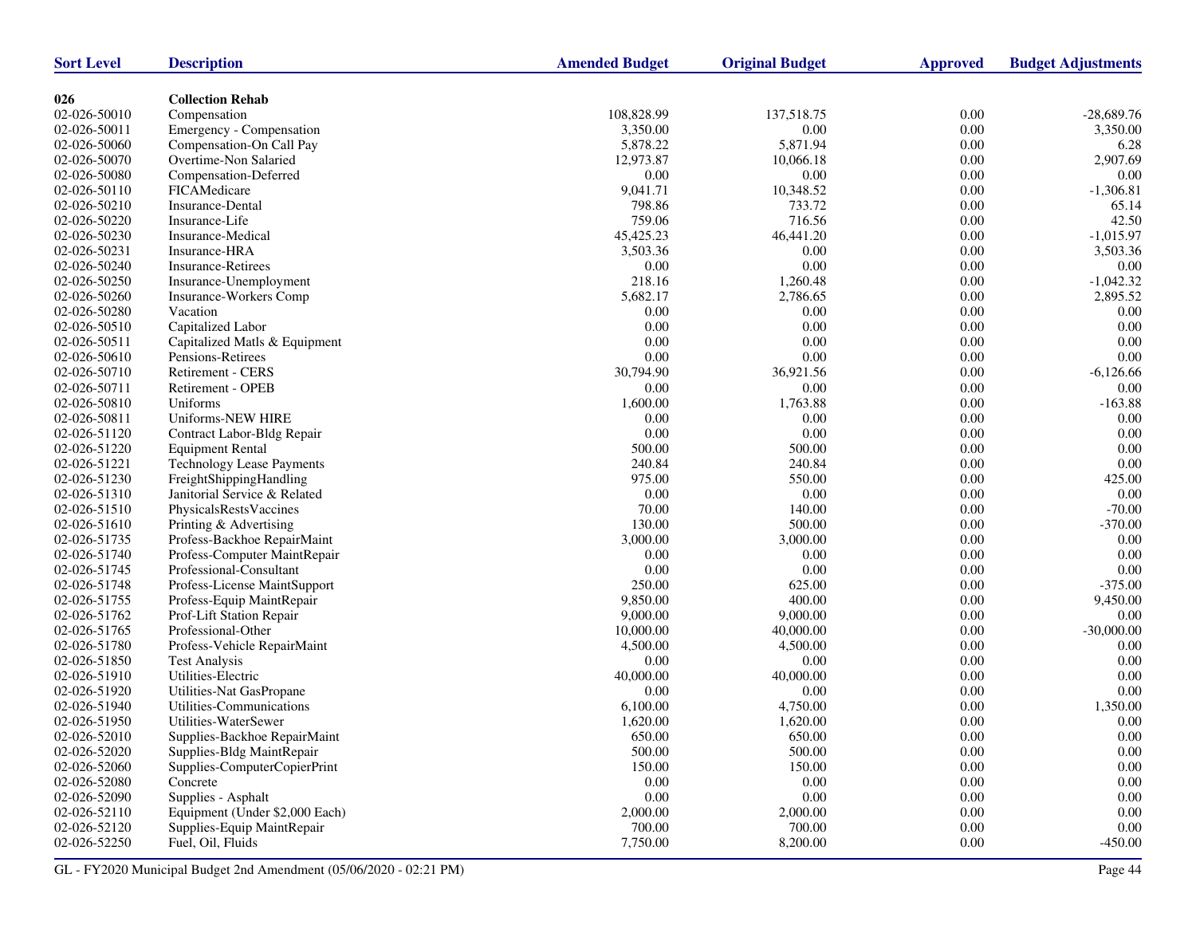| <b>Sort Level</b> | <b>Description</b>               | <b>Amended Budget</b> | <b>Original Budget</b> | <b>Approved</b> | <b>Budget Adjustments</b> |
|-------------------|----------------------------------|-----------------------|------------------------|-----------------|---------------------------|
|                   |                                  |                       |                        |                 |                           |
| 026               | <b>Collection Rehab</b>          |                       |                        |                 |                           |
| 02-026-50010      | Compensation                     | 108,828.99            | 137,518.75             | 0.00            | $-28,689.76$              |
| 02-026-50011      | Emergency - Compensation         | 3,350.00              | 0.00                   | $0.00\,$        | 3,350.00                  |
| 02-026-50060      | Compensation-On Call Pay         | 5,878.22              | 5,871.94               | 0.00            | 6.28                      |
| 02-026-50070      | Overtime-Non Salaried            | 12,973.87             | 10.066.18              | 0.00            | 2,907.69                  |
| 02-026-50080      | Compensation-Deferred            | 0.00                  | 0.00                   | 0.00            | 0.00                      |
| 02-026-50110      | FICAMedicare                     | 9,041.71              | 10,348.52              | $0.00\,$        | $-1,306.81$               |
| 02-026-50210      | Insurance-Dental                 | 798.86                | 733.72                 | 0.00            | 65.14                     |
| 02-026-50220      | Insurance-Life                   | 759.06                | 716.56                 | $0.00\,$        | 42.50                     |
| 02-026-50230      | Insurance-Medical                | 45,425.23             | 46,441.20              | $0.00\,$        | $-1,015.97$               |
| 02-026-50231      | Insurance-HRA                    | 3,503.36              | 0.00                   | 0.00            | 3,503.36                  |
| 02-026-50240      | <b>Insurance-Retirees</b>        | 0.00                  | 0.00                   | 0.00            | 0.00                      |
| 02-026-50250      | Insurance-Unemployment           | 218.16                | 1,260.48               | $0.00\,$        | $-1,042.32$               |
| 02-026-50260      | Insurance-Workers Comp           | 5,682.17              | 2,786.65               | 0.00            | 2,895.52                  |
| 02-026-50280      | Vacation                         | 0.00                  | 0.00                   | 0.00            | 0.00                      |
| 02-026-50510      | Capitalized Labor                | 0.00                  | 0.00                   | $0.00\,$        | 0.00                      |
| 02-026-50511      | Capitalized Matls & Equipment    | 0.00                  | 0.00                   | 0.00            | $0.00\,$                  |
| 02-026-50610      | Pensions-Retirees                | 0.00                  | 0.00                   | 0.00            | 0.00                      |
| 02-026-50710      | Retirement - CERS                | 30,794.90             | 36,921.56              | $0.00\,$        | $-6,126.66$               |
| 02-026-50711      | Retirement - OPEB                | 0.00                  | 0.00                   | 0.00            | 0.00                      |
| 02-026-50810      | Uniforms                         | 1,600.00              | 1,763.88               | 0.00            | $-163.88$                 |
| 02-026-50811      | Uniforms-NEW HIRE                | 0.00                  | 0.00                   | $0.00\,$        | 0.00                      |
| 02-026-51120      | Contract Labor-Bldg Repair       | 0.00                  | 0.00                   | 0.00            | $0.00\,$                  |
| 02-026-51220      | <b>Equipment Rental</b>          | 500.00                | 500.00                 | 0.00            | 0.00                      |
| 02-026-51221      | <b>Technology Lease Payments</b> | 240.84                | 240.84                 | 0.00            | 0.00                      |
| 02-026-51230      | FreightShippingHandling          | 975.00                | 550.00                 | 0.00            | 425.00                    |
| 02-026-51310      | Janitorial Service & Related     | 0.00                  | 0.00                   | 0.00            | 0.00                      |
| 02-026-51510      | PhysicalsRestsVaccines           | 70.00                 | 140.00                 | $0.00\,$        | $-70.00$                  |
| 02-026-51610      | Printing & Advertising           | 130.00                | 500.00                 | 0.00            | $-370.00$                 |
| 02-026-51735      | Profess-Backhoe RepairMaint      | 3,000.00              | 3,000.00               | $0.00\,$        | 0.00                      |
| 02-026-51740      | Profess-Computer MaintRepair     | 0.00                  | 0.00                   | $0.00\,$        | 0.00                      |
| 02-026-51745      | Professional-Consultant          | 0.00                  | 0.00                   | $0.00\,$        | $0.00\,$                  |
| 02-026-51748      | Profess-License MaintSupport     | 250.00                | 625.00                 | 0.00            | $-375.00$                 |
| 02-026-51755      | Profess-Equip MaintRepair        | 9,850.00              | 400.00                 | $0.00\,$        | 9,450.00                  |
| 02-026-51762      | Prof-Lift Station Repair         | 9,000.00              | 9,000.00               | 0.00            | 0.00                      |
| 02-026-51765      | Professional-Other               | 10,000.00             | 40,000.00              | 0.00            | $-30,000.00$              |
| 02-026-51780      | Profess-Vehicle RepairMaint      | 4,500.00              | 4,500.00               | $0.00\,$        | 0.00                      |
| 02-026-51850      | <b>Test Analysis</b>             | 0.00                  | 0.00                   | 0.00            | 0.00                      |
| 02-026-51910      | Utilities-Electric               | 40,000.00             | 40,000.00              | 0.00            | 0.00                      |
| 02-026-51920      | Utilities-Nat GasPropane         | 0.00                  | 0.00                   | 0.00            | 0.00                      |
| 02-026-51940      | Utilities-Communications         | 6,100.00              | 4,750.00               | 0.00            | 1,350.00                  |
| 02-026-51950      | Utilities-WaterSewer             | 1,620.00              | 1,620.00               | 0.00            | 0.00                      |
| 02-026-52010      | Supplies-Backhoe RepairMaint     | 650.00                | 650.00                 | 0.00            | $0.00\,$                  |
| 02-026-52020      | Supplies-Bldg MaintRepair        | 500.00                | 500.00                 | 0.00            | 0.00                      |
| 02-026-52060      | Supplies-ComputerCopierPrint     | 150.00                | 150.00                 | 0.00            | 0.00                      |
| 02-026-52080      | Concrete                         | 0.00                  | $0.00\,$               | 0.00            | $0.00\,$                  |
| 02-026-52090      | Supplies - Asphalt               | 0.00                  | $0.00\,$               | 0.00            | 0.00                      |
| 02-026-52110      | Equipment (Under \$2,000 Each)   |                       | 2,000.00               |                 | $0.00\,$                  |
| 02-026-52120      | Supplies-Equip MaintRepair       | 2,000.00<br>700.00    | 700.00                 | 0.00<br>0.00    | $0.00\,$                  |
|                   |                                  |                       |                        |                 |                           |
| 02-026-52250      | Fuel, Oil, Fluids                | 7,750.00              | 8,200.00               | 0.00            | $-450.00$                 |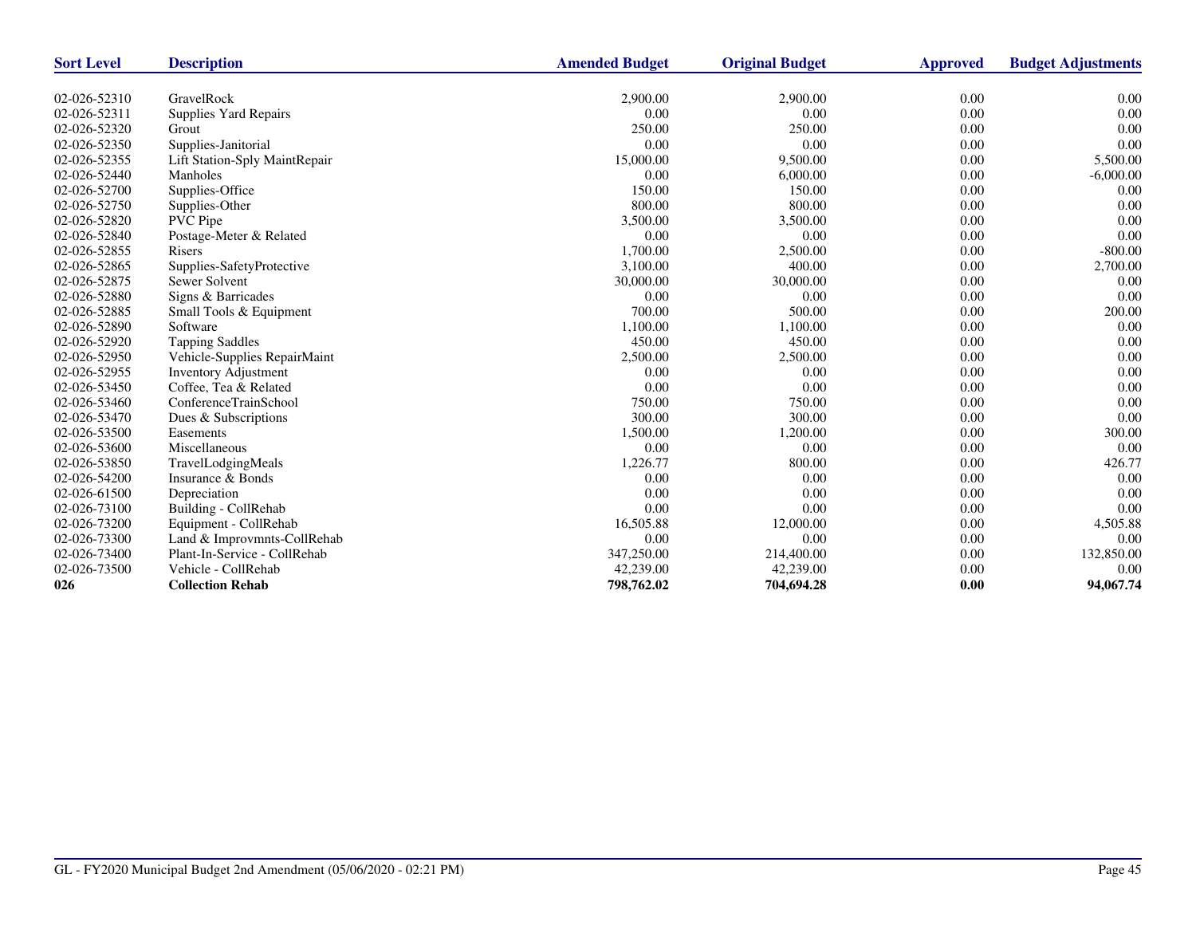| <b>Sort Level</b> | <b>Description</b>            | <b>Amended Budget</b> | <b>Original Budget</b> | <b>Approved</b> | <b>Budget Adjustments</b> |
|-------------------|-------------------------------|-----------------------|------------------------|-----------------|---------------------------|
|                   |                               |                       |                        |                 |                           |
| 02-026-52310      | GravelRock                    | 2,900.00              | 2,900.00               | 0.00            | 0.00                      |
| 02-026-52311      | Supplies Yard Repairs         | 0.00                  | 0.00                   | 0.00            | 0.00                      |
| 02-026-52320      | Grout                         | 250.00                | 250.00                 | 0.00            | 0.00                      |
| 02-026-52350      | Supplies-Janitorial           | 0.00                  | 0.00                   | 0.00            | 0.00                      |
| 02-026-52355      | Lift Station-Sply MaintRepair | 15,000.00             | 9,500.00               | 0.00            | 5,500.00                  |
| 02-026-52440      | Manholes                      | 0.00                  | 6,000.00               | 0.00            | $-6,000.00$               |
| 02-026-52700      | Supplies-Office               | 150.00                | 150.00                 | 0.00            | 0.00                      |
| 02-026-52750      | Supplies-Other                | 800.00                | 800.00                 | 0.00            | 0.00                      |
| 02-026-52820      | <b>PVC</b> Pipe               | 3,500.00              | 3,500.00               | 0.00            | 0.00                      |
| 02-026-52840      | Postage-Meter & Related       | 0.00                  | 0.00                   | 0.00            | 0.00                      |
| 02-026-52855      | Risers                        | 1,700.00              | 2,500.00               | 0.00            | $-800.00$                 |
| 02-026-52865      | Supplies-SafetyProtective     | 3,100.00              | 400.00                 | 0.00            | 2,700.00                  |
| 02-026-52875      | Sewer Solvent                 | 30,000.00             | 30,000.00              | 0.00            | 0.00                      |
| 02-026-52880      | Signs & Barricades            | 0.00                  | 0.00                   | 0.00            | 0.00                      |
| 02-026-52885      | Small Tools & Equipment       | 700.00                | 500.00                 | 0.00            | 200.00                    |
| 02-026-52890      | Software                      | 1,100.00              | 1,100.00               | 0.00            | 0.00                      |
| 02-026-52920      | <b>Tapping Saddles</b>        | 450.00                | 450.00                 | 0.00            | 0.00                      |
| 02-026-52950      | Vehicle-Supplies RepairMaint  | 2,500.00              | 2,500.00               | 0.00            | 0.00                      |
| 02-026-52955      | <b>Inventory Adjustment</b>   | 0.00                  | 0.00                   | 0.00            | 0.00                      |
| 02-026-53450      | Coffee, Tea & Related         | 0.00                  | 0.00                   | 0.00            | 0.00                      |
| 02-026-53460      | ConferenceTrainSchool         | 750.00                | 750.00                 | 0.00            | 0.00                      |
| 02-026-53470      | Dues & Subscriptions          | 300.00                | 300.00                 | 0.00            | 0.00                      |
| 02-026-53500      | Easements                     | 1,500.00              | 1,200.00               | 0.00            | 300.00                    |
| 02-026-53600      | Miscellaneous                 | 0.00                  | 0.00                   | 0.00            | 0.00                      |
| 02-026-53850      | TravelLodgingMeals            | 1,226.77              | 800.00                 | 0.00            | 426.77                    |
| 02-026-54200      | Insurance & Bonds             | 0.00                  | 0.00                   | 0.00            | 0.00                      |
| 02-026-61500      | Depreciation                  | 0.00                  | 0.00                   | 0.00            | 0.00                      |
| 02-026-73100      | Building - CollRehab          | 0.00                  | 0.00                   | 0.00            | 0.00                      |
| 02-026-73200      | Equipment - CollRehab         | 16,505.88             | 12,000.00              | 0.00            | 4,505.88                  |
| 02-026-73300      | Land & Improvmnts-CollRehab   | 0.00                  | 0.00                   | 0.00            | 0.00                      |
| 02-026-73400      | Plant-In-Service - CollRehab  | 347,250.00            | 214,400.00             | 0.00            | 132,850.00                |
| 02-026-73500      | Vehicle - CollRehab           | 42,239.00             | 42,239.00              | 0.00            | 0.00                      |
| 026               | <b>Collection Rehab</b>       | 798,762.02            | 704,694.28             | 0.00            | 94,067.74                 |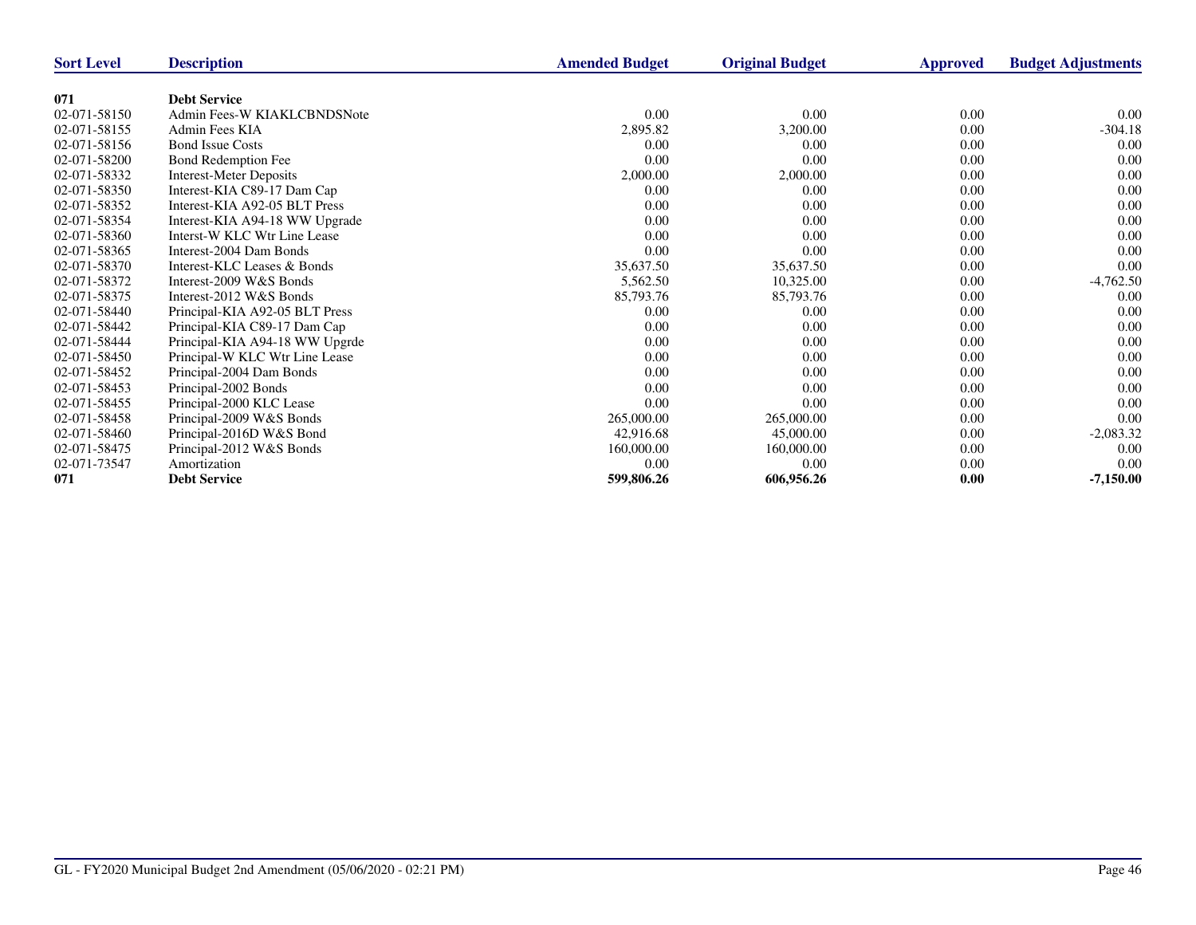| <b>Sort Level</b> | <b>Description</b>             | <b>Amended Budget</b> | <b>Original Budget</b> | <b>Approved</b> | <b>Budget Adjustments</b> |
|-------------------|--------------------------------|-----------------------|------------------------|-----------------|---------------------------|
|                   |                                |                       |                        |                 |                           |
| 071               | <b>Debt Service</b>            |                       |                        |                 |                           |
| 02-071-58150      | Admin Fees-W KIAKLCBNDSNote    | $0.00\,$              | 0.00                   | 0.00            | $0.00\,$                  |
| 02-071-58155      | Admin Fees KIA                 | 2,895.82              | 3,200.00               | 0.00            | -304.18                   |
| 02-071-58156      | <b>Bond Issue Costs</b>        | $0.00\,$              | 0.00                   | 0.00            | 0.00                      |
| 02-071-58200      | Bond Redemption Fee            | 0.00                  | 0.00                   | 0.00            | 0.00                      |
| 02-071-58332      | <b>Interest-Meter Deposits</b> | 2,000.00              | 2,000.00               | 0.00            | 0.00                      |
| 02-071-58350      | Interest-KIA C89-17 Dam Cap    | 0.00                  | 0.00                   | 0.00            | 0.00                      |
| 02-071-58352      | Interest-KIA A92-05 BLT Press  | 0.00                  | 0.00                   | 0.00            | 0.00                      |
| 02-071-58354      | Interest-KIA A94-18 WW Upgrade | $0.00\,$              | 0.00                   | 0.00            | 0.00                      |
| 02-071-58360      | Interst-W KLC Wtr Line Lease   | 0.00                  | 0.00                   | 0.00            | 0.00                      |
| 02-071-58365      | Interest-2004 Dam Bonds        | 0.00                  | 0.00                   | 0.00            | 0.00                      |
| 02-071-58370      | Interest-KLC Leases & Bonds    | 35,637.50             | 35,637.50              | 0.00            | 0.00                      |
| 02-071-58372      | Interest-2009 W&S Bonds        | 5,562.50              | 10,325.00              | 0.00            | $-4,762.50$               |
| 02-071-58375      | Interest-2012 W&S Bonds        | 85,793.76             | 85,793.76              | 0.00            | 0.00                      |
| 02-071-58440      | Principal-KIA A92-05 BLT Press | 0.00                  | 0.00                   | 0.00            | 0.00                      |
| 02-071-58442      | Principal-KIA C89-17 Dam Cap   | 0.00                  | 0.00                   | 0.00            | 0.00                      |
| 02-071-58444      | Principal-KIA A94-18 WW Upgrde | 0.00                  | 0.00                   | 0.00            | 0.00                      |
| 02-071-58450      | Principal-W KLC Wtr Line Lease | 0.00                  | 0.00                   | 0.00            | 0.00                      |
| 02-071-58452      | Principal-2004 Dam Bonds       | 0.00                  | 0.00                   | 0.00            | 0.00                      |
| 02-071-58453      | Principal-2002 Bonds           | 0.00                  | 0.00                   | 0.00            | 0.00                      |
| 02-071-58455      | Principal-2000 KLC Lease       | 0.00                  | 0.00                   | 0.00            | 0.00                      |
| 02-071-58458      | Principal-2009 W&S Bonds       | 265,000.00            | 265,000.00             | 0.00            | 0.00                      |
| 02-071-58460      | Principal-2016D W&S Bond       | 42,916.68             | 45,000.00              | 0.00            | $-2,083.32$               |
| 02-071-58475      | Principal-2012 W&S Bonds       | 160,000.00            | 160,000.00             | 0.00            | 0.00                      |
| 02-071-73547      | Amortization                   | 0.00                  | 0.00                   | 0.00            | 0.00                      |
| 071               | <b>Debt Service</b>            | 599,806.26            | 606,956.26             | 0.00            | $-7,150.00$               |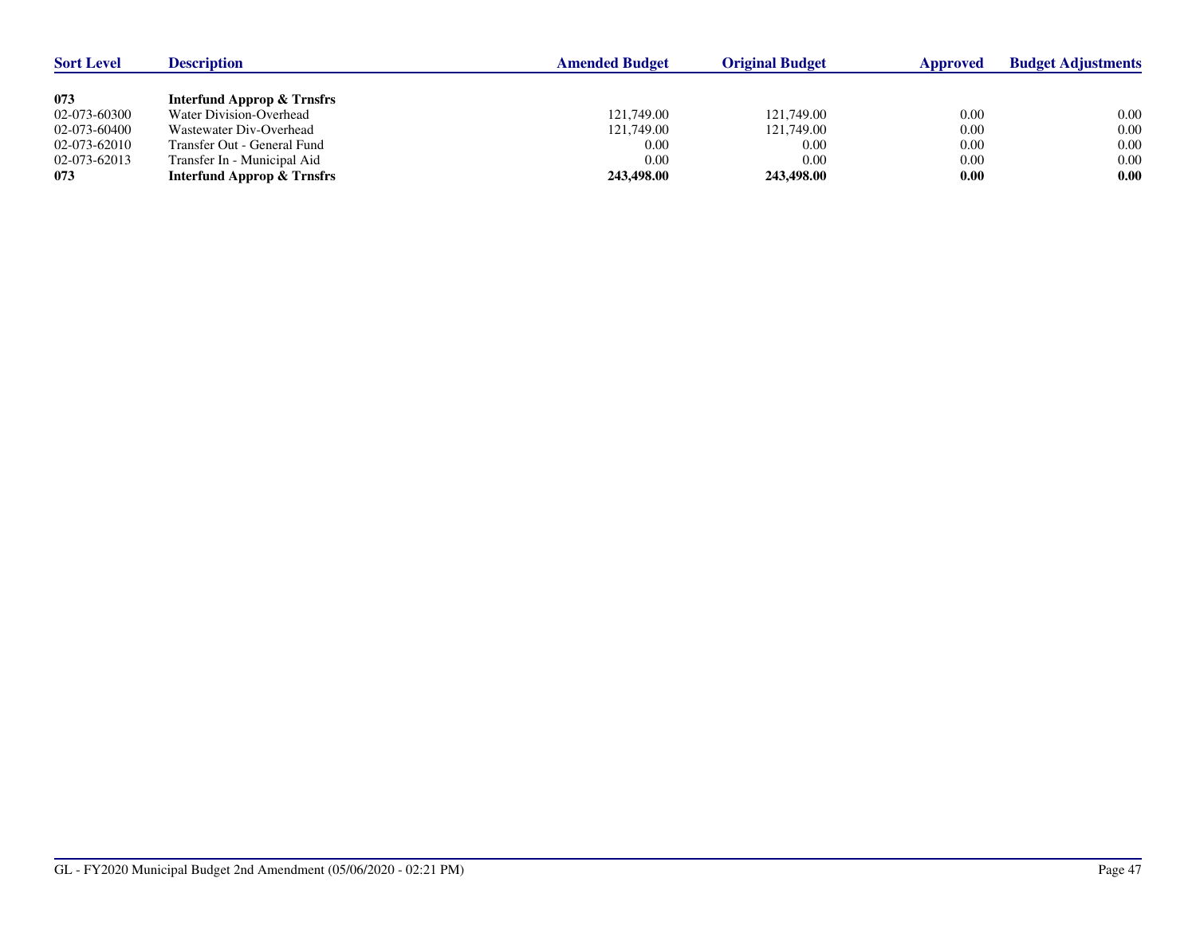| <b>Sort Level</b> | <b>Description</b>                    | <b>Amended Budget</b> | <b>Original Budget</b> | Approved | <b>Budget Adjustments</b> |
|-------------------|---------------------------------------|-----------------------|------------------------|----------|---------------------------|
|                   |                                       |                       |                        |          |                           |
| 073               | <b>Interfund Approp &amp; Trnsfrs</b> |                       |                        |          |                           |
| 02-073-60300      | Water Division-Overhead               | 121,749.00            | 121,749.00             | 0.00     | 0.00                      |
| 02-073-60400      | Wastewater Div-Overhead               | 121,749.00            | 121,749.00             | 0.00     | 0.00                      |
| 02-073-62010      | Transfer Out - General Fund           | 0.00                  | 0.00                   | 0.00     | 0.00                      |
| 02-073-62013      | Transfer In - Municipal Aid           | 0.00                  | 0.00                   | 0.00     | 0.00                      |
| 073               | <b>Interfund Approp &amp; Trnsfrs</b> | 243,498.00            | 243,498.00             | 0.00     | 0.00                      |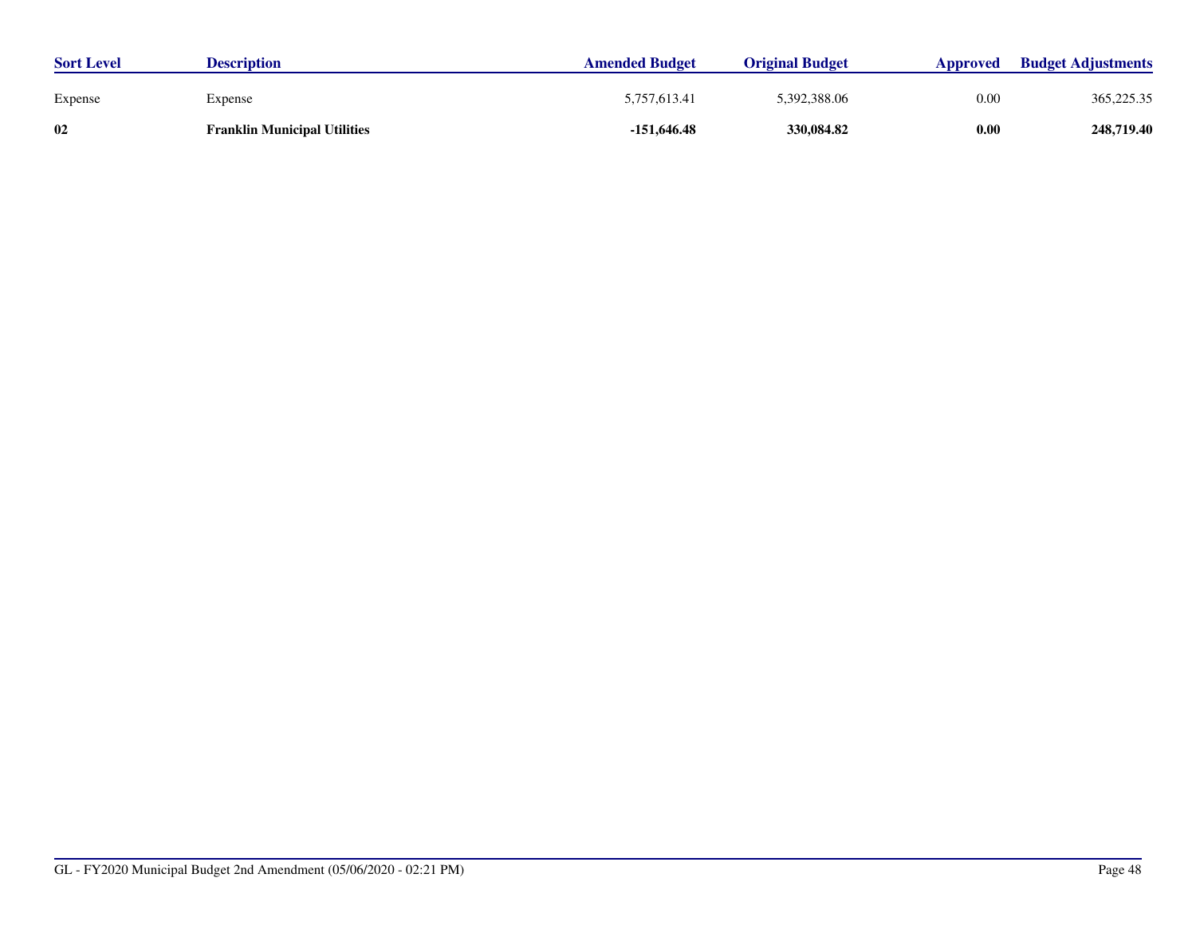| <b>Sort Level</b> | <b>Description</b>                  | <b>Amended Budget</b> | <b>Original Budget</b> | Approved | <b>Budget Adjustments</b> |
|-------------------|-------------------------------------|-----------------------|------------------------|----------|---------------------------|
| Expense           | Expense                             | 5.757.613.41          | 5,392,388.06           | 0.00     | 365, 225. 35              |
| 02                | <b>Franklin Municipal Utilities</b> | $-151,646.48$         | 330,084.82             | 0.00     | 248,719.40                |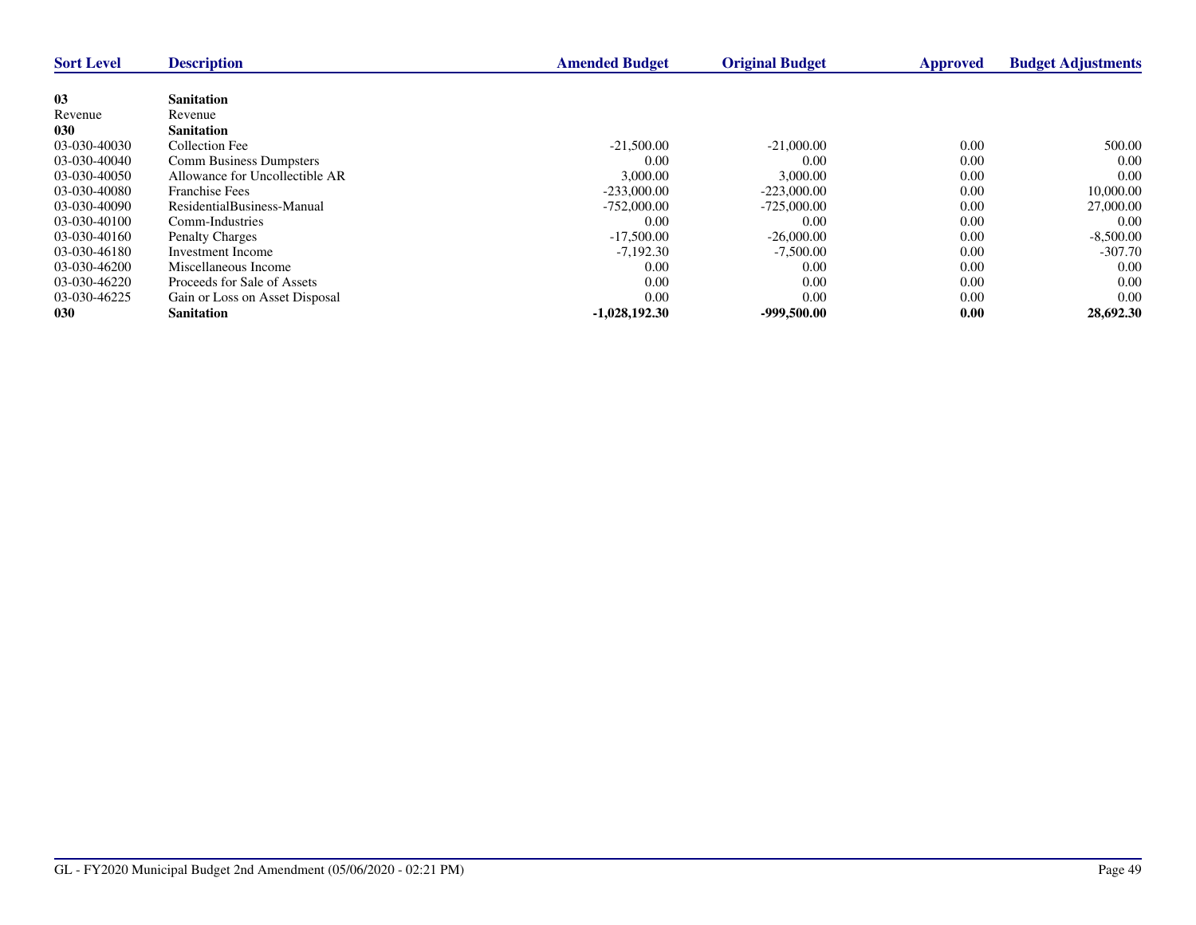| <b>Sort Level</b> | <b>Description</b>             | <b>Amended Budget</b> | <b>Original Budget</b> | <b>Approved</b> | <b>Budget Adjustments</b> |
|-------------------|--------------------------------|-----------------------|------------------------|-----------------|---------------------------|
|                   |                                |                       |                        |                 |                           |
| 03                | <b>Sanitation</b>              |                       |                        |                 |                           |
| Revenue           | Revenue                        |                       |                        |                 |                           |
| 030               | <b>Sanitation</b>              |                       |                        |                 |                           |
| 03-030-40030      | Collection Fee                 | $-21,500.00$          | $-21,000,00$           | 0.00            | 500.00                    |
| 03-030-40040      | <b>Comm Business Dumpsters</b> | 0.00                  | 0.00                   | 0.00            | 0.00                      |
| 03-030-40050      | Allowance for Uncollectible AR | 3,000.00              | 3,000.00               | 0.00            | 0.00                      |
| 03-030-40080      | <b>Franchise Fees</b>          | $-233,000.00$         | $-223,000,00$          | 0.00            | 10,000.00                 |
| 03-030-40090      | ResidentialBusiness-Manual     | $-752,000,00$         | $-725,000,00$          | 0.00            | 27,000.00                 |
| 03-030-40100      | Comm-Industries                | 0.00                  | 0.00                   | 0.00            | 0.00                      |
| 03-030-40160      | <b>Penalty Charges</b>         | $-17,500.00$          | $-26,000,00$           | 0.00            | $-8,500.00$               |
| 03-030-46180      | Investment Income              | $-7,192.30$           | $-7,500.00$            | 0.00            | $-307.70$                 |
| 03-030-46200      | Miscellaneous Income           | 0.00                  | 0.00                   | 0.00            | 0.00                      |
| 03-030-46220      | Proceeds for Sale of Assets    | 0.00                  | 0.00                   | 0.00            | 0.00                      |
| 03-030-46225      | Gain or Loss on Asset Disposal | 0.00                  | 0.00                   | 0.00            | 0.00                      |
| 030               | <b>Sanitation</b>              | $-1,028,192.30$       | $-999,500.00$          | 0.00            | 28,692.30                 |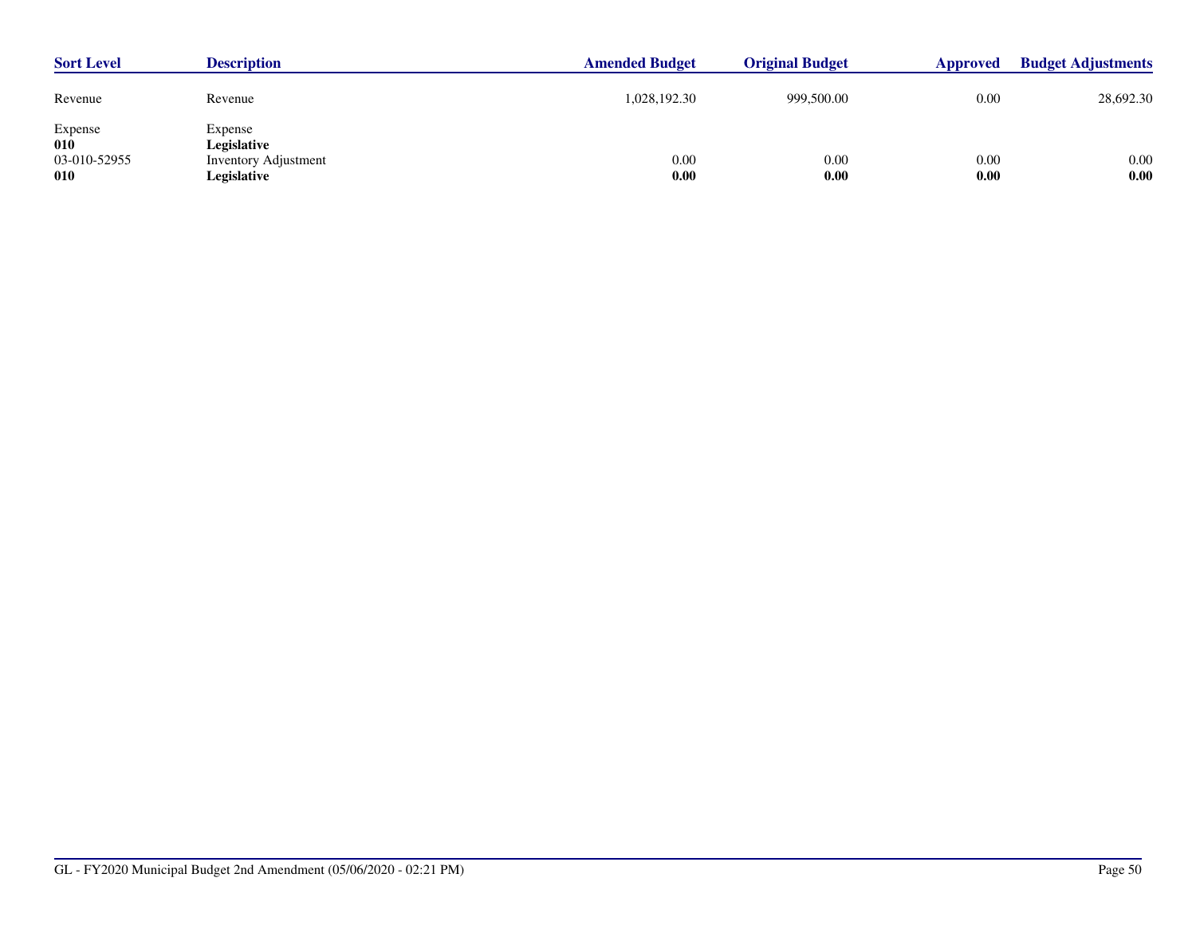| <b>Sort Level</b>                     | <b>Description</b>                                                   | <b>Amended Budget</b> | <b>Original Budget</b> | Approved     | <b>Budget Adjustments</b> |
|---------------------------------------|----------------------------------------------------------------------|-----------------------|------------------------|--------------|---------------------------|
| Revenue                               | Revenue                                                              | 1,028,192.30          | 999,500.00             | 0.00         | 28,692.30                 |
| Expense<br>010<br>03-010-52955<br>010 | Expense<br>Legislative<br><b>Inventory Adjustment</b><br>Legislative | 0.00<br>0.00          | 0.00<br>0.00           | 0.00<br>0.00 | 0.00<br>0.00              |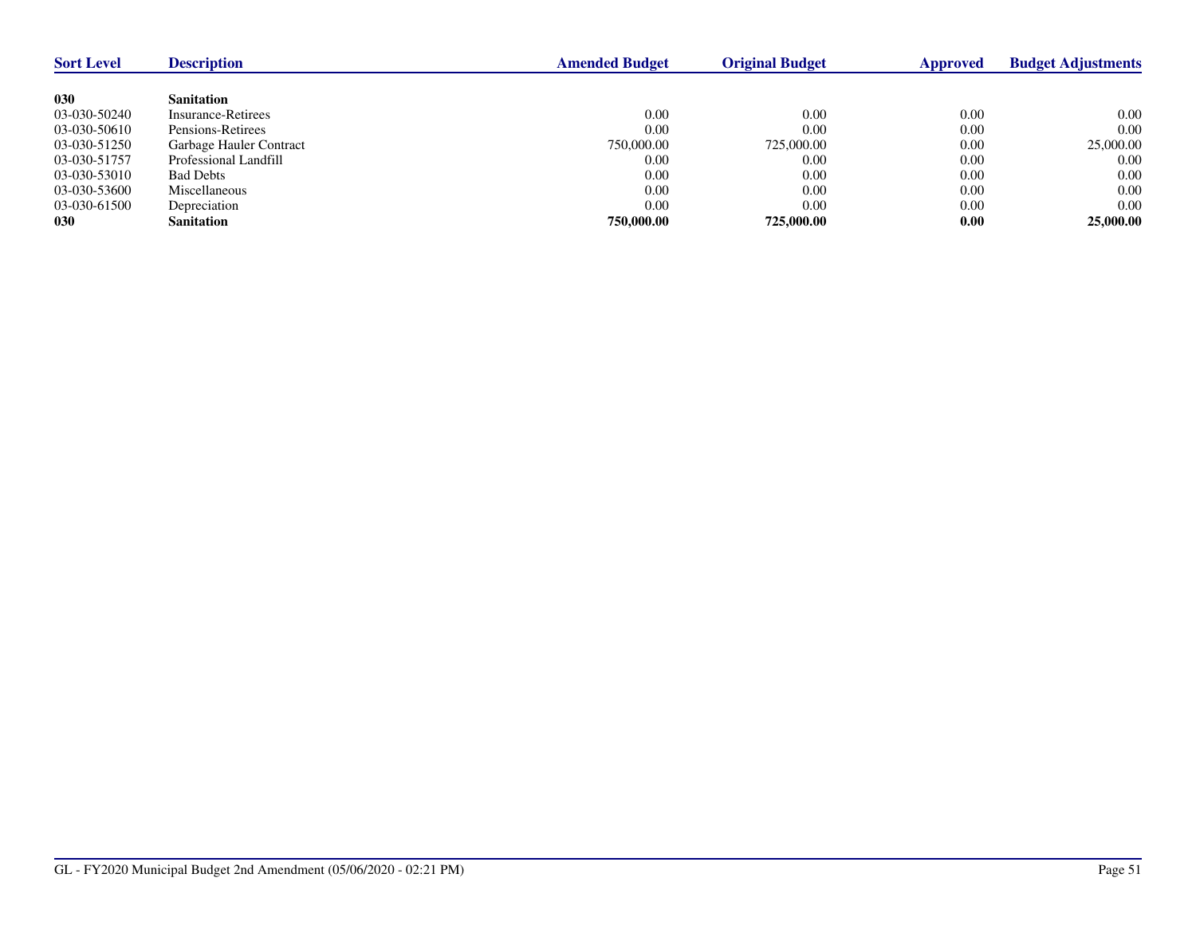| <b>Sort Level</b> | <b>Description</b>      | <b>Amended Budget</b> | <b>Original Budget</b> | Approved | <b>Budget Adjustments</b> |
|-------------------|-------------------------|-----------------------|------------------------|----------|---------------------------|
|                   |                         |                       |                        |          |                           |
| 030               | <b>Sanitation</b>       |                       |                        |          |                           |
| 03-030-50240      | Insurance-Retirees      | 0.00                  | 0.00                   | 0.00     | 0.00                      |
| 03-030-50610      | Pensions-Retirees       | 0.00                  | 0.00                   | 0.00     | 0.00                      |
| 03-030-51250      | Garbage Hauler Contract | 750,000.00            | 725,000.00             | 0.00     | 25,000.00                 |
| 03-030-51757      | Professional Landfill   | 0.00                  | 0.00                   | 0.00     | 0.00                      |
| 03-030-53010      | <b>Bad Debts</b>        | 0.00                  | 0.00                   | 0.00     | 0.00                      |
| 03-030-53600      | Miscellaneous           | 0.00                  | 0.00                   | 0.00     | 0.00                      |
| 03-030-61500      | Depreciation            | 0.00                  | 0.00                   | 0.00     | 0.00                      |
| 030               | <b>Sanitation</b>       | 750,000.00            | 725,000.00             | 0.00     | 25,000.00                 |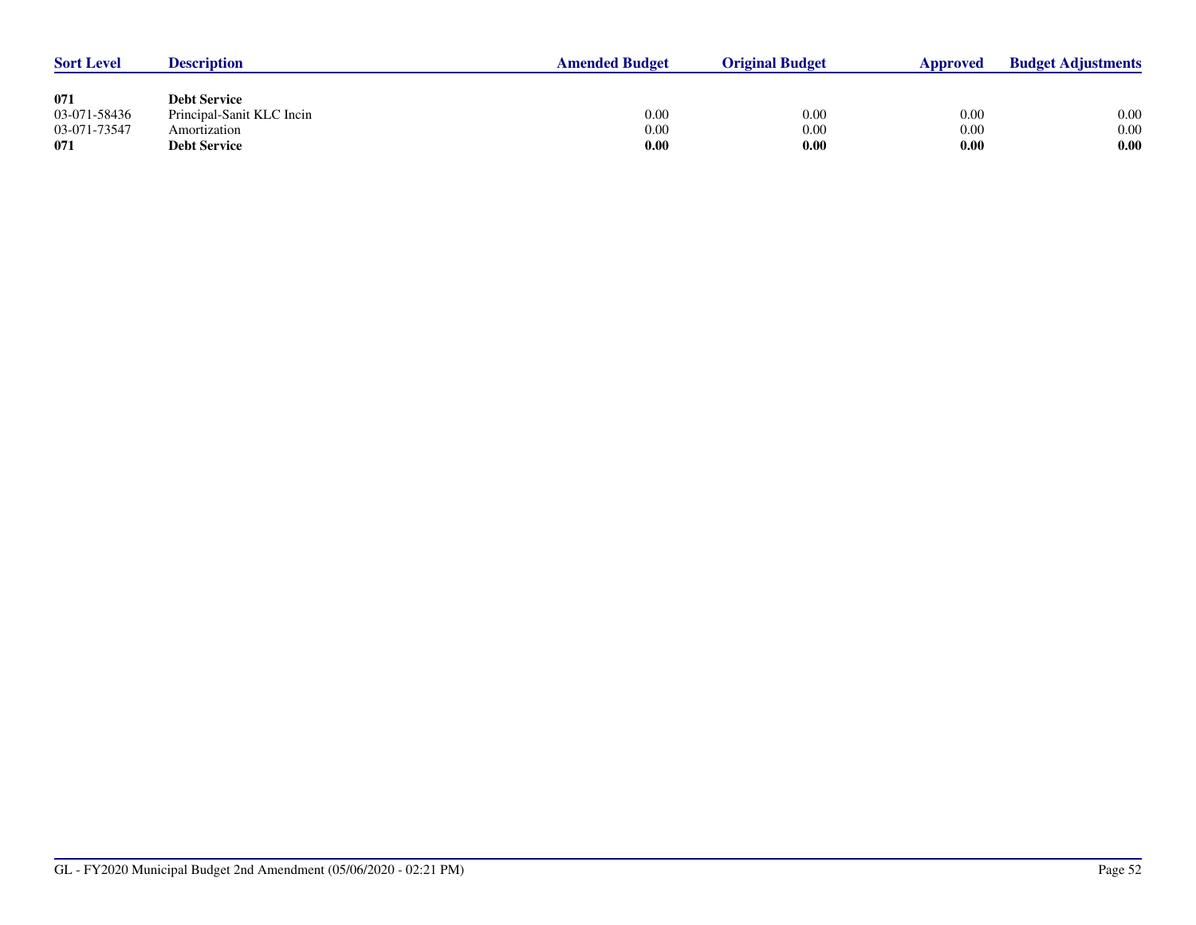| <b>Sort Level</b> | <b>Description</b>        | <b>Amended Budget</b> | <b>Original Budget</b> | Approved | <b>Budget Adjustments</b> |
|-------------------|---------------------------|-----------------------|------------------------|----------|---------------------------|
|                   |                           |                       |                        |          |                           |
| 071               | <b>Debt Service</b>       |                       |                        |          |                           |
| 03-071-58436      | Principal-Sanit KLC Incin | 0.00                  | 0.00                   | 0.00     | 0.00                      |
| 03-071-73547      | Amortization              | 0.00                  | 0.00                   | 0.00     | 0.00                      |
| 071               | <b>Debt Service</b>       | 0.00                  | 0.00                   | 0.00     | 0.00                      |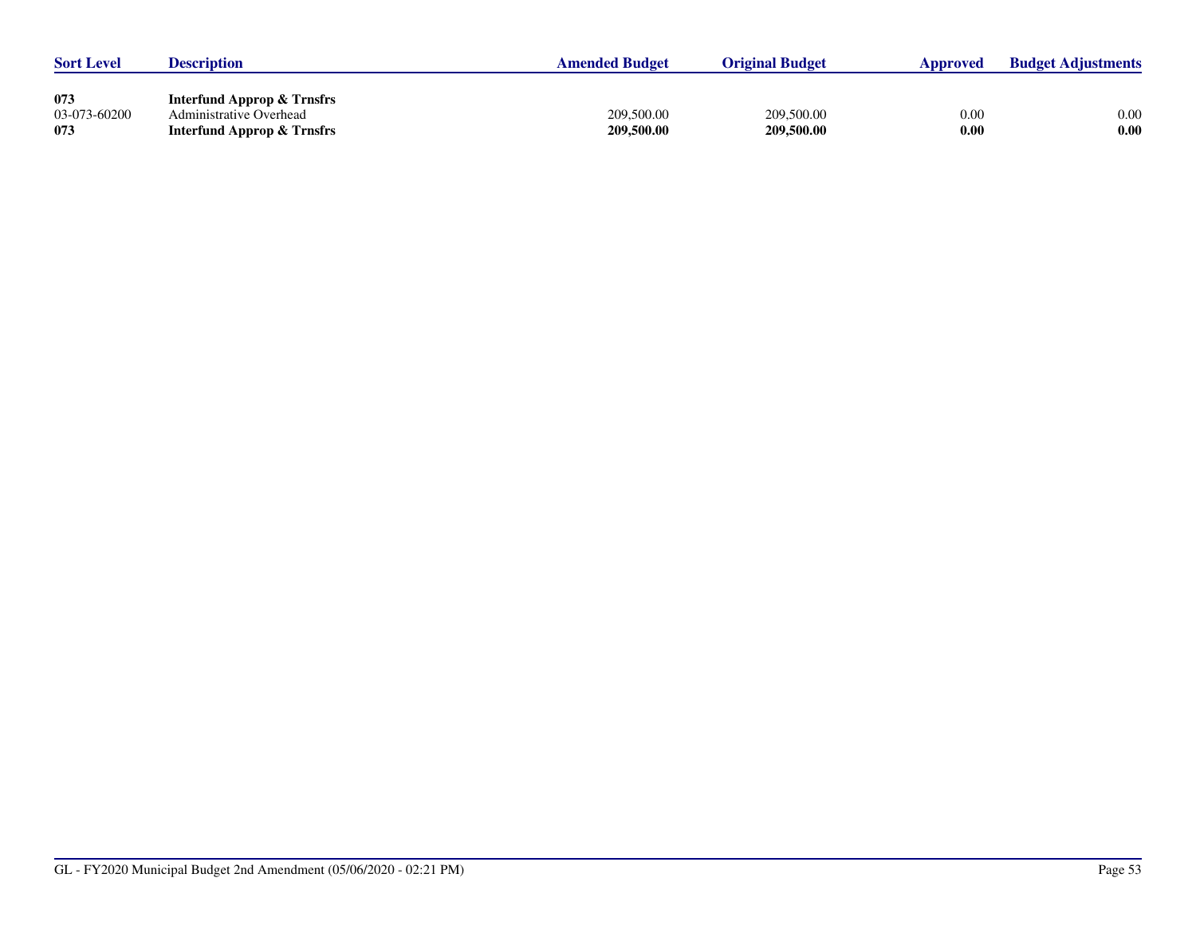| <b>Sort Level</b>   | <b>Description</b>                                               | <b>Amended Budget</b> | <b>Original Budget</b> | Approved | <b>Budget Adjustments</b> |
|---------------------|------------------------------------------------------------------|-----------------------|------------------------|----------|---------------------------|
| 073<br>03-073-60200 | <b>Interfund Approp &amp; Trnsfrs</b><br>Administrative Overhead | 209,500.00            | 209,500.00             | 0.00     | 0.00                      |
| 073                 | <b>Interfund Approp &amp; Trnsfrs</b>                            | 209,500.00            | 209,500.00             | 0.00     | 0.00                      |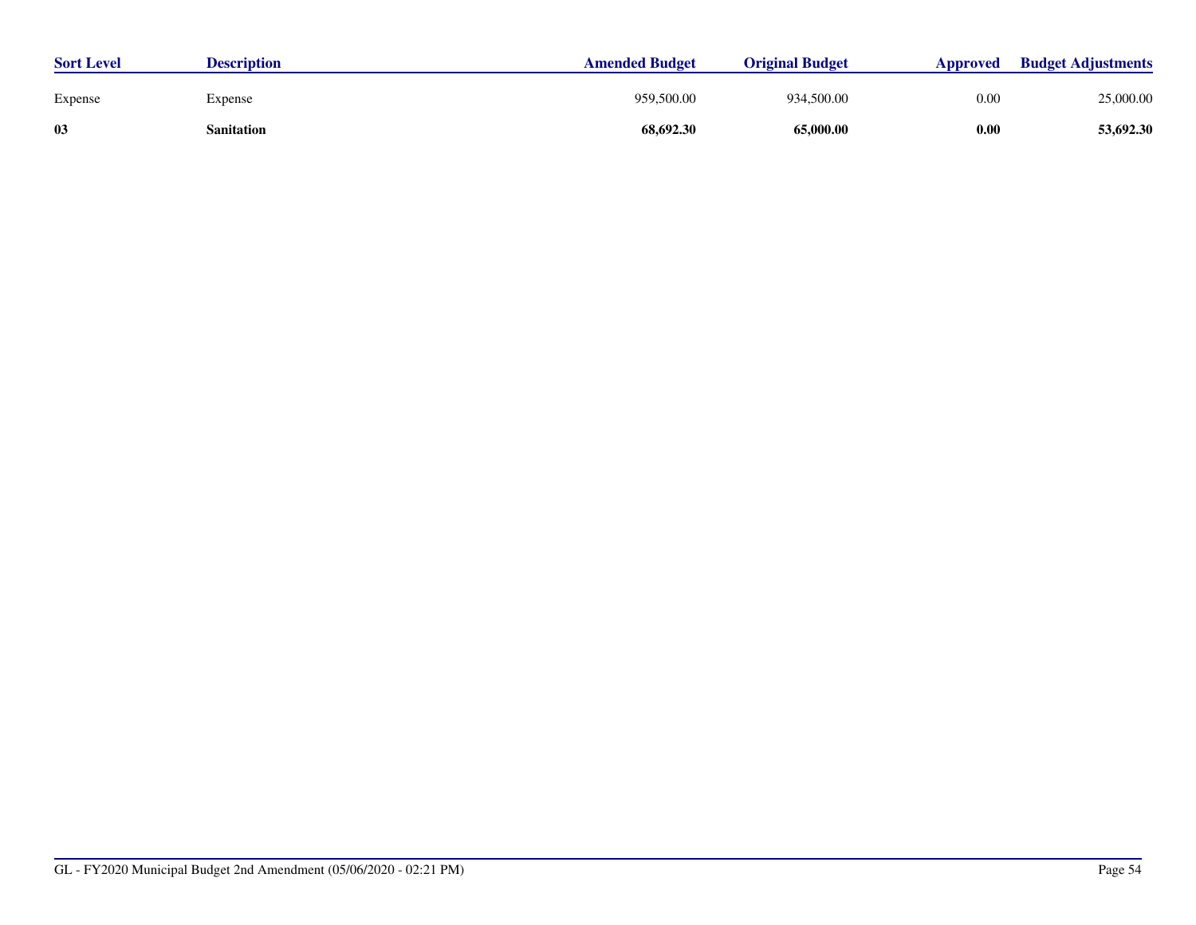| <b>Sort Level</b> | <b>Description</b> | <b>Amended Budget</b> | <b>Original Budget</b> | Approved | <b>Budget Adjustments</b> |
|-------------------|--------------------|-----------------------|------------------------|----------|---------------------------|
| Expense           | Expense            | 959,500.00            | 934,500.00             | 0.00     | 25,000.00                 |
| 03                | Sanitation         | 68,692.30             | 65,000.00              | 0.00     | 53,692.30                 |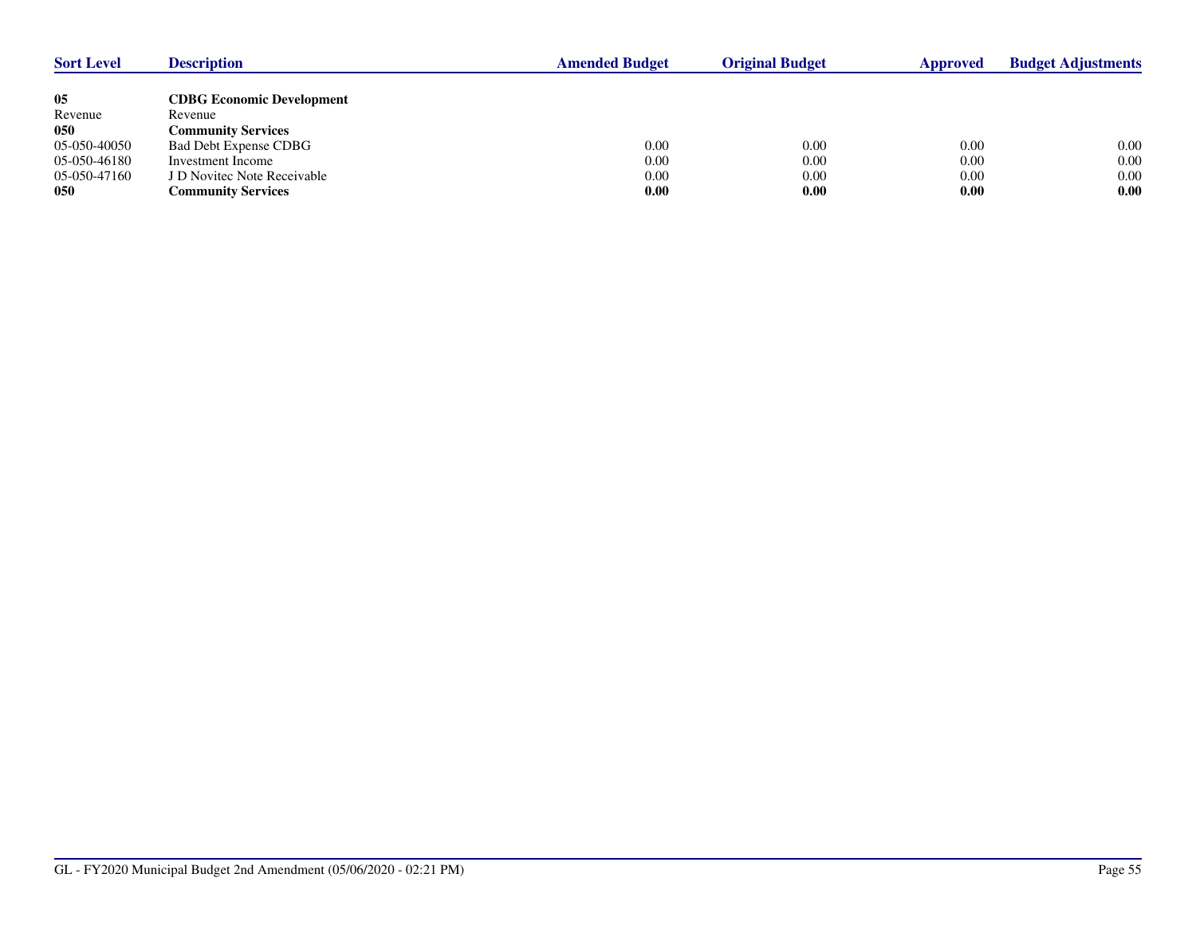| <b>Sort Level</b> | <b>Description</b>               | <b>Amended Budget</b> | <b>Original Budget</b> | Approved | <b>Budget Adjustments</b> |
|-------------------|----------------------------------|-----------------------|------------------------|----------|---------------------------|
|                   |                                  |                       |                        |          |                           |
| 05                | <b>CDBG Economic Development</b> |                       |                        |          |                           |
| Revenue           | Revenue                          |                       |                        |          |                           |
| 050               | <b>Community Services</b>        |                       |                        |          |                           |
| 05-050-40050      | <b>Bad Debt Expense CDBG</b>     | 0.00                  | 0.00                   | 0.00     | 0.00                      |
| 05-050-46180      | Investment Income                | 0.00                  | 0.00                   | 0.00     | 0.00                      |
| 05-050-47160      | J D Novitec Note Receivable      | 0.00                  | 0.00                   | 0.00     | 0.00                      |
| 050               | <b>Community Services</b>        | 0.00                  | 0.00                   | 0.00     | 0.00                      |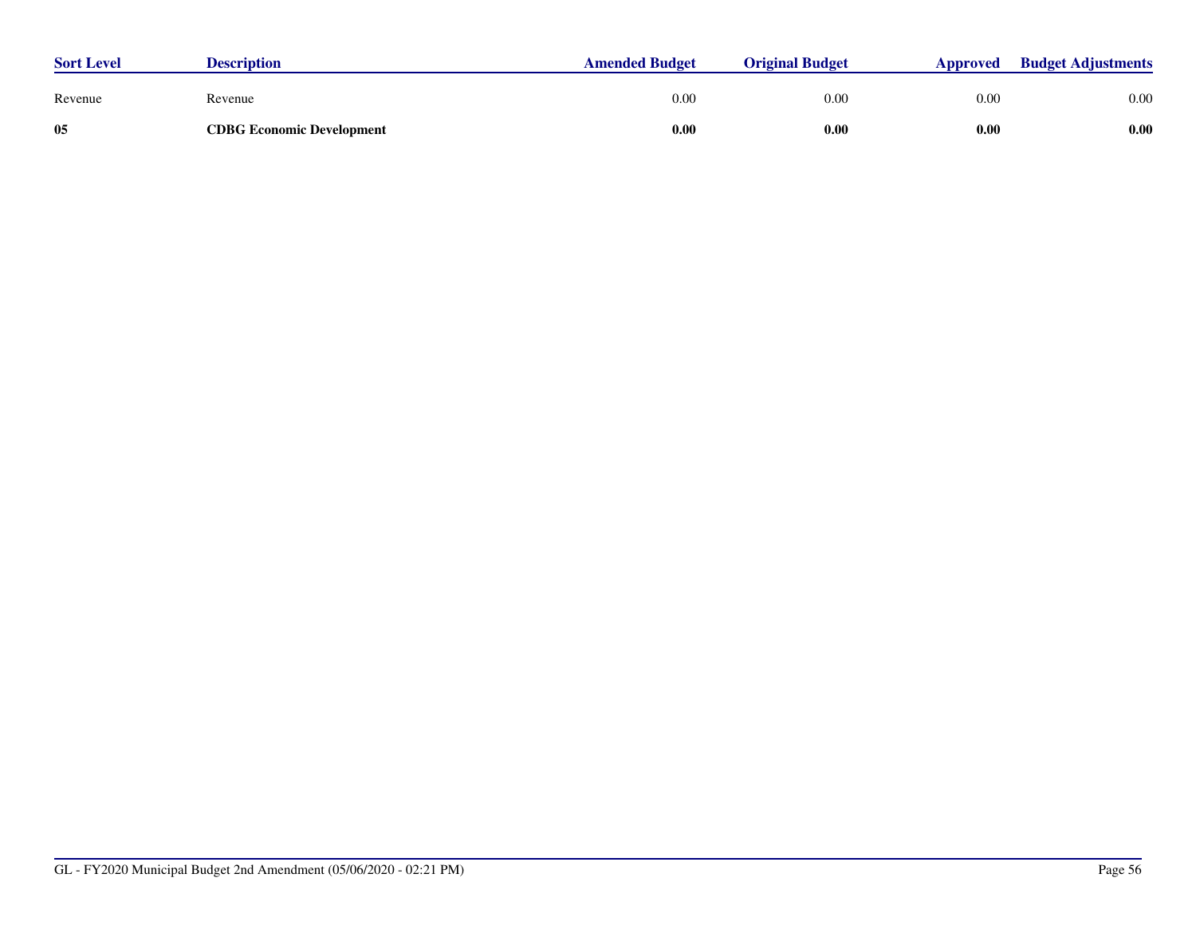| <b>Sort Level</b> | <b>Description</b>               | <b>Amended Budget</b> | <b>Original Budget</b> | <b>Approved</b> | <b>Budget Adjustments</b> |
|-------------------|----------------------------------|-----------------------|------------------------|-----------------|---------------------------|
| Revenue           | Revenue                          | 0.00                  | 0.00                   | 0.00            | 0.00                      |
| 05                | <b>CDBG Economic Development</b> | 0.00                  | 0.00                   | 0.00            | 0.00                      |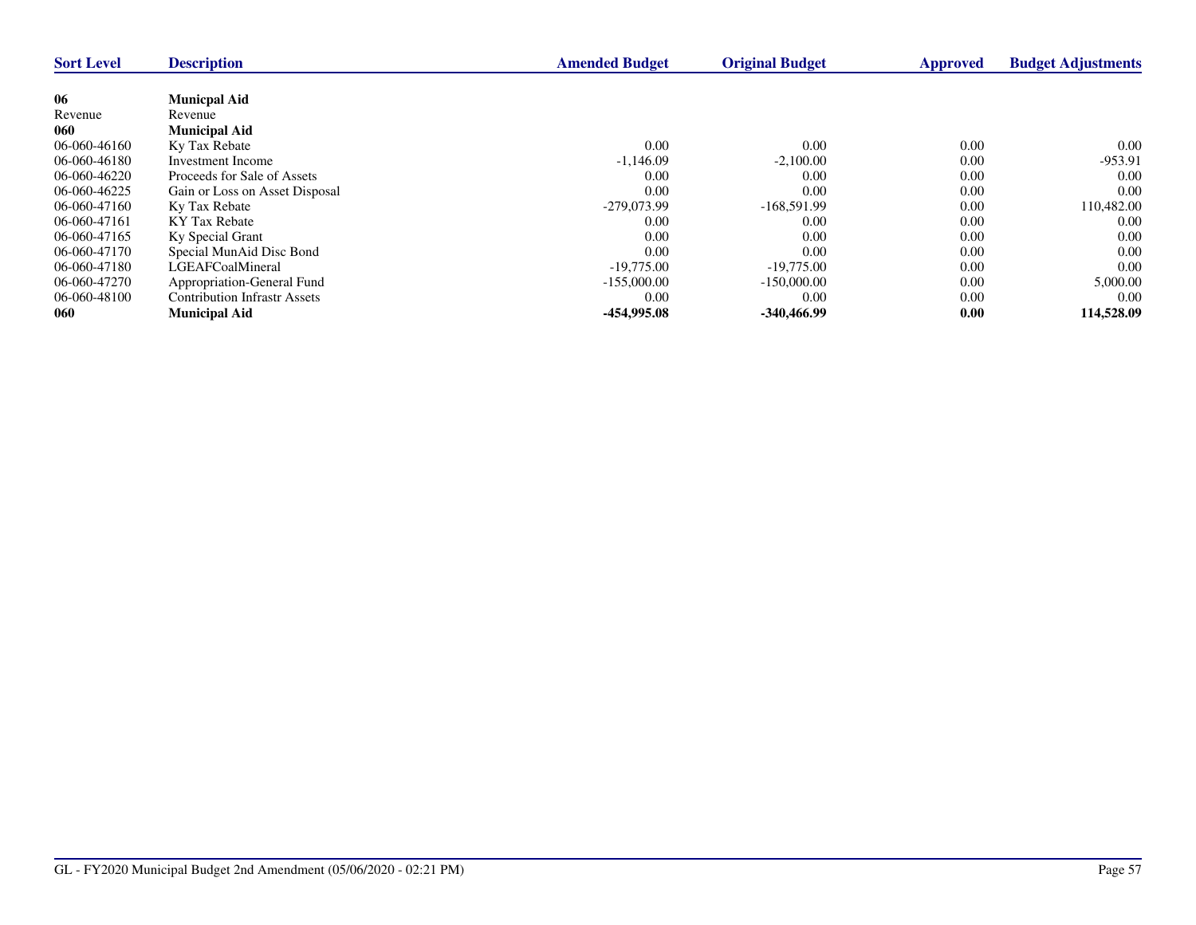| <b>Sort Level</b> | <b>Description</b>                  | <b>Amended Budget</b> | <b>Original Budget</b> | <b>Approved</b> | <b>Budget Adjustments</b> |
|-------------------|-------------------------------------|-----------------------|------------------------|-----------------|---------------------------|
|                   |                                     |                       |                        |                 |                           |
| 06                | <b>Municpal Aid</b>                 |                       |                        |                 |                           |
| Revenue           | Revenue                             |                       |                        |                 |                           |
| 060               | <b>Municipal Aid</b>                |                       |                        |                 |                           |
| 06-060-46160      | Ky Tax Rebate                       | 0.00                  | 0.00                   | 0.00            | $0.00\,$                  |
| 06-060-46180      | Investment Income                   | $-1,146.09$           | $-2,100.00$            | 0.00            | $-953.91$                 |
| 06-060-46220      | Proceeds for Sale of Assets         | 0.00                  | 0.00                   | 0.00            | 0.00                      |
| 06-060-46225      | Gain or Loss on Asset Disposal      | 0.00                  | 0.00                   | 0.00            | 0.00                      |
| 06-060-47160      | Ky Tax Rebate                       | -279,073.99           | $-168,591.99$          | 0.00            | 110,482.00                |
| 06-060-47161      | KY Tax Rebate                       | 0.00                  | 0.00                   | 0.00            | 0.00                      |
| 06-060-47165      | Ky Special Grant                    | 0.00                  | 0.00                   | 0.00            | 0.00                      |
| 06-060-47170      | Special MunAid Disc Bond            | 0.00                  | 0.00                   | 0.00            | 0.00                      |
| 06-060-47180      | LGEAFCoalMineral                    | $-19,775,00$          | $-19,775,00$           | 0.00            | 0.00                      |
| 06-060-47270      | Appropriation-General Fund          | $-155,000.00$         | $-150,000.00$          | 0.00            | 5,000.00                  |
| 06-060-48100      | <b>Contribution Infrastr Assets</b> | 0.00                  | 0.00                   | 0.00            | 0.00                      |
| 060               | <b>Municipal Aid</b>                | -454,995.08           | -340,466.99            | 0.00            | 114,528.09                |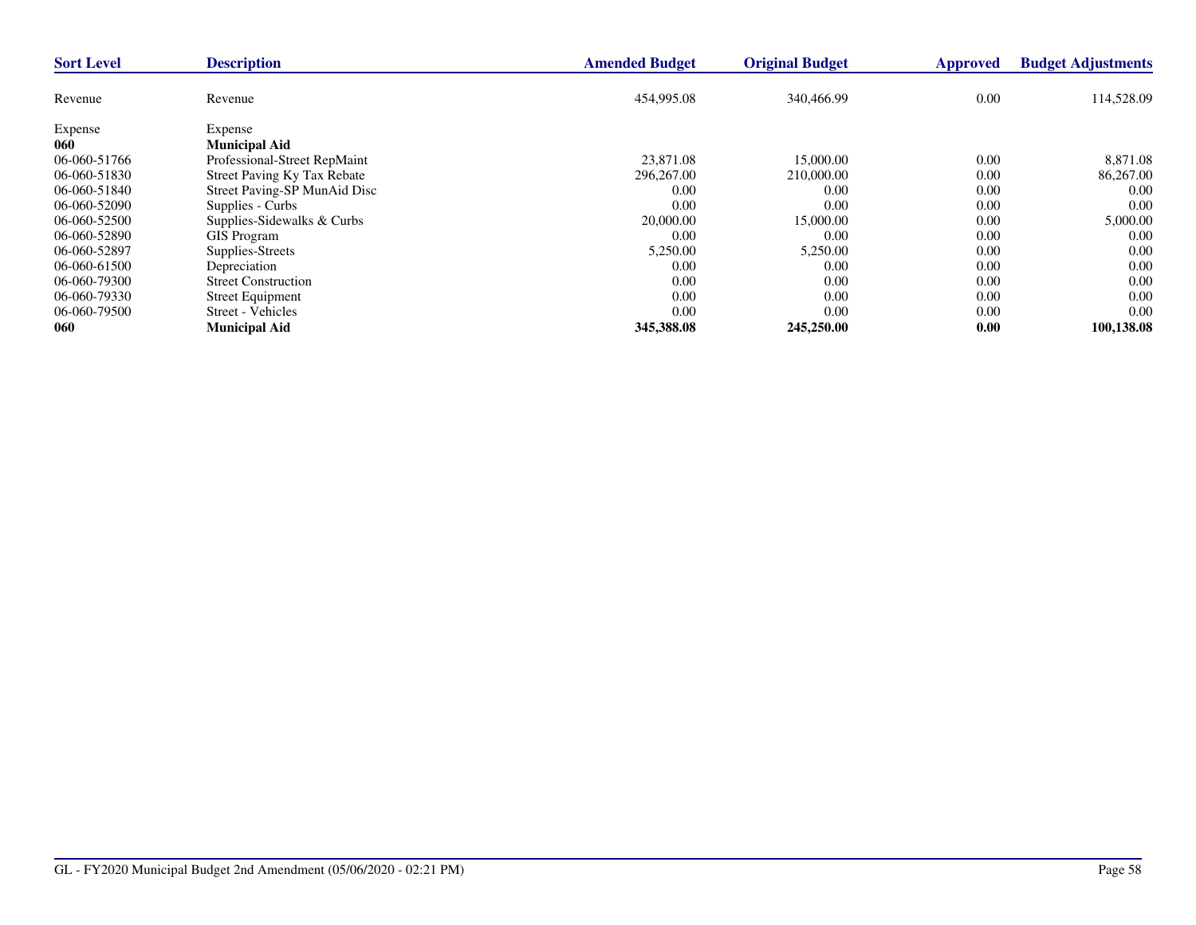| <b>Sort Level</b> | <b>Description</b>                 | <b>Amended Budget</b> | <b>Original Budget</b> | <b>Approved</b> | <b>Budget Adjustments</b> |
|-------------------|------------------------------------|-----------------------|------------------------|-----------------|---------------------------|
| Revenue           | Revenue                            | 454,995.08            | 340,466.99             | 0.00            | 114,528.09                |
|                   |                                    |                       |                        |                 |                           |
| Expense           | Expense                            |                       |                        |                 |                           |
| 060               | <b>Municipal Aid</b>               |                       |                        |                 |                           |
| 06-060-51766      | Professional-Street RepMaint       | 23,871.08             | 15,000.00              | 0.00            | 8,871.08                  |
| 06-060-51830      | <b>Street Paving Ky Tax Rebate</b> | 296,267.00            | 210,000.00             | 0.00            | 86,267.00                 |
| 06-060-51840      | Street Paving-SP MunAid Disc       | 0.00                  | 0.00                   | 0.00            | 0.00                      |
| 06-060-52090      | Supplies - Curbs                   | 0.00                  | 0.00                   | 0.00            | 0.00                      |
| 06-060-52500      | Supplies-Sidewalks & Curbs         | 20,000.00             | 15,000.00              | 0.00            | 5,000.00                  |
| 06-060-52890      | <b>GIS Program</b>                 | 0.00                  | 0.00                   | 0.00            | 0.00                      |
| 06-060-52897      | Supplies-Streets                   | 5,250.00              | 5,250.00               | 0.00            | 0.00                      |
| 06-060-61500      | Depreciation                       | 0.00                  | 0.00                   | 0.00            | 0.00                      |
| 06-060-79300      | <b>Street Construction</b>         | 0.00                  | 0.00                   | 0.00            | 0.00                      |
| 06-060-79330      | <b>Street Equipment</b>            | 0.00                  | 0.00                   | 0.00            | 0.00                      |
| 06-060-79500      | Street - Vehicles                  | 0.00                  | 0.00                   | 0.00            | 0.00                      |
| 060               | <b>Municipal Aid</b>               | 345,388.08            | 245,250.00             | 0.00            | 100,138.08                |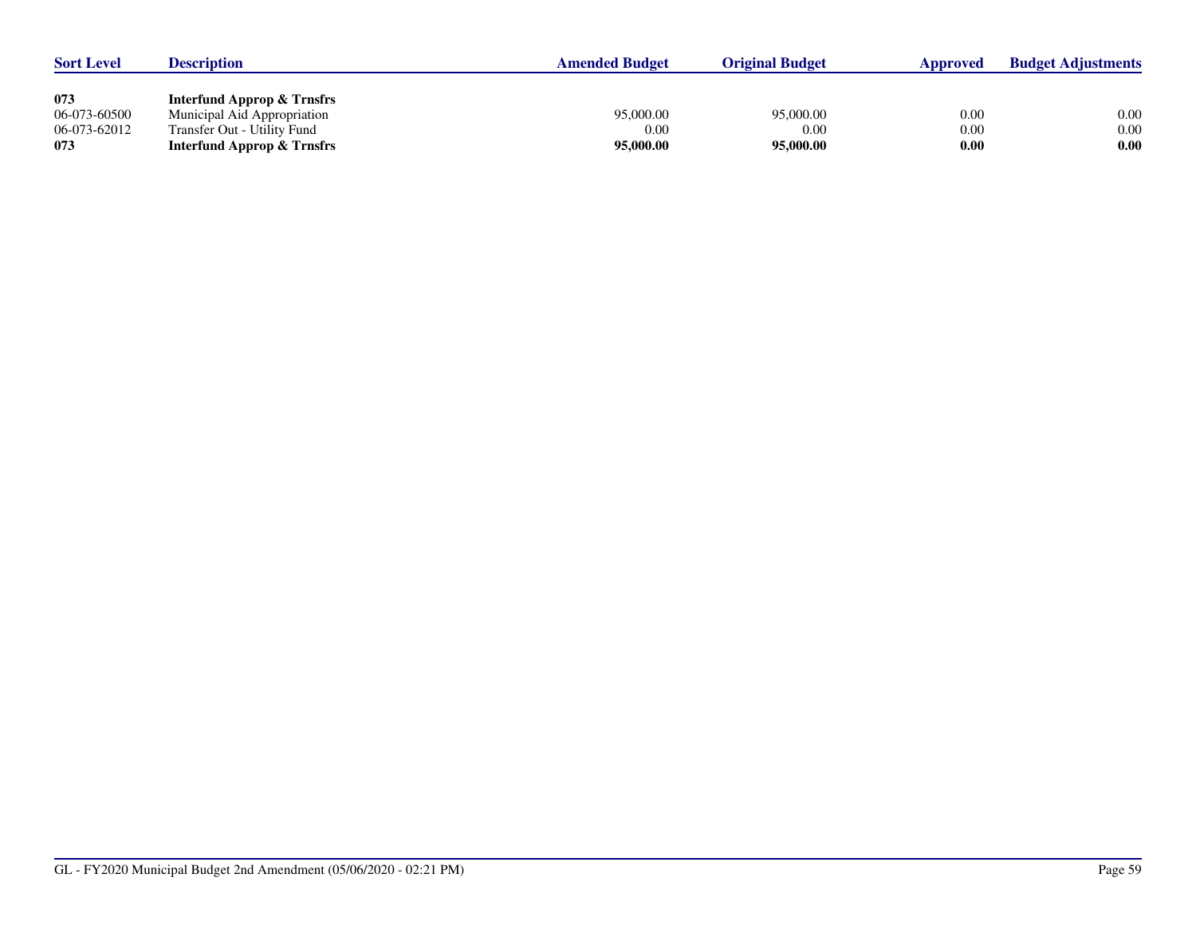| <b>Sort Level</b> | <b>Description</b>                    | <b>Amended Budget</b> | <b>Original Budget</b> | <b>Approved</b> | <b>Budget Adjustments</b> |
|-------------------|---------------------------------------|-----------------------|------------------------|-----------------|---------------------------|
|                   |                                       |                       |                        |                 |                           |
| 073               | Interfund Approp & Trnsfrs            |                       |                        |                 |                           |
| 06-073-60500      | Municipal Aid Appropriation           | 95,000.00             | 95,000.00              | 0.00            | 0.00                      |
| 06-073-62012      | Transfer Out - Utility Fund           | 0.00                  | 0.00                   | 0.00            | 0.00                      |
| 073               | <b>Interfund Approp &amp; Trnsfrs</b> | 95,000.00             | 95,000.00              | 0.00            | 0.00                      |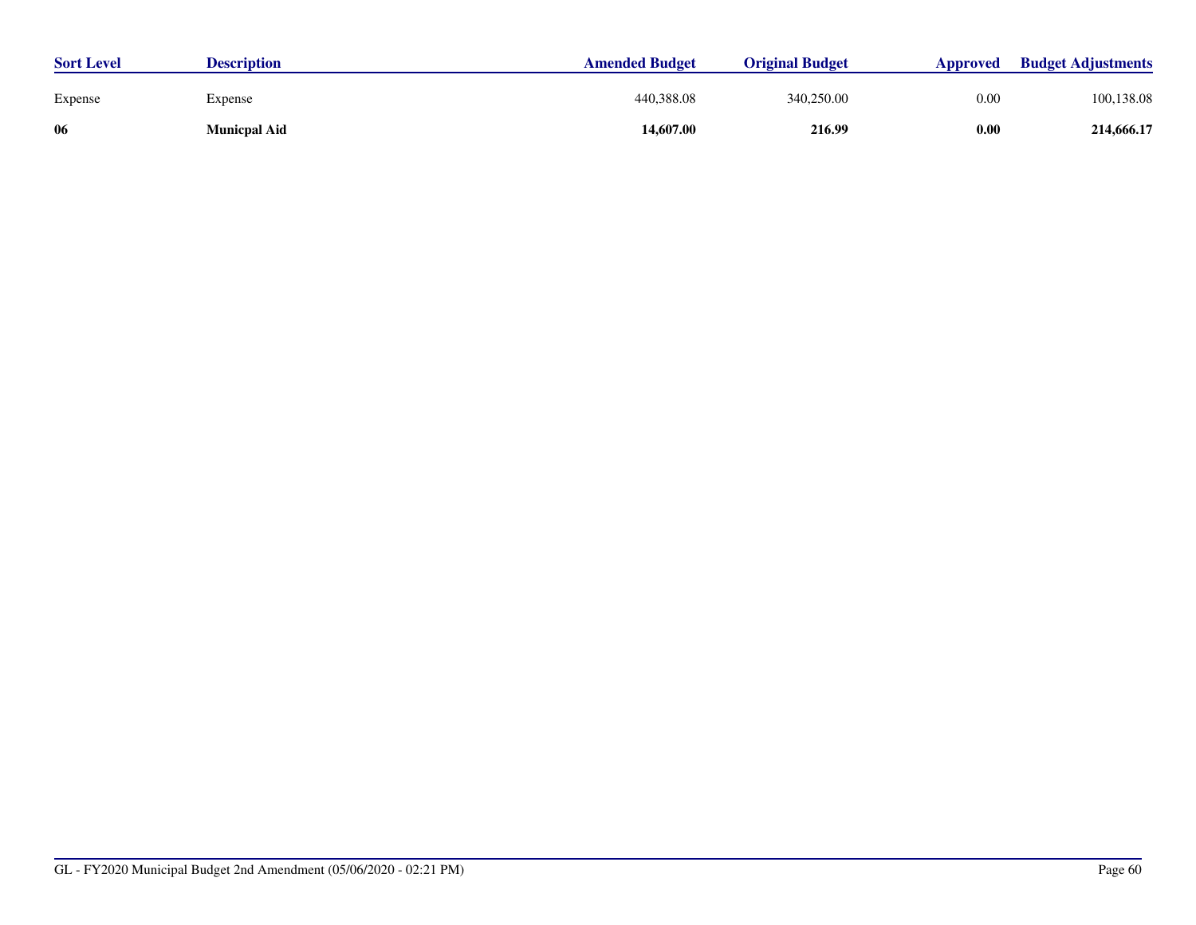| <b>Sort Level</b> | <b>Description</b>  | <b>Amended Budget</b> | <b>Original Budget</b> | Approved | <b>Budget Adjustments</b> |
|-------------------|---------------------|-----------------------|------------------------|----------|---------------------------|
| Expense           | Expense             | 440,388.08            | 340,250.00             | 0.00     | 100,138.08                |
| -06               | <b>Municpal Aid</b> | 14,607.00             | 216.99                 | 0.00     | 214,666.17                |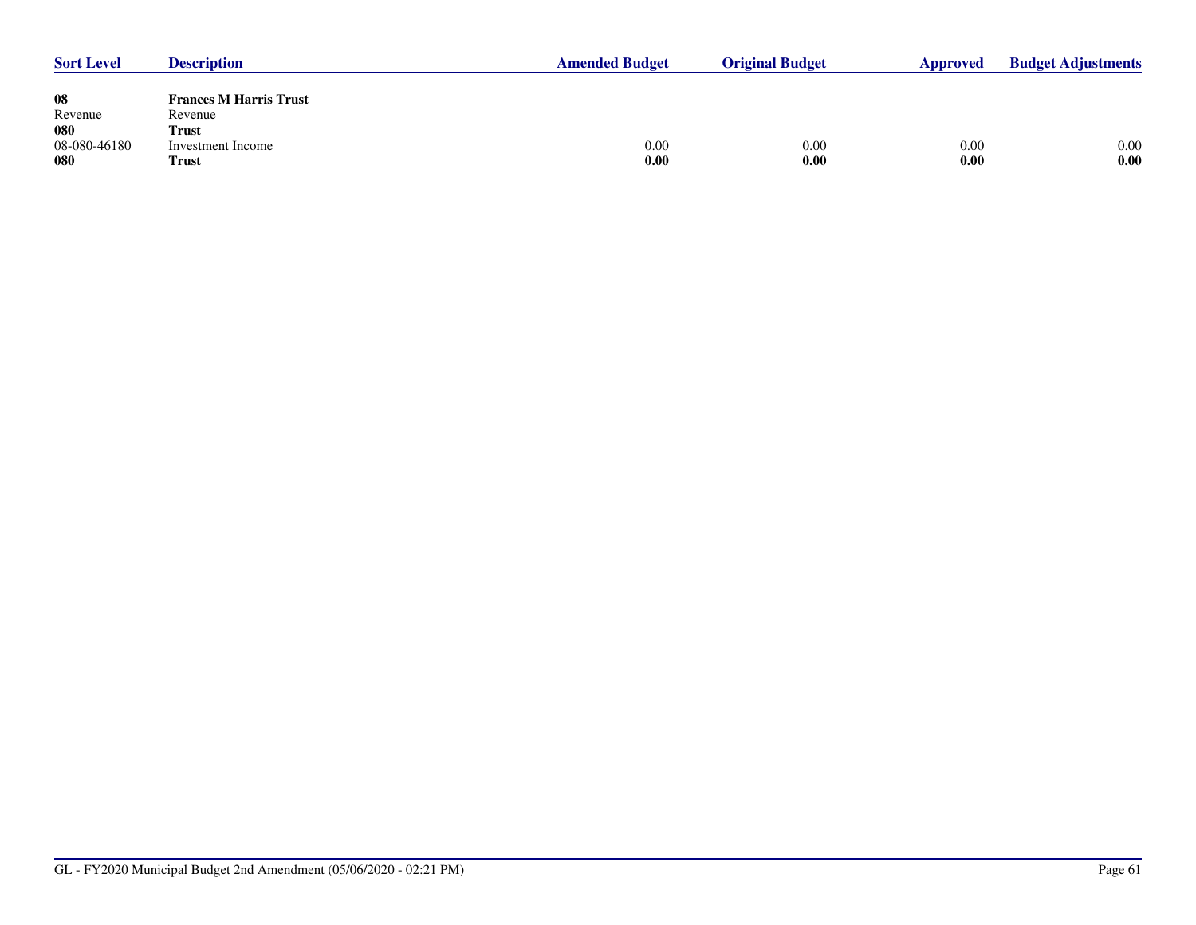| <b>Sort Level</b> | <b>Description</b>            | <b>Amended Budget</b> | <b>Original Budget</b> | Approved | <b>Budget Adjustments</b> |
|-------------------|-------------------------------|-----------------------|------------------------|----------|---------------------------|
|                   |                               |                       |                        |          |                           |
| 08                | <b>Frances M Harris Trust</b> |                       |                        |          |                           |
| Revenue           | Revenue                       |                       |                        |          |                           |
| 080               | <b>Trust</b>                  |                       |                        |          |                           |
| 08-080-46180      | Investment Income             | 0.00                  | 0.00                   | 0.00     | 0.00                      |
| 080               | <b>Trust</b>                  | 0.00                  | 0.00                   | 0.00     | 0.00                      |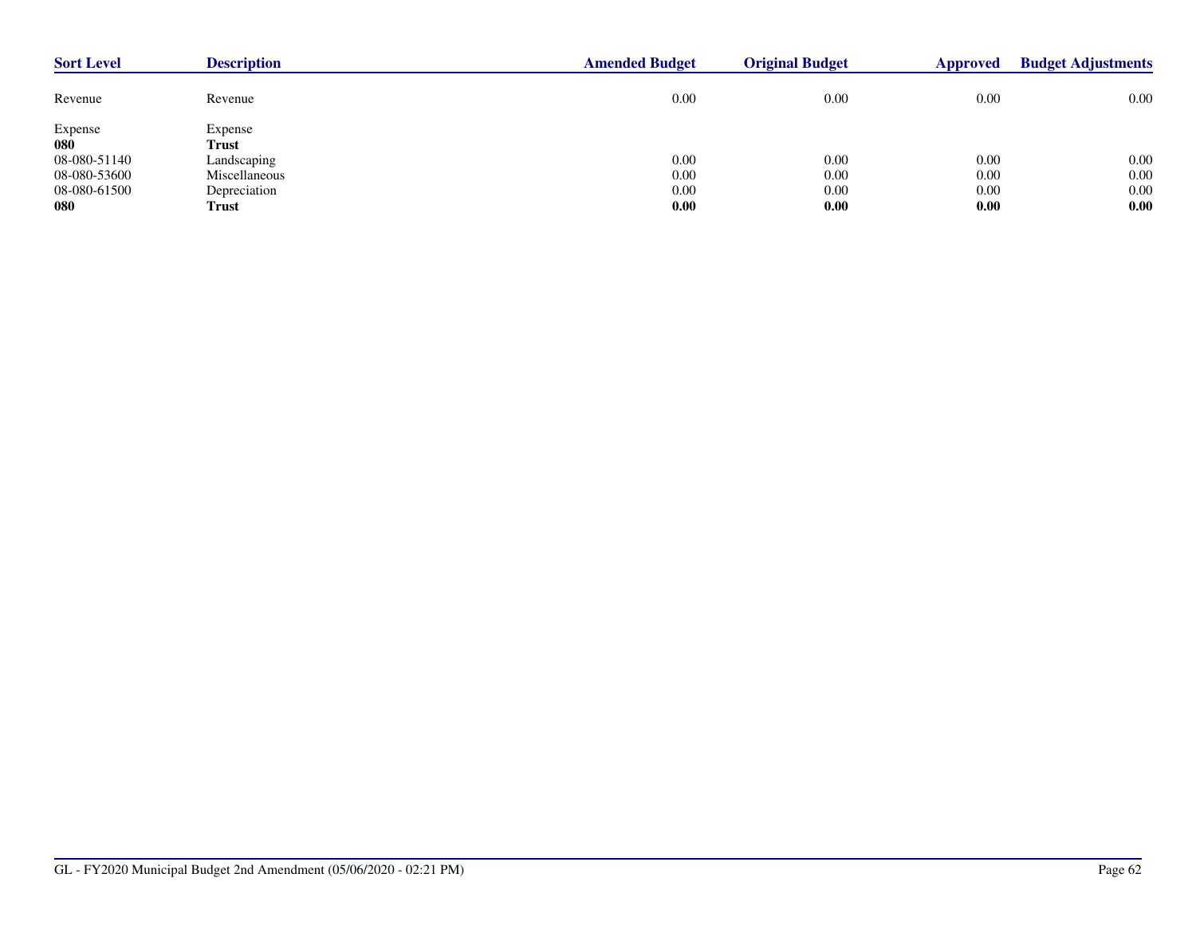| <b>Sort Level</b> | <b>Description</b> | <b>Amended Budget</b> | <b>Original Budget</b> | <b>Approved</b> | <b>Budget Adjustments</b> |
|-------------------|--------------------|-----------------------|------------------------|-----------------|---------------------------|
| Revenue           | Revenue            | 0.00                  | 0.00                   | 0.00            | 0.00                      |
| Expense           | Expense            |                       |                        |                 |                           |
| 080               | <b>Trust</b>       |                       |                        |                 |                           |
| 08-080-51140      | Landscaping        | 0.00                  | 0.00                   | 0.00            | 0.00                      |
| 08-080-53600      | Miscellaneous      | 0.00                  | 0.00                   | 0.00            | 0.00                      |
| 08-080-61500      | Depreciation       | 0.00                  | 0.00                   | 0.00            | 0.00                      |
| 080               | Trust              | 0.00                  | 0.00                   | 0.00            | 0.00                      |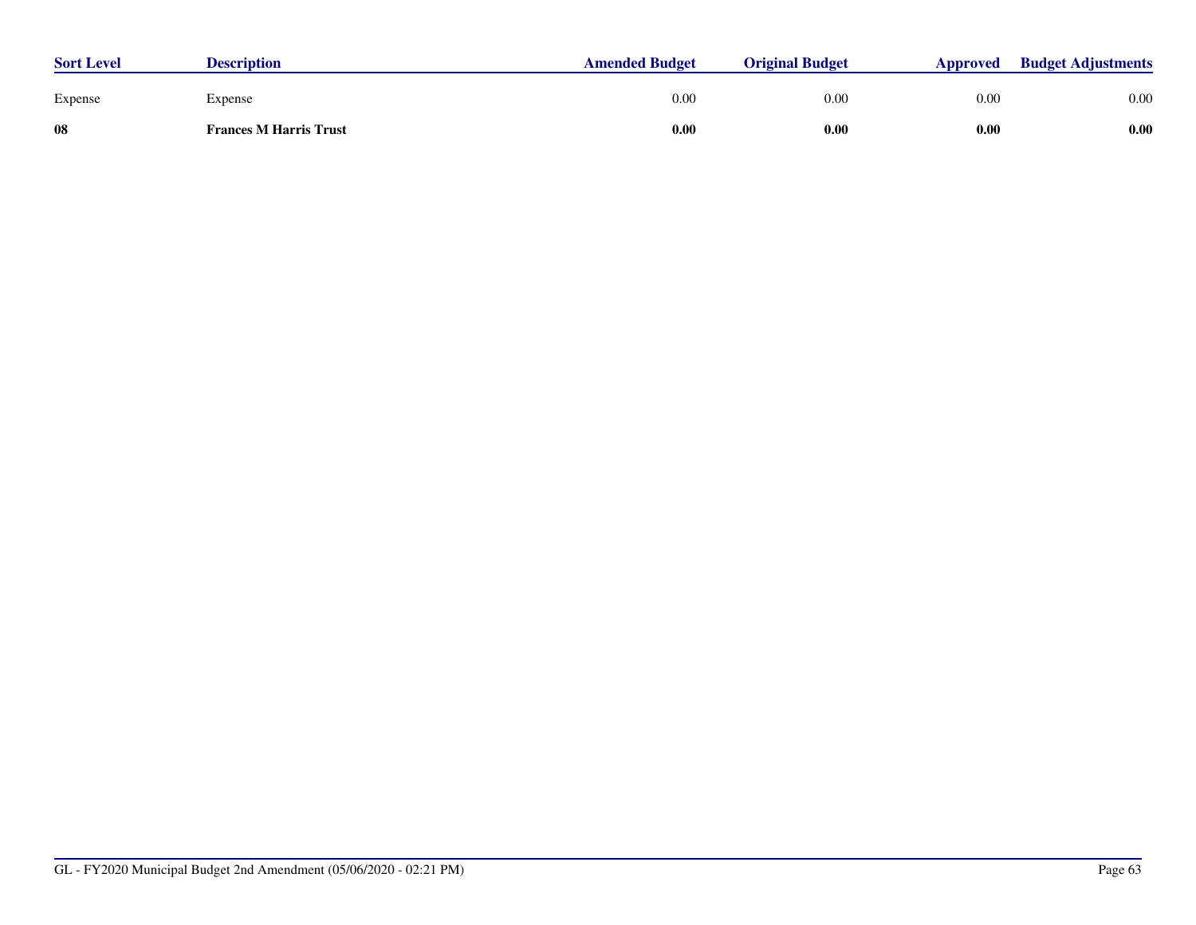| <b>Sort Level</b> | <b>Description</b>            | <b>Amended Budget</b> | <b>Original Budget</b> | Approved | <b>Budget Adjustments</b> |
|-------------------|-------------------------------|-----------------------|------------------------|----------|---------------------------|
| Expense           | Expense                       | 0.00                  | 0.00                   | 0.00     | 0.00                      |
| 08                | <b>Frances M Harris Trust</b> | 0.00                  | 0.00                   | 0.00     | 0.00                      |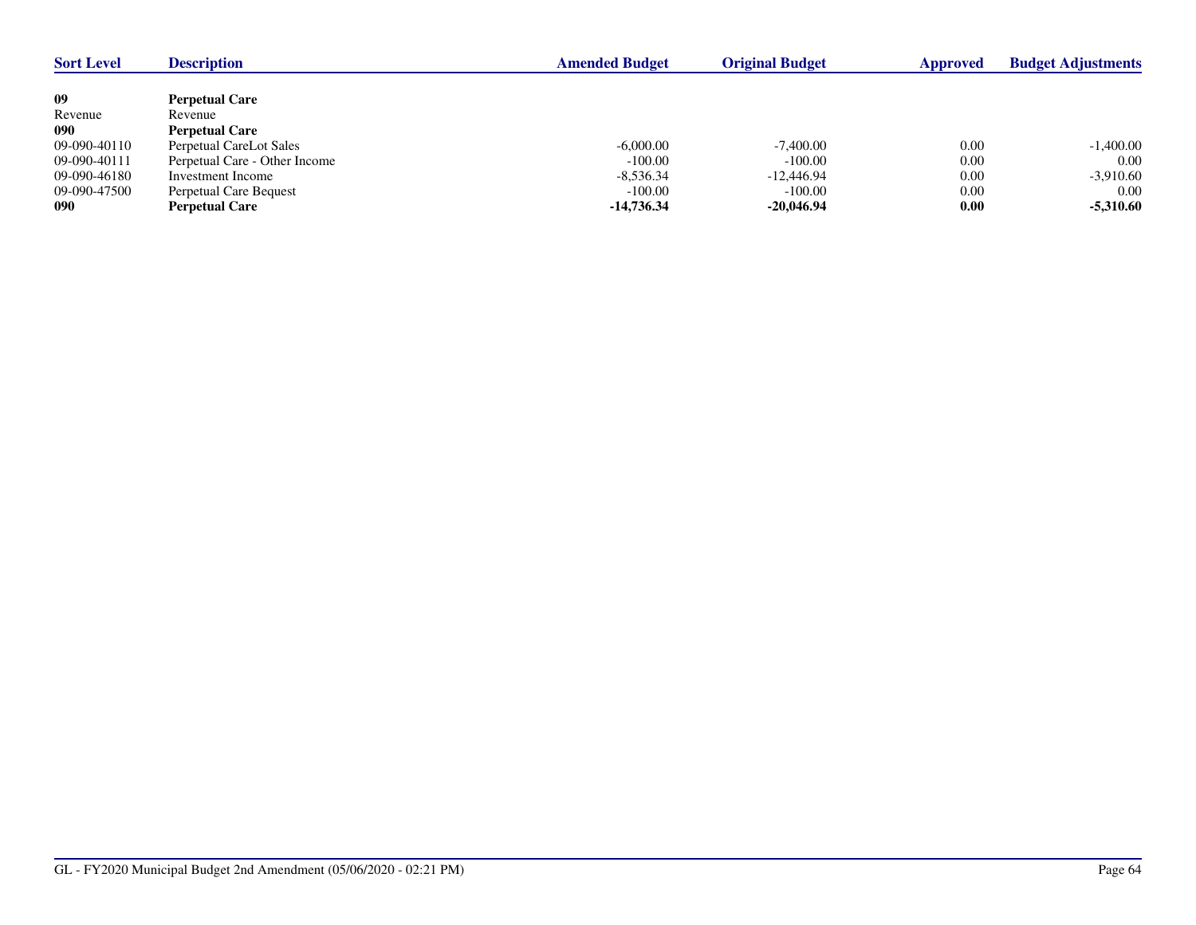| <b>Sort Level</b> | <b>Description</b>            | <b>Amended Budget</b> | <b>Original Budget</b> | Approved | <b>Budget Adjustments</b> |
|-------------------|-------------------------------|-----------------------|------------------------|----------|---------------------------|
|                   |                               |                       |                        |          |                           |
| 09                | <b>Perpetual Care</b>         |                       |                        |          |                           |
| Revenue           | Revenue                       |                       |                        |          |                           |
| 090               | <b>Perpetual Care</b>         |                       |                        |          |                           |
| 09-090-40110      | Perpetual CareLot Sales       | $-6,000.00$           | $-7,400.00$            | 0.00     | $-1,400.00$               |
| 09-090-40111      | Perpetual Care - Other Income | $-100.00$             | $-100.00$              | 0.00     | 0.00                      |
| 09-090-46180      | Investment Income             | $-8,536.34$           | $-12,446,94$           | 0.00     | $-3,910.60$               |
| 09-090-47500      | Perpetual Care Bequest        | $-100.00$             | $-100.00$              | 0.00     | $0.00\,$                  |
| 090               | <b>Perpetual Care</b>         | $-14,736.34$          | $-20.046.94$           | 0.00     | $-5,310.60$               |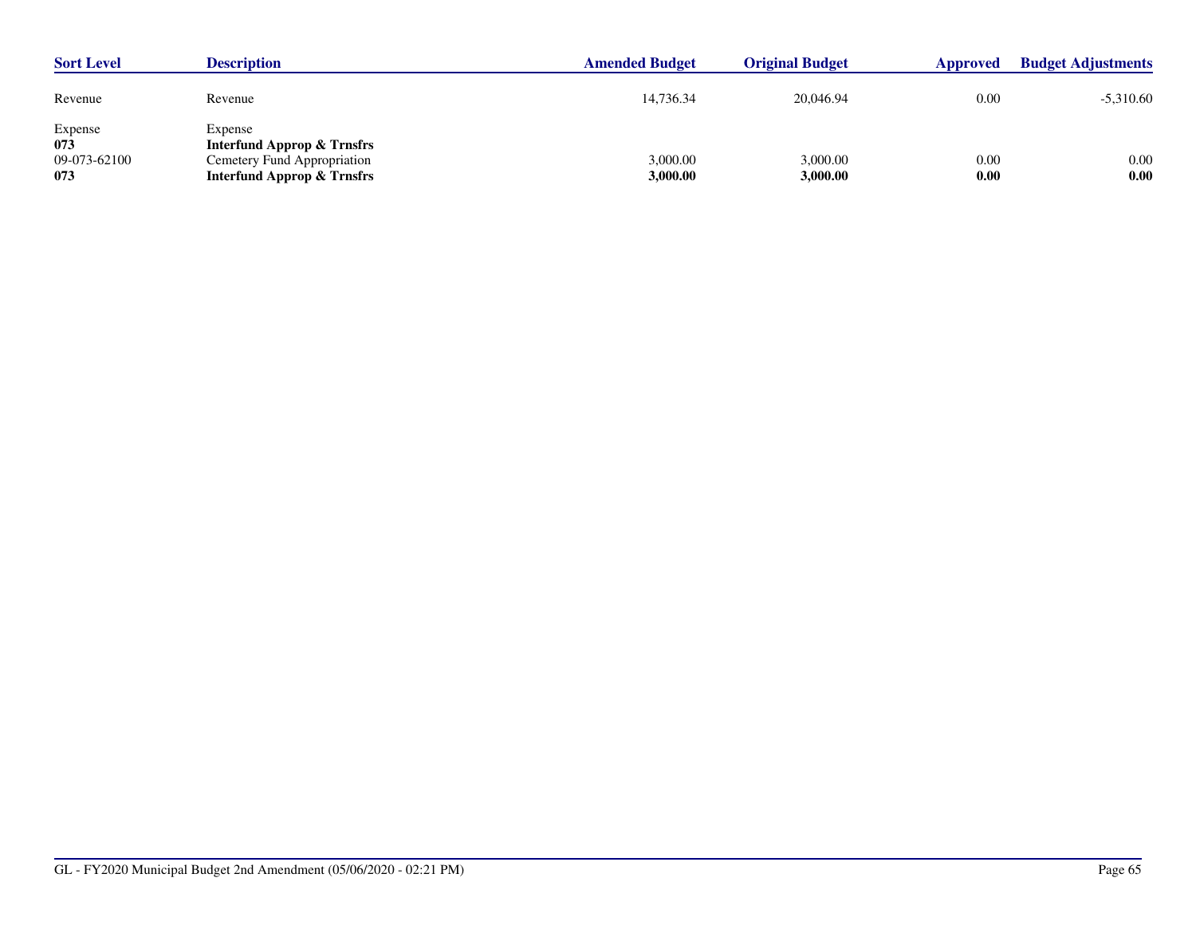| <b>Sort Level</b>                     | <b>Description</b>                                                                                                       | <b>Amended Budget</b> | <b>Original Budget</b> | Approved     | <b>Budget Adjustments</b> |
|---------------------------------------|--------------------------------------------------------------------------------------------------------------------------|-----------------------|------------------------|--------------|---------------------------|
| Revenue                               | Revenue                                                                                                                  | 14.736.34             | 20,046.94              | 0.00         | $-5,310.60$               |
| Expense<br>073<br>09-073-62100<br>073 | Expense<br><b>Interfund Approp &amp; Trnsfrs</b><br>Cemetery Fund Appropriation<br><b>Interfund Approp &amp; Trnsfrs</b> | 3,000.00<br>3,000.00  | 3,000.00<br>3,000.00   | 0.00<br>0.00 | 0.00<br>0.00              |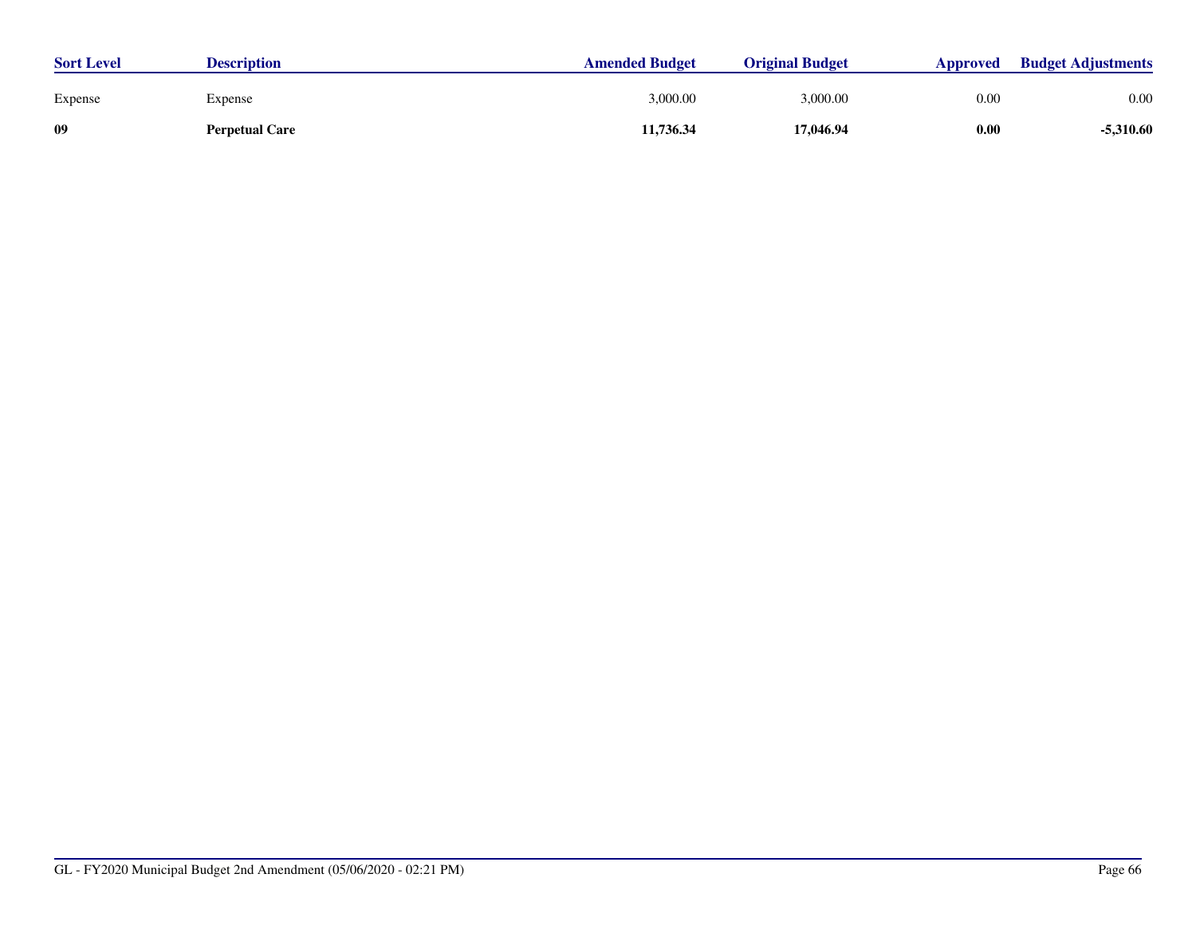| <b>Sort Level</b> | <b>Description</b>    | <b>Amended Budget</b> | <b>Original Budget</b> | Approved | <b>Budget Adjustments</b> |
|-------------------|-----------------------|-----------------------|------------------------|----------|---------------------------|
| Expense           | Expense               | 3,000.00              | 3,000.00               | 0.00     | 0.00                      |
| -09               | <b>Perpetual Care</b> | 11,736.34             | 17,046.94              | 0.00     | $-5,310.60$               |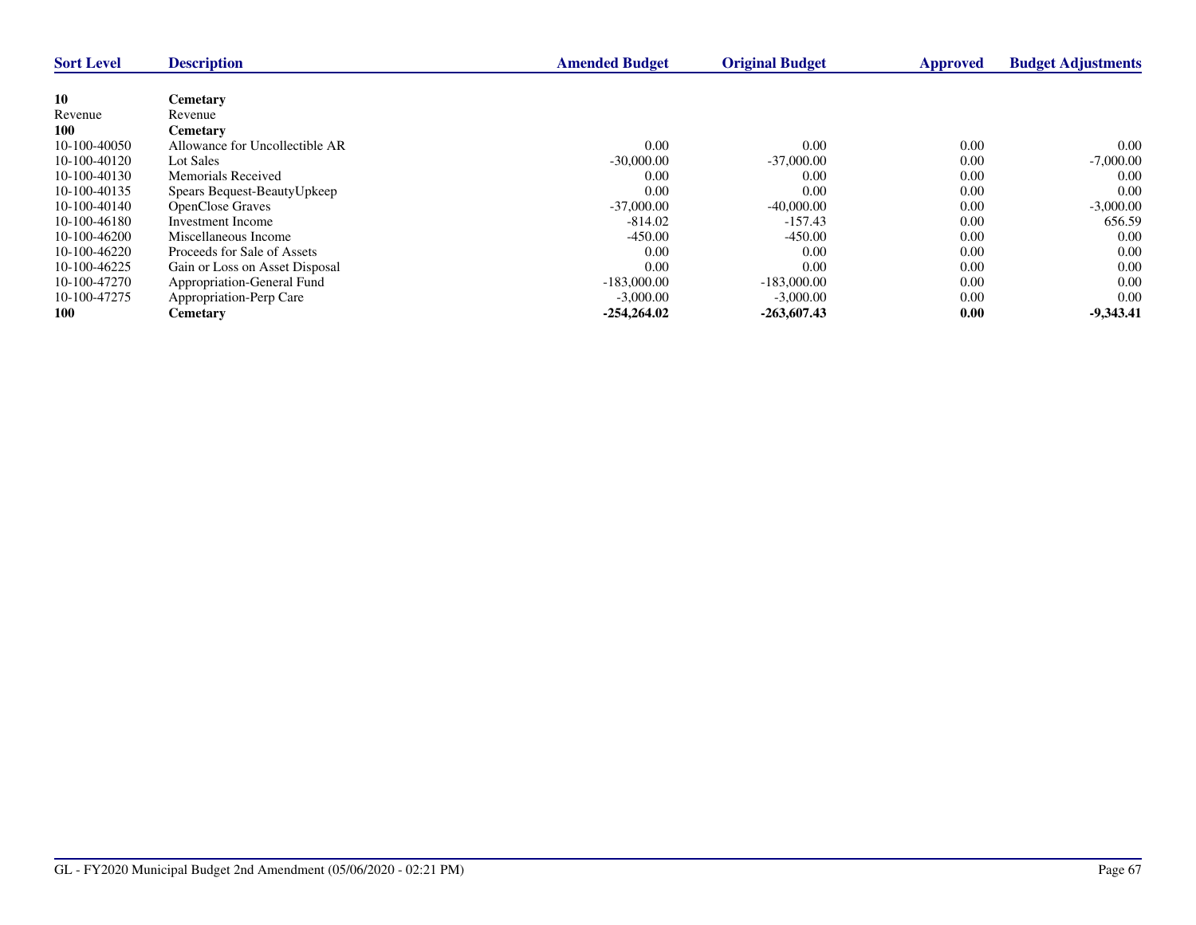| <b>Sort Level</b> | <b>Description</b>             | <b>Amended Budget</b> | <b>Original Budget</b> | <b>Approved</b> | <b>Budget Adjustments</b> |
|-------------------|--------------------------------|-----------------------|------------------------|-----------------|---------------------------|
|                   |                                |                       |                        |                 |                           |
| <b>10</b>         | <b>Cemetary</b>                |                       |                        |                 |                           |
| Revenue           | Revenue                        |                       |                        |                 |                           |
| 100               | <b>Cemetary</b>                |                       |                        |                 |                           |
| 10-100-40050      | Allowance for Uncollectible AR | 0.00                  | 0.00                   | 0.00            | 0.00                      |
| 10-100-40120      | Lot Sales                      | $-30,000.00$          | $-37,000,00$           | 0.00            | $-7,000.00$               |
| 10-100-40130      | Memorials Received             | 0.00                  | 0.00                   | 0.00            | 0.00                      |
| 10-100-40135      | Spears Bequest-BeautyUpkeep    | 0.00                  | 0.00                   | 0.00            | 0.00                      |
| 10-100-40140      | <b>OpenClose Graves</b>        | $-37,000,00$          | $-40,000.00$           | 0.00            | $-3,000.00$               |
| 10-100-46180      | Investment Income              | $-814.02$             | $-157.43$              | 0.00            | 656.59                    |
| 10-100-46200      | Miscellaneous Income           | $-450.00$             | $-450.00$              | 0.00            | 0.00                      |
| 10-100-46220      | Proceeds for Sale of Assets    | 0.00                  | 0.00                   | 0.00            | 0.00                      |
| 10-100-46225      | Gain or Loss on Asset Disposal | 0.00                  | 0.00                   | 0.00            | 0.00                      |
| 10-100-47270      | Appropriation-General Fund     | $-183,000,00$         | $-183,000,00$          | 0.00            | 0.00                      |
| 10-100-47275      | Appropriation-Perp Care        | $-3,000.00$           | $-3,000.00$            | 0.00            | 0.00                      |
| 100               | <b>Cemetary</b>                | $-254.264.02$         | $-263,607.43$          | 0.00            | $-9,343.41$               |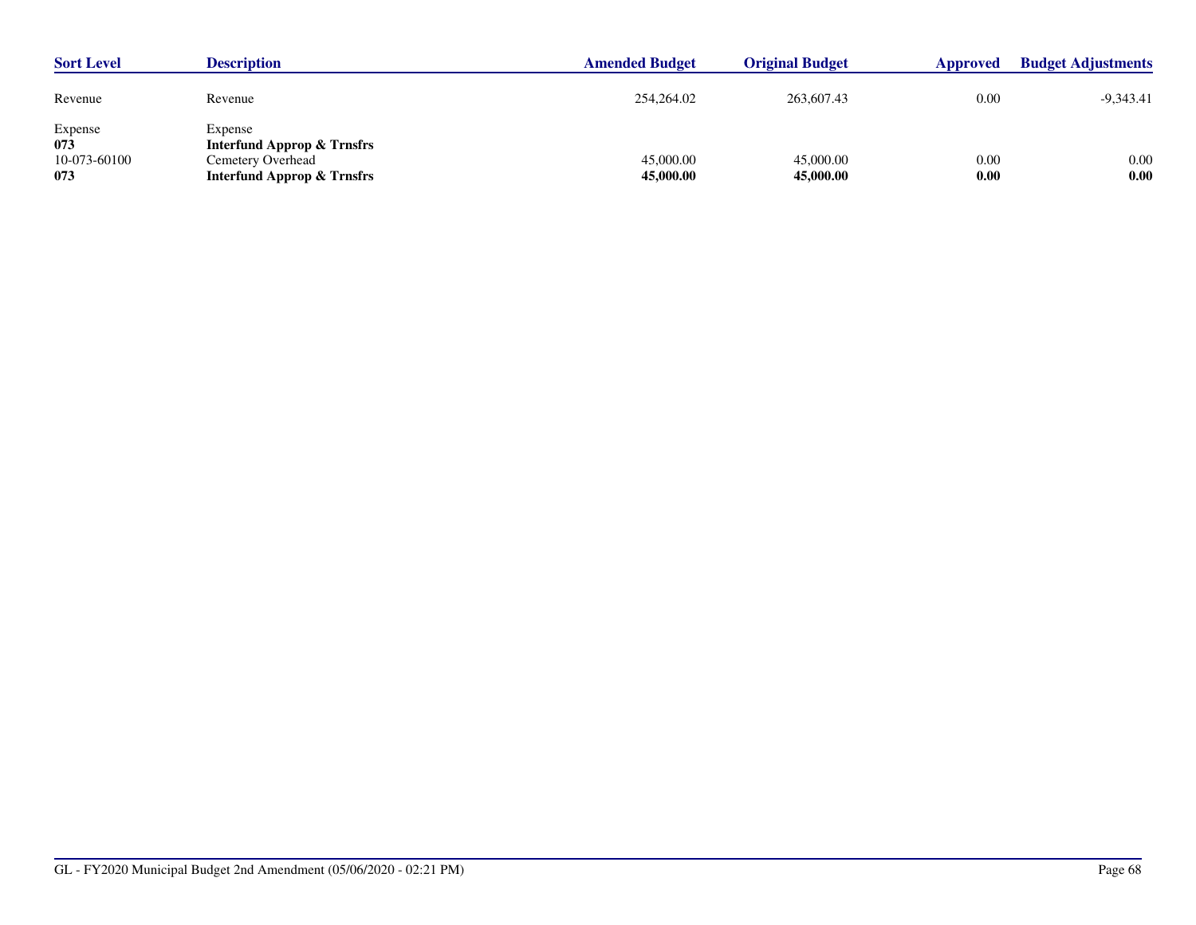| <b>Sort Level</b>                     | <b>Description</b>                                                                                             | <b>Amended Budget</b>  | <b>Original Budget</b> | <b>Approved</b> | <b>Budget Adjustments</b> |
|---------------------------------------|----------------------------------------------------------------------------------------------------------------|------------------------|------------------------|-----------------|---------------------------|
| Revenue                               | Revenue                                                                                                        | 254,264.02             | 263,607.43             | 0.00            | -9,343.41                 |
| Expense<br>073<br>10-073-60100<br>073 | Expense<br><b>Interfund Approp &amp; Trnsfrs</b><br>Cemetery Overhead<br><b>Interfund Approp &amp; Trnsfrs</b> | 45,000.00<br>45,000.00 | 45,000.00<br>45,000.00 | 0.00<br>0.00    | 0.00<br>0.00              |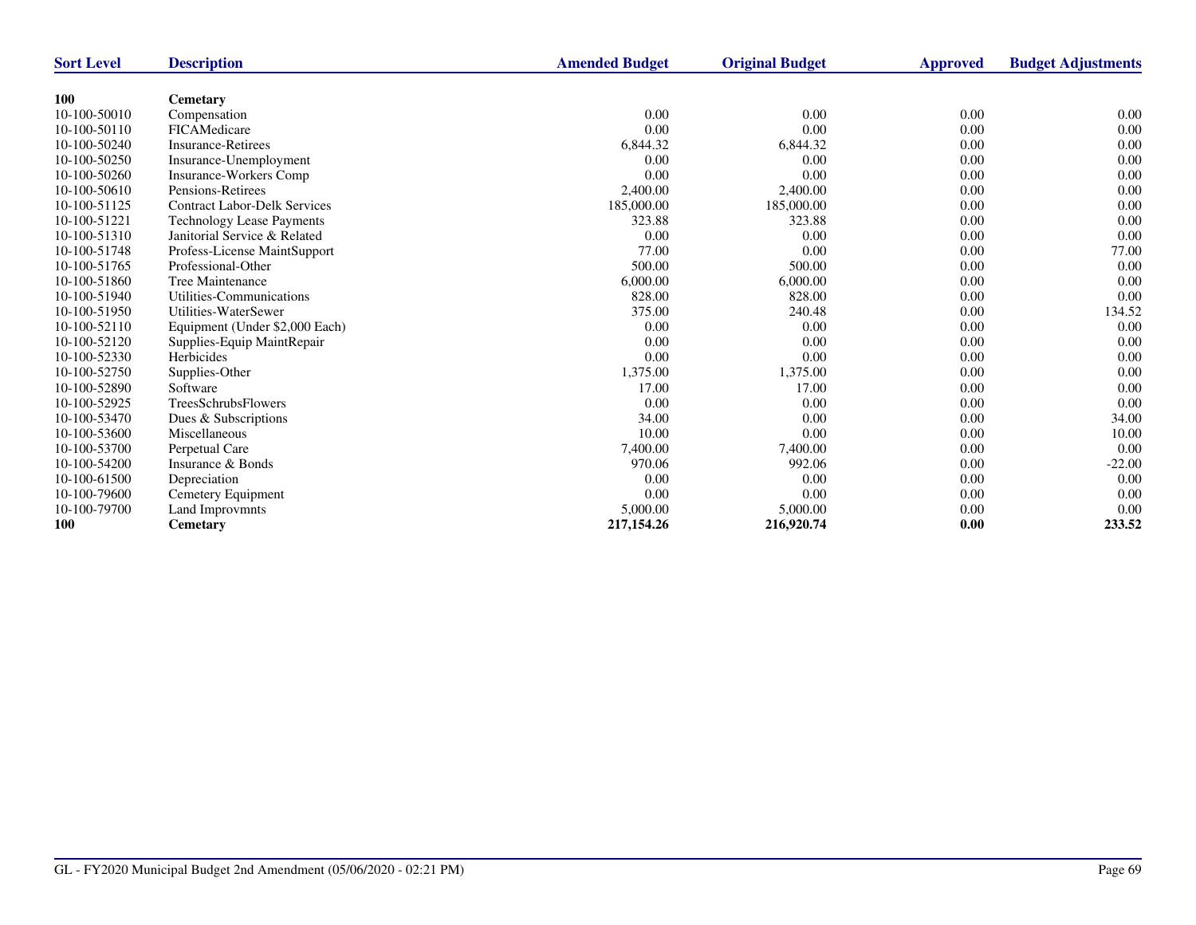| <b>Sort Level</b> | <b>Description</b>                  | <b>Amended Budget</b> | <b>Original Budget</b> | Approved | <b>Budget Adjustments</b> |
|-------------------|-------------------------------------|-----------------------|------------------------|----------|---------------------------|
|                   |                                     |                       |                        |          |                           |
| <b>100</b>        | <b>Cemetary</b>                     |                       |                        |          |                           |
| 10-100-50010      | Compensation                        | 0.00                  | 0.00                   | 0.00     | 0.00                      |
| 10-100-50110      | FICAMedicare                        | 0.00                  | 0.00                   | 0.00     | 0.00                      |
| 10-100-50240      | <b>Insurance-Retirees</b>           | 6,844.32              | 6,844.32               | 0.00     | 0.00                      |
| 10-100-50250      | Insurance-Unemployment              | 0.00                  | 0.00                   | 0.00     | 0.00                      |
| 10-100-50260      | <b>Insurance-Workers Comp</b>       | 0.00                  | 0.00                   | 0.00     | 0.00                      |
| 10-100-50610      | Pensions-Retirees                   | 2,400.00              | 2,400.00               | 0.00     | 0.00                      |
| 10-100-51125      | <b>Contract Labor-Delk Services</b> | 185,000.00            | 185,000.00             | 0.00     | 0.00                      |
| 10-100-51221      | <b>Technology Lease Payments</b>    | 323.88                | 323.88                 | 0.00     | 0.00                      |
| 10-100-51310      | Janitorial Service & Related        | 0.00                  | 0.00                   | 0.00     | 0.00                      |
| 10-100-51748      | Profess-License MaintSupport        | 77.00                 | 0.00                   | 0.00     | 77.00                     |
| 10-100-51765      | Professional-Other                  | 500.00                | 500.00                 | 0.00     | 0.00                      |
| 10-100-51860      | Tree Maintenance                    | 6,000.00              | 6,000.00               | 0.00     | 0.00                      |
| 10-100-51940      | Utilities-Communications            | 828.00                | 828.00                 | 0.00     | 0.00                      |
| 10-100-51950      | Utilities-WaterSewer                | 375.00                | 240.48                 | 0.00     | 134.52                    |
| 10-100-52110      | Equipment (Under \$2,000 Each)      | 0.00                  | 0.00                   | 0.00     | 0.00                      |
| 10-100-52120      | Supplies-Equip MaintRepair          | 0.00                  | 0.00                   | 0.00     | 0.00                      |
| 10-100-52330      | Herbicides                          | 0.00                  | 0.00                   | 0.00     | 0.00                      |
| 10-100-52750      | Supplies-Other                      | 1,375.00              | 1,375.00               | 0.00     | 0.00                      |
| 10-100-52890      | Software                            | 17.00                 | 17.00                  | 0.00     | 0.00                      |
| 10-100-52925      | <b>TreesSchrubsFlowers</b>          | 0.00                  | 0.00                   | 0.00     | 0.00                      |
| 10-100-53470      | Dues & Subscriptions                | 34.00                 | 0.00                   | 0.00     | 34.00                     |
| 10-100-53600      | Miscellaneous                       | 10.00                 | 0.00                   | 0.00     | 10.00                     |
| 10-100-53700      | Perpetual Care                      | 7,400.00              | 7,400.00               | 0.00     | 0.00                      |
| 10-100-54200      | Insurance & Bonds                   | 970.06                | 992.06                 | 0.00     | $-22.00$                  |
| 10-100-61500      | Depreciation                        | 0.00                  | 0.00                   | 0.00     | 0.00                      |
| 10-100-79600      | Cemetery Equipment                  | 0.00                  | 0.00                   | 0.00     | 0.00                      |
| 10-100-79700      | Land Improvmnts                     | 5,000.00              | 5,000.00               | 0.00     | 0.00                      |
| 100               | Cemetary                            | 217,154.26            | 216,920.74             | 0.00     | 233.52                    |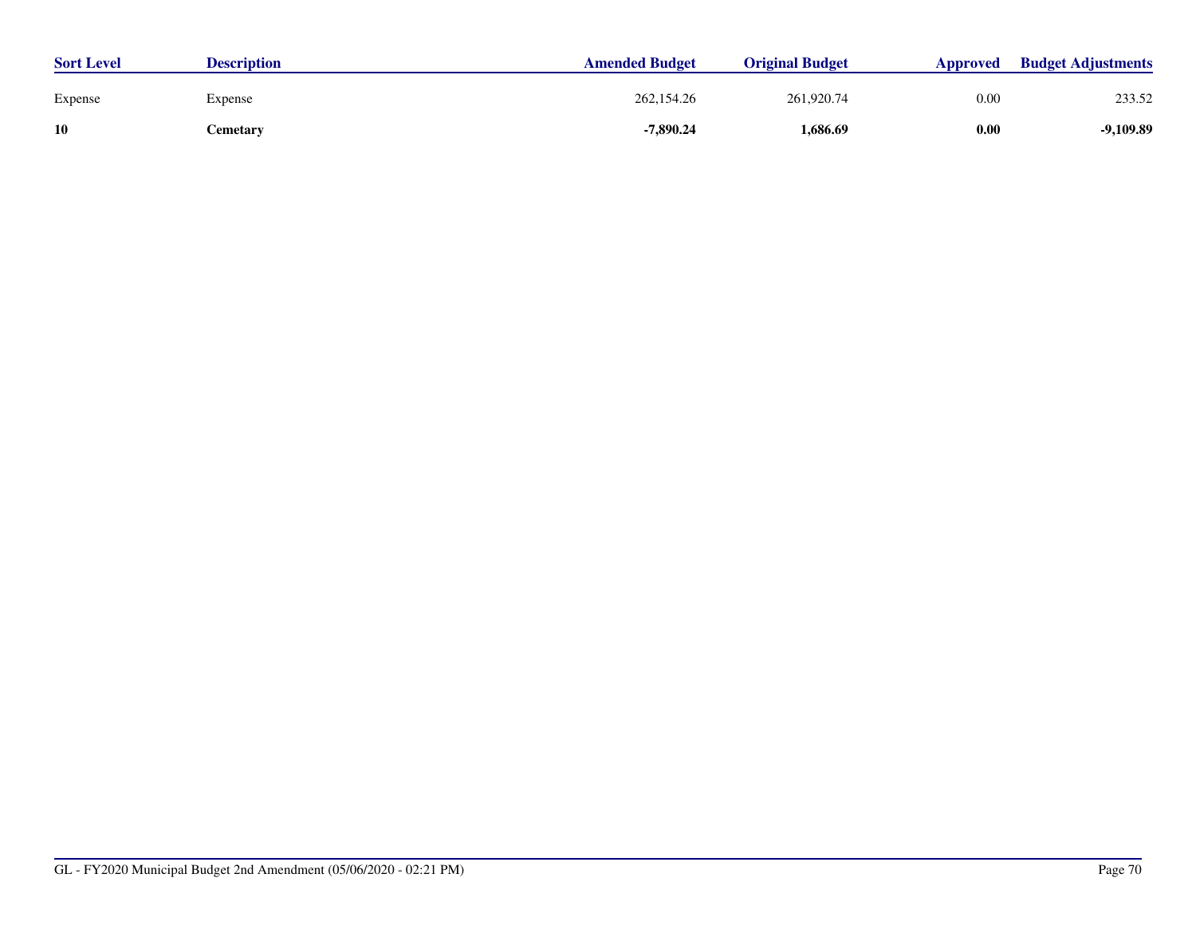| <b>Sort Level</b> | <b>Description</b> | <b>Amended Budget</b> | <b>Original Budget</b> | <b>Approved</b> | <b>Budget Adjustments</b> |
|-------------------|--------------------|-----------------------|------------------------|-----------------|---------------------------|
| Expense           | Expense            | 262,154.26            | 261,920.74             | 0.00            | 233.52                    |
| 10                | Cemetary           | $-7,890.24$           | 1,686.69               | 0.00            | $-9,109.89$               |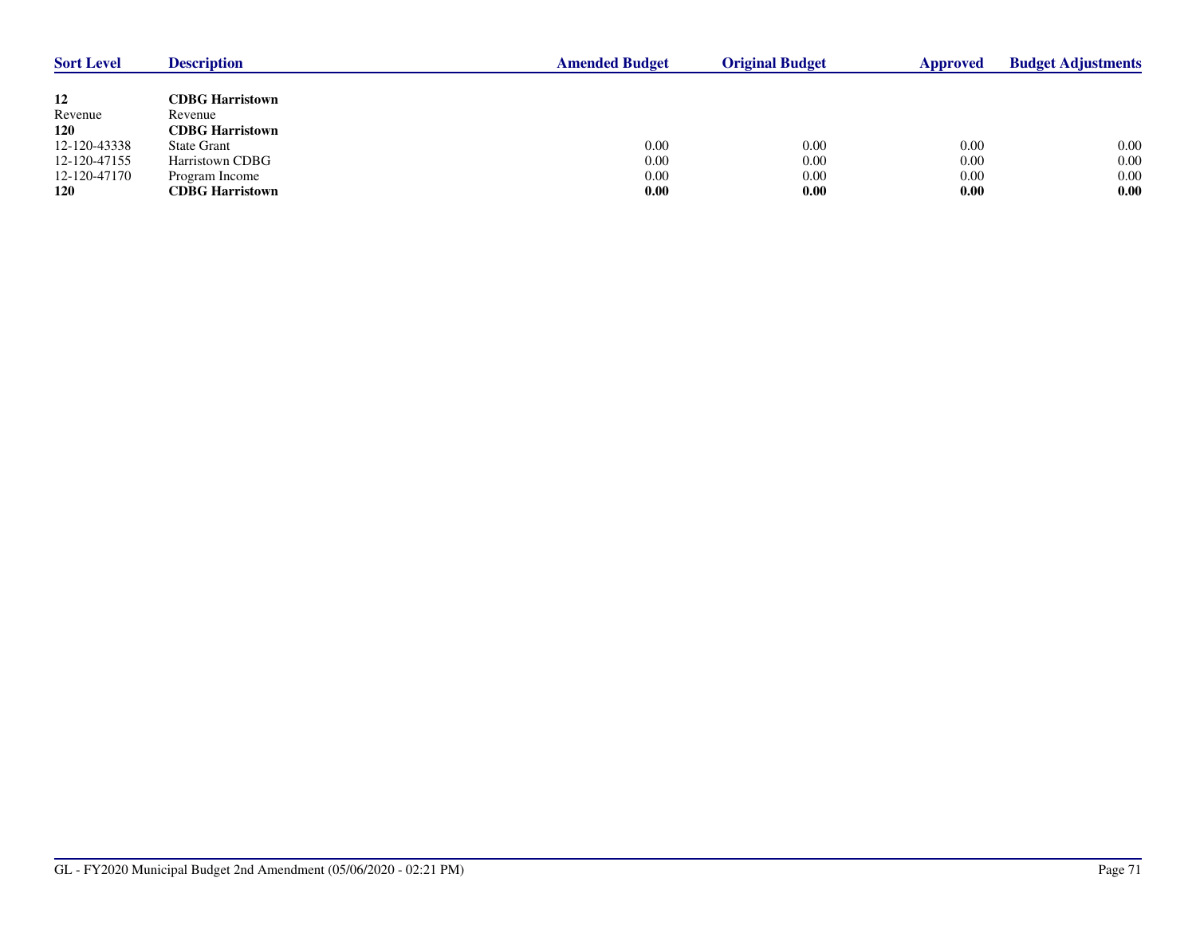| <b>Sort Level</b> | <b>Description</b>     | <b>Amended Budget</b> | <b>Original Budget</b> | Approved | <b>Budget Adjustments</b> |
|-------------------|------------------------|-----------------------|------------------------|----------|---------------------------|
|                   |                        |                       |                        |          |                           |
| 12                | <b>CDBG Harristown</b> |                       |                        |          |                           |
| Revenue           | Revenue                |                       |                        |          |                           |
| <b>120</b>        | <b>CDBG Harristown</b> |                       |                        |          |                           |
| 12-120-43338      | State Grant            | 0.00                  | 0.00                   | 0.00     | 0.00                      |
| 12-120-47155      | Harristown CDBG        | 0.00                  | 0.00                   | 0.00     | 0.00                      |
| 12-120-47170      | Program Income         | 0.00                  | 0.00                   | 0.00     | $0.00\,$                  |
| <b>120</b>        | <b>CDBG Harristown</b> | 0.00                  | 0.00                   | 0.00     | 0.00                      |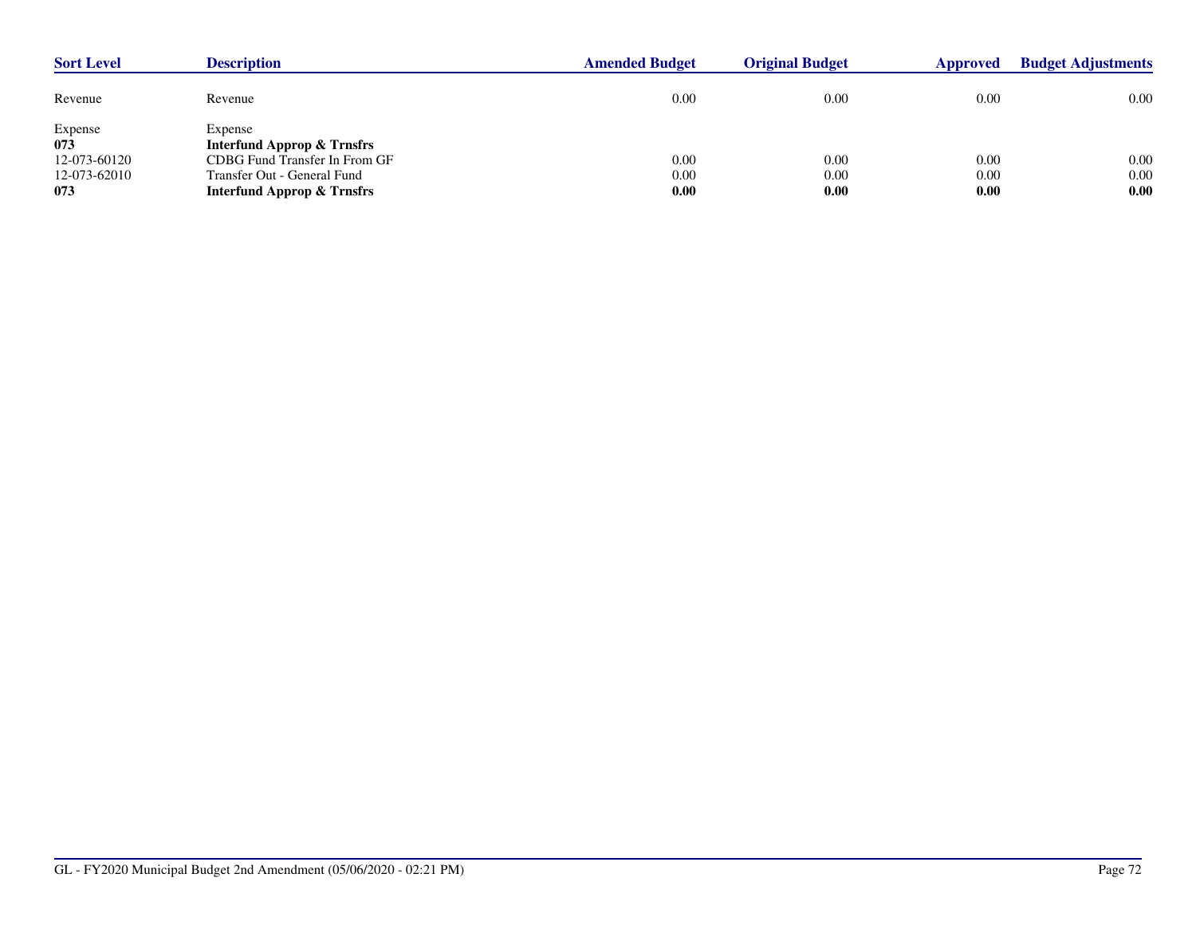| <b>Sort Level</b> | <b>Description</b>                               | <b>Amended Budget</b> | <b>Original Budget</b> | <b>Approved</b> | <b>Budget Adjustments</b> |  |
|-------------------|--------------------------------------------------|-----------------------|------------------------|-----------------|---------------------------|--|
| Revenue           | Revenue                                          | 0.00                  | 0.00                   | 0.00            | $0.00\,$                  |  |
| Expense<br>073    | Expense<br><b>Interfund Approp &amp; Trnsfrs</b> |                       |                        |                 |                           |  |
| 12-073-60120      | CDBG Fund Transfer In From GF                    | 0.00                  | 0.00                   | 0.00            | 0.00                      |  |
| 12-073-62010      | Transfer Out - General Fund                      | 0.00                  | 0.00                   | 0.00            | 0.00                      |  |
| 073               | <b>Interfund Approp &amp; Trnsfrs</b>            | 0.00                  | 0.00                   | 0.00            | 0.00                      |  |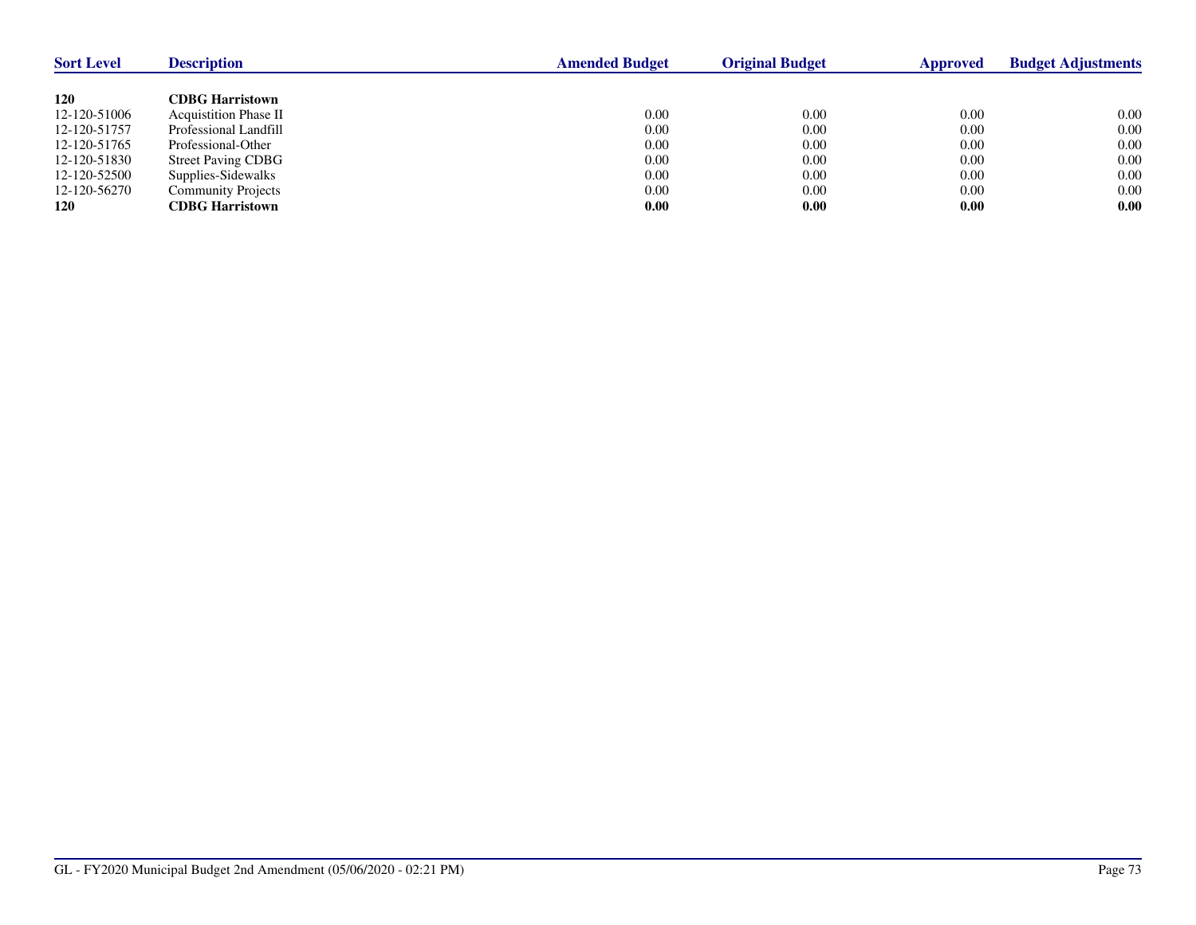| <b>Sort Level</b> | <b>Description</b>           | <b>Amended Budget</b> | <b>Original Budget</b> | Approved | <b>Budget Adjustments</b> |
|-------------------|------------------------------|-----------------------|------------------------|----------|---------------------------|
|                   |                              |                       |                        |          |                           |
| 120               | <b>CDBG Harristown</b>       |                       |                        |          |                           |
| 12-120-51006      | <b>Acquistition Phase II</b> | 0.00                  | 0.00                   | 0.00     | 0.00                      |
| 12-120-51757      | Professional Landfill        | 0.00                  | 0.00                   | 0.00     | 0.00                      |
| 12-120-51765      | Professional-Other           | 0.00                  | 0.00                   | 0.00     | 0.00                      |
| 12-120-51830      | <b>Street Paving CDBG</b>    | 0.00                  | 0.00                   | 0.00     | 0.00                      |
| 12-120-52500      | Supplies-Sidewalks           | 0.00                  | 0.00                   | 0.00     | 0.00                      |
| 12-120-56270      | Community Projects           | 0.00                  | 0.00                   | 0.00     | 0.00                      |
| <b>120</b>        | <b>CDBG Harristown</b>       | 0.00                  | 0.00                   | 0.00     | 0.00                      |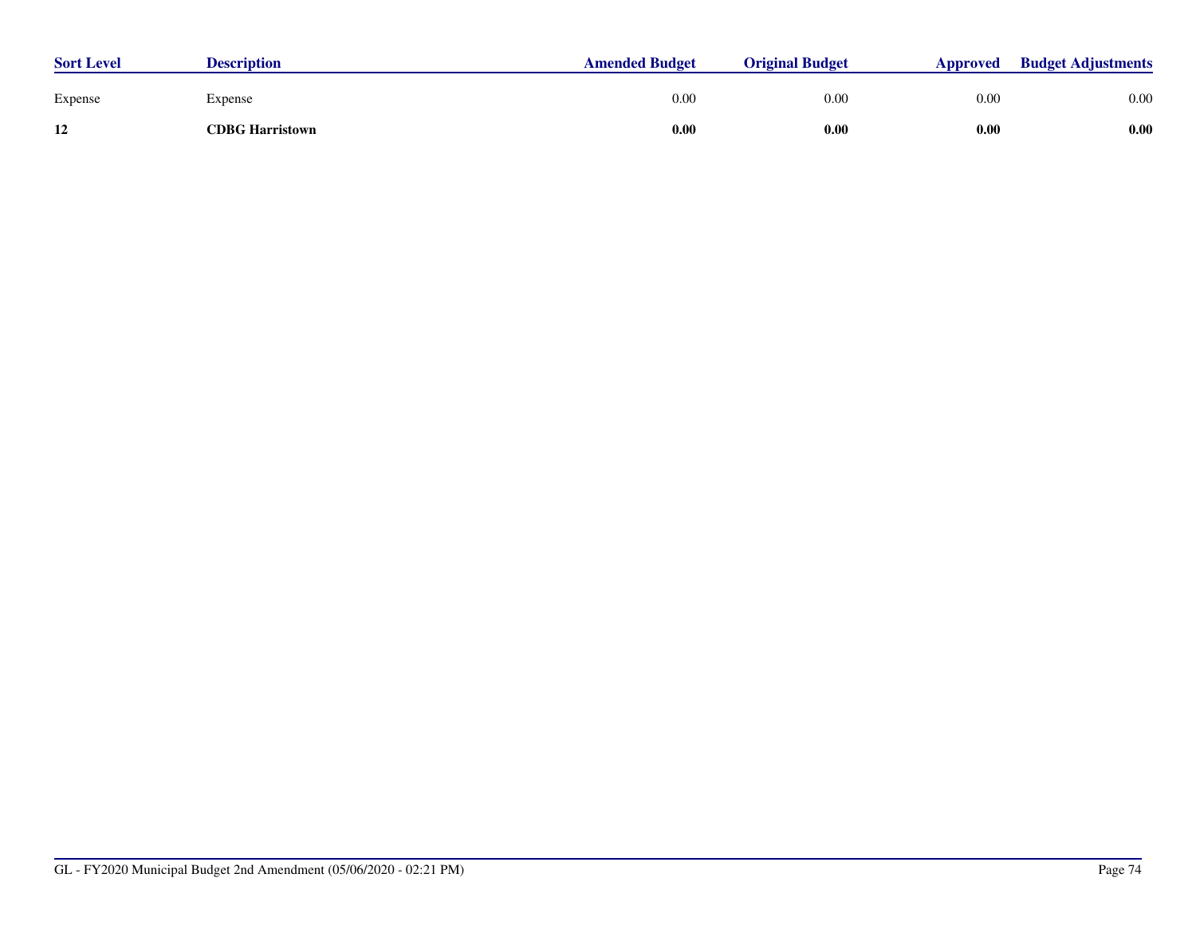| <b>Sort Level</b> | <b>Description</b>     | <b>Amended Budget</b> | <b>Original Budget</b> | <b>Approved</b> | <b>Budget Adjustments</b> |
|-------------------|------------------------|-----------------------|------------------------|-----------------|---------------------------|
| Expense           | Expense                | 0.00                  | 0.00                   | 0.00            | 0.00                      |
| 12                | <b>CDBG Harristown</b> | 0.00                  | 0.00                   | 0.00            | 0.00                      |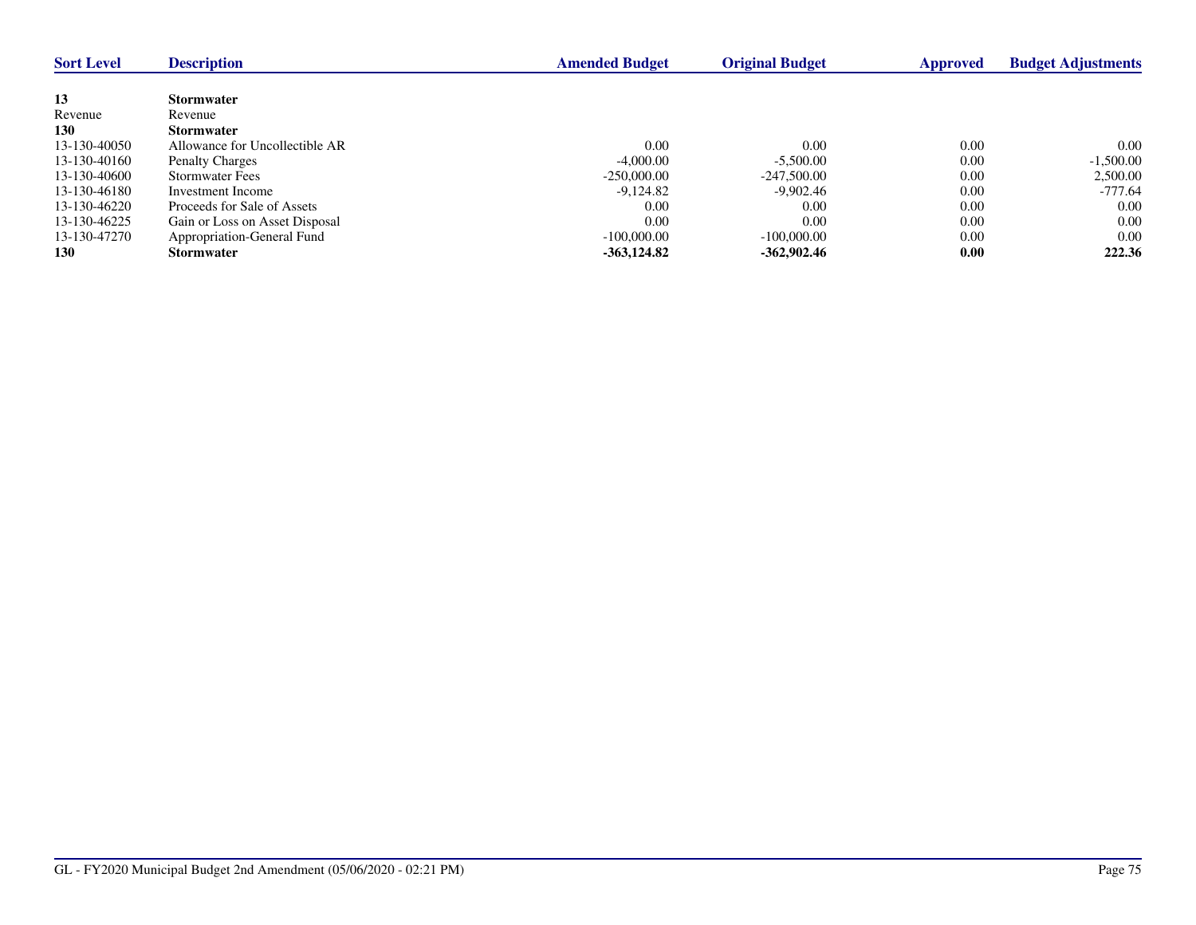| <b>Sort Level</b> | <b>Description</b>             | <b>Amended Budget</b> | <b>Original Budget</b> | <b>Approved</b> | <b>Budget Adjustments</b> |
|-------------------|--------------------------------|-----------------------|------------------------|-----------------|---------------------------|
|                   |                                |                       |                        |                 |                           |
| 13                | <b>Stormwater</b>              |                       |                        |                 |                           |
| Revenue           | Revenue                        |                       |                        |                 |                           |
| <b>130</b>        | <b>Stormwater</b>              |                       |                        |                 |                           |
| 13-130-40050      | Allowance for Uncollectible AR | 0.00                  | 0.00                   | 0.00            | 0.00                      |
| 13-130-40160      | <b>Penalty Charges</b>         | $-4,000.00$           | $-5.500.00$            | 0.00            | $-1,500.00$               |
| 13-130-40600      | <b>Stormwater Fees</b>         | $-250,000,00$         | $-247.500.00$          | 0.00            | 2,500.00                  |
| 13-130-46180      | Investment Income              | $-9,124.82$           | -9,902.46              | 0.00            | -777.64                   |
| 13-130-46220      | Proceeds for Sale of Assets    | 0.00                  | 0.00                   | 0.00            | 0.00                      |
| 13-130-46225      | Gain or Loss on Asset Disposal | 0.00                  | 0.00                   | 0.00            | 0.00                      |
| 13-130-47270      | Appropriation-General Fund     | $-100,000,00$         | $-100,000,00$          | 0.00            | 0.00                      |
| <b>130</b>        | <b>Stormwater</b>              | $-363, 124.82$        | $-362.902.46$          | 0.00            | 222.36                    |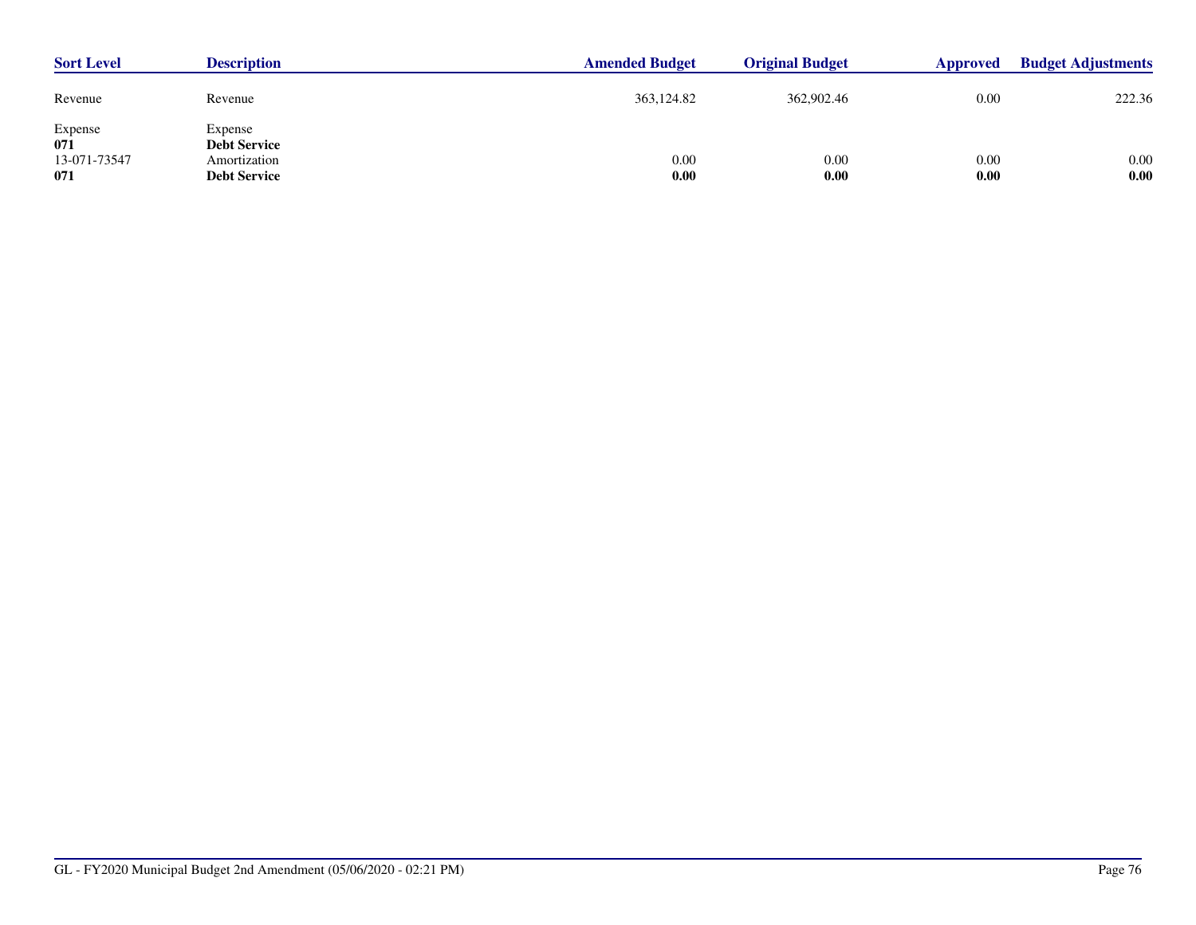| <b>Sort Level</b>                     | <b>Description</b>                                                    | <b>Amended Budget</b> | <b>Original Budget</b> | Approved     | <b>Budget Adjustments</b> |
|---------------------------------------|-----------------------------------------------------------------------|-----------------------|------------------------|--------------|---------------------------|
| Revenue                               | Revenue                                                               | 363,124.82            | 362,902.46             | 0.00         | 222.36                    |
| Expense<br>071<br>13-071-73547<br>071 | Expense<br><b>Debt Service</b><br>Amortization<br><b>Debt Service</b> | 0.00<br>0.00          | 0.00<br>0.00           | 0.00<br>0.00 | 0.00<br>0.00              |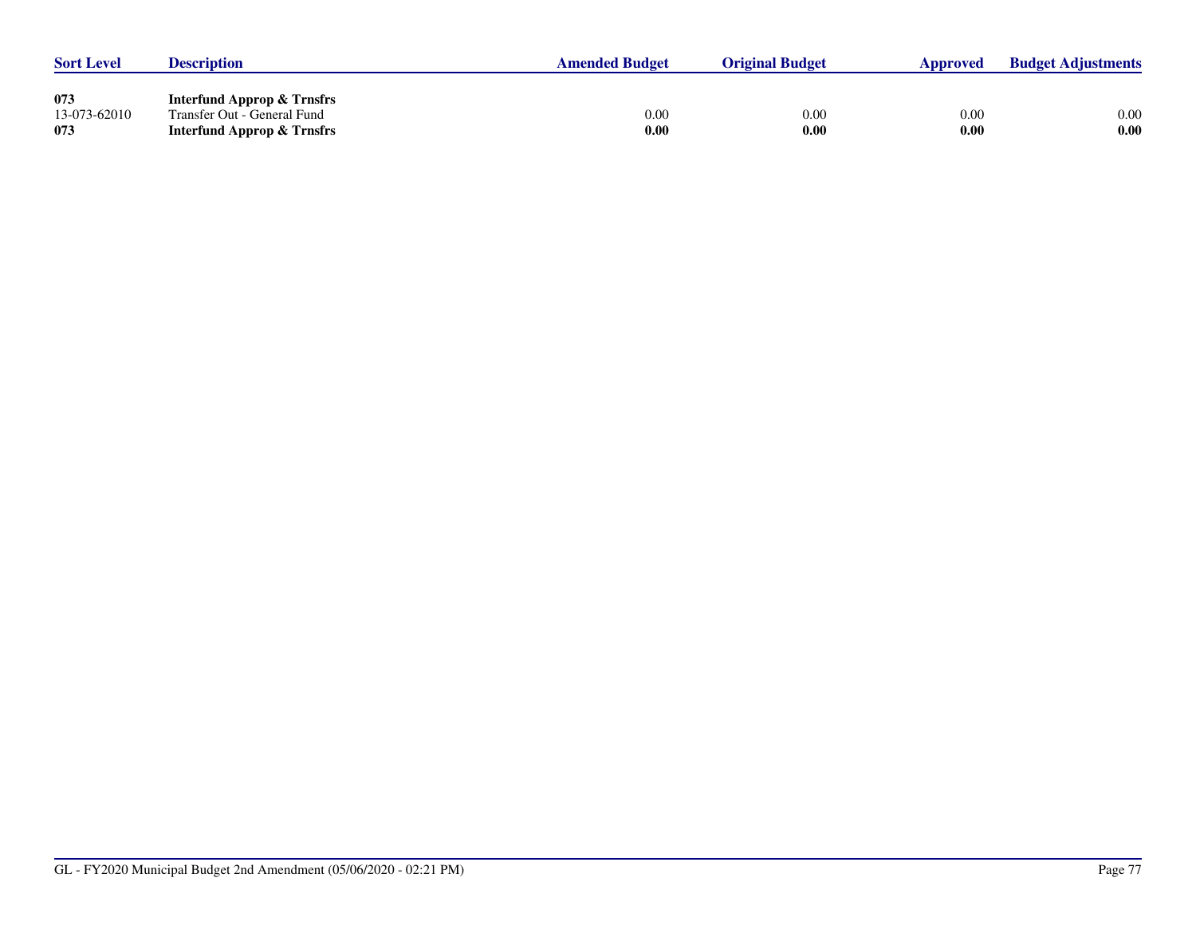| <b>Sort Level</b>          | <b>Description</b>                                                                                 | <b>Amended Budget</b> | <b>Original Budget</b> | Approved     | <b>Budget Adjustments</b> |
|----------------------------|----------------------------------------------------------------------------------------------------|-----------------------|------------------------|--------------|---------------------------|
| 073<br>13-073-62010<br>073 | <b>Interfund Approp &amp; Trnsfrs</b><br>Transfer Out - General Fund<br>Interfund Approp & Trnsfrs | $0.00\,$<br>$0.00\,$  | 0.00<br>0.00           | 0.00<br>0.00 | 0.00<br>0.00              |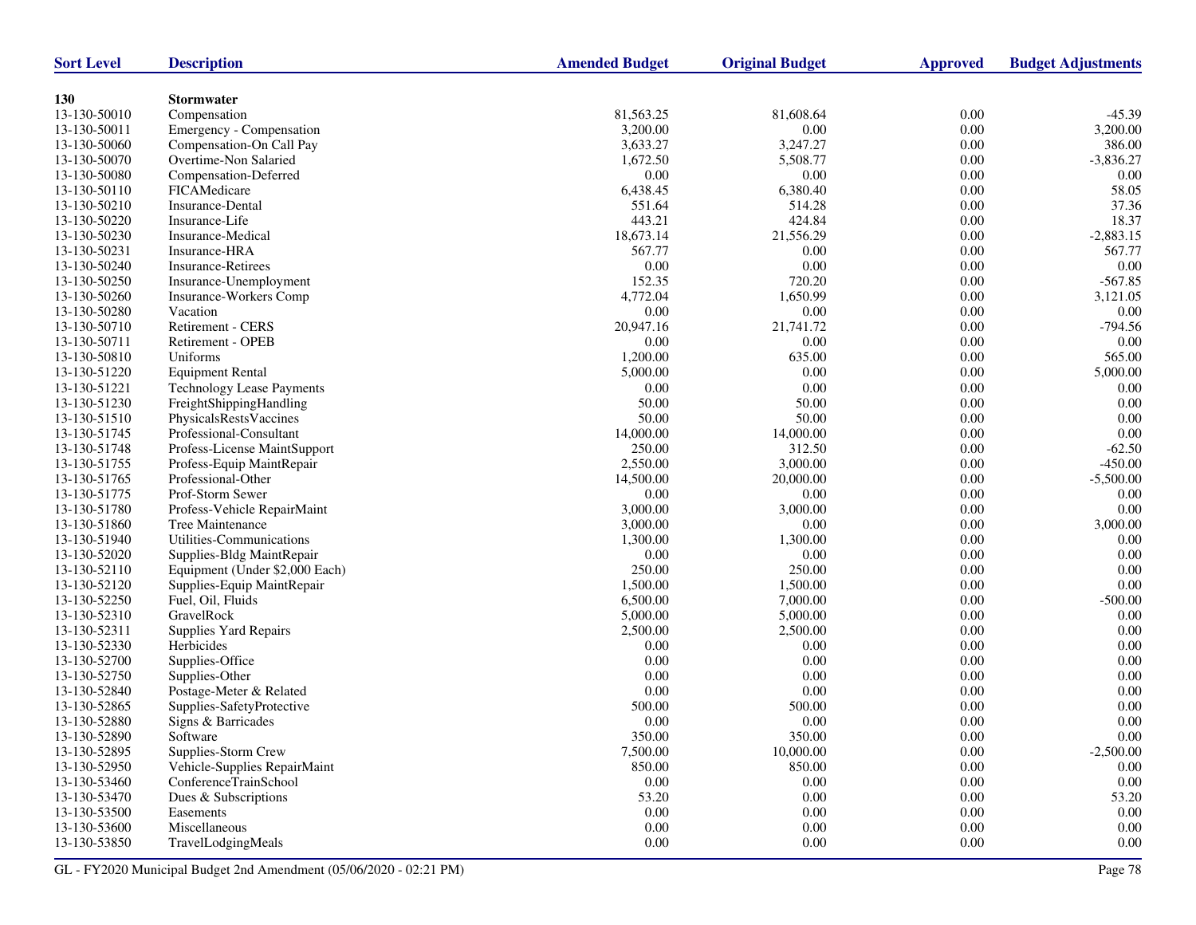| <b>Sort Level</b> | <b>Description</b>               | <b>Amended Budget</b> | <b>Original Budget</b> | <b>Approved</b> | <b>Budget Adjustments</b> |
|-------------------|----------------------------------|-----------------------|------------------------|-----------------|---------------------------|
|                   |                                  |                       |                        |                 |                           |
| 130               | <b>Stormwater</b>                |                       |                        |                 |                           |
| 13-130-50010      | Compensation                     | 81,563.25             | 81,608.64              | 0.00            | $-45.39$                  |
| 13-130-50011      | Emergency - Compensation         | 3,200.00              | 0.00                   | $0.00\,$        | 3,200.00                  |
| 13-130-50060      | Compensation-On Call Pay         | 3,633.27              | 3,247.27               | 0.00            | 386.00                    |
| 13-130-50070      | Overtime-Non Salaried            | 1,672.50              | 5,508.77               | 0.00            | $-3,836.27$               |
| 13-130-50080      | Compensation-Deferred            | 0.00                  | 0.00                   | $0.00\,$        | 0.00                      |
| 13-130-50110      | FICAMedicare                     | 6,438.45              | 6,380.40               | 0.00            | 58.05                     |
| 13-130-50210      | Insurance-Dental                 | 551.64                | 514.28                 | 0.00            | 37.36                     |
| 13-130-50220      | Insurance-Life                   | 443.21                | 424.84                 | $0.00\,$        | 18.37                     |
| 13-130-50230      | Insurance-Medical                | 18,673.14             | 21,556.29              | 0.00            | $-2,883.15$               |
| 13-130-50231      | Insurance-HRA                    | 567.77                | 0.00                   | 0.00            | 567.77                    |
| 13-130-50240      | <b>Insurance-Retirees</b>        | 0.00                  | 0.00                   | 0.00            | $0.00\,$                  |
| 13-130-50250      | Insurance-Unemployment           | 152.35                | 720.20                 | 0.00            | $-567.85$                 |
| 13-130-50260      | Insurance-Workers Comp           | 4,772.04              | 1,650.99               | 0.00            | 3,121.05                  |
| 13-130-50280      | Vacation                         | 0.00                  | 0.00                   | 0.00            | 0.00                      |
| 13-130-50710      | Retirement - CERS                | 20,947.16             | 21,741.72              | $0.00\,$        | $-794.56$                 |
| 13-130-50711      | Retirement - OPEB                | 0.00                  | 0.00                   | 0.00            | 0.00                      |
| 13-130-50810      | Uniforms                         | 1,200.00              | 635.00                 | 0.00            | 565.00                    |
| 13-130-51220      | <b>Equipment Rental</b>          | 5,000.00              | 0.00                   | $0.00\,$        | 5,000.00                  |
| 13-130-51221      | <b>Technology Lease Payments</b> | 0.00                  | 0.00                   | 0.00            | 0.00                      |
| 13-130-51230      | FreightShippingHandling          | 50.00                 | 50.00                  | 0.00            | 0.00                      |
| 13-130-51510      | PhysicalsRestsVaccines           | 50.00                 | 50.00                  | $0.00\,$        | 0.00                      |
| 13-130-51745      | Professional-Consultant          | 14,000.00             | 14,000.00              | 0.00            | $0.00\,$                  |
| 13-130-51748      | Profess-License MaintSupport     | 250.00                | 312.50                 | 0.00            | $-62.50$                  |
| 13-130-51755      | Profess-Equip MaintRepair        | 2,550.00              | 3,000.00               | $0.00\,$        | $-450.00$                 |
| 13-130-51765      | Professional-Other               | 14,500.00             | 20,000.00              | 0.00            | $-5,500.00$               |
| 13-130-51775      | Prof-Storm Sewer                 | 0.00                  | 0.00                   | 0.00            | 0.00                      |
| 13-130-51780      | Profess-Vehicle RepairMaint      | 3,000.00              | 3,000.00               | $0.00\,$        | 0.00                      |
| 13-130-51860      | Tree Maintenance                 | 3,000.00              | 0.00                   | 0.00            | 3,000.00                  |
| 13-130-51940      | Utilities-Communications         | 1,300.00              | 1,300.00               | 0.00            | 0.00                      |
| 13-130-52020      | Supplies-Bldg MaintRepair        | 0.00                  | 0.00                   | $0.00\,$        | 0.00                      |
| 13-130-52110      | Equipment (Under \$2,000 Each)   | 250.00                | 250.00                 | 0.00            | $0.00\,$                  |
| 13-130-52120      | Supplies-Equip MaintRepair       | 1,500.00              | 1,500.00               | 0.00            | 0.00                      |
| 13-130-52250      | Fuel, Oil, Fluids                | 6,500.00              | 7,000.00               | $0.00\,$        | $-500.00$                 |
| 13-130-52310      | GravelRock                       | 5,000.00              | 5,000.00               | 0.00            | 0.00                      |
| 13-130-52311      | <b>Supplies Yard Repairs</b>     | 2,500.00              | 2,500.00               | 0.00            | 0.00                      |
| 13-130-52330      | Herbicides                       | 0.00                  | 0.00                   | $0.00\,$        | 0.00                      |
| 13-130-52700      | Supplies-Office                  | 0.00                  | 0.00                   | 0.00            | $0.00\,$                  |
| 13-130-52750      | Supplies-Other                   | 0.00                  | 0.00                   | 0.00            | 0.00                      |
| 13-130-52840      | Postage-Meter & Related          | 0.00                  | 0.00                   | 0.00            | 0.00                      |
| 13-130-52865      | Supplies-SafetyProtective        | 500.00                | 500.00                 | 0.00            | 0.00                      |
| 13-130-52880      | Signs & Barricades               | 0.00                  | 0.00                   | 0.00            | 0.00                      |
| 13-130-52890      | Software                         | 350.00                | 350.00                 | $0.00\,$        | $0.00\,$                  |
| 13-130-52895      | Supplies-Storm Crew              | 7,500.00              | 10,000.00              | 0.00            | $-2,500.00$               |
| 13-130-52950      | Vehicle-Supplies RepairMaint     | 850.00                | 850.00                 | 0.00            | 0.00                      |
| 13-130-53460      | ConferenceTrainSchool            | $0.00\,$              | 0.00                   | $0.00\,$        | $0.00\,$                  |
| 13-130-53470      | Dues & Subscriptions             | 53.20                 | 0.00                   | 0.00            | 53.20                     |
| 13-130-53500      | Easements                        | $0.00\,$              | 0.00                   | 0.00            | 0.00                      |
| 13-130-53600      | Miscellaneous                    | 0.00                  | 0.00                   | $0.00\,$        | 0.00                      |
| 13-130-53850      | TravelLodgingMeals               | 0.00                  | 0.00                   | 0.00            | 0.00                      |
|                   |                                  |                       |                        |                 |                           |

GL - FY2020 Municipal Budget 2nd Amendment (05/06/2020 - 02:21 PM) Page 78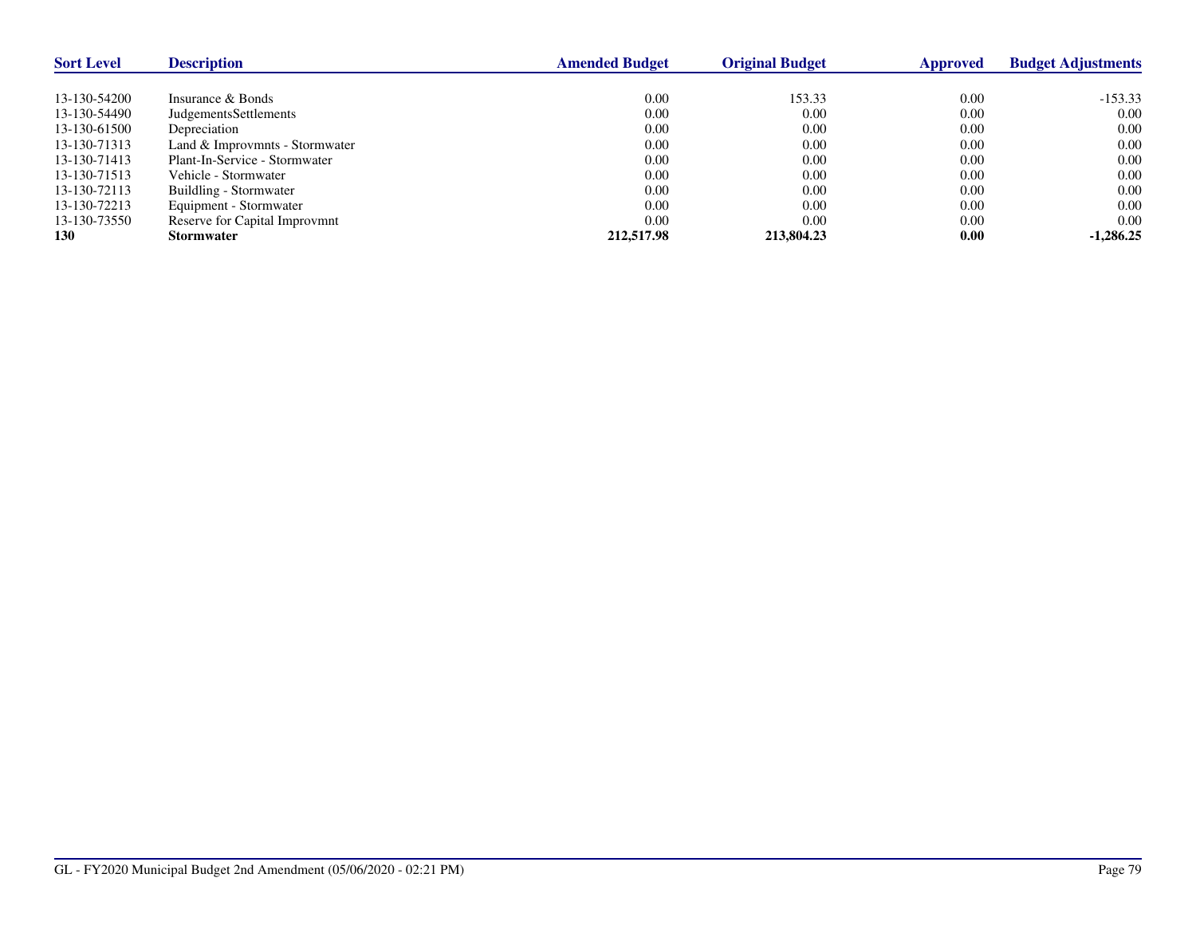| <b>Sort Level</b> | <b>Description</b>             | <b>Amended Budget</b> | <b>Original Budget</b> | Approved | <b>Budget Adjustments</b> |
|-------------------|--------------------------------|-----------------------|------------------------|----------|---------------------------|
|                   |                                |                       |                        |          |                           |
| 13-130-54200      | Insurance & Bonds              | 0.00                  | 153.33                 | 0.00     | $-153.33$                 |
| 13-130-54490      | <b>JudgementsSettlements</b>   | 0.00                  | 0.00                   | 0.00     | 0.00                      |
| 13-130-61500      | Depreciation                   | 0.00                  | 0.00                   | 0.00     | 0.00                      |
| 13-130-71313      | Land & Improvmnts - Stormwater | 0.00                  | 0.00                   | 0.00     | 0.00                      |
| 13-130-71413      | Plant-In-Service - Stormwater  | 0.00                  | 0.00                   | 0.00     | 0.00                      |
| 13-130-71513      | Vehicle - Stormwater           | 0.00                  | 0.00                   | 0.00     | 0.00                      |
| 13-130-72113      | Buildling - Stormwater         | 0.00                  | 0.00                   | 0.00     | 0.00                      |
| 13-130-72213      | Equipment - Stormwater         | 0.00                  | 0.00                   | 0.00     | 0.00                      |
| 13-130-73550      | Reserve for Capital Improvmnt  | 0.00                  | 0.00                   | 0.00     | 0.00                      |
| <b>130</b>        | <b>Stormwater</b>              | 212,517.98            | 213,804.23             | 0.00     | $-1.286.25$               |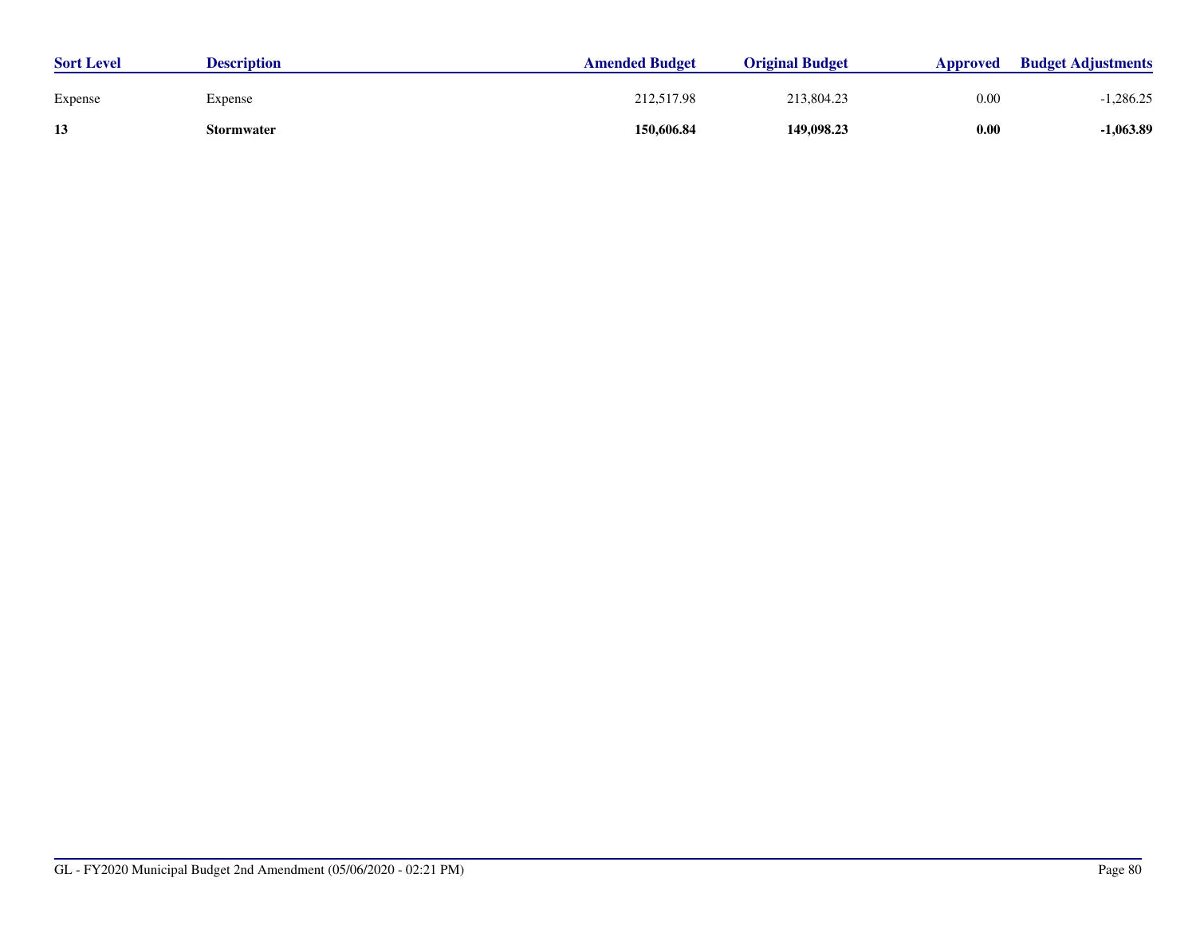| <b>Sort Level</b> | <b>Description</b> | <b>Amended Budget</b> | <b>Original Budget</b> | <b>Approved</b> | <b>Budget Adjustments</b> |
|-------------------|--------------------|-----------------------|------------------------|-----------------|---------------------------|
| Expense           | Expense            | 212,517.98            | 213,804.23             | 0.00            | 286.25.                   |
| 13                | Stormwater         | 150,606.84            | 149,098.23             | 0.00            | -1,063.89                 |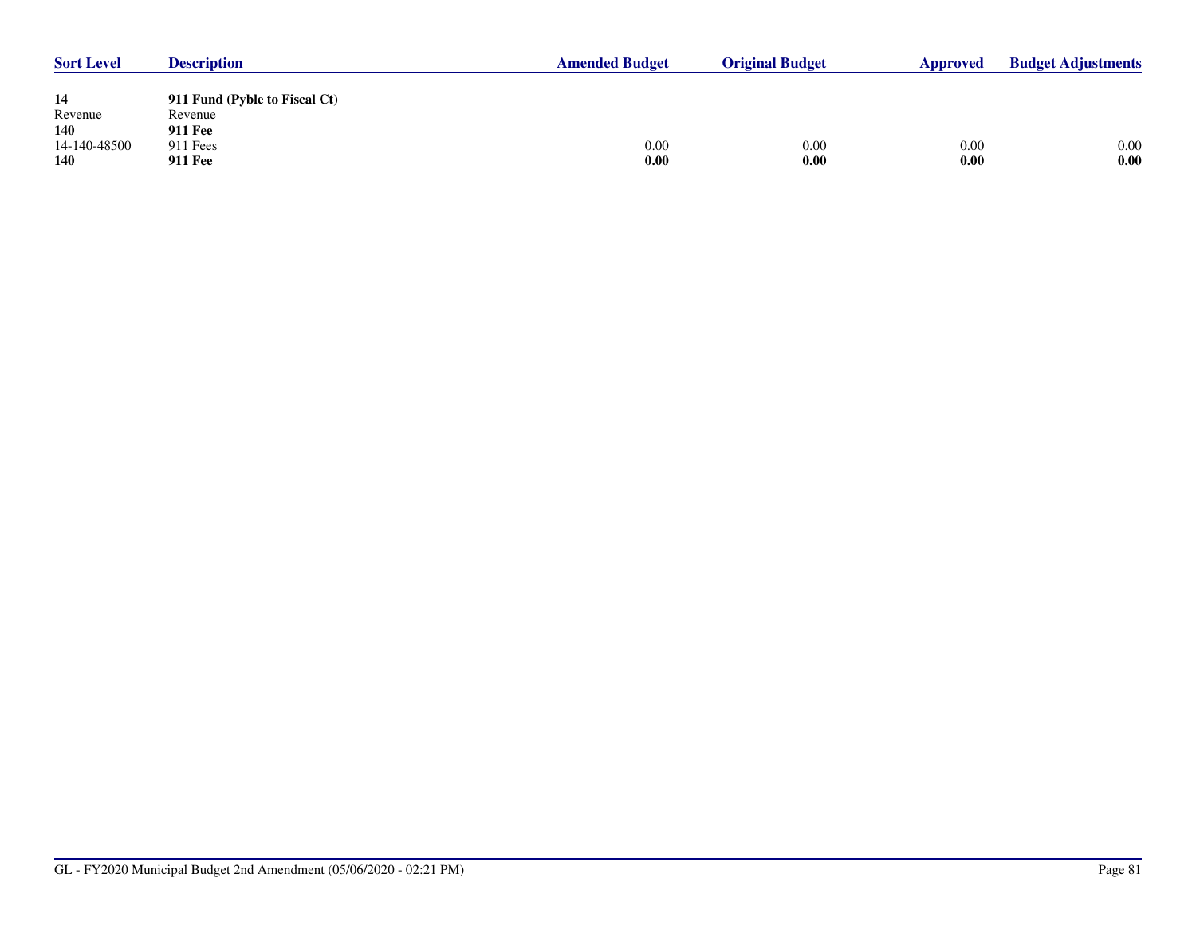| <b>Sort Level</b> | <b>Description</b>            | <b>Amended Budget</b> | <b>Original Budget</b> | Approved | <b>Budget Adjustments</b> |  |
|-------------------|-------------------------------|-----------------------|------------------------|----------|---------------------------|--|
|                   |                               |                       |                        |          |                           |  |
| 14                | 911 Fund (Pyble to Fiscal Ct) |                       |                        |          |                           |  |
| Revenue           | Revenue                       |                       |                        |          |                           |  |
| <b>140</b>        | <b>911 Fee</b>                |                       |                        |          |                           |  |
| 14-140-48500      | 911 Fees                      | 0.00                  | 0.00                   | 0.00     | 0.00                      |  |
| <b>140</b>        | <b>911 Fee</b>                | 0.00                  | 0.00                   | 0.00     | 0.00                      |  |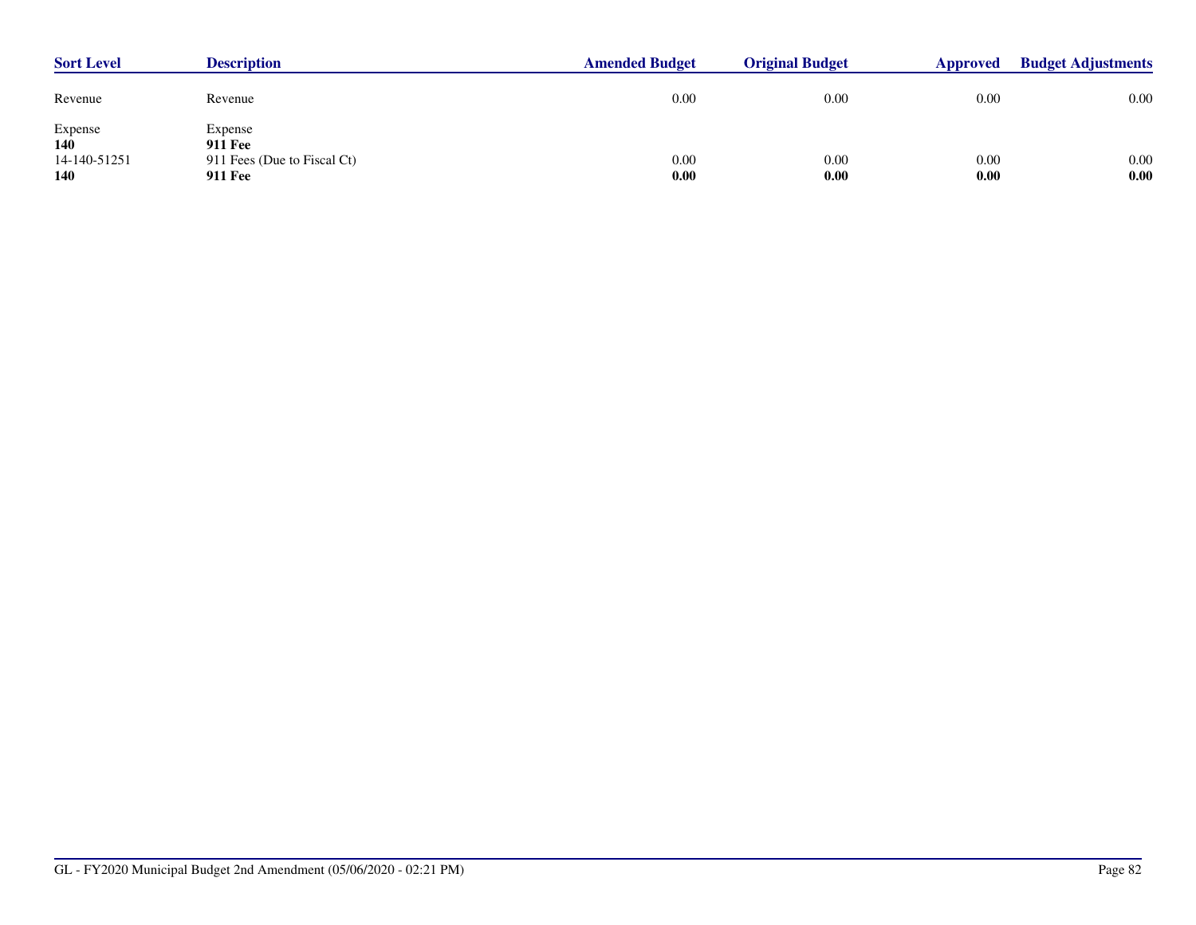| <b>Sort Level</b>                                   | <b>Description</b>                                                         | <b>Amended Budget</b> | <b>Original Budget</b> | Approved     | <b>Budget Adjustments</b> |
|-----------------------------------------------------|----------------------------------------------------------------------------|-----------------------|------------------------|--------------|---------------------------|
| Revenue                                             | Revenue                                                                    | 0.00                  | 0.00                   | 0.00         | 0.00                      |
| Expense<br><b>140</b><br>14-140-51251<br><b>140</b> | Expense<br><b>911 Fee</b><br>911 Fees (Due to Fiscal Ct)<br><b>911 Fee</b> | 0.00<br>0.00          | 0.00<br>0.00           | 0.00<br>0.00 | 0.00<br>0.00              |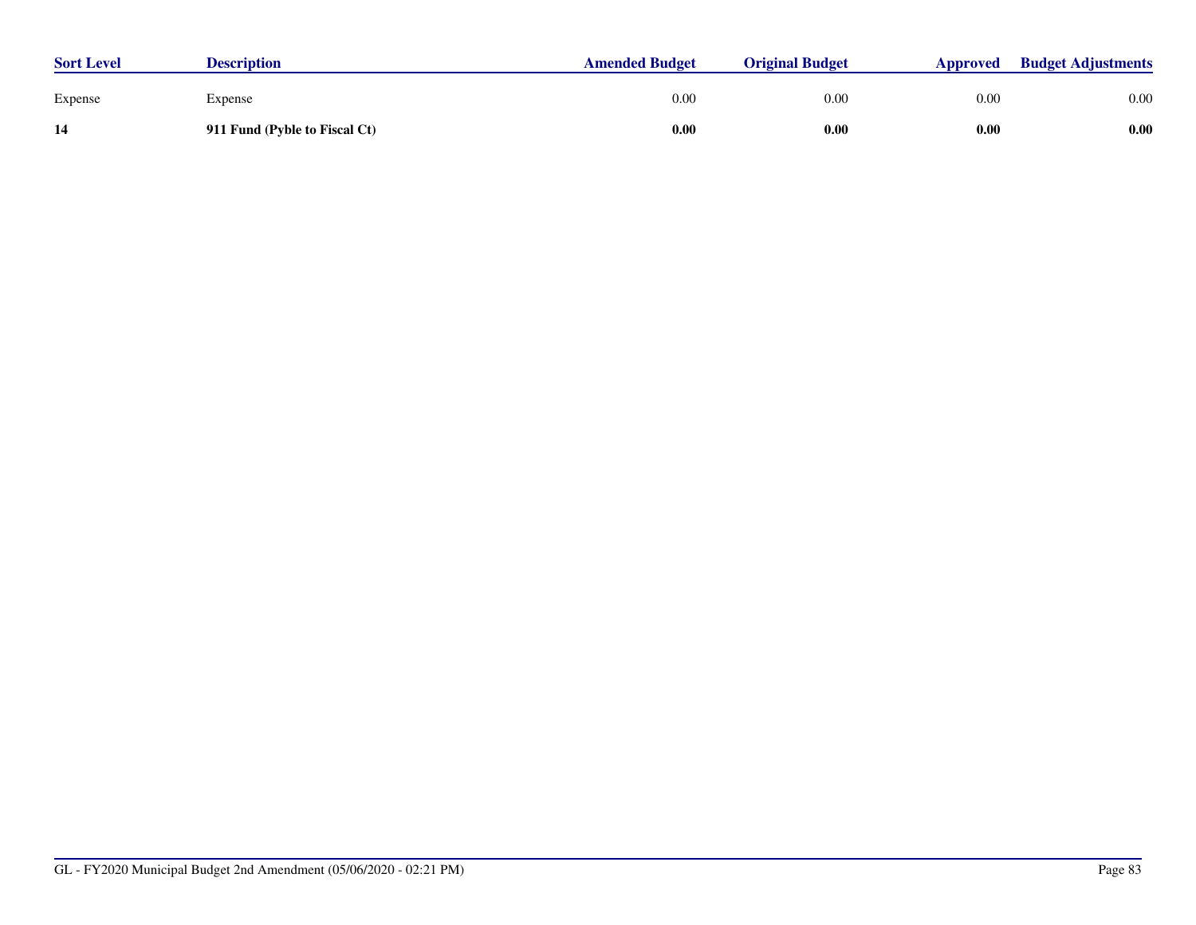| <b>Sort Level</b> | <b>Description</b>            | <b>Amended Budget</b> | <b>Original Budget</b> | Approved | <b>Budget Adjustments</b> |
|-------------------|-------------------------------|-----------------------|------------------------|----------|---------------------------|
| Expense           | Expense                       | 0.00                  | 0.00                   | 0.00     | 0.00                      |
| 14                | 911 Fund (Pyble to Fiscal Ct) | 0.00                  | 0.00                   | 0.00     | 0.00                      |